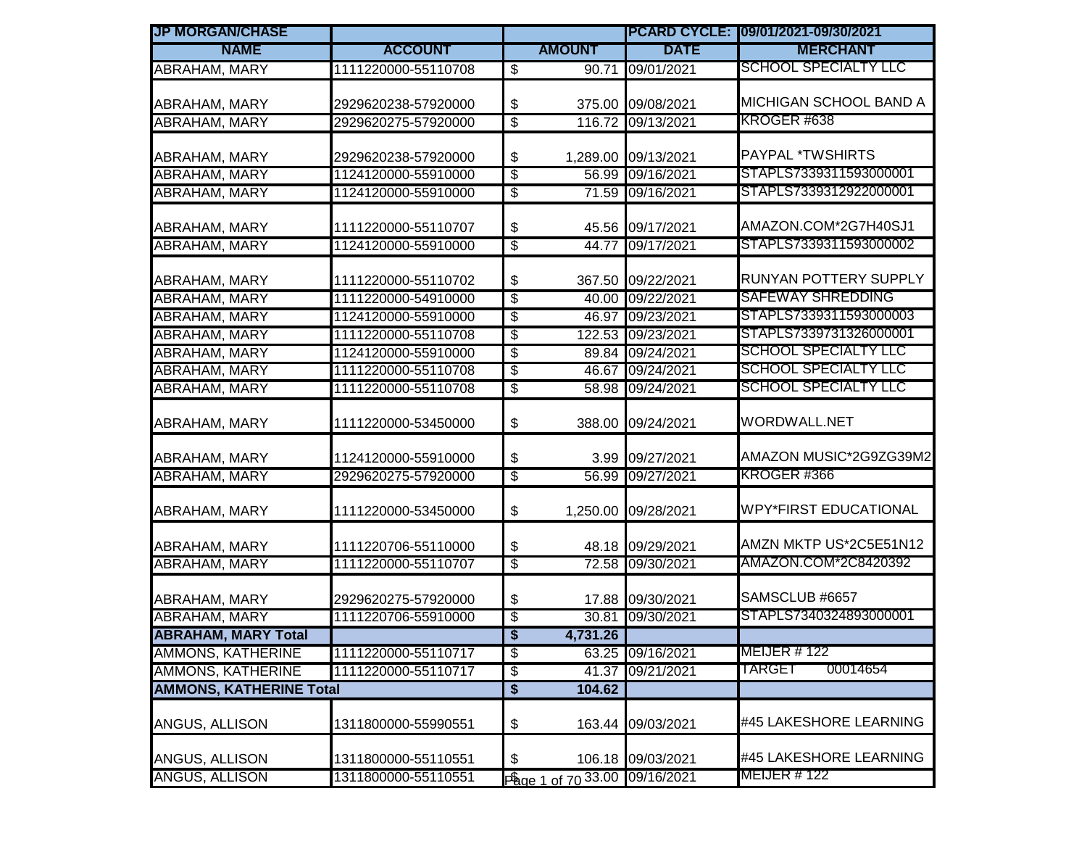| <b>JP MORGAN/CHASE</b>         |                     |                                      |                               |                     | PCARD CYCLE: 09/01/2021-09/30/2021 |  |
|--------------------------------|---------------------|--------------------------------------|-------------------------------|---------------------|------------------------------------|--|
| <b>NAME</b>                    | <b>ACCOUNT</b>      |                                      | <b>AMOUNT</b>                 | <b>DATE</b>         | <b>MERCHANT</b>                    |  |
| <b>ABRAHAM, MARY</b>           | 1111220000-55110708 | $\overline{\$}$                      |                               | 90.71 09/01/2021    | <b>SCHOOL SPECIALTY LLC</b>        |  |
| <b>ABRAHAM, MARY</b>           | 2929620238-57920000 | \$                                   |                               | 375.00 09/08/2021   | MICHIGAN SCHOOL BAND A             |  |
| <b>ABRAHAM, MARY</b>           | 2929620275-57920000 | \$                                   |                               | 116.72 09/13/2021   | KROGER #638                        |  |
|                                |                     |                                      |                               |                     |                                    |  |
| ABRAHAM, MARY                  | 2929620238-57920000 | \$                                   |                               | 1,289.00 09/13/2021 | <b>PAYPAL *TWSHIRTS</b>            |  |
| <b>ABRAHAM, MARY</b>           | 1124120000-55910000 | \$                                   |                               | 56.99 09/16/2021    | STAPLS7339311593000001             |  |
| <b>ABRAHAM, MARY</b>           | 1124120000-55910000 | $\overline{\$}$                      |                               | 71.59 09/16/2021    | STAPLS7339312922000001             |  |
| <b>ABRAHAM, MARY</b>           | 1111220000-55110707 | \$                                   |                               | 45.56 09/17/2021    | AMAZON.COM*2G7H40SJ1               |  |
| <b>ABRAHAM, MARY</b>           | 1124120000-55910000 | $\overline{\$}$                      |                               | 44.77 09/17/2021    | STAPLS7339311593000002             |  |
| ABRAHAM, MARY                  | 1111220000-55110702 | \$                                   |                               | 367.50 09/22/2021   | RUNYAN POTTERY SUPPLY              |  |
| <b>ABRAHAM, MARY</b>           | 1111220000-54910000 | \$                                   |                               | 40.00 09/22/2021    | SAFEWAY SHREDDING                  |  |
| <b>ABRAHAM, MARY</b>           | 1124120000-55910000 | -\$                                  |                               | 46.97 09/23/2021    | STAPLS7339311593000003             |  |
| <b>ABRAHAM, MARY</b>           | 1111220000-55110708 | \$                                   |                               | 122.53 09/23/2021   | STAPLS7339731326000001             |  |
| <b>ABRAHAM, MARY</b>           | 1124120000-55910000 | \$                                   |                               | 89.84 09/24/2021    | <b>SCHOOL SPECIALTY LLC</b>        |  |
| <b>ABRAHAM, MARY</b>           | 1111220000-55110708 | \$                                   |                               | 46.67 09/24/2021    | <b>SCHOOL SPECIALTY LLC</b>        |  |
| <b>ABRAHAM, MARY</b>           | 1111220000-55110708 | $\overline{\$}$                      |                               | 58.98 09/24/2021    | <b>SCHOOL SPECIALTY LLC</b>        |  |
| ABRAHAM, MARY                  | 1111220000-53450000 | \$                                   |                               | 388.00 09/24/2021   | WORDWALL.NET                       |  |
| <b>ABRAHAM, MARY</b>           | 1124120000-55910000 | \$                                   |                               | 3.99 09/27/2021     | AMAZON MUSIC*2G9ZG39M2             |  |
| <b>ABRAHAM, MARY</b>           | 2929620275-57920000 | $\overline{\$}$                      |                               | 56.99 09/27/2021    | KROGER #366                        |  |
| <b>ABRAHAM, MARY</b>           | 1111220000-53450000 | \$                                   |                               | 1,250.00 09/28/2021 | <b>WPY*FIRST EDUCATIONAL</b>       |  |
| ABRAHAM, MARY                  | 1111220706-55110000 | \$                                   |                               | 48.18 09/29/2021    | AMZN MKTP US*2C5E51N12             |  |
| <b>ABRAHAM, MARY</b>           | 1111220000-55110707 | $\overline{\mathcal{S}}$             |                               | 72.58 09/30/2021    | AMAZON.COM*2C8420392               |  |
| ABRAHAM, MARY                  | 2929620275-57920000 | \$                                   |                               | 17.88 09/30/2021    | SAMSCLUB #6657                     |  |
| <b>ABRAHAM, MARY</b>           | 1111220706-55910000 | $\overline{\mathcal{E}}$             |                               | 30.81 09/30/2021    | STAPLS7340324893000001             |  |
| <b>ABRAHAM, MARY Total</b>     |                     | $\overline{\mathbf{s}}$              | 4,731.26                      |                     |                                    |  |
| AMMONS, KATHERINE              | 1111220000-55110717 | \$                                   |                               | 63.25 09/16/2021    | <b>MEIJER #122</b>                 |  |
| <b>AMMONS, KATHERINE</b>       | 1111220000-55110717 | $\overline{\mathcal{E}}$             |                               | 41.37 09/21/2021    | 00014654<br>TARGET                 |  |
| <b>AMMONS, KATHERINE Total</b> |                     | $\overline{\boldsymbol{\mathsf{s}}}$ | 104.62                        |                     |                                    |  |
| ANGUS, ALLISON                 | 1311800000-55990551 | \$                                   |                               | 163.44 09/03/2021   | #45 LAKESHORE LEARNING             |  |
| ANGUS, ALLISON                 | 1311800000-55110551 | \$                                   |                               | 106.18 09/03/2021   | #45 LAKESHORE LEARNING             |  |
| <b>ANGUS, ALLISON</b>          | 1311800000-55110551 |                                      | Page 1 of 70 33.00 09/16/2021 |                     | <b>MEIJER #122</b>                 |  |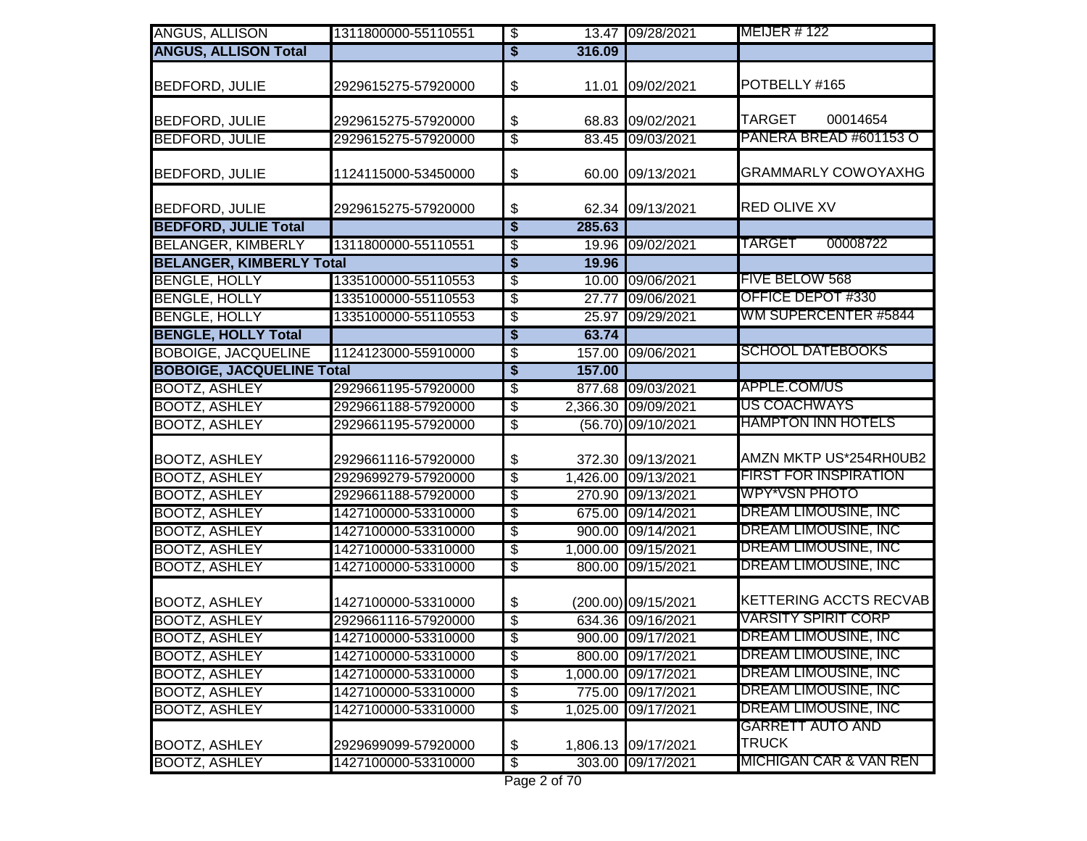| ANGUS, ALLISON                   | 1311800000-55110551 | $\overline{\boldsymbol{\theta}}$     |          | 13.47 09/28/2021    | <b>MEIJER # 122</b>                     |
|----------------------------------|---------------------|--------------------------------------|----------|---------------------|-----------------------------------------|
| <b>ANGUS, ALLISON Total</b>      |                     | $\overline{\$}$                      | 316.09   |                     |                                         |
| <b>BEDFORD, JULIE</b>            | 2929615275-57920000 | \$                                   |          | 11.01 09/02/2021    | POTBELLY #165                           |
| <b>BEDFORD, JULIE</b>            | 2929615275-57920000 | \$                                   | 68.83    | 09/02/2021          | <b>TARGET</b><br>00014654               |
| <b>BEDFORD, JULIE</b>            | 2929615275-57920000 | \$                                   | 83.45    | 09/03/2021          | PANERA BREAD #601153 O                  |
| <b>BEDFORD, JULIE</b>            | 1124115000-53450000 | \$                                   | 60.00    | 09/13/2021          | <b>GRAMMARLY COWOYAXHG</b>              |
| <b>BEDFORD, JULIE</b>            | 2929615275-57920000 | \$                                   |          | 62.34 09/13/2021    | <b>RED OLIVE XV</b>                     |
| <b>BEDFORD, JULIE Total</b>      |                     | $\overline{\boldsymbol{\mathsf{s}}}$ | 285.63   |                     |                                         |
| <b>BELANGER, KIMBERLY</b>        | 1311800000-55110551 | \$                                   | 19.96    | 09/02/2021          | <b>TARGET</b><br>00008722               |
| <b>BELANGER, KIMBERLY Total</b>  |                     | \$                                   | 19.96    |                     |                                         |
| <b>BENGLE, HOLLY</b>             | 1335100000-55110553 | $\overline{\mathbf{e}}$              | 10.00    | 09/06/2021          | <b>FIVE BELOW 568</b>                   |
| <b>BENGLE, HOLLY</b>             | 1335100000-55110553 | \$                                   | 27.77    | 09/06/2021          | OFFICE DEPOT #330                       |
| <b>BENGLE, HOLLY</b>             | 1335100000-55110553 | $\overline{\$}$                      | 25.97    | 09/29/2021          | WM SUPERCENTER #5844                    |
| <b>BENGLE, HOLLY Total</b>       |                     | \$                                   | 63.74    |                     |                                         |
| <b>BOBOIGE, JACQUELINE</b>       | 1124123000-55910000 | \$                                   | 157.00   | 09/06/2021          | <b>SCHOOL DATEBOOKS</b>                 |
| <b>BOBOIGE, JACQUELINE Total</b> |                     | \$                                   | 157.00   |                     |                                         |
| <b>BOOTZ, ASHLEY</b>             | 2929661195-57920000 | \$                                   | 877.68   | 09/03/2021          | APPLE.COM/US                            |
| <b>BOOTZ, ASHLEY</b>             | 2929661188-57920000 | \$                                   |          | 2,366.30 09/09/2021 | <b>US COACHWAYS</b>                     |
| <b>BOOTZ, ASHLEY</b>             | 2929661195-57920000 | $\overline{\$}$                      |          | (56.70) 09/10/2021  | <b>HAMPTON INN HOTELS</b>               |
| <b>BOOTZ, ASHLEY</b>             | 2929661116-57920000 | \$                                   | 372.30   | 09/13/2021          | AMZN MKTP US*254RH0UB2                  |
| <b>BOOTZ, ASHLEY</b>             | 2929699279-57920000 | $\overline{\$}$                      | 1,426.00 | 09/13/2021          | <b>FIRST FOR INSPIRATION</b>            |
| <b>BOOTZ, ASHLEY</b>             | 2929661188-57920000 | \$                                   | 270.90   | 09/13/2021          | WPY*VSN PHOTO                           |
| <b>BOOTZ, ASHLEY</b>             | 1427100000-53310000 | \$                                   | 675.00   | 09/14/2021          | <b>DREAM LIMOUSINE, INC</b>             |
| <b>BOOTZ, ASHLEY</b>             | 1427100000-53310000 | $\overline{\$}$                      | 900.00   | 09/14/2021          | <b>DREAM LIMOUSINE, INC</b>             |
| <b>BOOTZ, ASHLEY</b>             | 1427100000-53310000 | $\overline{\mathbf{e}}$              | 1,000.00 | 09/15/2021          | <b>DREAM LIMOUSINE, INC</b>             |
| <b>BOOTZ, ASHLEY</b>             | 1427100000-53310000 | $\overline{\$}$                      | 800.00   | 09/15/2021          | <b>DREAM LIMOUSINE, INC</b>             |
| <b>BOOTZ, ASHLEY</b>             | 1427100000-53310000 | \$                                   |          | (200.00) 09/15/2021 | <b>KETTERING ACCTS RECVAB</b>           |
| <b>BOOTZ, ASHLEY</b>             | 2929661116-57920000 | \$                                   |          | 634.36 09/16/2021   | <b>VARSITY SPIRIT CORP</b>              |
| <b>BOOTZ, ASHLEY</b>             | 1427100000-53310000 | $\overline{\mathcal{S}}$             |          | 900.00 09/17/2021   | DREAM LIMOUSINE, INC                    |
| <b>BOOTZ, ASHLEY</b>             | 1427100000-53310000 | \$                                   |          | 800.00 09/17/2021   | DREAM LIMOUSINE, INC                    |
| <b>BOOTZ, ASHLEY</b>             | 1427100000-53310000 | \$                                   | 1,000.00 | 09/17/2021          | <b>DREAM LIMOUSINE, INC</b>             |
| <b>BOOTZ, ASHLEY</b>             | 1427100000-53310000 | $\overline{\$}$                      | 775.00   | 09/17/2021          | <b>DREAM LIMOUSINE, INC</b>             |
| <b>BOOTZ, ASHLEY</b>             | 1427100000-53310000 | \$                                   | 1,025.00 | 09/17/2021          | <b>DREAM LIMOUSINE, INC</b>             |
| <b>BOOTZ, ASHLEY</b>             | 2929699099-57920000 | \$                                   | 1,806.13 | 09/17/2021          | <b>GARRETT AUTO AND</b><br><b>TRUCK</b> |
| <b>BOOTZ, ASHLEY</b>             | 1427100000-53310000 | $\sqrt{3}$                           |          | 303.00 09/17/2021   | MICHIGAN CAR & VAN REN                  |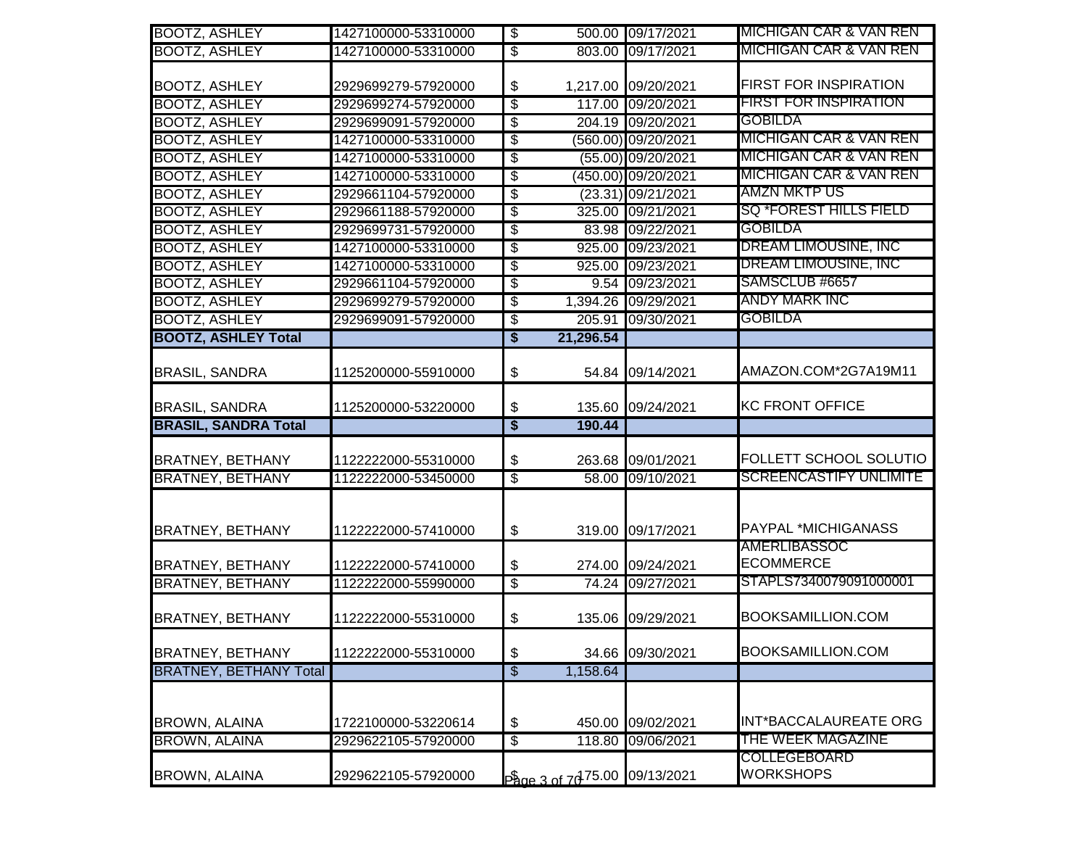| <b>BOOTZ, ASHLEY</b>          | 1427100000-53310000 | $\overline{\$}$                           |                                                        | 500.00 09/17/2021   | MICHIGAN CAR & VAN REN                  |
|-------------------------------|---------------------|-------------------------------------------|--------------------------------------------------------|---------------------|-----------------------------------------|
| <b>BOOTZ, ASHLEY</b>          | 1427100000-53310000 | $\overline{\$}$                           |                                                        | 803.00 09/17/2021   | MICHIGAN CAR & VAN REN                  |
| <b>BOOTZ, ASHLEY</b>          | 2929699279-57920000 | \$                                        |                                                        | 1,217.00 09/20/2021 | <b>FIRST FOR INSPIRATION</b>            |
| <b>BOOTZ, ASHLEY</b>          | 2929699274-57920000 | $\overline{\mathbb{S}}$                   |                                                        | 117.00 09/20/2021   | <b>FIRST FOR INSPIRATION</b>            |
| <b>BOOTZ, ASHLEY</b>          | 2929699091-57920000 | \$                                        |                                                        | 204.19 09/20/2021   | <b>GOBILDA</b>                          |
| <b>BOOTZ, ASHLEY</b>          | 1427100000-53310000 | \$                                        |                                                        | (560.00) 09/20/2021 | <b>MICHIGAN CAR &amp; VAN REN</b>       |
| <b>BOOTZ, ASHLEY</b>          | 1427100000-53310000 | \$                                        |                                                        | (55.00) 09/20/2021  | <b>MICHIGAN CAR &amp; VAN REN</b>       |
| <b>BOOTZ, ASHLEY</b>          | 1427100000-53310000 | \$                                        |                                                        | (450.00) 09/20/2021 | <u>MICHIGAN CAR &amp; VAN REN</u>       |
| <b>BOOTZ, ASHLEY</b>          | 2929661104-57920000 | \$                                        |                                                        | (23.31) 09/21/2021  | AMZN MKTP US                            |
| <b>BOOTZ, ASHLEY</b>          | 2929661188-57920000 | $\overline{\$}$                           |                                                        | 325.00 09/21/2021   | <b>SQ *FOREST HILLS FIELD</b>           |
| <b>BOOTZ, ASHLEY</b>          | 2929699731-57920000 | \$                                        |                                                        | 83.98 09/22/2021    | <b>GOBILDA</b>                          |
| <b>BOOTZ, ASHLEY</b>          | 1427100000-53310000 | \$                                        |                                                        | 925.00 09/23/2021   | <b>DREAM LIMOUSINE, INC</b>             |
| <b>BOOTZ, ASHLEY</b>          | 1427100000-53310000 | \$                                        |                                                        | 925.00 09/23/2021   | DREAM LIMOUSINE, INC                    |
| <b>BOOTZ, ASHLEY</b>          | 2929661104-57920000 | \$                                        |                                                        | 9.54 09/23/2021     | SAMSCLUB #6657                          |
| <b>BOOTZ, ASHLEY</b>          | 2929699279-57920000 | \$                                        |                                                        | 1,394.26 09/29/2021 | <b>ANDY MARK INC</b>                    |
| <b>BOOTZ, ASHLEY</b>          | 2929699091-57920000 | \$                                        |                                                        | 205.91 09/30/2021   | <b>GOBILDA</b>                          |
| <b>BOOTZ, ASHLEY Total</b>    |                     | $\overline{\$}$                           | 21,296.54                                              |                     |                                         |
| <b>BRASIL, SANDRA</b>         | 1125200000-55910000 | \$                                        |                                                        | 54.84 09/14/2021    | AMAZON.COM*2G7A19M11                    |
| <b>BRASIL, SANDRA</b>         | 1125200000-53220000 | \$                                        |                                                        | 135.60 09/24/2021   | <b>KC FRONT OFFICE</b>                  |
| <b>BRASIL, SANDRA Total</b>   |                     | $\overline{\boldsymbol{\mathsf{s}}}$      | 190.44                                                 |                     |                                         |
| <b>BRATNEY, BETHANY</b>       | 1122222000-55310000 | \$                                        |                                                        | 263.68 09/01/2021   | FOLLETT SCHOOL SOLUTIO                  |
| <b>BRATNEY, BETHANY</b>       | 1122222000-53450000 | $\overline{\$}$                           |                                                        | 58.00 09/10/2021    | <b>SCREENCASTIFY UNLIMITE</b>           |
| <b>BRATNEY, BETHANY</b>       | 1122222000-57410000 | $\, \, \raisebox{12pt}{$\scriptstyle \$}$ |                                                        | 319.00 09/17/2021   | PAYPAL *MICHIGANASS                     |
| <b>BRATNEY, BETHANY</b>       | 1122222000-57410000 | \$                                        |                                                        | 274.00 09/24/2021   | <b>AMERLIBASSOC</b><br><b>ECOMMERCE</b> |
| <b>BRATNEY, BETHANY</b>       | 1122222000-55990000 | $\overline{\$}$                           |                                                        | 74.24 09/27/2021    | STAPLS7340079091000001                  |
| <b>BRATNEY, BETHANY</b>       | 1122222000-55310000 | \$                                        |                                                        | 135.06 09/29/2021   | BOOKSAMILLION.COM                       |
| <b>BRATNEY, BETHANY</b>       | 1122222000-55310000 | \$                                        |                                                        | 34.66 09/30/2021    | BOOKSAMILLION.COM                       |
| <b>BRATNEY, BETHANY Total</b> |                     | $\overline{\$}$                           | 1,158.64                                               |                     |                                         |
| <b>BROWN, ALAINA</b>          | 1722100000-53220614 | \$                                        |                                                        | 450.00 09/02/2021   | INT*BACCALAUREATE ORG                   |
| <b>BROWN, ALAINA</b>          | 2929622105-57920000 | \$                                        |                                                        | 118.80 09/06/2021   | THE WEEK MAGAZINE                       |
| <b>BROWN, ALAINA</b>          | 2929622105-57920000 |                                           | $\frac{6}{2000}$ and $\frac{7075.00}{2000}$ 09/13/2021 |                     | COLLEGEBOARD<br><b>WORKSHOPS</b>        |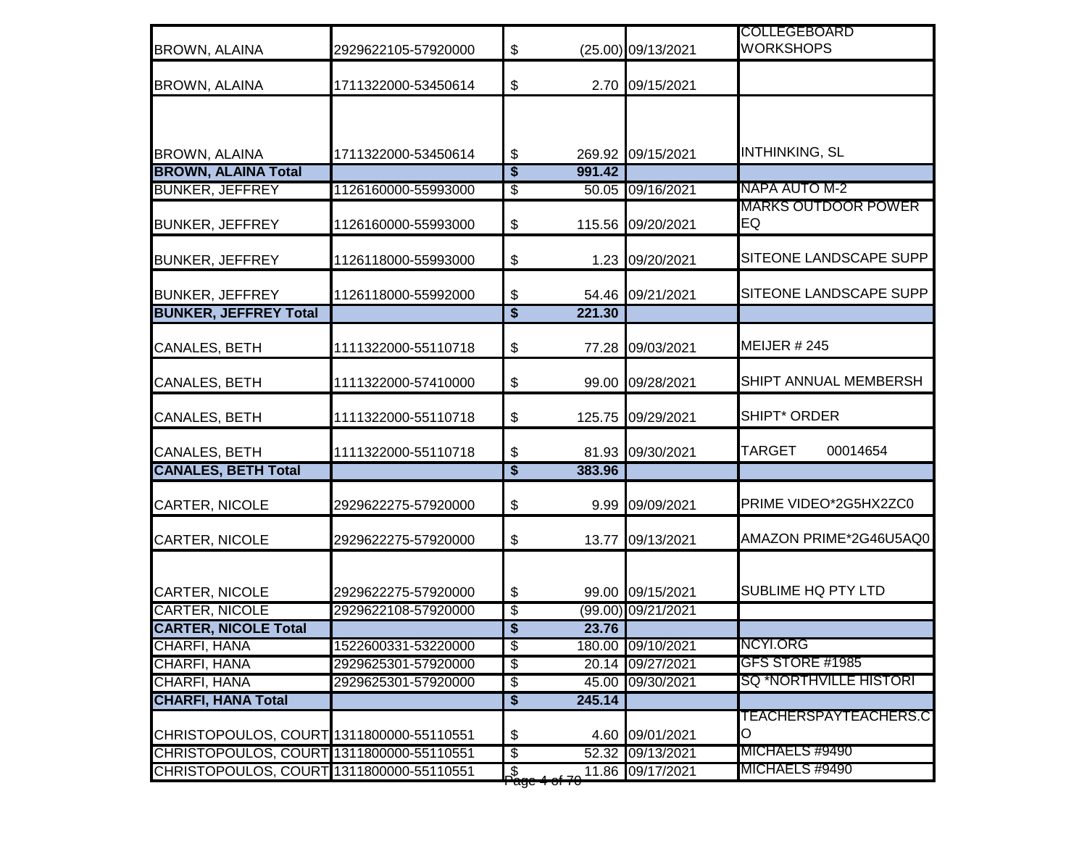| <b>BROWN, ALAINA</b>                     | 2929622105-57920000 | $\boldsymbol{\mathsf{S}}$            |        | (25.00) 09/13/2021 | <b>COLLEGEBOARD</b><br><b>WORKSHOPS</b> |
|------------------------------------------|---------------------|--------------------------------------|--------|--------------------|-----------------------------------------|
| <b>BROWN, ALAINA</b>                     | 1711322000-53450614 | $\frac{1}{2}$                        |        | 2.70 09/15/2021    |                                         |
|                                          |                     |                                      |        |                    |                                         |
| <b>BROWN, ALAINA</b>                     | 1711322000-53450614 | $\boldsymbol{\theta}$                |        | 269.92 09/15/2021  | <b>INTHINKING, SL</b>                   |
| <b>BROWN, ALAINA Total</b>               |                     | $\overline{\boldsymbol{\mathsf{s}}}$ | 991.42 |                    |                                         |
| <b>BUNKER, JEFFREY</b>                   | 1126160000-55993000 | $\overline{\mathcal{E}}$             |        | 50.05 09/16/2021   | NAPA AUTO M-2                           |
| <b>BUNKER, JEFFREY</b>                   | 1126160000-55993000 | $\boldsymbol{\mathsf{S}}$            | 115.56 | 09/20/2021         | MARKS OUTDOOR POWER<br>EQ               |
| <b>BUNKER, JEFFREY</b>                   | 1126118000-55993000 | $\boldsymbol{\$}$                    |        | 1.23 09/20/2021    | SITEONE LANDSCAPE SUPP                  |
| <b>BUNKER, JEFFREY</b>                   | 1126118000-55992000 | $\sqrt[6]{\frac{1}{2}}$              |        | 54.46 09/21/2021   | SITEONE LANDSCAPE SUPP                  |
| <b>BUNKER, JEFFREY Total</b>             |                     | $\overline{\boldsymbol{\mathsf{s}}}$ | 221.30 |                    |                                         |
| <b>CANALES, BETH</b>                     | 1111322000-55110718 | $\boldsymbol{\$}$                    |        | 77.28 09/03/2021   | MEIJER $#245$                           |
| <b>CANALES, BETH</b>                     | 1111322000-57410000 | \$                                   | 99.00  | 09/28/2021         | SHIPT ANNUAL MEMBERSH                   |
| <b>CANALES, BETH</b>                     | 1111322000-55110718 | \$                                   | 125.75 | 09/29/2021         | <b>SHIPT* ORDER</b>                     |
| <b>CANALES, BETH</b>                     | 1111322000-55110718 | \$                                   |        | 81.93 09/30/2021   | TARGET<br>00014654                      |
| <b>CANALES, BETH Total</b>               |                     | $\overline{\boldsymbol{\mathsf{s}}}$ | 383.96 |                    |                                         |
| <b>CARTER, NICOLE</b>                    | 2929622275-57920000 | $\boldsymbol{\$}$                    | 9.99   | 09/09/2021         | PRIME VIDEO*2G5HX2ZC0                   |
| <b>CARTER, NICOLE</b>                    | 2929622275-57920000 | \$                                   | 13.77  | 09/13/2021         | AMAZON PRIME*2G46U5AQ0                  |
| CARTER, NICOLE                           | 2929622275-57920000 | $\boldsymbol{\theta}$                |        | 99.00 09/15/2021   | SUBLIME HQ PTY LTD                      |
| <b>CARTER, NICOLE</b>                    | 2929622108-57920000 | \$                                   |        | (99.00) 09/21/2021 |                                         |
| <b>CARTER, NICOLE Total</b>              |                     | \$                                   | 23.76  |                    |                                         |
| CHARFI, HANA                             | 1522600331-53220000 | $\overline{\$}$                      |        | 180.00 09/10/2021  | NCYI.ORG                                |
| CHARFI, HANA                             | 2929625301-57920000 | $\overline{\$}$                      |        | 20.14 09/27/2021   | GFS STORE #1985                         |
| <b>CHARFI, HANA</b>                      | 2929625301-57920000 | $\overline{\mathcal{E}}$             |        | 45.00 09/30/2021   | <b>SQ *NORTHVILLE HISTORI</b>           |
| <b>CHARFI, HANA Total</b>                |                     | $\blacklozenge$                      | 245.14 |                    |                                         |
| CHRISTOPOULOS, COURT 1311800000-55110551 |                     | $\boldsymbol{\theta}$                |        | 4.60 09/01/2021    | TEACHERSPAYTEACHERS.C<br>O              |
| CHRISTOPOULOS, COURT 1311800000-55110551 |                     | $\overline{\$}$                      |        | 52.32 09/13/2021   | MICHAELS #9490                          |
| CHRISTOPOULOS, COURT 1311800000-55110551 |                     | _\$<br><del>Page 4 of 7</del>        |        | 11.86 09/17/2021   | MICHAELS #9490                          |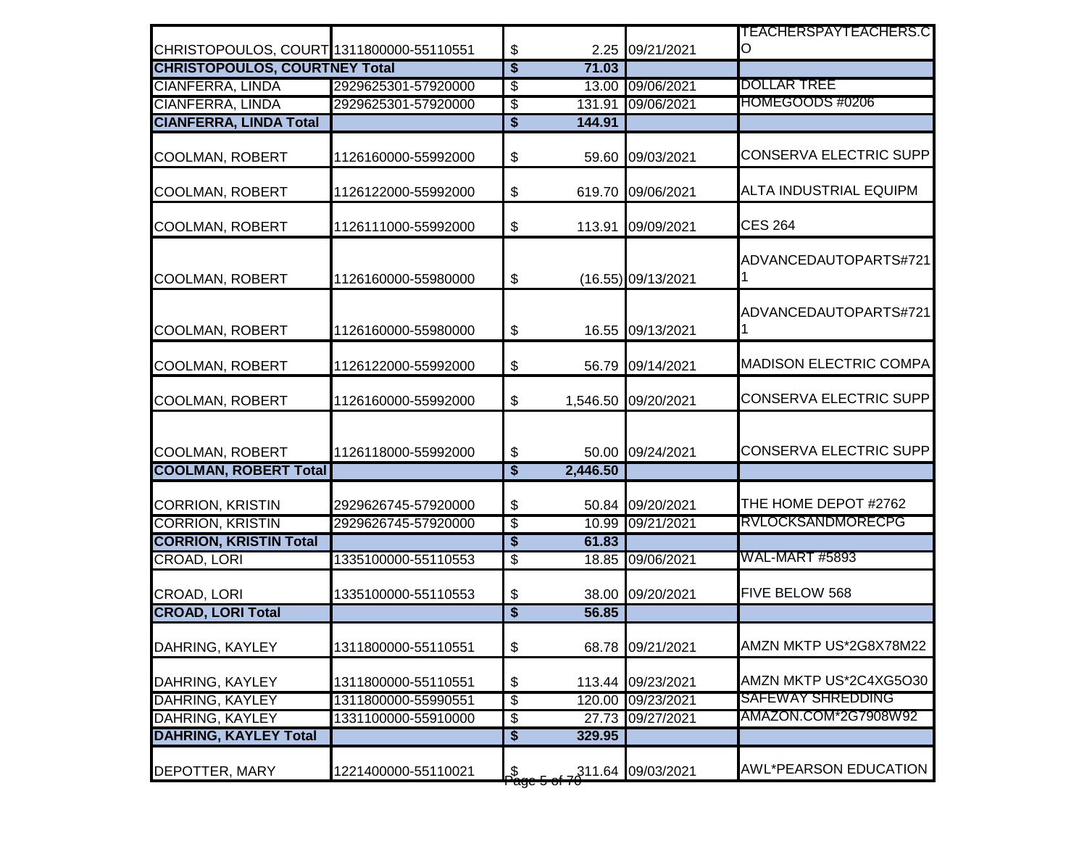|                                         |                     |                                      |          |                     | TEACHERSPAYTEACHERS.C         |
|-----------------------------------------|---------------------|--------------------------------------|----------|---------------------|-------------------------------|
| CHRISTOPOULOS, COURT1311800000-55110551 |                     | \$                                   |          | 2.25 09/21/2021     | O                             |
| <b>CHRISTOPOULOS, COURTNEY Total</b>    |                     | $\overline{\boldsymbol{\mathsf{s}}}$ | 71.03    |                     |                               |
| <b>CIANFERRA, LINDA</b>                 | 2929625301-57920000 | $\overline{\$}$                      |          | 13.00 09/06/2021    | <b>DOLLAR TREE</b>            |
| <b>CIANFERRA, LINDA</b>                 | 2929625301-57920000 | $\overline{\mathbf{e}}$              | 131.91   | 09/06/2021          | HOMEGOODS #0206               |
| <b>CIANFERRA, LINDA Total</b>           |                     | \$                                   | 144.91   |                     |                               |
| <b>COOLMAN, ROBERT</b>                  | 1126160000-55992000 | \$                                   |          | 59.60 09/03/2021    | <b>CONSERVA ELECTRIC SUPP</b> |
| <b>COOLMAN, ROBERT</b>                  | 1126122000-55992000 | \$                                   |          | 619.70 09/06/2021   | ALTA INDUSTRIAL EQUIPM        |
| <b>COOLMAN, ROBERT</b>                  | 1126111000-55992000 | \$                                   | 113.91   | 09/09/2021          | <b>CES 264</b>                |
| COOLMAN, ROBERT                         | 1126160000-55980000 | \$                                   |          | (16.55) 09/13/2021  | ADVANCEDAUTOPARTS#721         |
| <b>COOLMAN, ROBERT</b>                  | 1126160000-55980000 | \$                                   |          | 16.55 09/13/2021    | ADVANCEDAUTOPARTS#721         |
| <b>COOLMAN, ROBERT</b>                  | 1126122000-55992000 | \$                                   |          | 56.79 09/14/2021    | <b>MADISON ELECTRIC COMPA</b> |
| COOLMAN, ROBERT                         | 1126160000-55992000 | \$                                   |          | 1,546.50 09/20/2021 | <b>CONSERVA ELECTRIC SUPP</b> |
| <b>COOLMAN, ROBERT</b>                  | 1126118000-55992000 | \$                                   |          | 50.00 09/24/2021    | <b>CONSERVA ELECTRIC SUPP</b> |
| <b>COOLMAN, ROBERT Total</b>            |                     | $\overline{\boldsymbol{\mathsf{s}}}$ | 2,446.50 |                     |                               |
| <b>CORRION, KRISTIN</b>                 | 2929626745-57920000 | \$                                   |          | 50.84 09/20/2021    | THE HOME DEPOT #2762          |
| <b>CORRION, KRISTIN</b>                 | 2929626745-57920000 | $\overline{\mathcal{S}}$             |          | 10.99 09/21/2021    | <b>RVLOCKSANDMORECPG</b>      |
| <b>CORRION, KRISTIN Total</b>           |                     | $\overline{\$}$                      | 61.83    |                     |                               |
| <b>CROAD, LORI</b>                      | 1335100000-55110553 | $\overline{\mathbf{e}}$              |          | 18.85 09/06/2021    | <b>WAL-MART #5893</b>         |
| CROAD, LORI                             | 1335100000-55110553 | \$                                   |          | 38.00 09/20/2021    | FIVE BELOW 568                |
| <b>CROAD, LORI Total</b>                |                     | $\overline{\boldsymbol{\mathsf{s}}}$ | 56.85    |                     |                               |
| DAHRING, KAYLEY                         | 1311800000-55110551 | $\boldsymbol{\theta}$                |          | 68.78 09/21/2021    | AMZN MKTP US*2G8X78M22        |
| DAHRING, KAYLEY                         | 1311800000-55110551 | \$                                   |          | 113.44 09/23/2021   | AMZN MKTP US*2C4XG5O30        |
| DAHRING, KAYLEY                         | 1311800000-55990551 | $\overline{\mathbf{e}}$              |          | 120.00 09/23/2021   | <b>SAFEWAY SHREDDING</b>      |
| <b>DAHRING, KAYLEY</b>                  | 1331100000-55910000 | \$                                   |          | 27.73 09/27/2021    | AMAZON.COM*2G7908W92          |
| <b>DAHRING, KAYLEY Total</b>            |                     | $\bullet$                            | 329.95   |                     |                               |
| <b>DEPOTTER, MARY</b>                   | 1221400000-55110021 | $\frac{15}{200}$                     |          | 211.64 09/03/2021   | <b>AWL*PEARSON EDUCATION</b>  |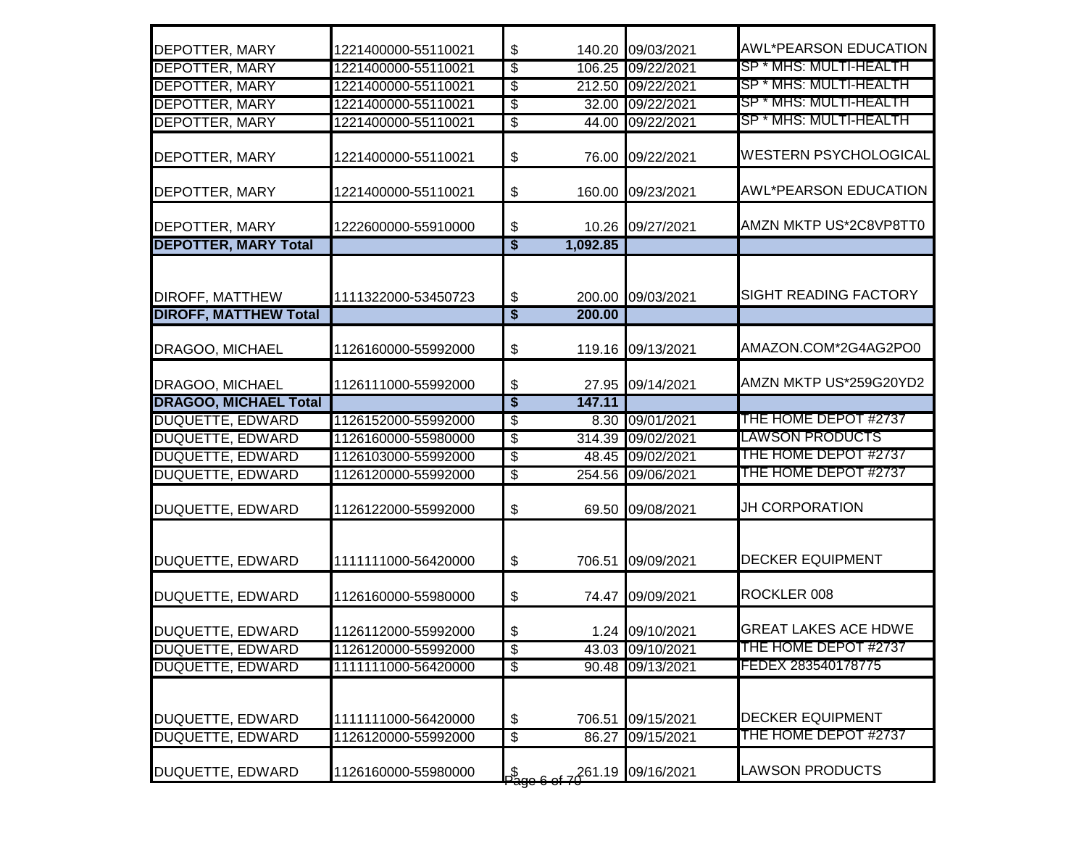| <b>DEPOTTER, MARY</b>        | 1221400000-55110021 | \$                                        |          | 140.20 09/03/2021 | <b>AWL*PEARSON EDUCATION</b> |
|------------------------------|---------------------|-------------------------------------------|----------|-------------------|------------------------------|
| <b>DEPOTTER, MARY</b>        | 1221400000-55110021 | \$                                        |          | 106.25 09/22/2021 | SP * MHS: MULTI-HEALTH       |
| <b>DEPOTTER, MARY</b>        | 1221400000-55110021 | $\overline{\$}$                           |          | 212.50 09/22/2021 | SP * MHS: MULTI-HEALTH       |
| <b>DEPOTTER, MARY</b>        | 1221400000-55110021 | $\overline{\mathcal{S}}$                  |          | 32.00 09/22/2021  | SP * MHS: MULTI-HEALTH       |
| DEPOTTER, MARY               | 1221400000-55110021 | \$                                        |          | 44.00 09/22/2021  | SP * MHS: MULTI-HEALTH       |
| <b>DEPOTTER, MARY</b>        | 1221400000-55110021 | \$                                        |          | 76.00 09/22/2021  | <b>WESTERN PSYCHOLOGICAL</b> |
|                              |                     |                                           |          |                   |                              |
| <b>DEPOTTER, MARY</b>        | 1221400000-55110021 | \$                                        |          | 160.00 09/23/2021 | <b>AWL*PEARSON EDUCATION</b> |
| <b>DEPOTTER, MARY</b>        | 1222600000-55910000 | \$                                        |          | 10.26 09/27/2021  | AMZN MKTP US*2C8VP8TT0       |
| <b>DEPOTTER, MARY Total</b>  |                     | $\overline{\mathbf{s}}$                   | 1,092.85 |                   |                              |
|                              |                     |                                           |          |                   |                              |
| <b>DIROFF, MATTHEW</b>       | 1111322000-53450723 | \$                                        |          | 200.00 09/03/2021 | <b>SIGHT READING FACTORY</b> |
| <b>DIROFF, MATTHEW Total</b> |                     | $\overline{\$}$                           | 200.00   |                   |                              |
| <b>DRAGOO, MICHAEL</b>       | 1126160000-55992000 | \$                                        |          | 119.16 09/13/2021 | AMAZON.COM*2G4AG2PO0         |
| DRAGOO, MICHAEL              | 1126111000-55992000 | \$                                        |          | 27.95 09/14/2021  | AMZN MKTP US*259G20YD2       |
| <b>DRAGOO, MICHAEL Total</b> |                     | s                                         | 147.11   |                   |                              |
| <b>DUQUETTE, EDWARD</b>      | 1126152000-55992000 | $\overline{\$}$                           |          | 8.30 09/01/2021   | THE HOME DEPOT #2737         |
| <b>DUQUETTE, EDWARD</b>      | 1126160000-55980000 | \$                                        |          | 314.39 09/02/2021 | <u>LAWSON PRODUCTS</u>       |
| <b>DUQUETTE, EDWARD</b>      | 1126103000-55992000 | \$                                        |          | 48.45 09/02/2021  | THE HOME DEPOT #2737         |
| <b>DUQUETTE, EDWARD</b>      | 1126120000-55992000 | $\overline{\mathcal{S}}$                  |          | 254.56 09/06/2021 | THE HOME DEPOT #2737         |
| <b>DUQUETTE, EDWARD</b>      | 1126122000-55992000 | \$                                        |          | 69.50 09/08/2021  | <b>JH CORPORATION</b>        |
|                              |                     |                                           |          |                   | <b>DECKER EQUIPMENT</b>      |
| DUQUETTE, EDWARD             | 1111111000-56420000 | \$                                        |          | 706.51 09/09/2021 |                              |
| <b>DUQUETTE, EDWARD</b>      | 1126160000-55980000 | \$                                        |          | 74.47 09/09/2021  | ROCKLER 008                  |
| DUQUETTE, EDWARD             | 1126112000-55992000 | \$                                        |          | 1.24 09/10/2021   | <b>GREAT LAKES ACE HDWE</b>  |
| <b>DUQUETTE, EDWARD</b>      | 1126120000-55992000 | $\overline{\mathcal{E}}$                  |          | 43.03 09/10/2021  | THE HOME DEPOT #2737         |
| <b>DUQUETTE, EDWARD</b>      | 1111111000-56420000 | $\overline{\mathcal{E}}$                  |          | 90.48 09/13/2021  | FEDEX 283540178775           |
| DUQUETTE, EDWARD             | 1111111000-56420000 | $\, \, \raisebox{12pt}{$\scriptstyle \$}$ |          | 706.51 09/15/2021 | <b>DECKER EQUIPMENT</b>      |
| <b>DUQUETTE, EDWARD</b>      | 1126120000-55992000 | $\overline{\mathcal{E}}$                  |          | 86.27 09/15/2021  | THE HOME DEPOT #2737         |
| DUQUETTE, EDWARD             | 1126160000-55980000 |                                           |          |                   | <b>LAWSON PRODUCTS</b>       |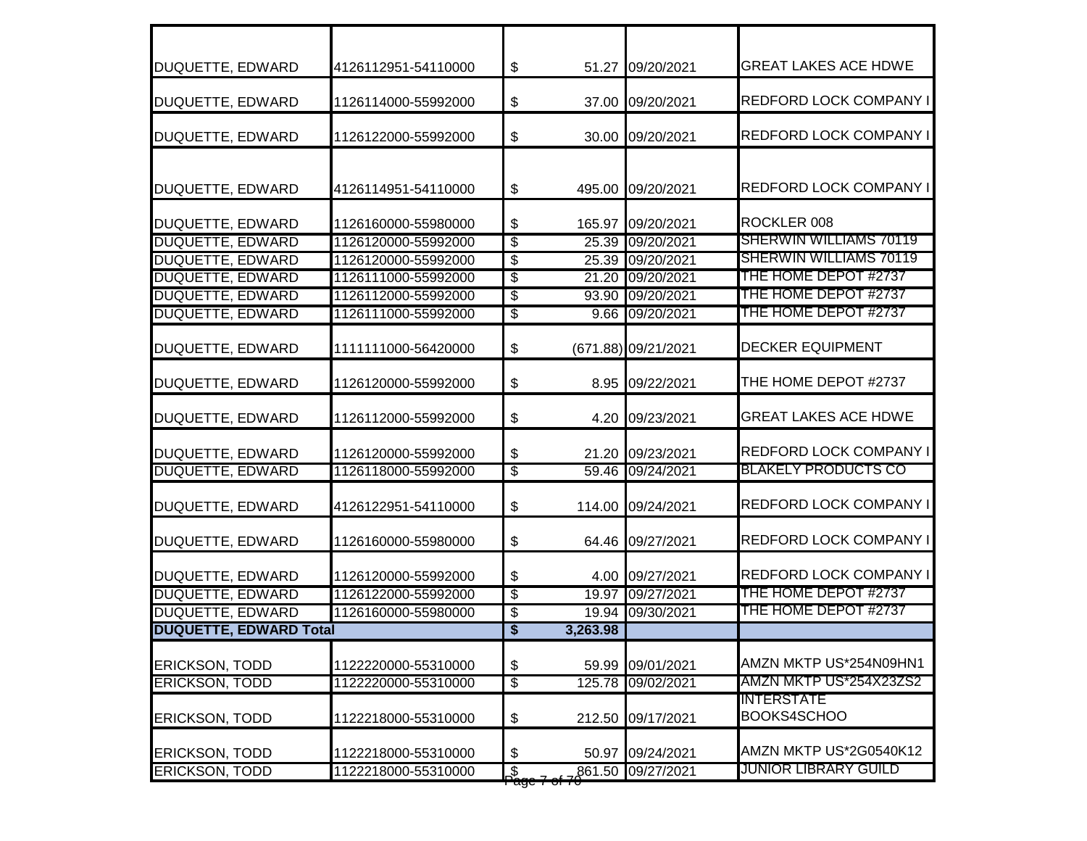| DUQUETTE, EDWARD              | 4126112951-54110000 | $\boldsymbol{\mathsf{\$}}$                  |          | 51.27 09/20/2021    | <b>GREAT LAKES ACE HDWE</b>      |
|-------------------------------|---------------------|---------------------------------------------|----------|---------------------|----------------------------------|
| DUQUETTE, EDWARD              | 1126114000-55992000 | \$                                          |          | 37.00 09/20/2021    | <b>REDFORD LOCK COMPANY I</b>    |
| DUQUETTE, EDWARD              | 1126122000-55992000 | \$                                          |          | 30.00 09/20/2021    | <b>REDFORD LOCK COMPANY I</b>    |
| DUQUETTE, EDWARD              | 4126114951-54110000 | \$                                          |          | 495.00 09/20/2021   | <b>REDFORD LOCK COMPANY I</b>    |
| DUQUETTE, EDWARD              | 1126160000-55980000 | \$                                          |          | 165.97 09/20/2021   | ROCKLER 008                      |
| <b>DUQUETTE, EDWARD</b>       | 1126120000-55992000 | $\overline{\$}$                             | 25.39    | 09/20/2021          | <b>SHERWIN WILLIAMS 70119</b>    |
| <b>DUQUETTE, EDWARD</b>       | 1126120000-55992000 | $\overline{\$}$                             | 25.39    | 09/20/2021          | <b>SHERWIN WILLIAMS 70119</b>    |
| <b>DUQUETTE, EDWARD</b>       | 1126111000-55992000 | \$                                          | 21.20    | 09/20/2021          | THE HOME DEPOT #2737             |
| <b>DUQUETTE, EDWARD</b>       | 1126112000-55992000 | $\overline{\$}$                             | 93.90    | 09/20/2021          | THE HOME DEPOT #2737             |
| <b>DUQUETTE, EDWARD</b>       | 1126111000-55992000 | $\overline{\$}$                             | 9.66     | 09/20/2021          | THE HOME DEPOT #2737             |
| DUQUETTE, EDWARD              | 1111111000-56420000 | \$                                          |          | (671.88) 09/21/2021 | <b>DECKER EQUIPMENT</b>          |
| DUQUETTE, EDWARD              | 1126120000-55992000 | \$                                          |          | 8.95 09/22/2021     | THE HOME DEPOT #2737             |
| DUQUETTE, EDWARD              | 1126112000-55992000 | \$                                          | 4.20     | 09/23/2021          | <b>GREAT LAKES ACE HDWE</b>      |
| DUQUETTE, EDWARD              | 1126120000-55992000 | \$                                          | 21.20    | 09/23/2021          | REDFORD LOCK COMPANY I           |
| <b>DUQUETTE, EDWARD</b>       | 1126118000-55992000 | $\overline{\$}$                             | 59.46    | 09/24/2021          | <b>BLAKELY PRODUCTS CO</b>       |
| DUQUETTE, EDWARD              | 4126122951-54110000 | \$                                          | 114.00   | 09/24/2021          | <b>REDFORD LOCK COMPANY I</b>    |
| DUQUETTE, EDWARD              | 1126160000-55980000 | \$                                          |          | 64.46 09/27/2021    | <b>REDFORD LOCK COMPANY I</b>    |
| DUQUETTE, EDWARD              | 1126120000-55992000 | \$                                          | 4.00     | 09/27/2021          | <b>REDFORD LOCK COMPANY I</b>    |
| <b>DUQUETTE, EDWARD</b>       | 1126122000-55992000 | $\overline{\$}$                             |          | 19.97 09/27/2021    | THE HOME DEPOT #2737             |
| DUQUETTE, EDWARD              | 1126160000-55980000 | \$                                          | 19.94    | 09/30/2021          | THE HOME DEPOT #2737             |
| <b>DUQUETTE, EDWARD Total</b> |                     | \$                                          | 3,263.98 |                     |                                  |
| <b>ERICKSON, TODD</b>         | 1122220000-55310000 | \$                                          | 59.99    | 09/01/2021          | AMZN MKTP US*254N09HN1           |
| <b>ERICKSON, TODD</b>         | 1122220000-55310000 | $\sqrt[6]{\frac{2}{5}}$                     | 125.78   | 09/02/2021          | AMZN MKTP US*254X23ZS2           |
| <b>ERICKSON, TODD</b>         | 1122218000-55310000 | \$                                          | 212.50   | 09/17/2021          | <b>INTERSTATE</b><br>BOOKS4SCHOO |
| <b>ERICKSON, TODD</b>         | 1122218000-55310000 | \$                                          | 50.97    | 09/24/2021          | AMZN MKTP US*2G0540K12           |
| <b>ERICKSON, TODD</b>         | 1122218000-55310000 | $\overline{\mathcal{S}}$<br><del>'ugo</del> | 861.50   | 09/27/2021          | JUNIOR LIBRARY GUILD             |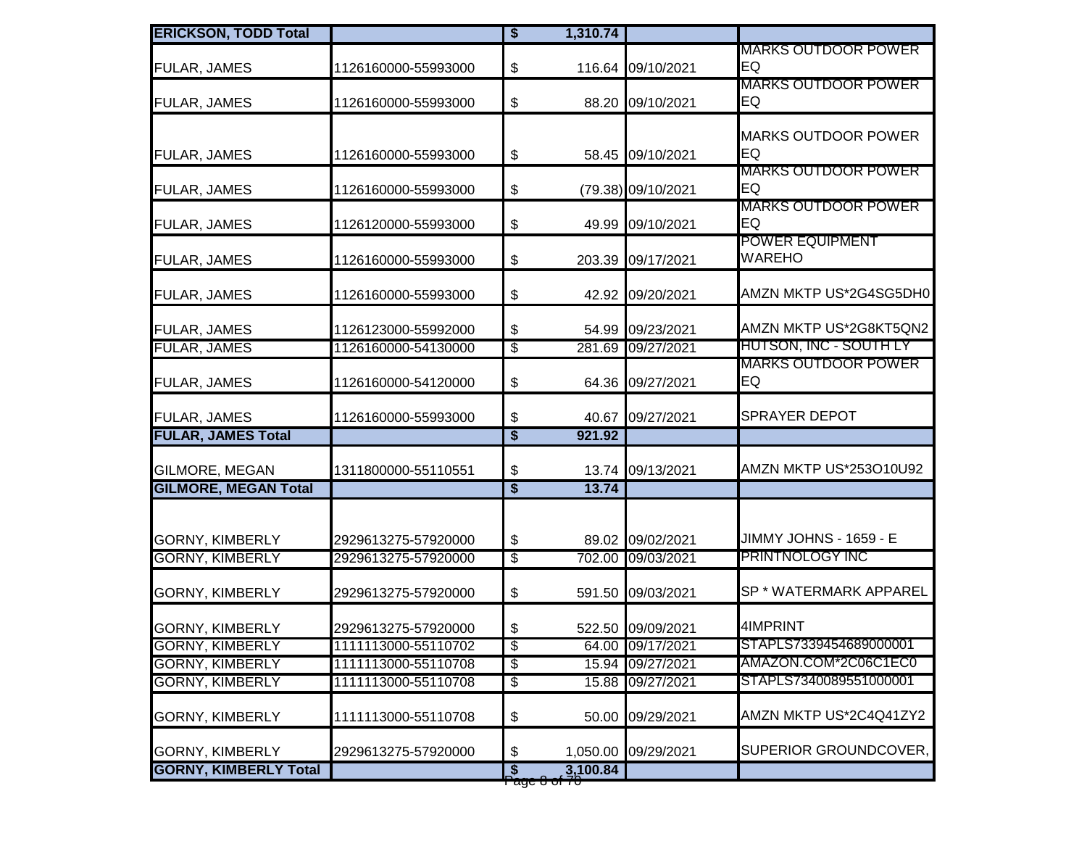| <b>ERICKSON, TODD Total</b>  |                     | $\bullet$                            | 1,310.74                             |                     |                                                  |
|------------------------------|---------------------|--------------------------------------|--------------------------------------|---------------------|--------------------------------------------------|
| <b>FULAR, JAMES</b>          | 1126160000-55993000 | \$                                   |                                      | 116.64 09/10/2021   | <b>MARKS OUTDOOR POWER</b><br>EQ                 |
| <b>FULAR, JAMES</b>          | 1126160000-55993000 | \$                                   |                                      | 88.20 09/10/2021    | <b>MARKS OUTDOOR POWER</b><br>EQ                 |
| FULAR, JAMES                 | 1126160000-55993000 | $\boldsymbol{\mathsf{\$}}$           |                                      | 58.45 09/10/2021    | <b>MARKS OUTDOOR POWER</b><br>EQ                 |
| FULAR, JAMES                 | 1126160000-55993000 | \$                                   |                                      | (79.38) 09/10/2021  | <b>MARKS OUTDOOR POWER</b><br>EQ                 |
| FULAR, JAMES                 | 1126120000-55993000 | $\boldsymbol{\mathsf{\$}}$           |                                      | 49.99 09/10/2021    | <b>MARKS OUTDOOR POWER</b><br>EQ                 |
| <b>FULAR, JAMES</b>          | 1126160000-55993000 | \$                                   |                                      | 203.39 09/17/2021   | <b>POWER EQUIPMENT</b><br><b>WAREHO</b>          |
| FULAR, JAMES                 | 1126160000-55993000 | $\boldsymbol{\$}$                    |                                      | 42.92 09/20/2021    | AMZN MKTP US*2G4SG5DH0                           |
| <b>FULAR, JAMES</b>          | 1126123000-55992000 | \$                                   |                                      | 54.99 09/23/2021    | AMZN MKTP US*2G8KT5QN2                           |
| <b>FULAR, JAMES</b>          | 1126160000-54130000 | $\overline{\mathcal{E}}$             | 281.69                               | 09/27/2021          | <b>HUTSON, INC - SOUTH LY</b>                    |
| <b>FULAR, JAMES</b>          | 1126160000-54120000 | $\boldsymbol{\mathsf{\$}}$           |                                      | 64.36 09/27/2021    | <b>MARKS OUTDOOR POWER</b><br>EQ                 |
| FULAR, JAMES                 | 1126160000-55993000 | \$                                   |                                      | 40.67 09/27/2021    | <b>SPRAYER DEPOT</b>                             |
| <b>FULAR, JAMES Total</b>    |                     | $\overline{\boldsymbol{\mathsf{s}}}$ | 921.92                               |                     |                                                  |
| <b>GILMORE, MEGAN</b>        | 1311800000-55110551 | $\boldsymbol{\mathsf{\$}}$           | 13.74                                | 09/13/2021          | AMZN MKTP US*253O10U92                           |
| <b>GILMORE, MEGAN Total</b>  |                     | $\overline{\boldsymbol{\mathsf{s}}}$ | 13.74                                |                     |                                                  |
| <b>GORNY, KIMBERLY</b>       | 2929613275-57920000 | $\boldsymbol{\$}$                    |                                      | 89.02 09/02/2021    | JIMMY JOHNS - 1659 - E<br><b>PRINTNOLOGY INC</b> |
| <b>GORNY, KIMBERLY</b>       | 2929613275-57920000 | $\overline{\$}$                      |                                      | 702.00 09/03/2021   |                                                  |
| <b>GORNY, KIMBERLY</b>       | 2929613275-57920000 | $\boldsymbol{\$}$                    |                                      | 591.50 09/03/2021   | SP * WATERMARK APPAREL                           |
| <b>GORNY, KIMBERLY</b>       | 2929613275-57920000 | \$                                   |                                      | 522.50 09/09/2021   | 4IMPRINT                                         |
| <b>GORNY, KIMBERLY</b>       | 1111113000-55110702 | \$                                   |                                      | 64.00 09/17/2021    | STAPLS7339454689000001                           |
| <b>GORNY, KIMBERLY</b>       | 1111113000-55110708 | $\overline{\$}$                      |                                      | 15.94 09/27/2021    | AMAZON.COM*2C06C1EC0                             |
| <b>GORNY, KIMBERLY</b>       | 1111113000-55110708 | $\overline{\mathcal{E}}$             |                                      | 15.88 09/27/2021    | STAPLS7340089551000001                           |
| <b>GORNY, KIMBERLY</b>       | 1111113000-55110708 | \$                                   |                                      | 50.00 09/29/2021    | AMZN MKTP US*2C4Q41ZY2                           |
| <b>GORNY, KIMBERLY</b>       | 2929613275-57920000 | \$                                   |                                      | 1,050.00 09/29/2021 | SUPERIOR GROUNDCOVER,                            |
| <b>GORNY, KIMBERLY Total</b> |                     | $\overline{\mathbf{s}}$              | 3,100.84<br><del>ı aye 0 ol 70</del> |                     |                                                  |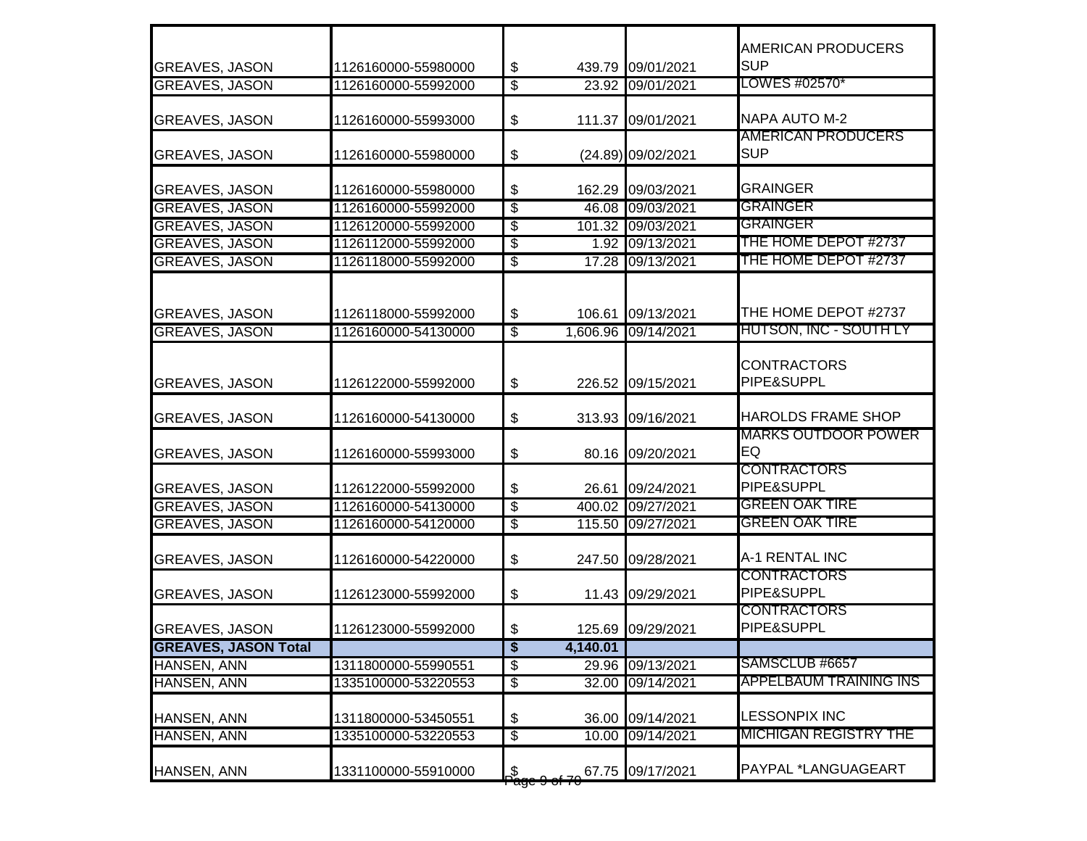| <b>GREAVES, JASON</b>       | 1126160000-55980000 | \$                       | 439.79   | 09/01/2021          | AMERICAN PRODUCERS<br><b>SUP</b>        |
|-----------------------------|---------------------|--------------------------|----------|---------------------|-----------------------------------------|
| <b>GREAVES, JASON</b>       | 1126160000-55992000 | $\overline{\$}$          |          | 23.92 09/01/2021    | LOWES #02570*                           |
| <b>GREAVES, JASON</b>       | 1126160000-55993000 | \$                       |          | 111.37 09/01/2021   | NAPA AUTO M-2                           |
| <b>GREAVES, JASON</b>       | 1126160000-55980000 | \$                       |          | (24.89) 09/02/2021  | <b>AMERICAN PRODUCERS</b><br><b>SUP</b> |
| <b>GREAVES, JASON</b>       | 1126160000-55980000 | \$                       | 162.29   | 09/03/2021          | <b>GRAINGER</b>                         |
| <b>GREAVES, JASON</b>       | 1126160000-55992000 | $\overline{\$}$          | 46.08    | 09/03/2021          | <b>GRAINGER</b>                         |
| <b>GREAVES, JASON</b>       | 1126120000-55992000 | $\overline{\$}$          |          | 101.32 09/03/2021   | <b>GRAINGER</b>                         |
| <b>GREAVES, JASON</b>       | 1126112000-55992000 | $\overline{\$}$          |          | 1.92 09/13/2021     | THE HOME DEPOT #2737                    |
| <b>GREAVES, JASON</b>       | 1126118000-55992000 | $\overline{\$}$          |          | 17.28 09/13/2021    | THE HOME DEPOT #2737                    |
| <b>GREAVES, JASON</b>       | 1126118000-55992000 | \$                       | 106.61   | 09/13/2021          | THE HOME DEPOT #2737                    |
| <b>GREAVES, JASON</b>       | 1126160000-54130000 | $\overline{\$}$          |          | 1,606.96 09/14/2021 | <b>HUTSON, INC - SOUTH LY</b>           |
| <b>GREAVES, JASON</b>       | 1126122000-55992000 | \$                       |          | 226.52 09/15/2021   | <b>CONTRACTORS</b><br>PIPE&SUPPL        |
| <b>GREAVES, JASON</b>       | 1126160000-54130000 | \$                       |          | 313.93 09/16/2021   | <b>HAROLDS FRAME SHOP</b>               |
| <b>GREAVES, JASON</b>       | 1126160000-55993000 | \$                       |          | 80.16 09/20/2021    | <b>MARKS OUTDOOR POWER</b><br>EQ        |
| <b>GREAVES, JASON</b>       | 1126122000-55992000 | \$                       | 26.61    | 09/24/2021          | <b>CONTRACTORS</b><br>PIPE&SUPPL        |
| <b>GREAVES, JASON</b>       | 1126160000-54130000 | \$                       | 400.02   | 09/27/2021          | <b>GREEN OAK TIRE</b>                   |
| <b>GREAVES, JASON</b>       | 1126160000-54120000 | $\overline{\$}$          |          | 115.50 09/27/2021   | <b>GREEN OAK TIRE</b>                   |
| <b>GREAVES, JASON</b>       | 1126160000-54220000 | \$                       | 247.50   | 09/28/2021          | A-1 RENTAL INC                          |
| <b>GREAVES, JASON</b>       | 1126123000-55992000 | \$                       |          | 11.43 09/29/2021    | <b>CONTRACTORS</b><br>PIPE&SUPPL        |
| <b>GREAVES, JASON</b>       | 1126123000-55992000 | \$                       |          | 125.69 09/29/2021   | <b>CONTRACTORS</b><br>PIPE&SUPPL        |
| <b>GREAVES, JASON Total</b> |                     | \$                       | 4,140.01 |                     |                                         |
| <b>HANSEN, ANN</b>          | 1311800000-55990551 | $\overline{\$}$          | 29.96    | 09/13/2021          | SAMSCLUB #6657                          |
| <b>HANSEN, ANN</b>          | 1335100000-53220553 | $\overline{\mathcal{E}}$ | 32.00    | 09/14/2021          | <b>APPELBAUM TRAINING INS</b>           |
| HANSEN, ANN                 | 1311800000-53450551 | \$                       | 36.00    | 09/14/2021          | <b>LESSONPIX INC</b>                    |
| HANSEN, ANN                 | 1335100000-53220553 | $\overline{\mathcal{E}}$ | 10.00    | 09/14/2021          | <b>MICHIGAN REGISTRY THE</b>            |
| HANSEN, ANN                 | 1331100000-55910000 | L                        | 67.75    | 09/17/2021          | PAYPAL *LANGUAGEART                     |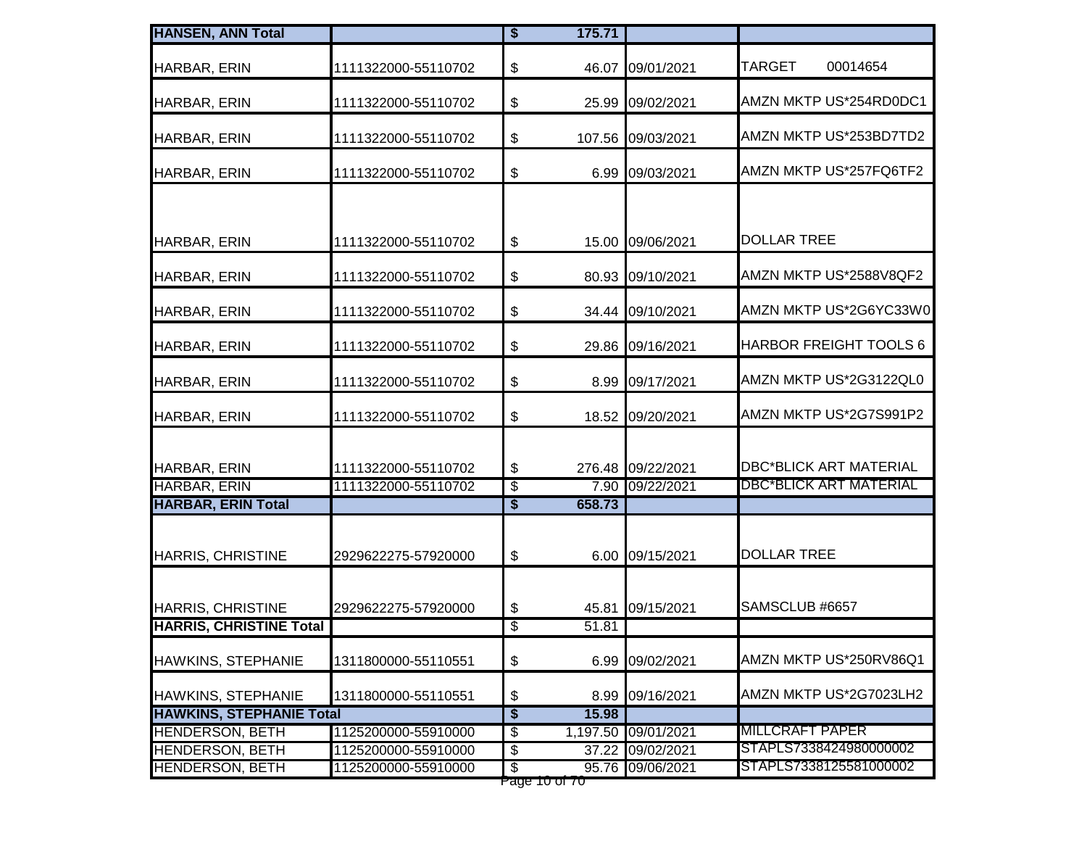| HARBAR, ERIN<br>HARBAR, ERIN<br>HARBAR, ERIN | 1111322000-55110702<br>1111322000-55110702<br>1111322000-55110702<br>1111322000-55110702 | $\, \, \raisebox{12pt}{$\scriptstyle \$}$<br>\$<br>\$<br>\$ | 46.07              | 09/01/2021<br>25.99 09/02/2021<br>107.56 09/03/2021<br>6.99 09/03/2021 | <b>TARGET</b><br>00014654<br>AMZN MKTP US*254RD0DC1<br>AMZN MKTP US*253BD7TD2 |
|----------------------------------------------|------------------------------------------------------------------------------------------|-------------------------------------------------------------|--------------------|------------------------------------------------------------------------|-------------------------------------------------------------------------------|
|                                              |                                                                                          |                                                             |                    |                                                                        |                                                                               |
|                                              |                                                                                          |                                                             |                    |                                                                        |                                                                               |
|                                              |                                                                                          |                                                             |                    |                                                                        |                                                                               |
| HARBAR, ERIN                                 |                                                                                          |                                                             |                    |                                                                        | AMZN MKTP US*257FQ6TF2                                                        |
|                                              |                                                                                          |                                                             |                    |                                                                        |                                                                               |
| HARBAR, ERIN                                 | 1111322000-55110702                                                                      | $\, \, \raisebox{12pt}{$\scriptstyle \$}$                   |                    | 15.00 09/06/2021                                                       | <b>DOLLAR TREE</b>                                                            |
| HARBAR, ERIN                                 | 1111322000-55110702                                                                      | \$                                                          |                    | 80.93 09/10/2021                                                       | AMZN MKTP US*2588V8QF2                                                        |
| HARBAR, ERIN                                 | 1111322000-55110702                                                                      | \$                                                          |                    | 34.44 09/10/2021                                                       | AMZN MKTP US*2G6YC33W0                                                        |
| HARBAR, ERIN                                 | 1111322000-55110702                                                                      | \$                                                          |                    | 29.86 09/16/2021                                                       | HARBOR FREIGHT TOOLS 6                                                        |
| HARBAR, ERIN                                 | 1111322000-55110702                                                                      | \$                                                          |                    | 8.99 09/17/2021                                                        | AMZN MKTP US*2G3122QL0                                                        |
| <b>HARBAR, ERIN</b>                          | 1111322000-55110702                                                                      | \$                                                          |                    | 18.52 09/20/2021                                                       | AMZN MKTP US*2G7S991P2                                                        |
| HARBAR, ERIN                                 | 1111322000-55110702                                                                      | \$                                                          |                    | 276.48 09/22/2021                                                      | <b>DBC*BLICK ART MATERIAL</b>                                                 |
| <b>HARBAR, ERIN</b>                          | 1111322000-55110702                                                                      | $\overline{\$}$                                             |                    | 7.90 09/22/2021                                                        | <b>DBC*BLICK ART MATERIAL</b>                                                 |
| <b>HARBAR, ERIN Total</b>                    |                                                                                          | $\overline{\boldsymbol{\mathsf{s}}}$                        | 658.73             |                                                                        |                                                                               |
| <b>HARRIS, CHRISTINE</b>                     | 2929622275-57920000                                                                      | \$                                                          |                    | 6.00 09/15/2021                                                        | <b>DOLLAR TREE</b>                                                            |
| <b>HARRIS, CHRISTINE</b>                     | 2929622275-57920000                                                                      | \$                                                          | 45.81              | 09/15/2021                                                             | SAMSCLUB #6657                                                                |
| <b>HARRIS, CHRISTINE Total</b>               |                                                                                          | \$                                                          | $\overline{51.81}$ |                                                                        |                                                                               |
| <b>HAWKINS, STEPHANIE</b>                    | 1311800000-55110551                                                                      | $\, \, \raisebox{12pt}{$\scriptstyle \$}$                   |                    | 6.99 09/02/2021                                                        | AMZN MKTP US*250RV86Q1                                                        |
| HAWKINS, STEPHANIE                           | 1311800000-55110551                                                                      | \$                                                          | 8.99               | 09/16/2021                                                             | AMZN MKTP US*2G7023LH2                                                        |
| <b>HAWKINS, STEPHANIE Total</b>              |                                                                                          | $\overline{\$}$                                             | 15.98              |                                                                        |                                                                               |
| <b>HENDERSON, BETH</b>                       | 1125200000-55910000                                                                      | $\overline{\mathcal{E}}$                                    | 1,197.50           | 09/01/2021                                                             | <b>MILLCRAFT PAPER</b>                                                        |
| <b>HENDERSON, BETH</b>                       | 1125200000-55910000                                                                      | \$                                                          | 37.22              | 09/02/2021                                                             | STAPLS7338424980000002                                                        |
| <b>HENDERSON, BETH</b>                       | 1125200000-55910000                                                                      | $\overline{\mathbb{S}}$<br>Page 10 of 70                    |                    | 95.76 09/06/2021                                                       | STAPLS7338125581000002                                                        |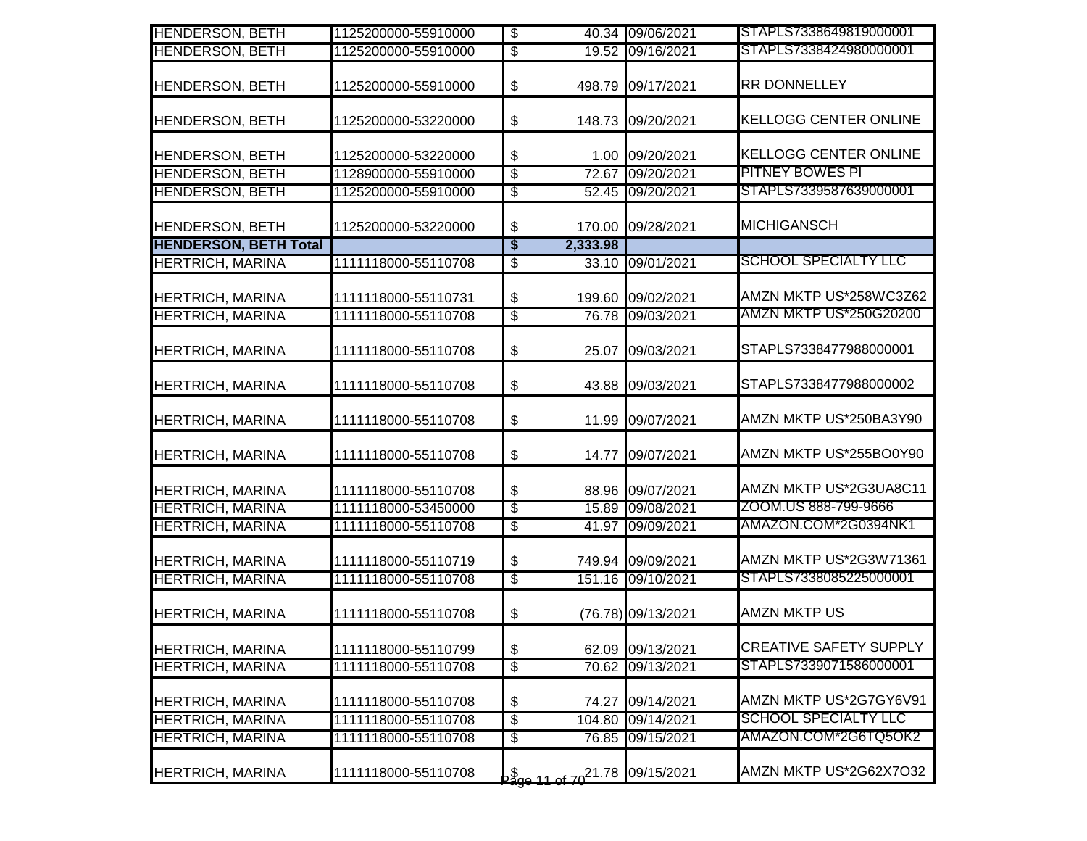| <b>HENDERSON, BETH</b>       | 1125200000-55910000 | $\overline{\$}$                      |                                                 | 40.34 09/06/2021   | STAPLS7338649819000001        |
|------------------------------|---------------------|--------------------------------------|-------------------------------------------------|--------------------|-------------------------------|
| <b>HENDERSON, BETH</b>       | 1125200000-55910000 | $\overline{\$}$                      |                                                 | 19.52 09/16/2021   | STAPLS7338424980000001        |
| <b>HENDERSON, BETH</b>       | 1125200000-55910000 | $\frac{1}{2}$                        | 498.79                                          | 09/17/2021         | <b>RR DONNELLEY</b>           |
| <b>HENDERSON, BETH</b>       | 1125200000-53220000 | \$                                   | 148.73                                          | 09/20/2021         | <b>KELLOGG CENTER ONLINE</b>  |
| <b>HENDERSON, BETH</b>       | 1125200000-53220000 | $\boldsymbol{\theta}$                |                                                 | 1.00 09/20/2021    | <b>KELLOGG CENTER ONLINE</b>  |
| <b>HENDERSON, BETH</b>       | 1128900000-55910000 | $\overline{\mathcal{E}}$             | 72.67                                           | 09/20/2021         | <b>PITNEY BOWES PI</b>        |
| <b>HENDERSON, BETH</b>       | 1125200000-55910000 | $\overline{\$}$                      |                                                 | 52.45 09/20/2021   | STAPLS7339587639000001        |
| <b>HENDERSON, BETH</b>       | 1125200000-53220000 | \$                                   | 170.00                                          | 09/28/2021         | <b>MICHIGANSCH</b>            |
| <b>HENDERSON, BETH Total</b> |                     | $\overline{\boldsymbol{\mathsf{s}}}$ | 2,333.98                                        |                    |                               |
| <b>HERTRICH, MARINA</b>      | 1111118000-55110708 | $\overline{\$}$                      |                                                 | 33.10 09/01/2021   | <b>SCHOOL SPECIALTY LLC</b>   |
| <b>HERTRICH, MARINA</b>      | 1111118000-55110731 | \$                                   |                                                 | 199.60 09/02/2021  | AMZN MKTP US*258WC3Z62        |
| <b>HERTRICH, MARINA</b>      | 1111118000-55110708 | $\overline{\$}$                      |                                                 | 76.78 09/03/2021   | <b>AMZN MKTP US*250G20200</b> |
| <b>HERTRICH, MARINA</b>      | 1111118000-55110708 | \$                                   | 25.07                                           | 09/03/2021         | STAPLS7338477988000001        |
| <b>HERTRICH, MARINA</b>      | 1111118000-55110708 | \$                                   | 43.88                                           | 09/03/2021         | STAPLS7338477988000002        |
| <b>HERTRICH, MARINA</b>      | 1111118000-55110708 | $\boldsymbol{\mathsf{S}}$            | 11.99                                           | 09/07/2021         | AMZN MKTP US*250BA3Y90        |
| <b>HERTRICH, MARINA</b>      | 1111118000-55110708 | $\boldsymbol{\$}$                    | 14.77                                           | 09/07/2021         | AMZN MKTP US*255BO0Y90        |
| <b>HERTRICH, MARINA</b>      | 1111118000-55110708 | \$                                   | 88.96                                           | 09/07/2021         | AMZN MKTP US*2G3UA8C11        |
| <b>HERTRICH, MARINA</b>      | 1111118000-53450000 | $\overline{\mathcal{S}}$             |                                                 | 15.89 09/08/2021   | ZOOM.US 888-799-9666          |
| <b>HERTRICH, MARINA</b>      | 1111118000-55110708 | $\overline{\mathcal{E}}$             |                                                 | 41.97 09/09/2021   | AMAZON.COM*2G0394NK1          |
| <b>HERTRICH, MARINA</b>      | 1111118000-55110719 | \$                                   |                                                 | 749.94 09/09/2021  | AMZN MKTP US*2G3W71361        |
| <b>HERTRICH, MARINA</b>      | 1111118000-55110708 | $\overline{\$}$                      |                                                 | 151.16 09/10/2021  | STAPLS7338085225000001        |
| <b>HERTRICH, MARINA</b>      | 1111118000-55110708 | $\boldsymbol{\mathsf{\$}}$           |                                                 | (76.78) 09/13/2021 | <b>AMZN MKTP US</b>           |
| <b>HERTRICH, MARINA</b>      | 1111118000-55110799 | $\boldsymbol{\theta}$                |                                                 | 62.09 09/13/2021   | <b>CREATIVE SAFETY SUPPLY</b> |
| <b>HERTRICH, MARINA</b>      | 1111118000-55110708 | $\overline{\mathcal{E}}$             |                                                 | 70.62 09/13/2021   | STAPLS7339071586000001        |
| <b>HERTRICH, MARINA</b>      | 1111118000-55110708 | $\boldsymbol{\$}$                    | 74.27                                           | 09/14/2021         | AMZN MKTP US*2G7GY6V91        |
| <b>HERTRICH, MARINA</b>      | 1111118000-55110708 | $\overline{\mathcal{E}}$             | 104.80                                          | 09/14/2021         | <b>SCHOOL SPECIALTY LLC</b>   |
| <b>HERTRICH, MARINA</b>      | 1111118000-55110708 | $\overline{\mathcal{E}}$             | 76.85                                           | 09/15/2021         | AMAZON.COM*2G6TQ5OK2          |
| <b>HERTRICH, MARINA</b>      | 1111118000-55110708 |                                      | $5\frac{11}{200}$ 11 of $70^{21.78}$ 09/15/2021 |                    | AMZN MKTP US*2G62X7O32        |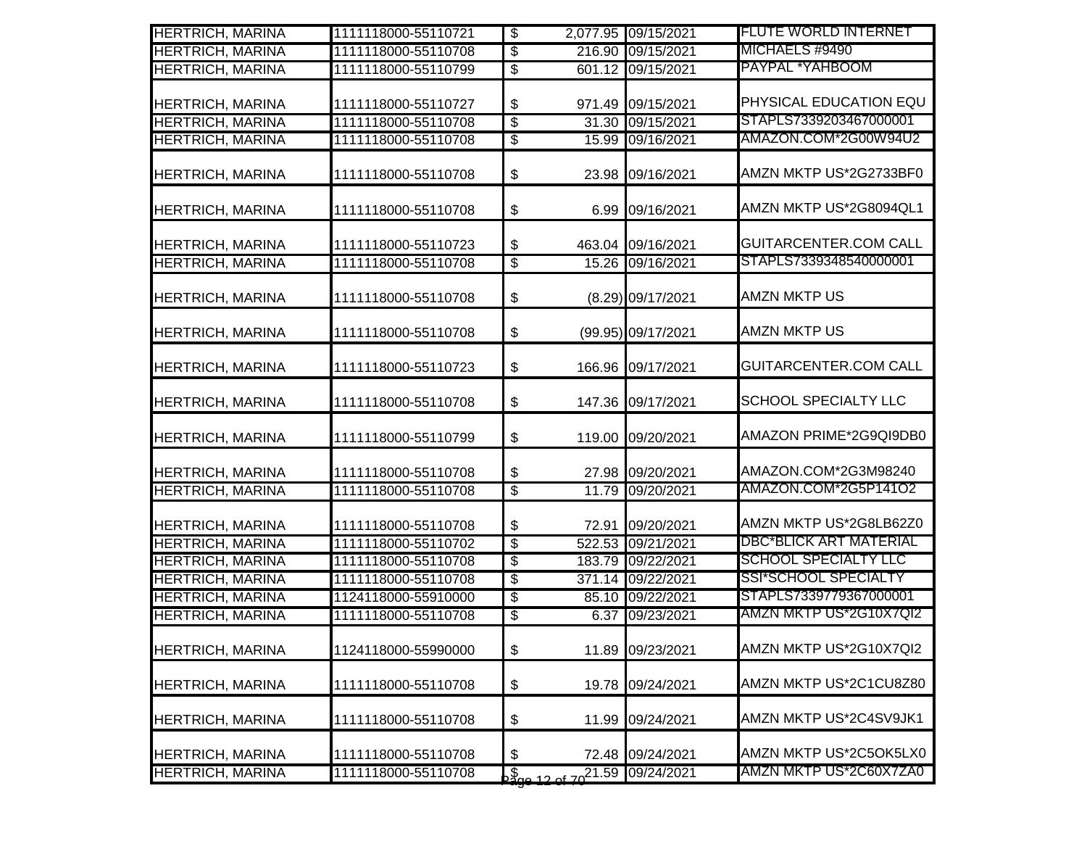| <b>HERTRICH, MARINA</b> | 1111118000-55110721 | $\overline{\$}$            |                                                | 2,077.95 09/15/2021 | <b>FLUTE WORLD INTERNET</b>   |
|-------------------------|---------------------|----------------------------|------------------------------------------------|---------------------|-------------------------------|
| <b>HERTRICH, MARINA</b> | 1111118000-55110708 | $\overline{\$}$            |                                                | 216.90 09/15/2021   | MICHAELS #9490                |
| <b>HERTRICH, MARINA</b> | 1111118000-55110799 | $\overline{\$}$            |                                                | 601.12 09/15/2021   | PAYPAL *YAHBOOM               |
| HERTRICH, MARINA        | 1111118000-55110727 | \$                         |                                                | 971.49 09/15/2021   | PHYSICAL EDUCATION EQU        |
| <b>HERTRICH, MARINA</b> | 1111118000-55110708 | $\sqrt[6]{3}$              |                                                | 31.30 09/15/2021    | STAPLS7339203467000001        |
| <b>HERTRICH, MARINA</b> | 1111118000-55110708 | $\sqrt[6]{\frac{2}{5}}$    |                                                | 15.99 09/16/2021    | AMAZON.COM*2G00W94U2          |
| <b>HERTRICH, MARINA</b> | 1111118000-55110708 | $\boldsymbol{\$}$          |                                                | 23.98 09/16/2021    | AMZN MKTP US*2G2733BF0        |
| <b>HERTRICH, MARINA</b> | 1111118000-55110708 | $\boldsymbol{\$}$          |                                                | 6.99 09/16/2021     | AMZN MKTP US*2G8094QL1        |
| <b>HERTRICH, MARINA</b> | 1111118000-55110723 | $\boldsymbol{\mathsf{S}}$  |                                                | 463.04 09/16/2021   | <b>GUITARCENTER.COM CALL</b>  |
| <b>HERTRICH, MARINA</b> | 1111118000-55110708 | $\overline{\$}$            |                                                | 15.26 09/16/2021    | STAPLS7339348540000001        |
| <b>HERTRICH, MARINA</b> | 1111118000-55110708 | $\boldsymbol{\mathsf{S}}$  |                                                | (8.29) 09/17/2021   | <b>AMZN MKTP US</b>           |
| <b>HERTRICH, MARINA</b> | 1111118000-55110708 | $\boldsymbol{\$}$          |                                                | (99.95) 09/17/2021  | <b>AMZN MKTP US</b>           |
| <b>HERTRICH, MARINA</b> | 1111118000-55110723 | $\boldsymbol{\$}$          |                                                | 166.96 09/17/2021   | <b>GUITARCENTER.COM CALL</b>  |
| <b>HERTRICH, MARINA</b> | 1111118000-55110708 | $\boldsymbol{\$}$          |                                                | 147.36 09/17/2021   | <b>SCHOOL SPECIALTY LLC</b>   |
| <b>HERTRICH, MARINA</b> | 1111118000-55110799 | $\boldsymbol{\mathsf{S}}$  |                                                | 119.00 09/20/2021   | AMAZON PRIME*2G9QI9DB0        |
| <b>HERTRICH, MARINA</b> | 1111118000-55110708 | $\boldsymbol{\mathsf{S}}$  |                                                | 27.98 09/20/2021    | AMAZON.COM*2G3M98240          |
| <b>HERTRICH, MARINA</b> | 1111118000-55110708 | $\overline{\mathcal{S}}$   |                                                | 11.79 09/20/2021    | AMAZON.COM*2G5P141O2          |
| <b>HERTRICH, MARINA</b> | 1111118000-55110708 | \$                         |                                                | 72.91 09/20/2021    | AMZN MKTP US*2G8LB62Z0        |
| <b>HERTRICH, MARINA</b> | 1111118000-55110702 | $\overline{\$}$            |                                                | 522.53 09/21/2021   | <b>DBC*BLICK ART MATERIAL</b> |
| <b>HERTRICH, MARINA</b> | 1111118000-55110708 | $\overline{\mathcal{E}}$   |                                                | 183.79 09/22/2021   | <b>SCHOOL SPECIALTY LLC</b>   |
| <b>HERTRICH, MARINA</b> | 1111118000-55110708 | $\overline{\$}$            |                                                | 371.14 09/22/2021   | <b>SSI*SCHOOL SPECIALTY</b>   |
| <b>HERTRICH, MARINA</b> | 1124118000-55910000 | $\overline{\$}$            |                                                | 85.10 09/22/2021    | STAPLS7339779367000001        |
| <b>HERTRICH, MARINA</b> | 1111118000-55110708 | $\overline{\mathcal{E}}$   |                                                | 6.37 09/23/2021     | AMZN MKTP US*2G10X7QI2        |
| <b>HERTRICH, MARINA</b> | 1124118000-55990000 | $\boldsymbol{\mathsf{\$}}$ |                                                | 11.89 09/23/2021    | AMZN MKTP US*2G10X7QI2        |
| <b>HERTRICH, MARINA</b> | 1111118000-55110708 | $\boldsymbol{\$}$          |                                                | 19.78 09/24/2021    | AMZN MKTP US*2C1CU8Z80        |
| <b>HERTRICH, MARINA</b> | 1111118000-55110708 | \$                         |                                                | 11.99 09/24/2021    | AMZN MKTP US*2C4SV9JK1        |
| <b>HERTRICH, MARINA</b> | 1111118000-55110708 | \$                         |                                                | 72.48 09/24/2021    | AMZN MKTP US*2C5OK5LX0        |
| <b>HERTRICH, MARINA</b> | 1111118000-55110708 |                            | $\frac{1}{2000}$ 12 of $70^{21.59}$ 09/24/2021 |                     | AMZN MKTP US*2C60X7ZA0        |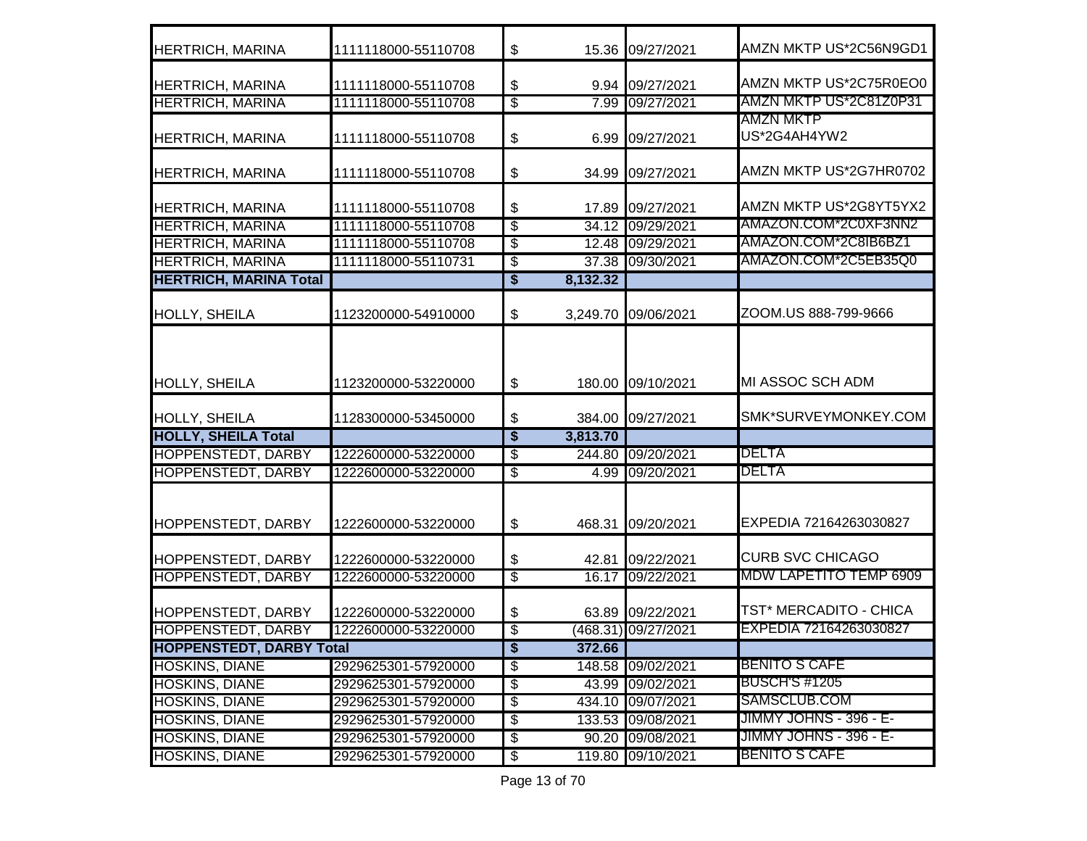| <b>HERTRICH, MARINA</b>         | 1111118000-55110708 | \$                                   |          | 15.36 09/27/2021    | AMZN MKTP US*2C56N9GD1           |
|---------------------------------|---------------------|--------------------------------------|----------|---------------------|----------------------------------|
| <b>HERTRICH, MARINA</b>         | 1111118000-55110708 | \$                                   | 9.94     | 09/27/2021          | AMZN MKTP US*2C75R0EO0           |
| <b>HERTRICH, MARINA</b>         | 1111118000-55110708 | $\overline{\$}$                      | 7.99     | 09/27/2021          | AMZN MKTP US*2C81Z0P31           |
| <b>HERTRICH, MARINA</b>         | 1111118000-55110708 | \$                                   | 6.99     | 09/27/2021          | <b>AMZN MKTP</b><br>US*2G4AH4YW2 |
| <b>HERTRICH, MARINA</b>         | 1111118000-55110708 | \$                                   | 34.99    | 09/27/2021          | AMZN MKTP US*2G7HR0702           |
| <b>HERTRICH, MARINA</b>         | 1111118000-55110708 | \$                                   | 17.89    | 09/27/2021          | AMZN MKTP US*2G8YT5YX2           |
| <b>HERTRICH, MARINA</b>         | 1111118000-55110708 | $\overline{\mathbb{S}}$              | 34.12    | 09/29/2021          | AMAZON.COM*2C0XF3NN2             |
| <b>HERTRICH, MARINA</b>         | 1111118000-55110708 | $\overline{\$}$                      |          | 12.48 09/29/2021    | AMAZON.COM*2C8IB6BZ1             |
| <b>HERTRICH, MARINA</b>         | 1111118000-55110731 | \$                                   |          | 37.38 09/30/2021    | AMAZON.COM*2C5EB35Q0             |
| <b>HERTRICH, MARINA Total</b>   |                     | \$                                   | 8,132.32 |                     |                                  |
| <b>HOLLY, SHEILA</b>            | 1123200000-54910000 | \$                                   |          | 3,249.70 09/06/2021 | ZOOM.US 888-799-9666             |
| <b>HOLLY, SHEILA</b>            | 1123200000-53220000 | \$                                   |          | 180.00 09/10/2021   | MI ASSOC SCH ADM                 |
| <b>HOLLY, SHEILA</b>            | 1128300000-53450000 | \$                                   | 384.00   | 09/27/2021          | SMK*SURVEYMONKEY.COM             |
| <b>HOLLY, SHEILA Total</b>      |                     | $\overline{\boldsymbol{\mathsf{s}}}$ | 3,813.70 |                     |                                  |
| <b>HOPPENSTEDT, DARBY</b>       | 1222600000-53220000 | \$                                   | 244.80   | 09/20/2021          | <b>DELTA</b>                     |
| <b>HOPPENSTEDT, DARBY</b>       | 1222600000-53220000 | $\overline{\mathbf{e}}$              | 4.99     | 09/20/2021          | <b>DELTA</b>                     |
| HOPPENSTEDT, DARBY              | 1222600000-53220000 | \$                                   | 468.31   | 09/20/2021          | EXPEDIA 72164263030827           |
| <b>HOPPENSTEDT, DARBY</b>       | 1222600000-53220000 | \$                                   | 42.81    | 09/22/2021          | <b>CURB SVC CHICAGO</b>          |
| <b>HOPPENSTEDT, DARBY</b>       | 1222600000-53220000 | \$                                   |          | 16.17 09/22/2021    | MDW LAPETITO TEMP 6909           |
| <b>HOPPENSTEDT, DARBY</b>       | 1222600000-53220000 | \$                                   |          | 63.89 09/22/2021    | TST* MERCADITO - CHICA           |
| <b>HOPPENSTEDT, DARBY</b>       | 1222600000-53220000 | \$                                   |          | (468.31) 09/27/2021 | EXPEDIA 72164263030827           |
| <b>HOPPENSTEDT, DARBY Total</b> |                     | \$                                   | 372.66   |                     |                                  |
| <b>HOSKINS, DIANE</b>           | 2929625301-57920000 | $\overline{\mathbf{e}}$              |          | 148.58 09/02/2021   | <b>BENITO S CAFE</b>             |
| <b>HOSKINS, DIANE</b>           | 2929625301-57920000 | \$                                   | 43.99    | 09/02/2021          | <b>BUSCH'S #1205</b>             |
| <b>HOSKINS, DIANE</b>           | 2929625301-57920000 | $\overline{\$}$                      |          | 434.10 09/07/2021   | SAMSCLUB.COM                     |
| <b>HOSKINS, DIANE</b>           | 2929625301-57920000 | \$                                   |          | 133.53 09/08/2021   | JIMMY JOHNS - 396 - E-           |
| <b>HOSKINS, DIANE</b>           | 2929625301-57920000 | $\overline{\mathbf{e}}$              |          | 90.20 09/08/2021    | <u> JIMMY JOHNS - 396 - E-</u>   |
| <b>HOSKINS, DIANE</b>           | 2929625301-57920000 | $\overline{\mathcal{E}}$             |          | 119.80 09/10/2021   | <b>BENITO S CAFE</b>             |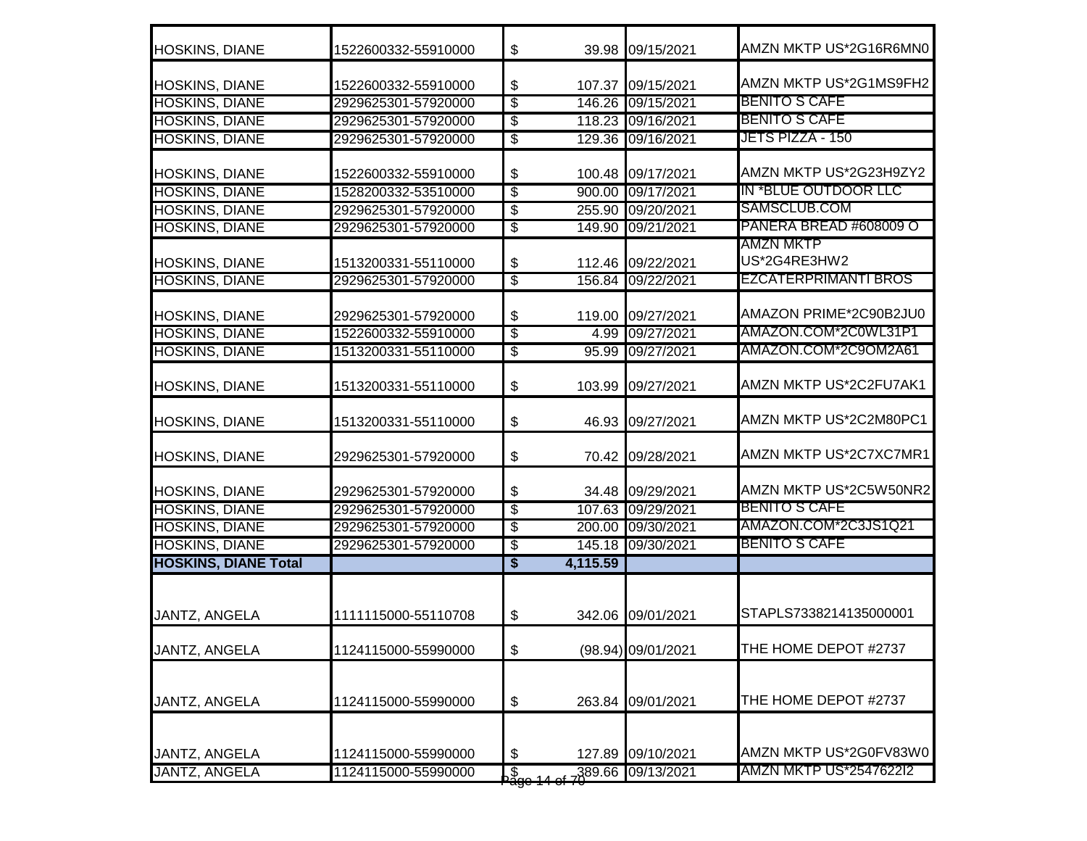| <b>HOSKINS, DIANE</b>       | 1522600332-55910000 | \$                      |          | 39.98 09/15/2021   | AMZN MKTP US*2G16R6MN0           |
|-----------------------------|---------------------|-------------------------|----------|--------------------|----------------------------------|
| HOSKINS, DIANE              | 1522600332-55910000 | \$                      |          | 107.37 09/15/2021  | AMZN MKTP US*2G1MS9FH2           |
| <b>HOSKINS, DIANE</b>       | 2929625301-57920000 | \$                      |          | 146.26 09/15/2021  | BENITO S CAFE                    |
| <b>HOSKINS, DIANE</b>       | 2929625301-57920000 | \$                      |          | 118.23 09/16/2021  | BENITO S CAFE                    |
| <b>HOSKINS, DIANE</b>       | 2929625301-57920000 | \$                      |          | 129.36 09/16/2021  | <b>JETS PIZZA - 150</b>          |
| <b>HOSKINS, DIANE</b>       | 1522600332-55910000 | \$                      |          | 100.48 09/17/2021  | AMZN MKTP US*2G23H9ZY2           |
| <b>HOSKINS, DIANE</b>       | 1528200332-53510000 | \$                      | 900.00   | 09/17/2021         | IN *BLUE OUTDOOR LLC             |
| <b>HOSKINS, DIANE</b>       | 2929625301-57920000 | \$                      | 255.90   | 09/20/2021         | SAMSCLUB.COM                     |
| <b>HOSKINS, DIANE</b>       | 2929625301-57920000 | $\overline{\$}$         | 149.90   | 09/21/2021         | PANERA BREAD #608009 O           |
| <b>HOSKINS, DIANE</b>       | 1513200331-55110000 | \$                      | 112.46   | 09/22/2021         | <b>AMZN MKTP</b><br>US*2G4RE3HW2 |
| <b>HOSKINS, DIANE</b>       | 2929625301-57920000 | $\overline{\mathbf{e}}$ |          | 156.84 09/22/2021  | <b>EZCATERPRIMANTI BROS</b>      |
| <b>HOSKINS, DIANE</b>       | 2929625301-57920000 | \$                      |          | 119.00 09/27/2021  | AMAZON PRIME*2C90B2JU0           |
| <b>HOSKINS, DIANE</b>       | 1522600332-55910000 | \$                      | 4.99     | 09/27/2021         | AMAZON.COM*2C0WL31P1             |
| <b>HOSKINS, DIANE</b>       | 1513200331-55110000 | \$                      |          | 95.99 09/27/2021   | AMAZON.COM*2C9OM2A61             |
| <b>HOSKINS, DIANE</b>       | 1513200331-55110000 | \$                      | 103.99   | 09/27/2021         | AMZN MKTP US*2C2FU7AK1           |
| <b>HOSKINS, DIANE</b>       | 1513200331-55110000 | \$                      |          | 46.93 09/27/2021   | AMZN MKTP US*2C2M80PC1           |
| <b>HOSKINS, DIANE</b>       | 2929625301-57920000 | \$                      |          | 70.42 09/28/2021   | AMZN MKTP US*2C7XC7MR1           |
| <b>HOSKINS, DIANE</b>       | 2929625301-57920000 | \$                      |          | 34.48 09/29/2021   | AMZN MKTP US*2C5W50NR2           |
| <b>HOSKINS, DIANE</b>       | 2929625301-57920000 | \$                      |          | 107.63 09/29/2021  | <b>BENITO S CAFE</b>             |
| <b>HOSKINS, DIANE</b>       | 2929625301-57920000 | \$                      |          | 200.00 09/30/2021  | AMAZON.COM*2C3JS1Q21             |
| <b>HOSKINS, DIANE</b>       | 2929625301-57920000 | \$                      |          | 145.18 09/30/2021  | <b>BENITO S CAFE</b>             |
| <b>HOSKINS, DIANE Total</b> |                     | \$                      | 4,115.59 |                    |                                  |
| JANTZ, ANGELA               | 1111115000-55110708 | \$                      |          | 342.06 09/01/2021  | STAPLS7338214135000001           |
| JANTZ, ANGELA               | 1124115000-55990000 | \$                      |          | (98.94) 09/01/2021 | THE HOME DEPOT #2737             |
| JANTZ, ANGELA               | 1124115000-55990000 | \$                      |          | 263.84 09/01/2021  | THE HOME DEPOT #2737             |
| JANTZ, ANGELA               | 1124115000-55990000 | \$                      | 127.89   | 09/10/2021         | AMZN MKTP US*2G0FV83W0           |
| <b>JANTZ, ANGELA</b>        | 1124115000-55990000 | a<br>sk                 | 389.66   | 09/13/2021         | AMZN MKTP US*2547622I2           |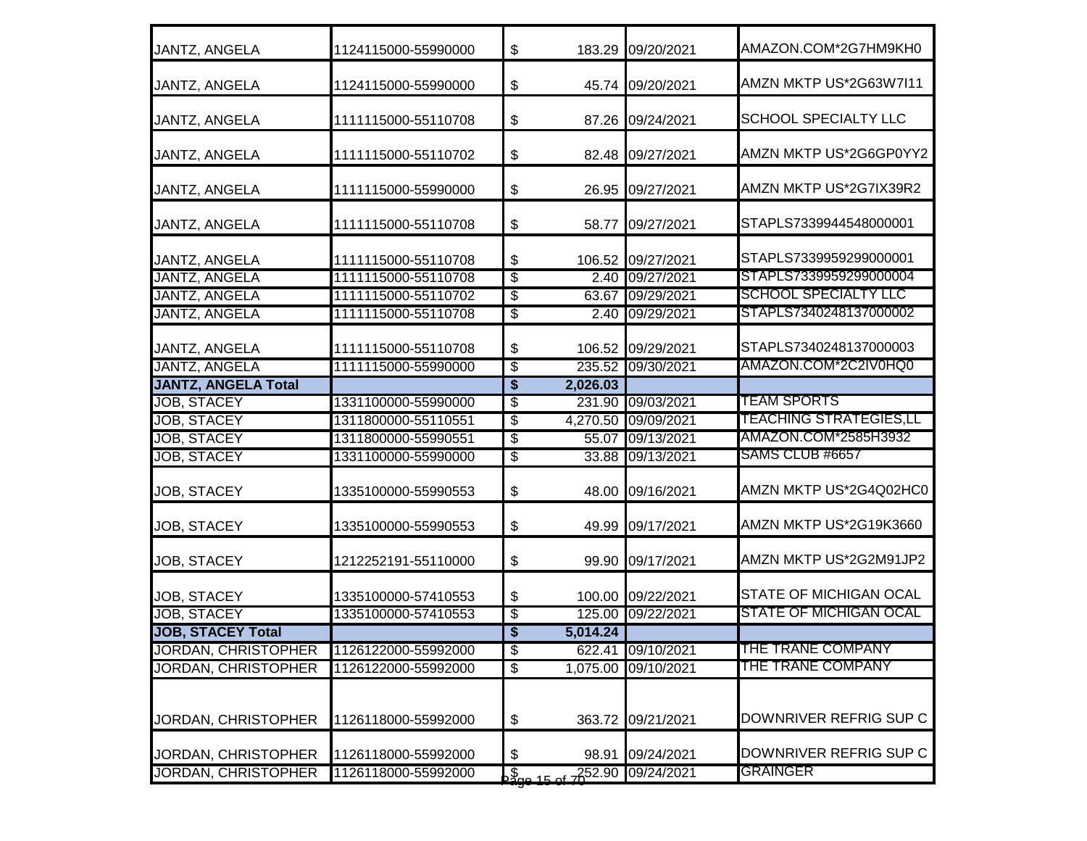| JANTZ, ANGELA              | 1124115000-55990000 | $\boldsymbol{\mathsf{S}}$     |          | 183.29 09/20/2021   | AMAZON.COM*2G7HM9KH0          |
|----------------------------|---------------------|-------------------------------|----------|---------------------|-------------------------------|
| <b>JANTZ, ANGELA</b>       | 1124115000-55990000 | \$                            |          | 45.74 09/20/2021    | AMZN MKTP US*2G63W7I11        |
| <b>JANTZ, ANGELA</b>       | 1111115000-55110708 | $\frac{1}{2}$                 |          | 87.26 09/24/2021    | <b>SCHOOL SPECIALTY LLC</b>   |
| JANTZ, ANGELA              | 1111115000-55110702 | \$                            | 82.48    | 09/27/2021          | AMZN MKTP US*2G6GP0YY2        |
| JANTZ, ANGELA              | 1111115000-55990000 | $\boldsymbol{\mathsf{\$}}$    | 26.95    | 09/27/2021          | AMZN MKTP US*2G7IX39R2        |
| JANTZ, ANGELA              | 1111115000-55110708 | $\boldsymbol{\$}$             | 58.77    | 09/27/2021          | STAPLS7339944548000001        |
| JANTZ, ANGELA              | 1111115000-55110708 | $\boldsymbol{\mathsf{S}}$     |          | 106.52 09/27/2021   | STAPLS7339959299000001        |
| <b>JANTZ, ANGELA</b>       | 1111115000-55110708 | $\overline{\mathcal{S}}$      |          | 2.40 09/27/2021     | STAPLS7339959299000004        |
| <b>JANTZ, ANGELA</b>       | 1111115000-55110702 | $\overline{\$}$               |          | 63.67 09/29/2021    | <b>SCHOOL SPECIALTY LLC</b>   |
| <b>JANTZ, ANGELA</b>       | 1111115000-55110708 | \$                            |          | 2.40 09/29/2021     | STAPLS7340248137000002        |
| JANTZ, ANGELA              | 1111115000-55110708 | \$                            |          | 106.52 09/29/2021   | STAPLS7340248137000003        |
| <b>JANTZ, ANGELA</b>       | 1111115000-55990000 | $\overline{\mathcal{E}}$      |          | 235.52 09/30/2021   | AMAZON.COM*2C2IV0HQ0          |
| <b>JANTZ, ANGELA Total</b> |                     | \$                            | 2,026.03 |                     |                               |
| <b>JOB, STACEY</b>         | 1331100000-55990000 | \$                            |          | 231.90 09/03/2021   | <b>TEAM SPORTS</b>            |
| <b>JOB, STACEY</b>         | 1311800000-55110551 | $\overline{\$}$               |          | 4,270.50 09/09/2021 | TEACHING STRATEGIES,LL        |
| <b>JOB, STACEY</b>         | 1311800000-55990551 | \$                            |          | 55.07 09/13/2021    | AMAZON.COM*2585H3932          |
| <b>JOB, STACEY</b>         | 1331100000-55990000 | $\overline{\$}$               |          | 33.88 09/13/2021    | SAMS CLUB #6657               |
| JOB, STACEY                | 1335100000-55990553 | $\boldsymbol{\mathsf{S}}$     | 48.00    | 09/16/2021          | AMZN MKTP US*2G4Q02HC0        |
| <b>JOB, STACEY</b>         | 1335100000-55990553 | \$                            | 49.99    | 09/17/2021          | AMZN MKTP US*2G19K3660        |
| JOB, STACEY                | 1212252191-55110000 | $\boldsymbol{\mathsf{S}}$     |          | 99.90 09/17/2021    | AMZN MKTP US*2G2M91JP2        |
| <b>JOB, STACEY</b>         | 1335100000-57410553 | $\boldsymbol{\mathsf{S}}$     |          | 100.00 09/22/2021   | STATE OF MICHIGAN OCAL        |
| <b>JOB, STACEY</b>         | 1335100000-57410553 | $\overline{\mathcal{E}}$      |          | 125.00 09/22/2021   | <b>STATE OF MICHIGAN OCAL</b> |
| <b>JOB, STACEY Total</b>   |                     | \$                            | 5,014.24 |                     |                               |
| JORDAN, CHRISTOPHER        | 1126122000-55992000 | $\overline{\$}$               |          | 622.41 09/10/2021   | <u>THE TRANE COMPANY</u>      |
| <b>JORDAN, CHRISTOPHER</b> | 1126122000-55992000 | $\overline{\mathcal{E}}$      |          | 1,075.00 09/10/2021 | THE TRANE COMPANY             |
| JORDAN, CHRISTOPHER        | 1126118000-55992000 | $\boldsymbol{\mathsf{S}}$     |          | 363.72 09/21/2021   | DOWNRIVER REFRIG SUP C        |
| JORDAN, CHRISTOPHER        | 1126118000-55992000 | \$                            | 98.91    | 09/24/2021          | DOWNRIVER REFRIG SUP C        |
| JORDAN, CHRISTOPHER        | 1126118000-55992000 | $\sqrt{\frac{2}{2}}$ ne 15 of | 252.90   | 09/24/2021          | <b>GRAINGER</b>               |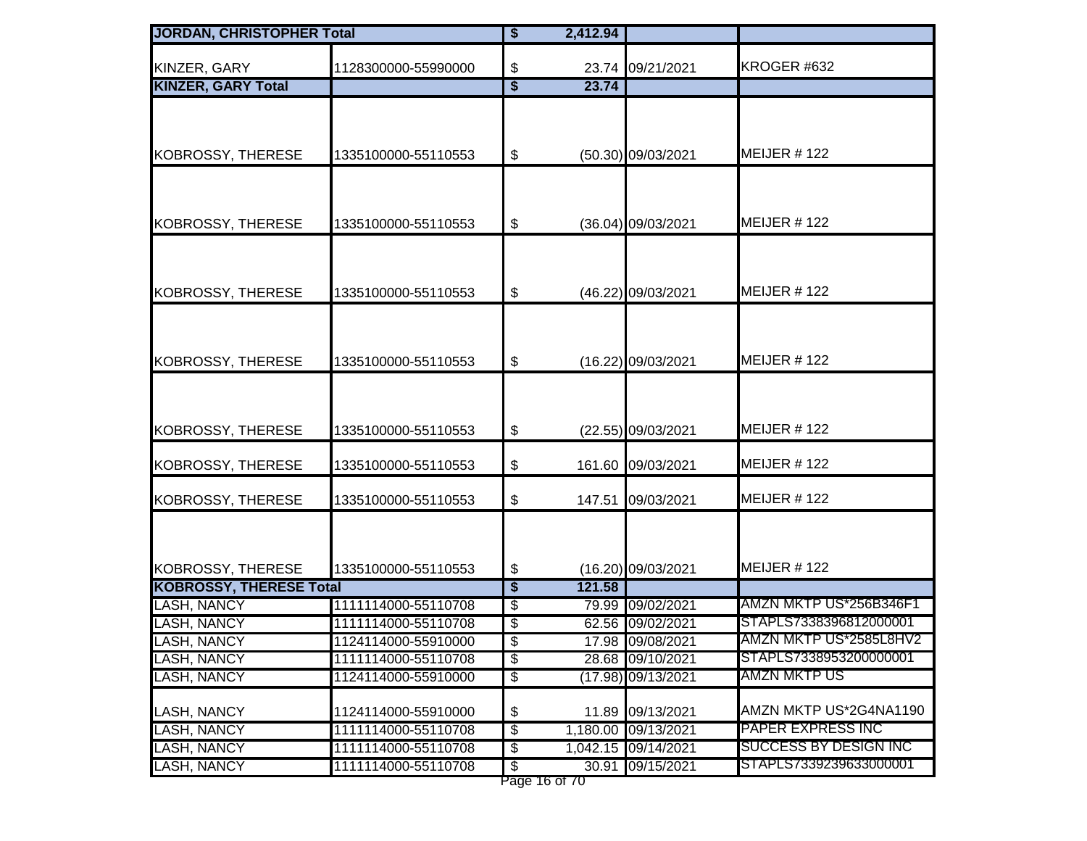| <b>JORDAN, CHRISTOPHER Total</b>  |                                            | \$                                   | 2,412.94      |                                        |                                                  |
|-----------------------------------|--------------------------------------------|--------------------------------------|---------------|----------------------------------------|--------------------------------------------------|
| KINZER, GARY                      | 1128300000-55990000                        | $\boldsymbol{\mathsf{\$}}$           |               | 23.74 09/21/2021                       | KROGER #632                                      |
| <b>KINZER, GARY Total</b>         |                                            | $\overline{\$}$                      | 23.74         |                                        |                                                  |
|                                   |                                            |                                      |               |                                        |                                                  |
|                                   |                                            |                                      |               |                                        |                                                  |
| KOBROSSY, THERESE                 | 1335100000-55110553                        | \$                                   |               | (50.30) 09/03/2021                     | MEIJER #122                                      |
|                                   |                                            |                                      |               |                                        |                                                  |
|                                   |                                            |                                      |               |                                        |                                                  |
|                                   |                                            |                                      |               |                                        |                                                  |
| KOBROSSY, THERESE                 | 1335100000-55110553                        | $\boldsymbol{\mathsf{\$}}$           |               | (36.04) 09/03/2021                     | <b>MEIJER #122</b>                               |
|                                   |                                            |                                      |               |                                        |                                                  |
|                                   |                                            |                                      |               |                                        |                                                  |
| <b>KOBROSSY, THERESE</b>          | 1335100000-55110553                        | \$                                   |               | (46.22) 09/03/2021                     | MEIJER $#$ 122                                   |
|                                   |                                            |                                      |               |                                        |                                                  |
|                                   |                                            |                                      |               |                                        |                                                  |
|                                   |                                            |                                      |               |                                        | MEIJER #122                                      |
| KOBROSSY, THERESE                 | 1335100000-55110553                        | $\boldsymbol{\mathsf{\$}}$           |               | (16.22) 09/03/2021                     |                                                  |
|                                   |                                            |                                      |               |                                        |                                                  |
|                                   |                                            |                                      |               |                                        |                                                  |
| KOBROSSY, THERESE                 | 1335100000-55110553                        | $\boldsymbol{\mathsf{\$}}$           |               | (22.55) 09/03/2021                     | MEIJER #122                                      |
|                                   |                                            |                                      |               |                                        |                                                  |
| <b>KOBROSSY, THERESE</b>          | 1335100000-55110553                        | \$                                   | 161.60        | 09/03/2021                             | MEIJER $#$ 122                                   |
| <b>KOBROSSY, THERESE</b>          | 1335100000-55110553                        | $\boldsymbol{\mathsf{\$}}$           | 147.51        | 09/03/2021                             | <b>MEIJER #122</b>                               |
|                                   |                                            |                                      |               |                                        |                                                  |
|                                   |                                            |                                      |               |                                        |                                                  |
|                                   |                                            |                                      |               |                                        |                                                  |
| KOBROSSY, THERESE                 | 1335100000-55110553                        | $\boldsymbol{\$}$                    |               | (16.20) 09/03/2021                     | <b>MEIJER #122</b>                               |
| <b>KOBROSSY, THERESE Total</b>    |                                            | $\overline{\boldsymbol{\mathsf{s}}}$ | 121.58        |                                        |                                                  |
| <b>LASH, NANCY</b>                | 1111114000-55110708                        | $\overline{\mathcal{E}}$             |               | 79.99 09/02/2021                       | AMZN MKTP US*256B346F1                           |
| <b>LASH, NANCY</b>                | 1111114000-55110708                        | \$                                   |               | 62.56 09/02/2021                       | STAPLS7338396812000001<br>AMZN MKTP US*2585L8HV2 |
| <b>LASH, NANCY</b>                | 1124114000-55910000                        | $\overline{\$}$                      |               | 17.98 09/08/2021                       | STAPLS7338953200000001                           |
| LASH, NANCY<br><b>LASH, NANCY</b> | 1111114000-55110708<br>1124114000-55910000 | $\overline{\$}$<br>$\sqrt[3]{2}$     |               | 28.68 09/10/2021<br>(17.98) 09/13/2021 | AMZN MKTP US                                     |
|                                   |                                            |                                      |               |                                        |                                                  |
| <b>LASH, NANCY</b>                | 1124114000-55910000                        | \$                                   | 11.89         | 09/13/2021                             | AMZN MKTP US*2G4NA1190                           |
| <b>LASH, NANCY</b>                | 1111114000-55110708                        | $\overline{\$}$                      |               | 1,180.00 09/13/2021                    | PAPER EXPRESS INC                                |
| <b>LASH, NANCY</b>                | 1111114000-55110708                        | $\overline{\mathbf{e}}$              |               | 1,042.15 09/14/2021                    | SUCCESS BY DESIGN INC                            |
| <b>LASH, NANCY</b>                | 1111114000-55110708                        | \$                                   |               | 30.91 09/15/2021                       | STAPLS7339239633000001                           |
|                                   |                                            |                                      | Page 16 of 70 |                                        |                                                  |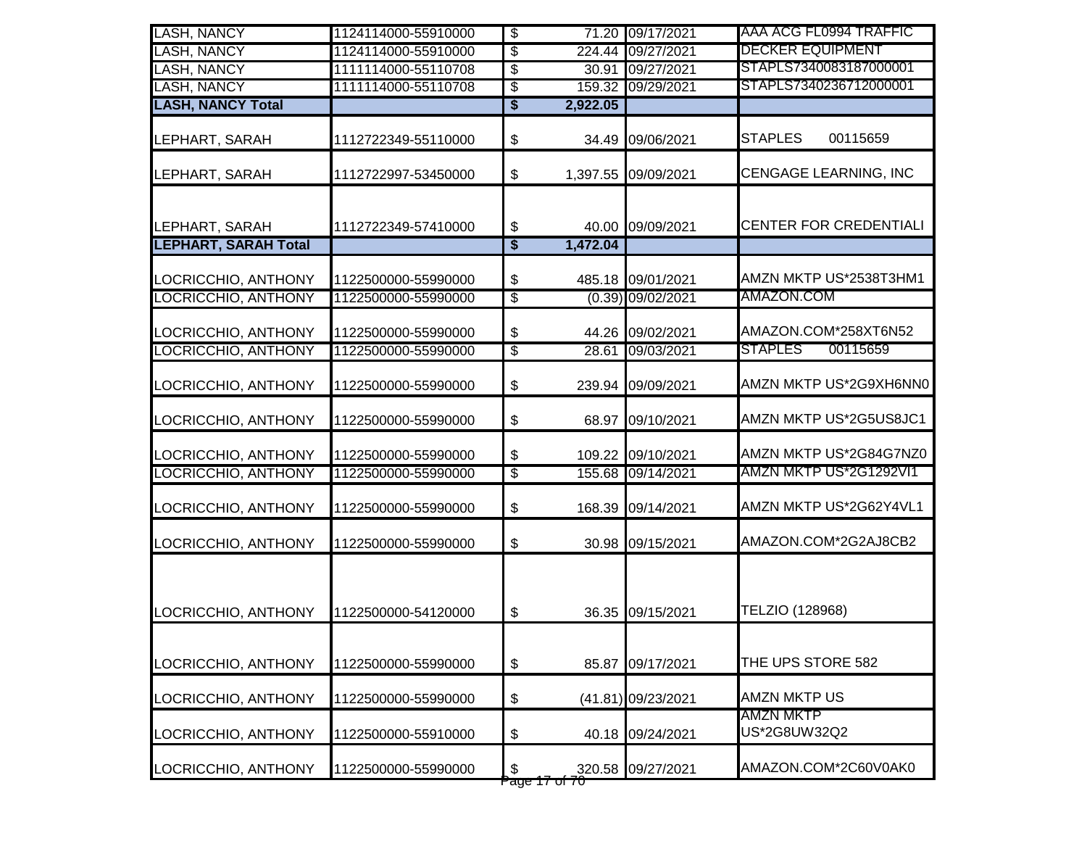| <b>LASH, NANCY</b>                            | 1124114000-55910000 | $\overline{\$}$          |                            | 71.20 09/17/2021    | AAA ACG FL0994 TRAFFIC        |
|-----------------------------------------------|---------------------|--------------------------|----------------------------|---------------------|-------------------------------|
| <b>LASH, NANCY</b>                            | 1124114000-55910000 | $\overline{\$}$          |                            | 224.44 09/27/2021   | <b>DECKER EQUIPMENT</b>       |
| <b>LASH, NANCY</b>                            | 1111114000-55110708 | $\overline{\$}$          | 30.91                      | 09/27/2021          | STAPLS7340083187000001        |
| <b>LASH, NANCY</b>                            | 1111114000-55110708 | \$                       |                            | 159.32 09/29/2021   | STAPLS7340236712000001        |
| <b>LASH, NANCY Total</b>                      |                     | \$                       | 2,922.05                   |                     |                               |
| LEPHART, SARAH                                | 1112722349-55110000 | \$                       | 34.49                      | 09/06/2021          | <b>STAPLES</b><br>00115659    |
| LEPHART, SARAH                                | 1112722997-53450000 | \$                       | 1,397.55                   | 09/09/2021          | <b>CENGAGE LEARNING, INC</b>  |
| LEPHART, SARAH<br><b>LEPHART, SARAH Total</b> | 1112722349-57410000 | \$<br>$\overline{\$}$    | 40.00<br>1,472.04          | 09/09/2021          | <b>CENTER FOR CREDENTIALI</b> |
|                                               |                     |                          |                            |                     |                               |
| LOCRICCHIO, ANTHONY                           | 1122500000-55990000 | \$                       |                            | 485.18 09/01/2021   | AMZN MKTP US*2538T3HM1        |
| <b>LOCRICCHIO, ANTHONY</b>                    | 1122500000-55990000 | $\overline{\$}$          |                            | $(0.39)$ 09/02/2021 | AMAZON.COM                    |
| LOCRICCHIO, ANTHONY                           | 1122500000-55990000 | \$                       |                            | 44.26 09/02/2021    | AMAZON.COM*258XT6N52          |
| LOCRICCHIO, ANTHONY                           | 1122500000-55990000 | $\overline{\mathcal{S}}$ | 28.61                      | 09/03/2021          | 00115659<br><b>STAPLES</b>    |
| LOCRICCHIO, ANTHONY                           | 1122500000-55990000 | \$                       |                            | 239.94 09/09/2021   | AMZN MKTP US*2G9XH6NN0        |
| LOCRICCHIO, ANTHONY                           | 1122500000-55990000 | \$                       | 68.97                      | 09/10/2021          | AMZN MKTP US*2G5US8JC1        |
| LOCRICCHIO, ANTHONY                           | 1122500000-55990000 | \$                       |                            | 109.22 09/10/2021   | AMZN MKTP US*2G84G7NZ0        |
| LOCRICCHIO, ANTHONY                           | 1122500000-55990000 | $\overline{\$}$          | 155.68                     | 09/14/2021          | AMZN MKTP US*2G1292VI1        |
| LOCRICCHIO, ANTHONY                           | 1122500000-55990000 | \$                       | 168.39                     | 09/14/2021          | AMZN MKTP US*2G62Y4VL1        |
| LOCRICCHIO, ANTHONY                           | 1122500000-55990000 | \$                       |                            | 30.98 09/15/2021    | AMAZON.COM*2G2AJ8CB2          |
| LOCRICCHIO, ANTHONY                           | 1122500000-54120000 | \$                       |                            | 36.35 09/15/2021    | TELZIO (128968)               |
| LOCRICCHIO, ANTHONY                           | 1122500000-55990000 | \$                       | 85.87                      | 09/17/2021          | THE UPS STORE 582             |
| LOCRICCHIO, ANTHONY                           | 1122500000-55990000 | \$                       |                            | (41.81) 09/23/2021  | <b>AMZN MKTP US</b>           |
| LOCRICCHIO, ANTHONY                           | 1122500000-55910000 | \$                       |                            | 40.18 09/24/2021    | AMZN MKTP<br>US*2G8UW32Q2     |
| LOCRICCHIO, ANTHONY                           | 1122500000-55990000 | \$                       | ag <del>e 17 of 70</del> - | 320.58 09/27/2021   | AMAZON.COM*2C60V0AK0          |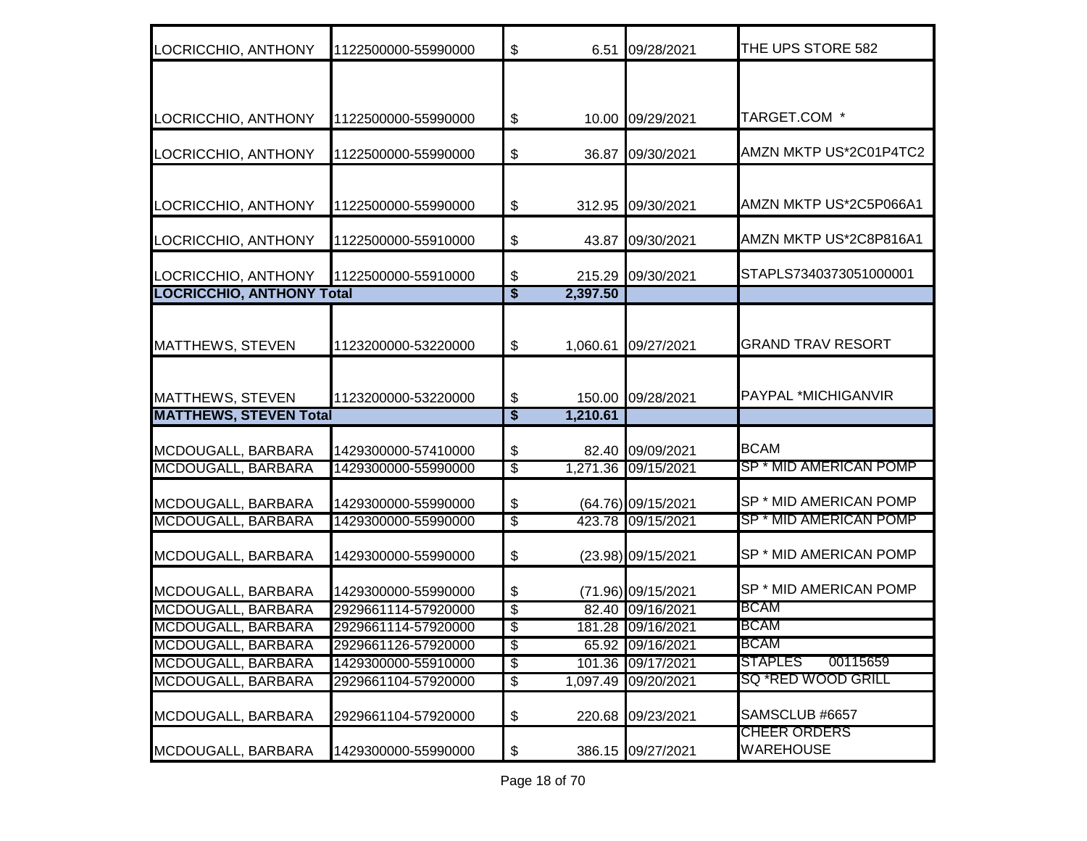| LOCRICCHIO, ANTHONY              | 1122500000-55990000 | $\boldsymbol{\$}$                    | 6.51     | 09/28/2021          | THE UPS STORE 582                       |
|----------------------------------|---------------------|--------------------------------------|----------|---------------------|-----------------------------------------|
|                                  |                     |                                      |          |                     |                                         |
| LOCRICCHIO, ANTHONY              | 1122500000-55990000 | \$                                   |          | 10.00 09/29/2021    | TARGET.COM *                            |
|                                  |                     |                                      |          |                     |                                         |
| LOCRICCHIO, ANTHONY              | 1122500000-55990000 | \$                                   |          | 36.87 09/30/2021    | AMZN MKTP US*2C01P4TC2                  |
|                                  |                     |                                      |          |                     |                                         |
| LOCRICCHIO, ANTHONY              | 1122500000-55990000 | \$                                   |          | 312.95 09/30/2021   | AMZN MKTP US*2C5P066A1                  |
| LOCRICCHIO, ANTHONY              | 1122500000-55910000 | \$                                   | 43.87    | 09/30/2021          | AMZN MKTP US*2C8P816A1                  |
| LOCRICCHIO, ANTHONY              | 1122500000-55910000 | \$                                   | 215.29   | 09/30/2021          | STAPLS7340373051000001                  |
| <b>LOCRICCHIO, ANTHONY Total</b> |                     | $\overline{\boldsymbol{\mathsf{s}}}$ | 2,397.50 |                     |                                         |
|                                  |                     |                                      |          |                     |                                         |
| MATTHEWS, STEVEN                 | 1123200000-53220000 | \$                                   | 1,060.61 | 09/27/2021          | <b>GRAND TRAV RESORT</b>                |
|                                  |                     |                                      |          |                     |                                         |
| <b>MATTHEWS, STEVEN</b>          | 1123200000-53220000 | \$                                   |          | 150.00 09/28/2021   | PAYPAL *MICHIGANVIR                     |
| <b>MATTHEWS, STEVEN Total</b>    |                     | $\overline{\boldsymbol{\mathsf{s}}}$ | 1,210.61 |                     |                                         |
| MCDOUGALL, BARBARA               | 1429300000-57410000 | \$                                   |          | 82.40 09/09/2021    | <b>BCAM</b>                             |
| MCDOUGALL, BARBARA               | 1429300000-55990000 | $\overline{\$}$                      |          | 1,271.36 09/15/2021 | <b>SP * MID AMERICAN POMP</b>           |
|                                  |                     |                                      |          |                     |                                         |
| MCDOUGALL, BARBARA               | 1429300000-55990000 | \$                                   |          | (64.76) 09/15/2021  | SP * MID AMERICAN POMP                  |
| MCDOUGALL, BARBARA               | 1429300000-55990000 | $\overline{\mathbf{e}}$              |          | 423.78 09/15/2021   | <b>SP * MID AMERICAN POMP</b>           |
| MCDOUGALL, BARBARA               | 1429300000-55990000 | \$                                   |          | (23.98) 09/15/2021  | SP * MID AMERICAN POMP                  |
| MCDOUGALL, BARBARA               | 1429300000-55990000 | \$                                   |          | (71.96) 09/15/2021  | SP * MID AMERICAN POMP                  |
| MCDOUGALL, BARBARA               | 2929661114-57920000 | $\overline{\$}$                      |          | 82.40 09/16/2021    | <b>BCAM</b>                             |
| <b>MCDOUGALL, BARBARA</b>        | 2929661114-57920000 | $\overline{\mathcal{E}}$             |          | 181.28 09/16/2021   | <b>BCAM</b>                             |
| MCDOUGALL, BARBARA               | 2929661126-57920000 | \$                                   |          | 65.92 09/16/2021    | <b>BCAM</b>                             |
| MCDOUGALL, BARBARA               | 1429300000-55910000 | $\overline{\$}$                      |          | 101.36 09/17/2021   | 00115659<br><b>STAPLES</b>              |
| MCDOUGALL, BARBARA               | 2929661104-57920000 | $\overline{\$}$                      |          | 1,097.49 09/20/2021 | SQ *RED WOOD GRILL                      |
| MCDOUGALL, BARBARA               | 2929661104-57920000 | \$                                   | 220.68   | 09/23/2021          | SAMSCLUB #6657                          |
| MCDOUGALL, BARBARA               | 1429300000-55990000 | \$                                   |          | 386.15 09/27/2021   | <b>CHEER ORDERS</b><br><b>WAREHOUSE</b> |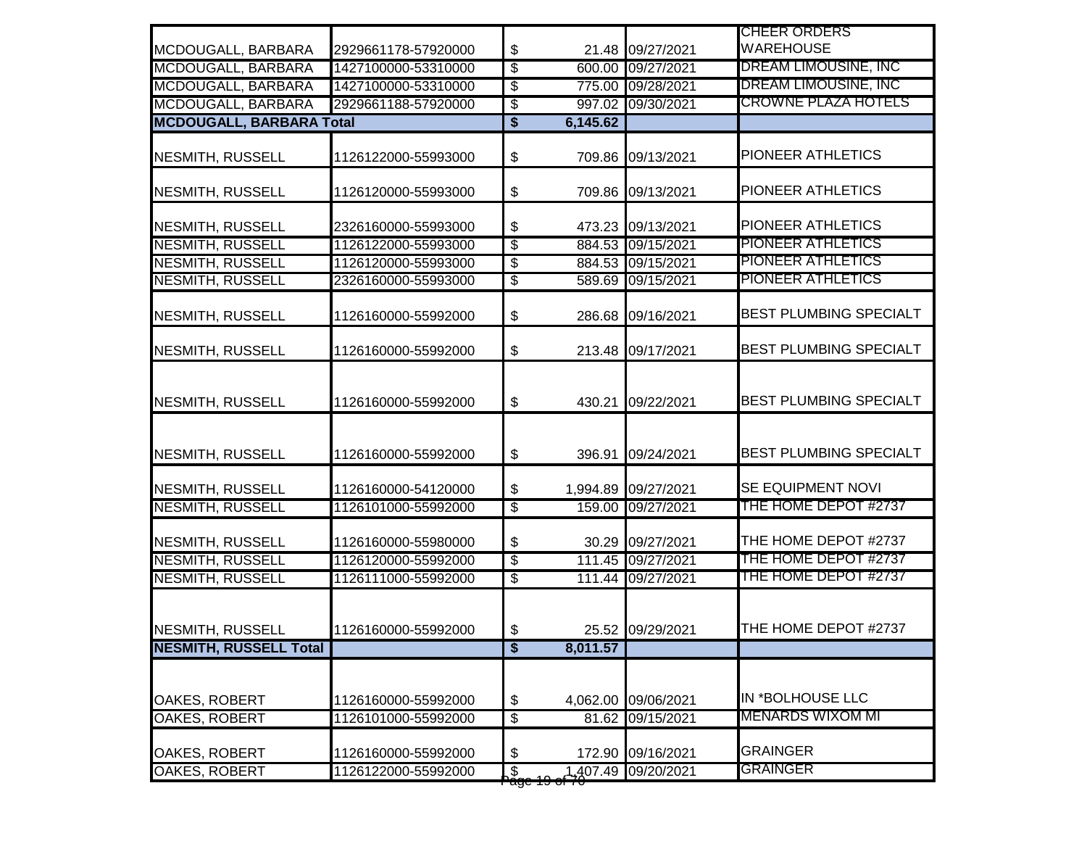|                                 |                     |                                      |          |                     | <b>CHEER ORDERS</b>           |
|---------------------------------|---------------------|--------------------------------------|----------|---------------------|-------------------------------|
| MCDOUGALL, BARBARA              | 2929661178-57920000 | \$                                   |          | 21.48 09/27/2021    | <b>WAREHOUSE</b>              |
| MCDOUGALL, BARBARA              | 1427100000-53310000 | $\overline{\mathbf{e}}$              |          | 600.00 09/27/2021   | DREAM LIMOUSINE, INC          |
| MCDOUGALL, BARBARA              | 1427100000-53310000 | $\overline{\mathcal{S}}$             |          | 775.00 09/28/2021   | <b>DREAM LIMOUSINE, INC</b>   |
| <b>MCDOUGALL, BARBARA</b>       | 2929661188-57920000 | $\overline{\$}$                      |          | 997.02 09/30/2021   | <b>CROWNE PLAZA HOTELS</b>    |
| <b>MCDOUGALL, BARBARA Total</b> |                     | $\overline{\boldsymbol{\mathsf{s}}}$ | 6,145.62 |                     |                               |
| <b>NESMITH, RUSSELL</b>         | 1126122000-55993000 | \$                                   |          | 709.86 09/13/2021   | PIONEER ATHLETICS             |
| <b>NESMITH, RUSSELL</b>         | 1126120000-55993000 | \$                                   |          | 709.86 09/13/2021   | PIONEER ATHLETICS             |
| <b>NESMITH, RUSSELL</b>         | 2326160000-55993000 | \$                                   |          | 473.23 09/13/2021   | PIONEER ATHLETICS             |
| <b>NESMITH, RUSSELL</b>         | 1126122000-55993000 | $\overline{\$}$                      |          | 884.53 09/15/2021   | PIONEER ATHLETICS             |
| <b>NESMITH, RUSSELL</b>         | 1126120000-55993000 | $\overline{\$}$                      |          | 884.53 09/15/2021   | PIONEER ATHLETICS             |
| <b>NESMITH, RUSSELL</b>         | 2326160000-55993000 | $\overline{\$}$                      |          | 589.69 09/15/2021   | PIONEER ATHLETICS             |
| <b>NESMITH, RUSSELL</b>         | 1126160000-55992000 | \$                                   |          | 286.68 09/16/2021   | <b>BEST PLUMBING SPECIALT</b> |
| <b>NESMITH, RUSSELL</b>         | 1126160000-55992000 | \$                                   |          | 213.48 09/17/2021   | <b>BEST PLUMBING SPECIALT</b> |
| NESMITH, RUSSELL                | 1126160000-55992000 | \$                                   |          | 430.21 09/22/2021   | <b>BEST PLUMBING SPECIALT</b> |
| <b>NESMITH, RUSSELL</b>         | 1126160000-55992000 | $\boldsymbol{\mathsf{\$}}$           |          | 396.91 09/24/2021   | BEST PLUMBING SPECIALT        |
| <b>NESMITH, RUSSELL</b>         | 1126160000-54120000 | \$                                   |          | 1,994.89 09/27/2021 | SE EQUIPMENT NOVI             |
| <b>NESMITH, RUSSELL</b>         | 1126101000-55992000 | $\overline{\mathcal{S}}$             |          | 159.00 09/27/2021   | THE HOME DEPOT #2737          |
| <b>NESMITH, RUSSELL</b>         | 1126160000-55980000 | \$                                   |          | 30.29 09/27/2021    | THE HOME DEPOT #2737          |
| <b>NESMITH, RUSSELL</b>         | 1126120000-55992000 | $\overline{\mathcal{E}}$             |          | 111.45 09/27/2021   | THE HOME DEPOT #2737          |
| <b>NESMITH, RUSSELL</b>         | 1126111000-55992000 | $\overline{\$}$                      |          | 111.44 09/27/2021   | THE HOME DEPOT #2737          |
| NESMITH, RUSSELL                | 1126160000-55992000 | \$                                   |          | 25.52 09/29/2021    | THE HOME DEPOT #2737          |
| <b>NESMITH, RUSSELL Total</b>   |                     | \$                                   | 8,011.57 |                     |                               |
| OAKES, ROBERT                   | 1126160000-55992000 | $\boldsymbol{\mathsf{\$}}$           |          | 4,062.00 09/06/2021 | IN *BOLHOUSE LLC              |
| <b>OAKES, ROBERT</b>            | 1126101000-55992000 | $\overline{\mathcal{E}}$             |          | 81.62 09/15/2021    | <b>MENARDS WIXOM MI</b>       |
| OAKES, ROBERT                   | 1126160000-55992000 | \$                                   |          | 172.90 09/16/2021   | <b>GRAINGER</b>               |
| <b>OAKES, ROBERT</b>            | 1126122000-55992000 | $\overline{\mathcal{S}}$<br>ʻugo     |          | 1,407.49 09/20/2021 | <b>GRAINGER</b>               |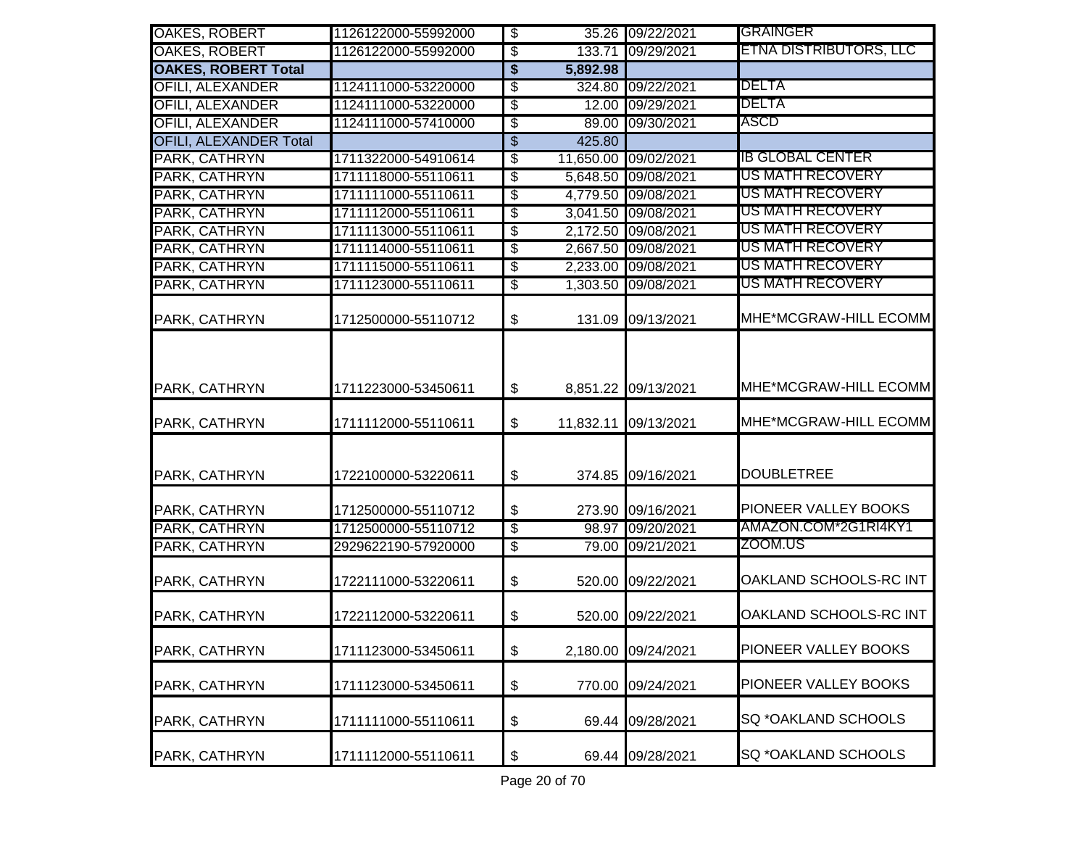| OAKES, ROBERT                 | 1126122000-55992000 | $\overline{\mathbf{e}}$                           |           | 35.26 09/22/2021     | <b>GRAINGER</b>               |
|-------------------------------|---------------------|---------------------------------------------------|-----------|----------------------|-------------------------------|
| <b>OAKES, ROBERT</b>          | 1126122000-55992000 | $\overline{\mathcal{S}}$                          |           | 133.71 09/29/2021    | <u>ETNA DISTRIBUTORS, LLC</u> |
| <b>OAKES, ROBERT Total</b>    |                     | $\overline{\boldsymbol{\mathsf{s}}}$              | 5,892.98  |                      |                               |
| <b>OFILI, ALEXANDER</b>       | 1124111000-53220000 | $\overline{\$}$                                   | 324.80    | 09/22/2021           | DELTA                         |
| <b>OFILI, ALEXANDER</b>       | 1124111000-53220000 | $\overline{\mathcal{E}}$                          | 12.00     | 09/29/2021           | DELTA                         |
| <b>OFILI, ALEXANDER</b>       | 1124111000-57410000 | $\overline{\mathcal{E}}$                          |           | 89.00 09/30/2021     | ASCD                          |
| <b>OFILI, ALEXANDER Total</b> |                     | \$                                                | 425.80    |                      |                               |
| PARK, CATHRYN                 | 1711322000-54910614 | $\overline{\$}$                                   |           | 11,650.00 09/02/2021 | <b>IB GLOBAL CENTER</b>       |
| PARK, CATHRYN                 | 1711118000-55110611 | $\overline{\mathcal{S}}$                          |           | 5,648.50 09/08/2021  | US MATH RECOVERY              |
| PARK, CATHRYN                 | 1711111000-55110611 | $\overline{\$}$                                   |           | 4,779.50 09/08/2021  | US MATH RECOVERY              |
| PARK, CATHRYN                 | 1711112000-55110611 | $\overline{\$}$                                   |           | 3,041.50 09/08/2021  | <u>US MATH RECOVERY</u>       |
| PARK, CATHRYN                 | 1711113000-55110611 | \$                                                |           | 2,172.50 09/08/2021  | <u>US MATH RECOVERY</u>       |
| PARK, CATHRYN                 | 1711114000-55110611 | $\overline{\$}$                                   |           | 2,667.50 09/08/2021  | <u>US MATH RECOVERY</u>       |
| PARK, CATHRYN                 | 1711115000-55110611 | $\overline{\mathcal{E}}$                          |           | 2,233.00 09/08/2021  | <u>US MATH RECOVERY</u>       |
| PARK, CATHRYN                 | 1711123000-55110611 | $\overline{\$}$                                   |           | 1,303.50 09/08/2021  | US MATH RECOVERY              |
| PARK, CATHRYN                 | 1712500000-55110712 | $\boldsymbol{\theta}$                             | 131.09    | 09/13/2021           | MHE*MCGRAW-HILL ECOMM         |
| PARK, CATHRYN                 | 1711223000-53450611 | $\boldsymbol{\mathsf{S}}$                         |           | 8,851.22 09/13/2021  | MHE*MCGRAW-HILL ECOMM         |
| PARK, CATHRYN                 | 1711112000-55110611 | $\frac{1}{2}$                                     | 11,832.11 | 09/13/2021           | MHE*MCGRAW-HILL ECOMM         |
| PARK, CATHRYN                 | 1722100000-53220611 | \$                                                |           | 374.85 09/16/2021    | <b>DOUBLETREE</b>             |
| PARK, CATHRYN                 | 1712500000-55110712 | $\boldsymbol{\mathsf{S}}$                         |           | 273.90 09/16/2021    | PIONEER VALLEY BOOKS          |
| PARK, CATHRYN                 | 1712500000-55110712 | $\overline{\mathcal{E}}$                          |           | 98.97 09/20/2021     | AMAZON.COM*2G1RI4KY1          |
| PARK, CATHRYN                 | 2929622190-57920000 | $\sqrt[6]{\frac{2}{5}}$                           |           | 79.00 09/21/2021     | ZOOM.US                       |
| PARK, CATHRYN                 | 1722111000-53220611 | $\boldsymbol{\$}$                                 |           | 520.00 09/22/2021    | OAKLAND SCHOOLS-RC INT        |
| PARK, CATHRYN                 | 1722112000-53220611 | $\boldsymbol{\mathsf{\$}}$                        | 520.00    | 09/22/2021           | OAKLAND SCHOOLS-RC INT        |
| PARK, CATHRYN                 | 1711123000-53450611 | $\boldsymbol{\mathsf{\$}}$                        |           | 2,180.00 09/24/2021  | PIONEER VALLEY BOOKS          |
| PARK, CATHRYN                 | 1711123000-53450611 | $\, \, \raisebox{-1.5pt}{\text{\circle*{1.5}}}\,$ |           | 770.00 09/24/2021    | PIONEER VALLEY BOOKS          |
| PARK, CATHRYN                 | 1711111000-55110611 | $\boldsymbol{\mathsf{\$}}$                        | 69.44     | 09/28/2021           | SQ *OAKLAND SCHOOLS           |
| PARK, CATHRYN                 | 1711112000-55110611 | $\boldsymbol{\$}$                                 | 69.44     | 09/28/2021           | SQ *OAKLAND SCHOOLS           |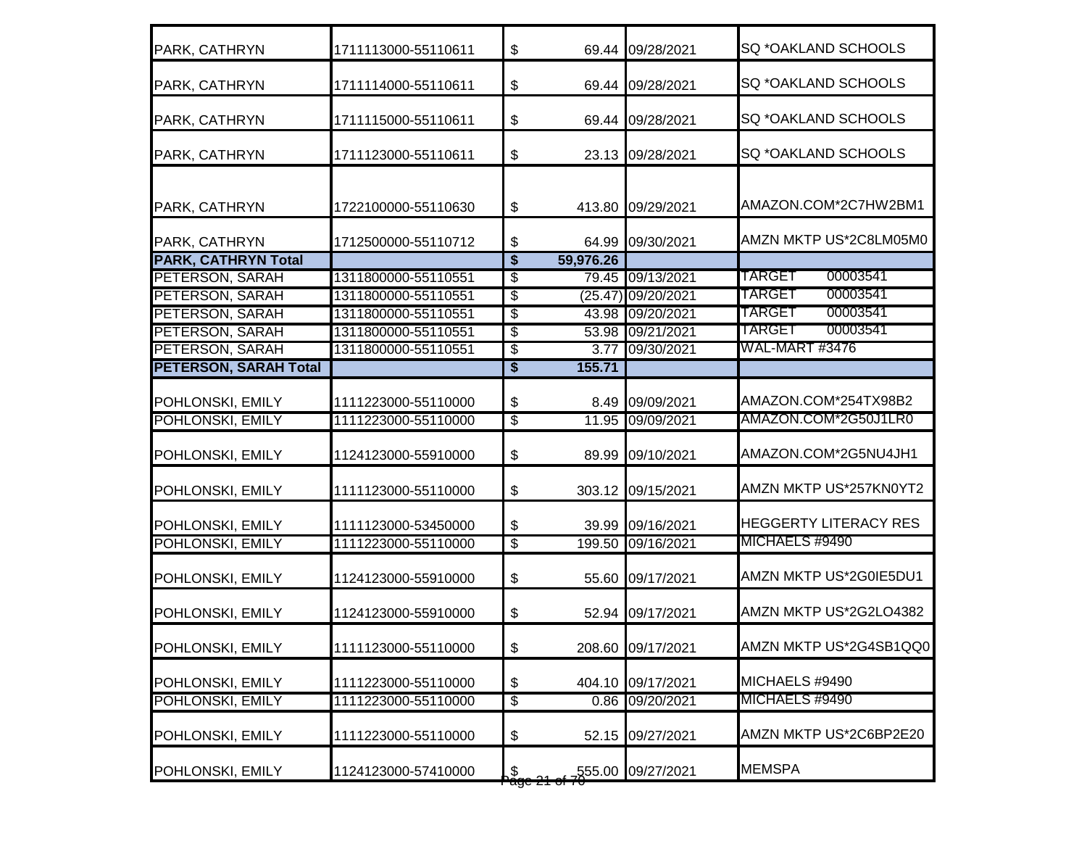| PARK, CATHRYN                | 1711113000-55110611 | \$                                   |           | 69.44 09/28/2021   | <b>SQ *OAKLAND SCHOOLS</b>   |
|------------------------------|---------------------|--------------------------------------|-----------|--------------------|------------------------------|
| PARK, CATHRYN                | 1711114000-55110611 | \$                                   |           | 69.44 09/28/2021   | SQ *OAKLAND SCHOOLS          |
| PARK, CATHRYN                | 1711115000-55110611 | \$                                   |           | 69.44 09/28/2021   | <b>SQ *OAKLAND SCHOOLS</b>   |
| PARK, CATHRYN                | 1711123000-55110611 | \$                                   |           | 23.13 09/28/2021   | SQ *OAKLAND SCHOOLS          |
| PARK, CATHRYN                | 1722100000-55110630 | \$                                   |           | 413.80 09/29/2021  | AMAZON.COM*2C7HW2BM1         |
| PARK, CATHRYN                | 1712500000-55110712 | \$                                   | 64.99     | 09/30/2021         | AMZN MKTP US*2C8LM05M0       |
| <b>PARK, CATHRYN Total</b>   |                     | $\overline{\boldsymbol{s}}$          | 59,976.26 |                    |                              |
| PETERSON, SARAH              | 1311800000-55110551 | \$                                   |           | 79.45 09/13/2021   | <b>TARGET</b><br>00003541    |
| PETERSON, SARAH              | 1311800000-55110551 | \$                                   |           | (25.47) 09/20/2021 | TARGET<br>00003541           |
| PETERSON, SARAH              | 1311800000-55110551 | \$                                   |           | 43.98 09/20/2021   | TARGET<br>00003541           |
| PETERSON, SARAH              | 1311800000-55110551 | \$                                   |           | 53.98 09/21/2021   | <b>TARGET</b><br>00003541    |
| <b>PETERSON, SARAH</b>       | 1311800000-55110551 | \$                                   |           | 3.77 09/30/2021    | WAL-MART #3476               |
| <b>PETERSON, SARAH Total</b> |                     | $\overline{\boldsymbol{\mathsf{s}}}$ | 155.71    |                    |                              |
| POHLONSKI, EMILY             | 1111223000-55110000 | \$                                   | 8.49      | 09/09/2021         | AMAZON.COM*254TX98B2         |
| POHLONSKI, EMILY             | 1111223000-55110000 | $\overline{\mathcal{E}}$             |           | 11.95 09/09/2021   | AMAZON.COM*2G50J1LR0         |
| POHLONSKI, EMILY             | 1124123000-55910000 | \$                                   |           | 89.99 09/10/2021   | AMAZON.COM*2G5NU4JH1         |
| POHLONSKI, EMILY             | 1111123000-55110000 | \$                                   |           | 303.12 09/15/2021  | AMZN MKTP US*257KN0YT2       |
| POHLONSKI, EMILY             | 1111123000-53450000 | \$                                   |           | 39.99 09/16/2021   | <b>HEGGERTY LITERACY RES</b> |
| POHLONSKI, EMILY             | 1111223000-55110000 | $\overline{\$}$                      |           | 199.50 09/16/2021  | MICHAELS #9490               |
| POHLONSKI, EMILY             | 1124123000-55910000 | \$                                   |           | 55.60 09/17/2021   | AMZN MKTP US*2G0IE5DU1       |
| POHLONSKI, EMILY             | 1124123000-55910000 | \$                                   |           | 52.94 09/17/2021   | AMZN MKTP US*2G2LO4382       |
| POHLONSKI, EMILY             | 1111123000-55110000 | \$                                   |           | 208.60 09/17/2021  | AMZN MKTP US*2G4SB1QQ0       |
| POHLONSKI, EMILY             | 1111223000-55110000 | \$                                   |           | 404.10 09/17/2021  | MICHAELS #9490               |
| POHLONSKI, EMILY             | 1111223000-55110000 | $\overline{\mathcal{E}}$             | 0.86      | 09/20/2021         | MICHAELS #9490               |
| POHLONSKI, EMILY             | 1111223000-55110000 | \$                                   | 52.15     | 09/27/2021         | AMZN MKTP US*2C6BP2E20       |
| POHLONSKI, EMILY             | 1124123000-57410000 | \$                                   | 555.00    | 09/27/2021         | <b>MEMSPA</b>                |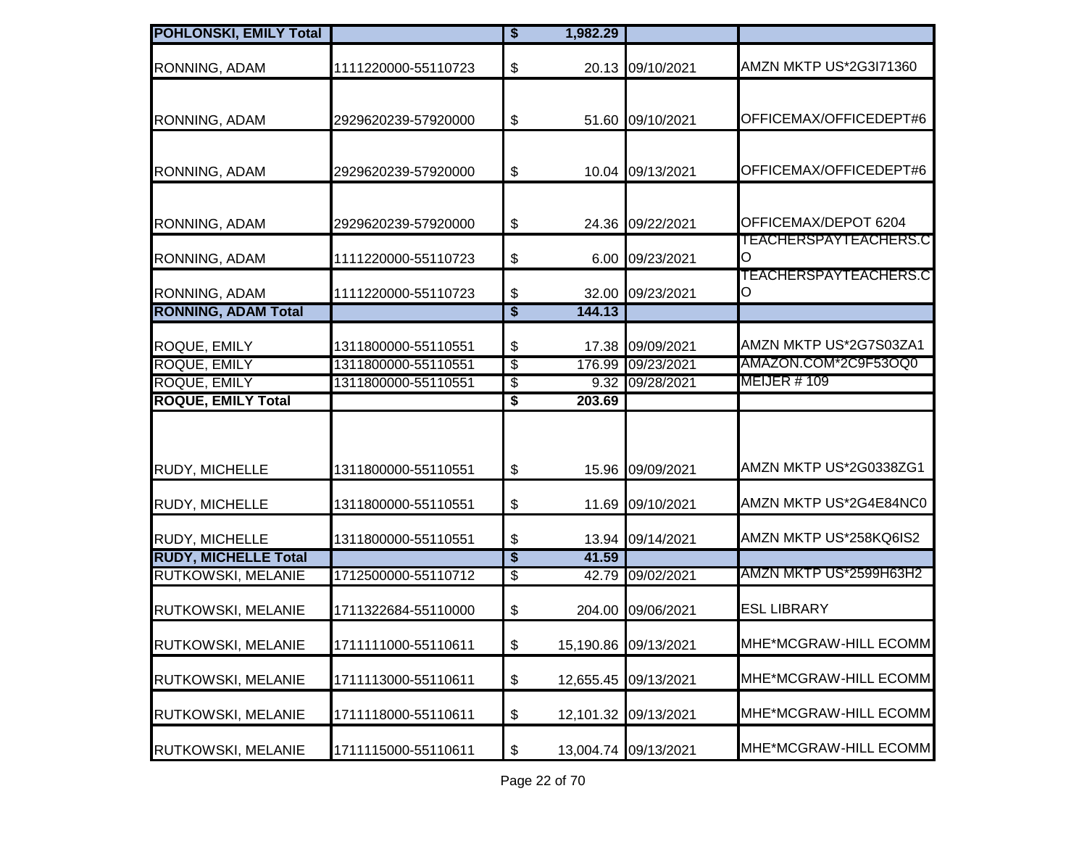| <b>POHLONSKI, EMILY Total</b>             |                     | $\overline{\boldsymbol{\mathsf{s}}}$ | 1,982.29  |                      |                                   |
|-------------------------------------------|---------------------|--------------------------------------|-----------|----------------------|-----------------------------------|
| RONNING, ADAM                             | 1111220000-55110723 | \$                                   |           | 20.13 09/10/2021     | AMZN MKTP US*2G3I71360            |
| RONNING, ADAM                             | 2929620239-57920000 | \$                                   |           | 51.60 09/10/2021     | OFFICEMAX/OFFICEDEPT#6            |
| RONNING, ADAM                             | 2929620239-57920000 | \$                                   |           | 10.04 09/13/2021     | OFFICEMAX/OFFICEDEPT#6            |
| RONNING, ADAM                             | 2929620239-57920000 | \$                                   |           | 24.36 09/22/2021     | OFFICEMAX/DEPOT 6204              |
| RONNING, ADAM                             | 1111220000-55110723 | \$                                   | 6.00      | 09/23/2021           | <b>TEACHERSPAYTEACHERS.C</b><br>O |
| RONNING, ADAM                             | 1111220000-55110723 | \$                                   | 32.00     | 09/23/2021           | TEACHERSPAYTEACHERS.C<br>O        |
| <b>RONNING, ADAM Total</b>                |                     | $\overline{\boldsymbol{\mathsf{s}}}$ | 144.13    |                      |                                   |
| ROQUE, EMILY                              | 1311800000-55110551 | \$                                   |           | 17.38 09/09/2021     | AMZN MKTP US*2G7S03ZA1            |
| <b>ROQUE, EMILY</b>                       | 1311800000-55110551 | $\overline{\$}$                      |           | 176.99 09/23/2021    | AMAZON.COM*2C9F53OQ0              |
| ROQUE, EMILY<br><b>ROQUE, EMILY Total</b> | 1311800000-55110551 | -\$<br>\$                            | 203.69    | 9.32 09/28/2021      | <b>MEIJER #109</b>                |
| RUDY, MICHELLE                            | 1311800000-55110551 | \$                                   |           | 15.96 09/09/2021     | AMZN MKTP US*2G0338ZG1            |
| RUDY, MICHELLE                            | 1311800000-55110551 | \$                                   | 11.69     | 09/10/2021           | AMZN MKTP US*2G4E84NC0            |
| RUDY, MICHELLE                            | 1311800000-55110551 | \$                                   | 13.94     | 09/14/2021           | AMZN MKTP US*258KQ6IS2            |
| <b>RUDY, MICHELLE Total</b>               |                     | $\overline{\$}$                      | 41.59     |                      |                                   |
| <b>RUTKOWSKI, MELANIE</b>                 | 1712500000-55110712 | \$                                   | 42.79     | 09/02/2021           | AMZN MKTP US*2599H63H2            |
| <b>RUTKOWSKI, MELANIE</b>                 | 1711322684-55110000 | \$                                   |           | 204.00 09/06/2021    | <b>ESL LIBRARY</b>                |
| <b>RUTKOWSKI, MELANIE</b>                 | 1711111000-55110611 | \$                                   |           | 15,190.86 09/13/2021 | MHE*MCGRAW-HILL ECOMM             |
| RUTKOWSKI, MELANIE                        | 1711113000-55110611 | \$                                   | 12,655.45 | 09/13/2021           | MHE*MCGRAW-HILL ECOMM             |
| <b>RUTKOWSKI, MELANIE</b>                 | 1711118000-55110611 | \$                                   |           | 12,101.32 09/13/2021 | MHE*MCGRAW-HILL ECOMM             |
| <b>RUTKOWSKI, MELANIE</b>                 | 1711115000-55110611 | \$                                   |           | 13,004.74 09/13/2021 | MHE*MCGRAW-HILL ECOMM             |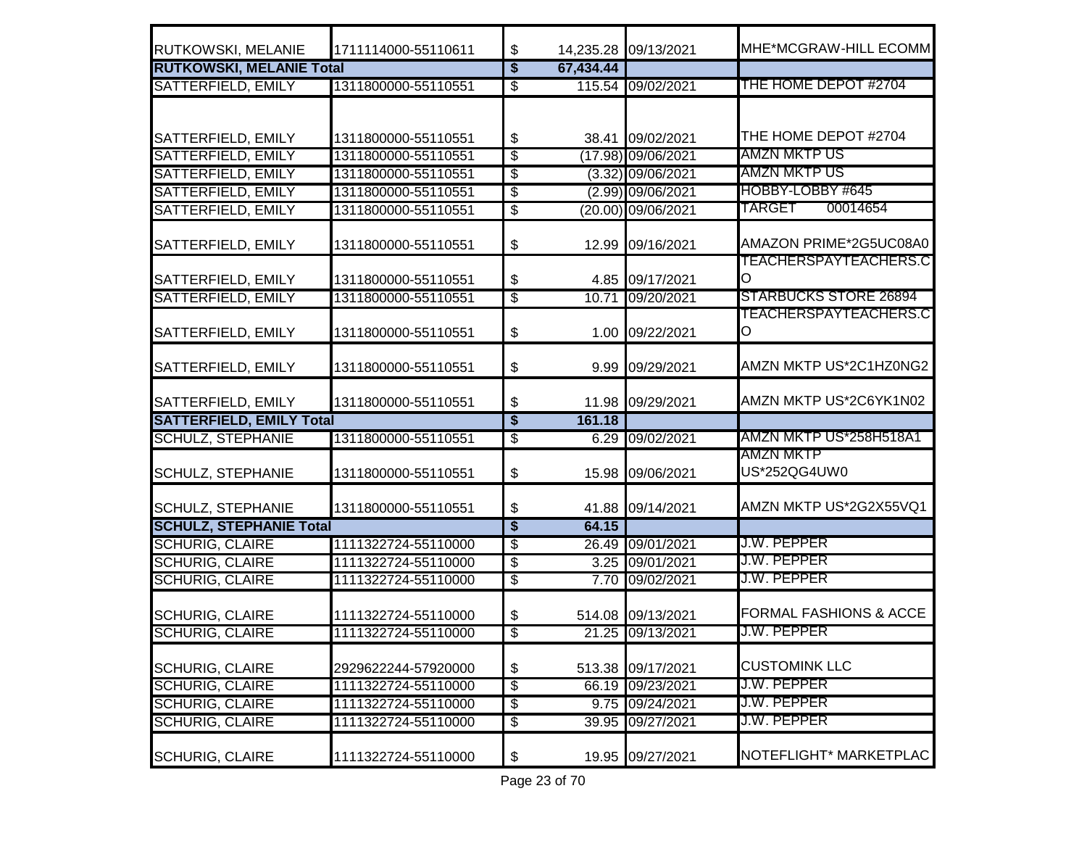| RUTKOWSKI, MELANIE              | 1711114000-55110611 | \$                                   |           | 14,235.28 09/13/2021 | MHE*MCGRAW-HILL ECOMM             |
|---------------------------------|---------------------|--------------------------------------|-----------|----------------------|-----------------------------------|
| <b>RUTKOWSKI, MELANIE Total</b> |                     | $\overline{\boldsymbol{\mathsf{s}}}$ | 67,434.44 |                      |                                   |
| <b>SATTERFIELD, EMILY</b>       | 1311800000-55110551 | $\overline{\$}$                      |           | 115.54 09/02/2021    | THE HOME DEPOT #2704              |
|                                 |                     |                                      |           |                      |                                   |
| SATTERFIELD, EMILY              | 1311800000-55110551 | \$                                   |           | 38.41 09/02/2021     | THE HOME DEPOT #2704              |
| <b>SATTERFIELD, EMILY</b>       | 1311800000-55110551 | $\sqrt[6]{\frac{2}{5}}$              |           | $(17.98)$ 09/06/2021 | AMZN MKTP US                      |
| <b>SATTERFIELD, EMILY</b>       | 1311800000-55110551 | $\sqrt[6]{\frac{2}{5}}$              |           | $(3.32)$ 09/06/2021  | <u>AMZN MKTP US</u>               |
| <b>SATTERFIELD, EMILY</b>       | 1311800000-55110551 | \$                                   |           | (2.99) 09/06/2021    | HOBBY-LOBBY #645                  |
| <b>SATTERFIELD, EMILY</b>       | 1311800000-55110551 | $\overline{\$}$                      |           | (20.00) 09/06/2021   | <b>TARGET</b><br>00014654         |
| SATTERFIELD, EMILY              | 1311800000-55110551 | $\frac{1}{2}$                        | 12.99     | 09/16/2021           | AMAZON PRIME*2G5UC08A0            |
|                                 |                     |                                      |           |                      | <b>TEACHERSPAYTEACHERS.C</b>      |
| SATTERFIELD, EMILY              | 1311800000-55110551 | $\boldsymbol{\mathsf{S}}$            |           | 4.85 09/17/2021      | lO                                |
| <b>SATTERFIELD, EMILY</b>       | 1311800000-55110551 | $\overline{\$}$                      | 10.71     | 09/20/2021           | <b>STARBUCKS STORE 26894</b>      |
| SATTERFIELD, EMILY              | 1311800000-55110551 | $\boldsymbol{\mathsf{\$}}$           |           | 1.00 09/22/2021      | <u>TEACHERSPAYTEACHERS.C</u><br>Ю |
| SATTERFIELD, EMILY              | 1311800000-55110551 | \$                                   | 9.99      | 09/29/2021           | AMZN MKTP US*2C1HZ0NG2            |
| SATTERFIELD, EMILY              | 1311800000-55110551 | $\boldsymbol{\mathsf{\$}}$           | 11.98     | 09/29/2021           | AMZN MKTP US*2C6YK1N02            |
| <b>SATTERFIELD, EMILY Total</b> |                     | $\overline{\boldsymbol{\mathsf{s}}}$ | 161.18    |                      |                                   |
| <b>SCHULZ, STEPHANIE</b>        | 1311800000-55110551 | $\overline{\$}$                      |           | 6.29 09/02/2021      | AMZN MKTP US*258H518A1            |
| <b>SCHULZ, STEPHANIE</b>        | 1311800000-55110551 | $\boldsymbol{\mathsf{\$}}$           | 15.98     | 09/06/2021           | AMZN MKTP<br>US*252QG4UW0         |
| <b>SCHULZ, STEPHANIE</b>        | 1311800000-55110551 | \$                                   | 41.88     | 09/14/2021           | AMZN MKTP US*2G2X55VQ1            |
| <b>SCHULZ, STEPHANIE Total</b>  |                     | $\overline{\boldsymbol{\mathsf{s}}}$ | 64.15     |                      |                                   |
| <b>SCHURIG, CLAIRE</b>          | 1111322724-55110000 | $\overline{\mathcal{E}}$             |           | 26.49 09/01/2021     | J.W. PEPPER                       |
| <b>SCHURIG, CLAIRE</b>          | 1111322724-55110000 | $\overline{\$}$                      |           | 3.25 09/01/2021      | J.W. PEPPER                       |
| <b>SCHURIG, CLAIRE</b>          | 1111322724-55110000 | $\sqrt[6]{\frac{2}{5}}$              |           | 7.70 09/02/2021      | J.W. PEPPER                       |
| <b>SCHURIG, CLAIRE</b>          | 1111322724-55110000 | \$                                   |           | 514.08 09/13/2021    | <b>FORMAL FASHIONS &amp; ACCE</b> |
| <b>SCHURIG, CLAIRE</b>          | 1111322724-55110000 | $\overline{\mathcal{S}}$             |           | 21.25 09/13/2021     | J.W. PEPPER                       |
| <b>SCHURIG, CLAIRE</b>          | 2929622244-57920000 | \$                                   | 513.38    | 09/17/2021           | <b>CUSTOMINK LLC</b>              |
| <b>SCHURIG, CLAIRE</b>          | 1111322724-55110000 | \$                                   |           | 66.19 09/23/2021     | J.W. PEPPER                       |
| <b>SCHURIG, CLAIRE</b>          | 1111322724-55110000 | $\overline{\$}$                      |           | 9.75 09/24/2021      | <u> J.W. PEPPER</u>               |
| <b>SCHURIG, CLAIRE</b>          | 1111322724-55110000 | $\overline{\$}$                      | 39.95     | 09/27/2021           | J.W. PEPPER                       |
| <b>SCHURIG, CLAIRE</b>          | 1111322724-55110000 | $\boldsymbol{\mathsf{\$}}$           | 19.95     | 09/27/2021           | NOTEFLIGHT* MARKETPLAC            |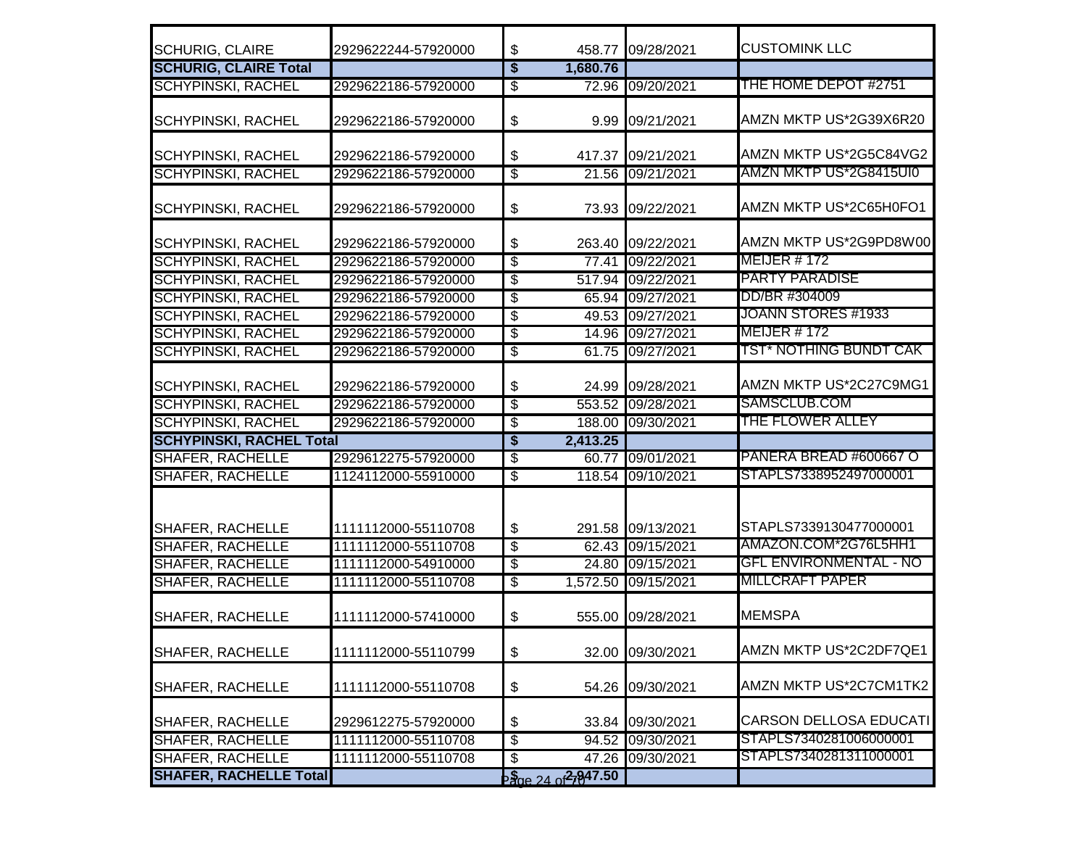| <b>SCHURIG, CLAIRE</b>                             | 2929622244-57920000                        | \$                       | 458.77                                       | 09/28/2021          | <b>CUSTOMINK LLC</b>          |
|----------------------------------------------------|--------------------------------------------|--------------------------|----------------------------------------------|---------------------|-------------------------------|
| <b>SCHURIG, CLAIRE Total</b>                       |                                            | $\overline{\$}$          | 1,680.76                                     |                     |                               |
| <b>SCHYPINSKI, RACHEL</b>                          | 2929622186-57920000                        | \$                       |                                              | 72.96 09/20/2021    | THE HOME DEPOT #2751          |
| <b>SCHYPINSKI, RACHEL</b>                          | 2929622186-57920000                        | \$                       |                                              | 9.99 09/21/2021     | AMZN MKTP US*2G39X6R20        |
| <b>SCHYPINSKI, RACHEL</b>                          | 2929622186-57920000                        | \$                       | 417.37                                       | 09/21/2021          | AMZN MKTP US*2G5C84VG2        |
| <b>SCHYPINSKI, RACHEL</b>                          | 2929622186-57920000                        | $\overline{\$}$          |                                              | 21.56 09/21/2021    | AMZN MKTP US*2G8415UI0        |
| <b>SCHYPINSKI, RACHEL</b>                          | 2929622186-57920000                        | \$                       |                                              | 73.93 09/22/2021    | AMZN MKTP US*2C65H0FO1        |
| <b>SCHYPINSKI, RACHEL</b>                          | 2929622186-57920000                        | \$                       |                                              | 263.40 09/22/2021   | AMZN MKTP US*2G9PD8W00        |
| <b>SCHYPINSKI, RACHEL</b>                          | 2929622186-57920000                        | S                        |                                              | 77.41 09/22/2021    | <b>MEIJER #172</b>            |
| <b>SCHYPINSKI, RACHEL</b>                          | 2929622186-57920000                        | $\overline{\$}$          |                                              | 517.94 09/22/2021   | <b>PARTY PARADISE</b>         |
| <b>SCHYPINSKI, RACHEL</b>                          | 2929622186-57920000                        | \$                       |                                              | 65.94 09/27/2021    | DD/BR #304009                 |
| <b>SCHYPINSKI, RACHEL</b>                          | 2929622186-57920000                        | \$                       |                                              | 49.53 09/27/2021    | JOANN STORES #1933            |
| <b>SCHYPINSKI, RACHEL</b>                          | 2929622186-57920000                        | S                        |                                              | 14.96 09/27/2021    | <b>MEIJER # 172</b>           |
| <b>SCHYPINSKI, RACHEL</b>                          | 2929622186-57920000                        | \$                       |                                              | 61.75 09/27/2021    | <b>TST* NOTHING BUNDT CAK</b> |
| <b>SCHYPINSKI, RACHEL</b>                          | 2929622186-57920000                        | \$                       |                                              | 24.99 09/28/2021    | AMZN MKTP US*2C27C9MG1        |
| <b>SCHYPINSKI, RACHEL</b>                          | 2929622186-57920000                        | $\overline{\$}$          |                                              | 553.52 09/28/2021   | SAMSCLUB.COM                  |
| <b>SCHYPINSKI, RACHEL</b>                          | 2929622186-57920000                        | \$                       |                                              | 188.00 09/30/2021   | <b>THE FLOWER ALLEY</b>       |
| <b>SCHYPINSKI, RACHEL Total</b>                    |                                            | $\overline{\mathbf{S}}$  | 2,413.25                                     |                     |                               |
| <b>SHAFER, RACHELLE</b>                            | 2929612275-57920000                        | \$                       |                                              | 60.77 09/01/2021    | PANERA BREAD #600667 O        |
| <b>SHAFER, RACHELLE</b>                            | 1124112000-55910000                        | S                        |                                              | 118.54 09/10/2021   | STAPLS7338952497000001        |
|                                                    | 1111112000-55110708                        | \$                       |                                              | 291.58 09/13/2021   | STAPLS7339130477000001        |
| <b>SHAFER, RACHELLE</b>                            |                                            | \$                       |                                              | 62.43 09/15/2021    | AMAZON.COM*2G76L5HH1          |
| <b>SHAFER, RACHELLE</b><br><b>SHAFER, RACHELLE</b> | 1111112000-55110708<br>1111112000-54910000 | $\overline{\mathcal{S}}$ |                                              |                     | <b>GFL ENVIRONMENTAL - NO</b> |
|                                                    |                                            |                          |                                              | 24.80 09/15/2021    | <b>MILLCRAFT PAPER</b>        |
| <b>SHAFER, RACHELLE</b>                            | 1111112000-55110708                        | \$                       |                                              | 1,572.50 09/15/2021 |                               |
| <b>SHAFER, RACHELLE</b>                            | 1111112000-57410000                        | \$                       |                                              | 555.00 09/28/2021   | <b>MEMSPA</b>                 |
| <b>SHAFER, RACHELLE</b>                            | 1111112000-55110799                        | $\boldsymbol{\$}$        |                                              | 32.00 09/30/2021    | AMZN MKTP US*2C2DF7QE1        |
| <b>SHAFER, RACHELLE</b>                            | 1111112000-55110708                        | \$                       |                                              | 54.26 09/30/2021    | AMZN MKTP US*2C7CM1TK2        |
| <b>SHAFER, RACHELLE</b>                            | 2929612275-57920000                        | \$                       |                                              | 33.84 09/30/2021    | CARSON DELLOSA EDUCATI        |
| <b>SHAFER, RACHELLE</b>                            | 1111112000-55110708                        | $\overline{\mathcal{E}}$ |                                              | 94.52 09/30/2021    | STAPLS7340281006000001        |
| <b>SHAFER, RACHELLE</b>                            | 1111112000-55110708                        | \$                       |                                              | 47.26 09/30/2021    | STAPLS7340281311000001        |
| <b>SHAFER, RACHELLE Total</b>                      |                                            |                          | $\frac{15}{20}$ e 24 of $\frac{2}{9}$ 947.50 |                     |                               |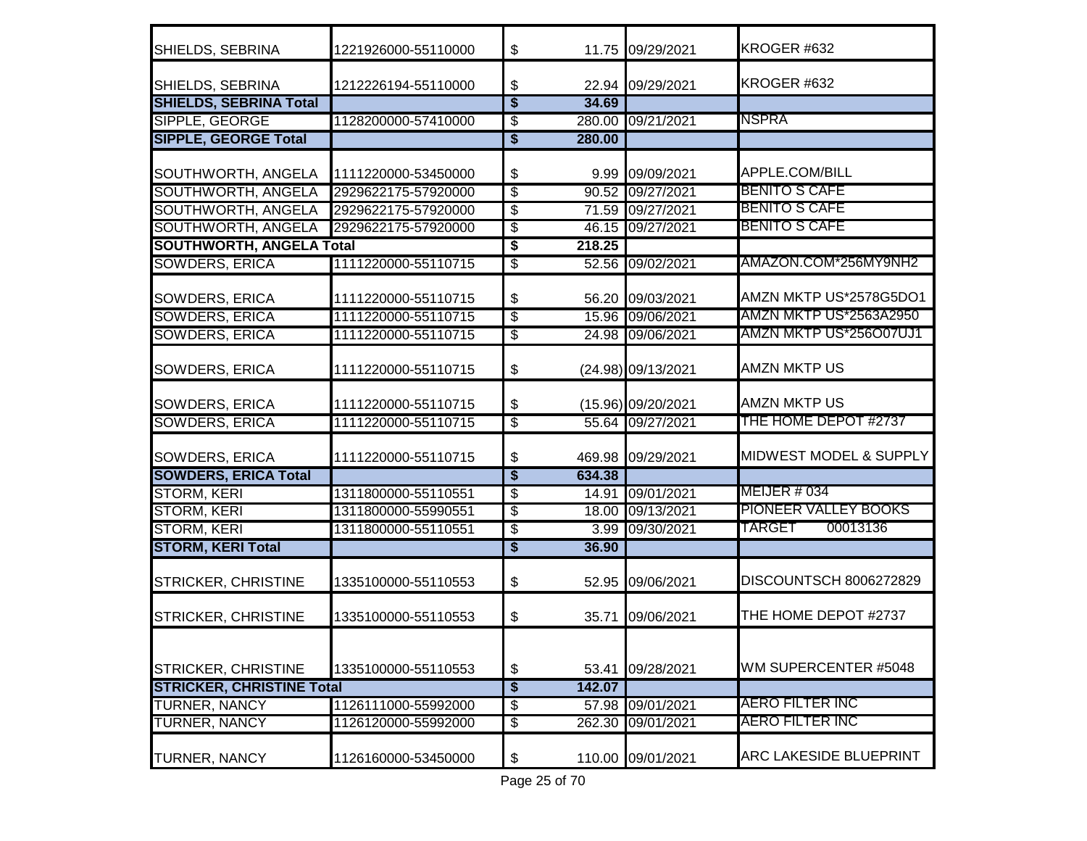| SHIELDS, SEBRINA                 | 1221926000-55110000 | \$                                   |                    | 11.75 09/29/2021   | KROGER #632                       |
|----------------------------------|---------------------|--------------------------------------|--------------------|--------------------|-----------------------------------|
| SHIELDS, SEBRINA                 | 1212226194-55110000 | \$                                   |                    | 22.94 09/29/2021   | KROGER #632                       |
| <b>SHIELDS, SEBRINA Total</b>    |                     | $\overline{\mathbf{s}}$              | 34.69              |                    |                                   |
| <b>SIPPLE, GEORGE</b>            | 1128200000-57410000 | े<br>अ                               |                    | 280.00 09/21/2021  | <b>NSPRA</b>                      |
| <b>SIPPLE, GEORGE Total</b>      |                     | $\overline{\boldsymbol{\mathsf{s}}}$ | 280.00             |                    |                                   |
| SOUTHWORTH, ANGELA               | 1111220000-53450000 | \$                                   |                    | 9.99 09/09/2021    | APPLE.COM/BILL                    |
| <b>SOUTHWORTH, ANGELA</b>        | 2929622175-57920000 | $\overline{\$}$                      | 90.52              | 09/27/2021         | BENITO S CAFE                     |
| <b>SOUTHWORTH, ANGELA</b>        | 2929622175-57920000 | $\overline{\$}$                      |                    | 71.59 09/27/2021   | <b>BENITO S CAFE</b>              |
| <b>SOUTHWORTH, ANGELA</b>        | 2929622175-57920000 | $\overline{\$}$                      |                    | 46.15 09/27/2021   | <b>BENITO S CAFE</b>              |
| <b>SOUTHWORTH, ANGELA Total</b>  |                     | \$                                   | 218.25             |                    |                                   |
| <b>SOWDERS, ERICA</b>            | 1111220000-55110715 | \$                                   | $\overline{52.56}$ | 09/02/2021         | AMAZON.COM*256MY9NH2              |
| <b>SOWDERS, ERICA</b>            | 1111220000-55110715 | \$                                   |                    | 56.20 09/03/2021   | AMZN MKTP US*2578G5DO1            |
| <b>SOWDERS, ERICA</b>            | 1111220000-55110715 | \$                                   |                    | 15.96 09/06/2021   | <b>AMZN MKTP US*2563A2950</b>     |
| <b>SOWDERS, ERICA</b>            | 1111220000-55110715 | $\overline{\mathcal{E}}$             |                    | 24.98 09/06/2021   | AMZN MKTP US*256O07UJ1            |
| <b>SOWDERS, ERICA</b>            | 1111220000-55110715 | \$                                   |                    | (24.98) 09/13/2021 | <b>AMZN MKTP US</b>               |
| <b>SOWDERS, ERICA</b>            | 1111220000-55110715 | \$                                   |                    | (15.96) 09/20/2021 | <b>AMZN MKTP US</b>               |
| <b>SOWDERS, ERICA</b>            | 1111220000-55110715 | $\overline{\$}$                      |                    | 55.64 09/27/2021   | THE HOME DEPOT #2737              |
| <b>SOWDERS, ERICA</b>            | 1111220000-55110715 | \$                                   | 469.98             | 09/29/2021         | <b>MIDWEST MODEL &amp; SUPPLY</b> |
| <b>SOWDERS, ERICA Total</b>      |                     | $\overline{\boldsymbol{\mathsf{s}}}$ | 634.38             |                    |                                   |
| <b>STORM, KERI</b>               | 1311800000-55110551 | \$                                   | 14.91              | 09/01/2021         | <b>MEIJER # 034</b>               |
| <b>STORM, KERI</b>               | 1311800000-55990551 | \$                                   |                    | 18.00 09/13/2021   | <b>PIONEER VALLEY BOOKS</b>       |
| <b>STORM, KERI</b>               | 1311800000-55110551 | \$                                   |                    | 3.99 09/30/2021    | TARGET<br>00013136                |
| <b>STORM, KERI Total</b>         |                     | \$                                   | 36.90              |                    |                                   |
| <b>STRICKER, CHRISTINE</b>       | 1335100000-55110553 | \$                                   |                    | 52.95 09/06/2021   | DISCOUNTSCH 8006272829            |
| <b>STRICKER, CHRISTINE</b>       | 1335100000-55110553 | \$                                   | 35.71              | 09/06/2021         | THE HOME DEPOT #2737              |
| <b>STRICKER, CHRISTINE</b>       | 1335100000-55110553 | \$                                   | 53.41              | 09/28/2021         | WM SUPERCENTER #5048              |
| <b>STRICKER, CHRISTINE Total</b> |                     | \$                                   | 142.07             |                    |                                   |
| <b>TURNER, NANCY</b>             | 1126111000-55992000 | $\overline{\mathcal{E}}$             | 57.98              | 09/01/2021         | AERO FILTER INC                   |
| <b>TURNER, NANCY</b>             | 1126120000-55992000 | \$                                   | 262.30             | 09/01/2021         | <b>AERO FILTER INC</b>            |
| <b>TURNER, NANCY</b>             | 1126160000-53450000 | \$                                   | 110.00             | 09/01/2021         | <b>ARC LAKESIDE BLUEPRINT</b>     |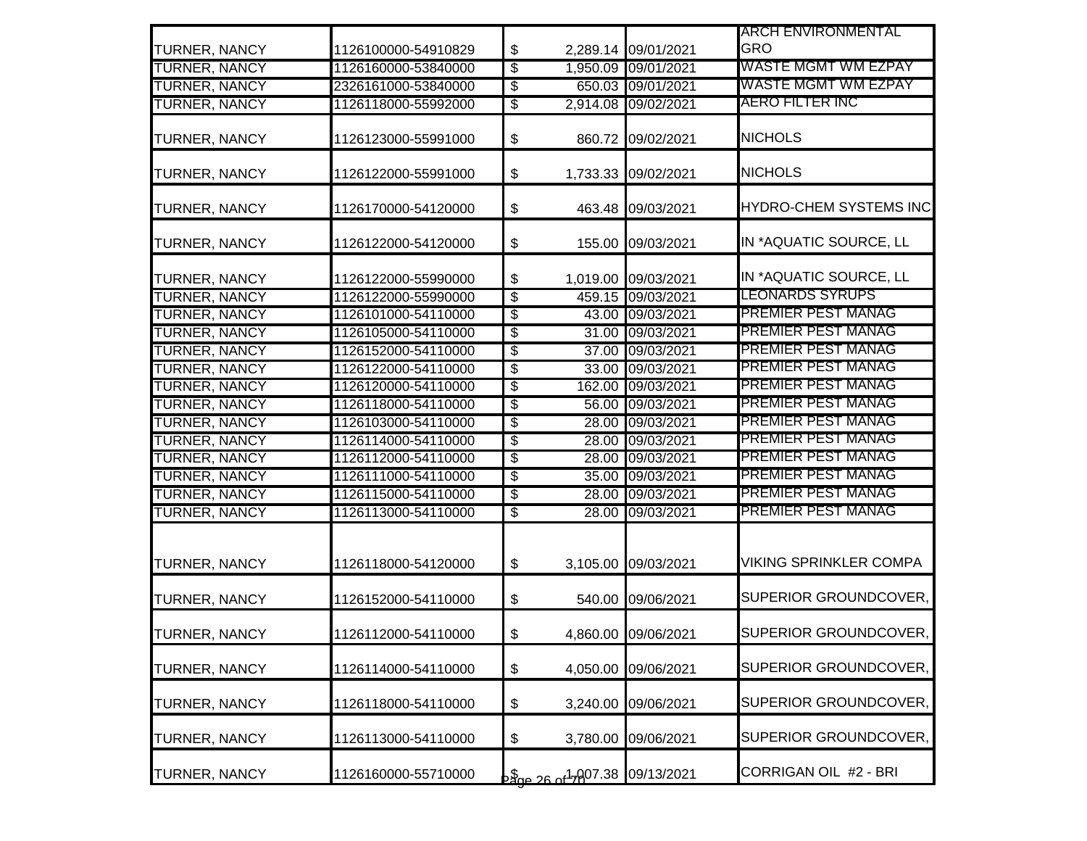|                      |                     |                            |                 |                     | <b>ARCH ENVIRONMENTAL</b>     |
|----------------------|---------------------|----------------------------|-----------------|---------------------|-------------------------------|
| <b>TURNER, NANCY</b> | 1126100000-54910829 | $\boldsymbol{\theta}$      |                 | 2,289.14 09/01/2021 | <b>GRO</b>                    |
| <b>TURNER, NANCY</b> | 1126160000-53840000 | $\overline{\$}$            |                 | 1,950.09 09/01/2021 | <b>WASTE MGMT WM EZPAY</b>    |
| <b>TURNER, NANCY</b> | 2326161000-53840000 | $\overline{\$}$            |                 | 650.03 09/01/2021   | <u>WASTE MGMT WM EZPAY</u>    |
| <b>TURNER, NANCY</b> | 1126118000-55992000 | $\overline{\mathcal{E}}$   |                 | 2,914.08 09/02/2021 | <b>AERO FILTER INC</b>        |
| <b>TURNER, NANCY</b> | 1126123000-55991000 | \$                         | 860.72          | 09/02/2021          | <b>NICHOLS</b>                |
| <b>TURNER, NANCY</b> | 1126122000-55991000 | $\boldsymbol{\mathsf{\$}}$ |                 | 1,733.33 09/02/2021 | <b>NICHOLS</b>                |
| <b>TURNER, NANCY</b> | 1126170000-54120000 | $\boldsymbol{\$}$          | 463.48          | 09/03/2021          | <b>HYDRO-CHEM SYSTEMS INC</b> |
| <b>TURNER, NANCY</b> | 1126122000-54120000 | $\boldsymbol{\mathsf{S}}$  | 155.00          | 09/03/2021          | IN *AQUATIC SOURCE, LL        |
| <b>TURNER, NANCY</b> | 1126122000-55990000 | \$                         | 1,019.00        | 09/03/2021          | IN *AQUATIC SOURCE, LL        |
| <b>TURNER, NANCY</b> | 1126122000-55990000 | $\overline{\$}$            |                 | 459.15 09/03/2021   | <u>LEONARDS SYRUPS</u>        |
| <b>TURNER, NANCY</b> | 1126101000-54110000 | $\overline{\$}$            |                 | 43.00 09/03/2021    | <b>PREMIER PEST MANAG</b>     |
| <b>TURNER, NANCY</b> | 1126105000-54110000 | $\overline{\$}$            | 31.00           | 09/03/2021          | PREMIER PEST MANAG            |
| <b>TURNER, NANCY</b> | 1126152000-54110000 | $\overline{\$}$            |                 | 37.00 09/03/2021    | PREMIER PEST MANAG            |
| <b>TURNER, NANCY</b> | 1126122000-54110000 | $\overline{\$}$            |                 | 33.00 09/03/2021    | <b>PREMIER PEST MANAG</b>     |
| <b>TURNER, NANCY</b> | 1126120000-54110000 | $\overline{\$}$            | 162.00          | 09/03/2021          | <b>PREMIER PEST MANAG</b>     |
| <b>TURNER, NANCY</b> | 1126118000-54110000 | $\overline{\$}$            | 56.00           | 09/03/2021          | <b>PREMIER PEST MANAG</b>     |
| <b>TURNER, NANCY</b> | 1126103000-54110000 | \$                         | 28.00           | 09/03/2021          | <b>PREMIER PEST MANAG</b>     |
| <b>TURNER, NANCY</b> | 1126114000-54110000 | $\overline{\$}$            |                 | 28.00 09/03/2021    | <b>PREMIER PEST MANAG</b>     |
| <b>TURNER, NANCY</b> | 1126112000-54110000 | $\overline{\$}$            | 28.00           | 09/03/2021          | <b>PREMIER PEST MANAG</b>     |
| <b>TURNER, NANCY</b> | 1126111000-54110000 | $\overline{\mathcal{S}}$   |                 | 35.00 09/03/2021    | <b>PREMIER PEST MANAG</b>     |
| <b>TURNER, NANCY</b> | 1126115000-54110000 | $\overline{\mathcal{E}}$   |                 | 28.00 09/03/2021    | <b>PREMIER PEST MANAG</b>     |
| <b>TURNER, NANCY</b> | 1126113000-54110000 | $\overline{\$}$            |                 | 28.00 09/03/2021    | <b>PREMIER PEST MANAG</b>     |
| <b>TURNER, NANCY</b> | 1126118000-54120000 | $\boldsymbol{\mathsf{\$}}$ |                 | 3,105.00 09/03/2021 | <b>VIKING SPRINKLER COMPA</b> |
| <b>TURNER, NANCY</b> | 1126152000-54110000 | $\boldsymbol{\$}$          | 540.00          | 09/06/2021          | SUPERIOR GROUNDCOVER,         |
| <b>TURNER, NANCY</b> | 1126112000-54110000 | $\boldsymbol{\theta}$      |                 | 4,860.00 09/06/2021 | SUPERIOR GROUNDCOVER,         |
| TURNER, NANCY        | 1126114000-54110000 | $\boldsymbol{\mathsf{\$}}$ | 4,050.00        | 09/06/2021          | SUPERIOR GROUNDCOVER,         |
| <b>TURNER, NANCY</b> | 1126118000-54110000 | \$                         | 3,240.00        | 09/06/2021          | SUPERIOR GROUNDCOVER,         |
| TURNER, NANCY        | 1126113000-54110000 | $\boldsymbol{\$}$          | 3,780.00        | 09/06/2021          | SUPERIOR GROUNDCOVER,         |
| TURNER, NANCY        | 1126160000-55710000 |                            | 28 rdd 15007.38 | 09/13/2021          | CORRIGAN OIL #2 - BRI         |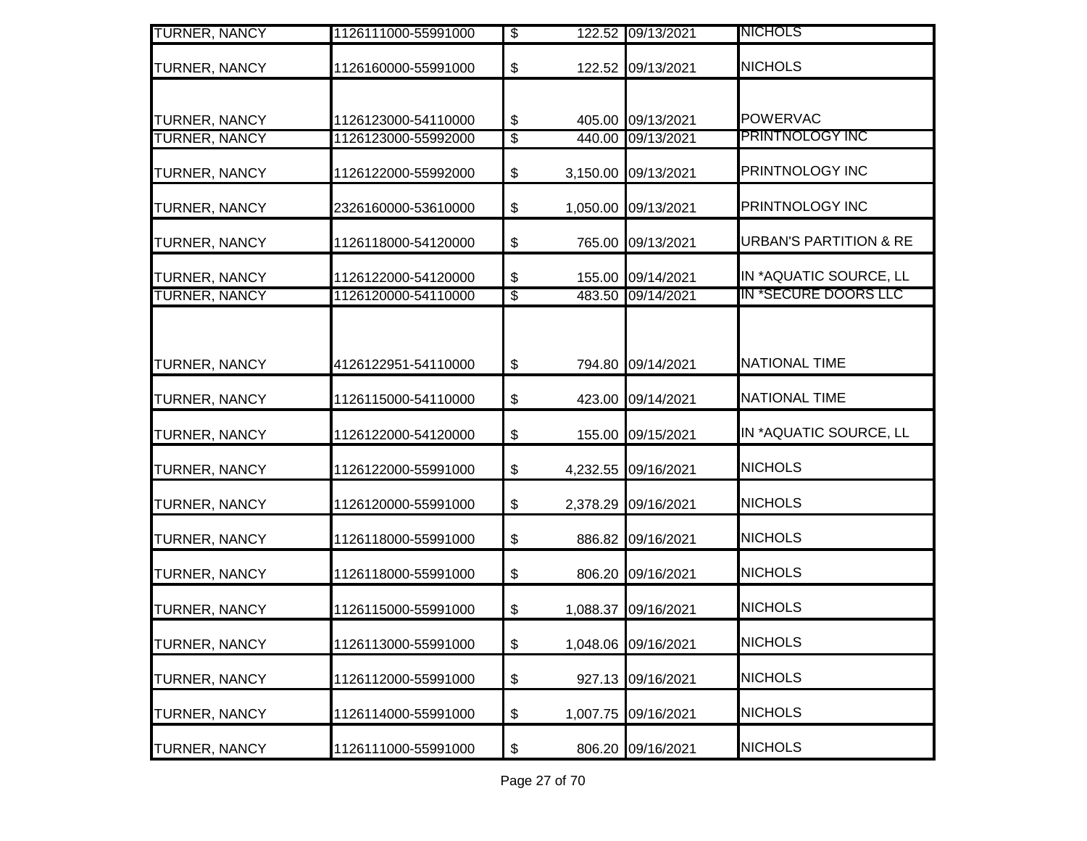| <b>TURNER, NANCY</b> | 1126111000-55991000 | $\overline{\$}$                                   | 122.52 09/13/2021   | <b>NICHOLS</b>                    |
|----------------------|---------------------|---------------------------------------------------|---------------------|-----------------------------------|
| <b>TURNER, NANCY</b> | 1126160000-55991000 | \$                                                | 122.52 09/13/2021   | <b>NICHOLS</b>                    |
|                      |                     |                                                   |                     |                                   |
| <b>TURNER, NANCY</b> | 1126123000-54110000 | \$                                                | 405.00 09/13/2021   | <b>POWERVAC</b>                   |
| <b>TURNER, NANCY</b> | 1126123000-55992000 | $\sqrt[6]{3}$                                     | 440.00 09/13/2021   | PRINTNOLOGY INC                   |
| TURNER, NANCY        | 1126122000-55992000 | \$                                                | 3,150.00 09/13/2021 | PRINTNOLOGY INC                   |
| <b>TURNER, NANCY</b> | 2326160000-53610000 | \$                                                | 1,050.00 09/13/2021 | PRINTNOLOGY INC                   |
| <b>TURNER, NANCY</b> | 1126118000-54120000 | \$                                                | 765.00 09/13/2021   | <b>URBAN'S PARTITION &amp; RE</b> |
| <b>TURNER, NANCY</b> | 1126122000-54120000 | \$                                                | 155.00 09/14/2021   | IN *AQUATIC SOURCE, LL            |
| <b>TURNER, NANCY</b> | 1126120000-54110000 | $\overline{\mathcal{E}}$                          | 483.50 09/14/2021   | IN *SECURE DOORS LLC              |
| <b>TURNER, NANCY</b> | 4126122951-54110000 | \$                                                | 794.80 09/14/2021   | <b>NATIONAL TIME</b>              |
| <b>TURNER, NANCY</b> | 1126115000-54110000 | \$                                                | 423.00 09/14/2021   | <b>NATIONAL TIME</b>              |
| <b>TURNER, NANCY</b> | 1126122000-54120000 | $\, \, \raisebox{12pt}{$\scriptstyle \$}$         | 155.00 09/15/2021   | IN *AQUATIC SOURCE, LL            |
| <b>TURNER, NANCY</b> | 1126122000-55991000 | \$                                                | 4,232.55 09/16/2021 | <b>NICHOLS</b>                    |
| <b>TURNER, NANCY</b> | 1126120000-55991000 | \$                                                | 2,378.29 09/16/2021 | <b>NICHOLS</b>                    |
| <b>TURNER, NANCY</b> | 1126118000-55991000 | \$                                                | 886.82 09/16/2021   | <b>NICHOLS</b>                    |
| <b>TURNER, NANCY</b> | 1126118000-55991000 | \$                                                | 806.20 09/16/2021   | <b>NICHOLS</b>                    |
| <b>TURNER, NANCY</b> | 1126115000-55991000 | \$                                                | 1,088.37 09/16/2021 | <b>NICHOLS</b>                    |
| <b>TURNER, NANCY</b> | 1126113000-55991000 | \$                                                | 1,048.06 09/16/2021 | <b>NICHOLS</b>                    |
| <b>TURNER, NANCY</b> | 1126112000-55991000 | \$                                                | 927.13 09/16/2021   | <b>NICHOLS</b>                    |
| <b>TURNER, NANCY</b> | 1126114000-55991000 | \$                                                | 1,007.75 09/16/2021 | <b>NICHOLS</b>                    |
| <b>TURNER, NANCY</b> | 1126111000-55991000 | $\, \, \raisebox{-1.5pt}{\text{\circle*{1.5}}}\,$ | 806.20 09/16/2021   | <b>NICHOLS</b>                    |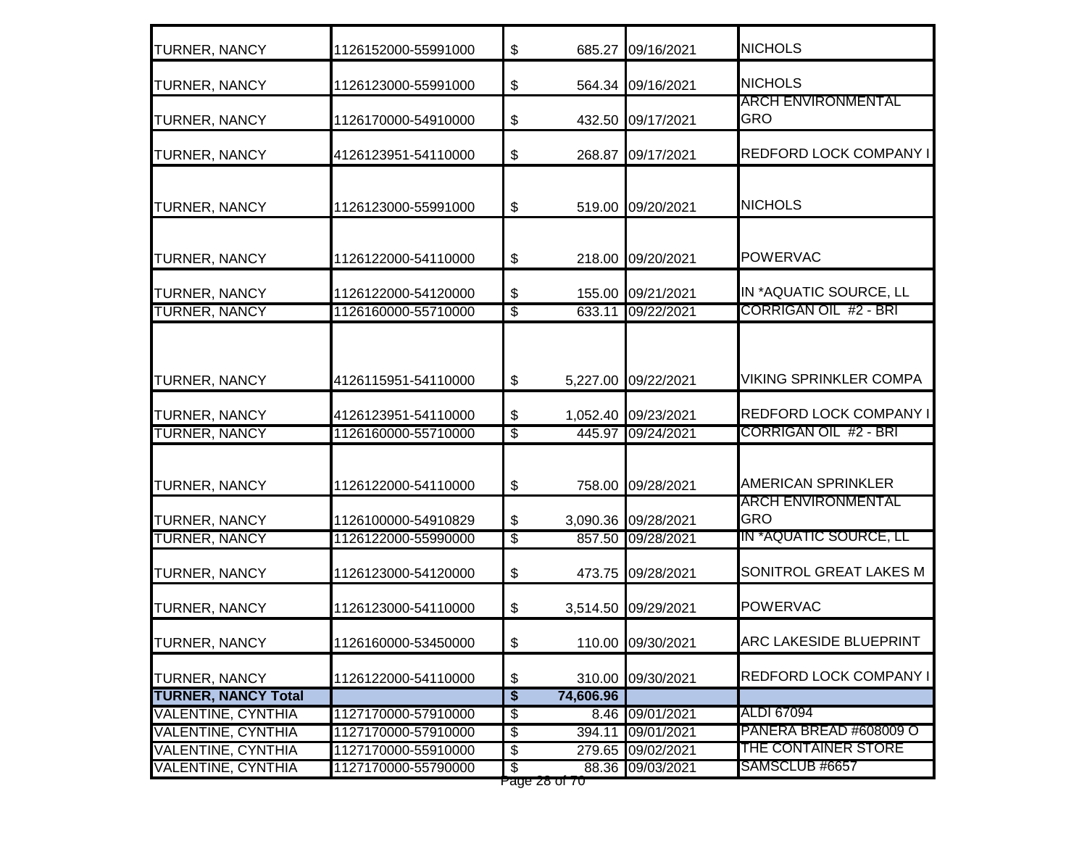| <b>TURNER, NANCY</b>                                   | 1126152000-55991000                        | \$                                          |                  | 685.27 09/16/2021        | <b>NICHOLS</b>                                         |
|--------------------------------------------------------|--------------------------------------------|---------------------------------------------|------------------|--------------------------|--------------------------------------------------------|
| <b>TURNER, NANCY</b>                                   | 1126123000-55991000                        | \$                                          |                  | 564.34 09/16/2021        | <b>NICHOLS</b>                                         |
| <b>TURNER, NANCY</b>                                   | 1126170000-54910000                        | \$                                          |                  | 432.50 09/17/2021        | <b>ARCH ENVIRONMENTAL</b><br><b>GRO</b>                |
| <b>TURNER, NANCY</b>                                   | 4126123951-54110000                        | \$                                          |                  | 268.87 09/17/2021        | <b>REDFORD LOCK COMPANY I</b>                          |
| <b>TURNER, NANCY</b>                                   | 1126123000-55991000                        | \$                                          |                  | 519.00 09/20/2021        | <b>NICHOLS</b>                                         |
| <b>TURNER, NANCY</b>                                   | 1126122000-54110000                        | \$                                          |                  | 218.00 09/20/2021        | <b>POWERVAC</b>                                        |
| <b>TURNER, NANCY</b>                                   | 1126122000-54120000                        | \$                                          | 155.00           | 09/21/2021               | IN *AQUATIC SOURCE, LL                                 |
| <b>TURNER, NANCY</b>                                   | 1126160000-55710000                        | $\overline{\$}$                             | 633.11           | 09/22/2021               | <b>CORRIGAN OIL #2 - BRI</b>                           |
| <b>TURNER, NANCY</b>                                   | 4126115951-54110000                        | \$                                          |                  | 5,227.00 09/22/2021      | <b>VIKING SPRINKLER COMPA</b>                          |
| <b>TURNER, NANCY</b>                                   | 4126123951-54110000                        | \$                                          |                  | 1,052.40 09/23/2021      | REDFORD LOCK COMPANY I                                 |
| <b>TURNER, NANCY</b>                                   | 1126160000-55710000                        | S                                           | 445.97           | 09/24/2021               | <b>CORRIGAN OIL #2 - BRI</b>                           |
| <b>TURNER, NANCY</b>                                   | 1126122000-54110000                        | \$                                          | 758.00           | 09/28/2021               | <b>AMERICAN SPRINKLER</b><br><b>ARCH ENVIRONMENTAL</b> |
| <b>TURNER, NANCY</b>                                   | 1126100000-54910829                        | \$                                          |                  | 3,090.36 09/28/2021      | <b>GRO</b>                                             |
| <b>TURNER, NANCY</b>                                   | 1126122000-55990000                        | $\overline{\$}$                             |                  | 857.50 09/28/2021        | IN *AQUATIC SOURCE, LL                                 |
| <b>TURNER, NANCY</b>                                   | 1126123000-54120000                        | \$                                          | 473.75           | 09/28/2021               | SONITROL GREAT LAKES M                                 |
| <b>TURNER, NANCY</b>                                   | 1126123000-54110000                        | \$                                          |                  | 3,514.50 09/29/2021      | <b>POWERVAC</b>                                        |
| <b>TURNER, NANCY</b>                                   | 1126160000-53450000                        | \$                                          |                  | 110.00 09/30/2021        | ARC LAKESIDE BLUEPRINT                                 |
| <b>TURNER, NANCY</b>                                   | 1126122000-54110000                        | \$                                          |                  | 310.00 09/30/2021        | <b>REDFORD LOCK COMPANY I</b>                          |
| <b>TURNER, NANCY Total</b>                             |                                            | $\overline{\boldsymbol{\mathsf{s}}}$        | 74,606.96        |                          |                                                        |
| <b>VALENTINE, CYNTHIA</b>                              | 1127170000-57910000                        | $\overline{\mathcal{E}}$                    | 8.46             | 09/01/2021               | ALDI 67094<br>PANERA BREAD #608009 O                   |
| <b>VALENTINE, CYNTHIA</b><br><b>VALENTINE, CYNTHIA</b> | 1127170000-57910000<br>1127170000-55910000 | $\overline{\mathcal{E}}$<br>$\overline{\$}$ | 394.11<br>279.65 | 09/01/2021<br>09/02/2021 | THE CONTAINER STORE                                    |
| <b>VALENTINE, CYNTHIA</b>                              | 1127170000-55790000                        | s)                                          | 88.36            | 09/03/2021               | SAMSCLUB #6657                                         |
|                                                        |                                            |                                             | rage zo or 70    |                          |                                                        |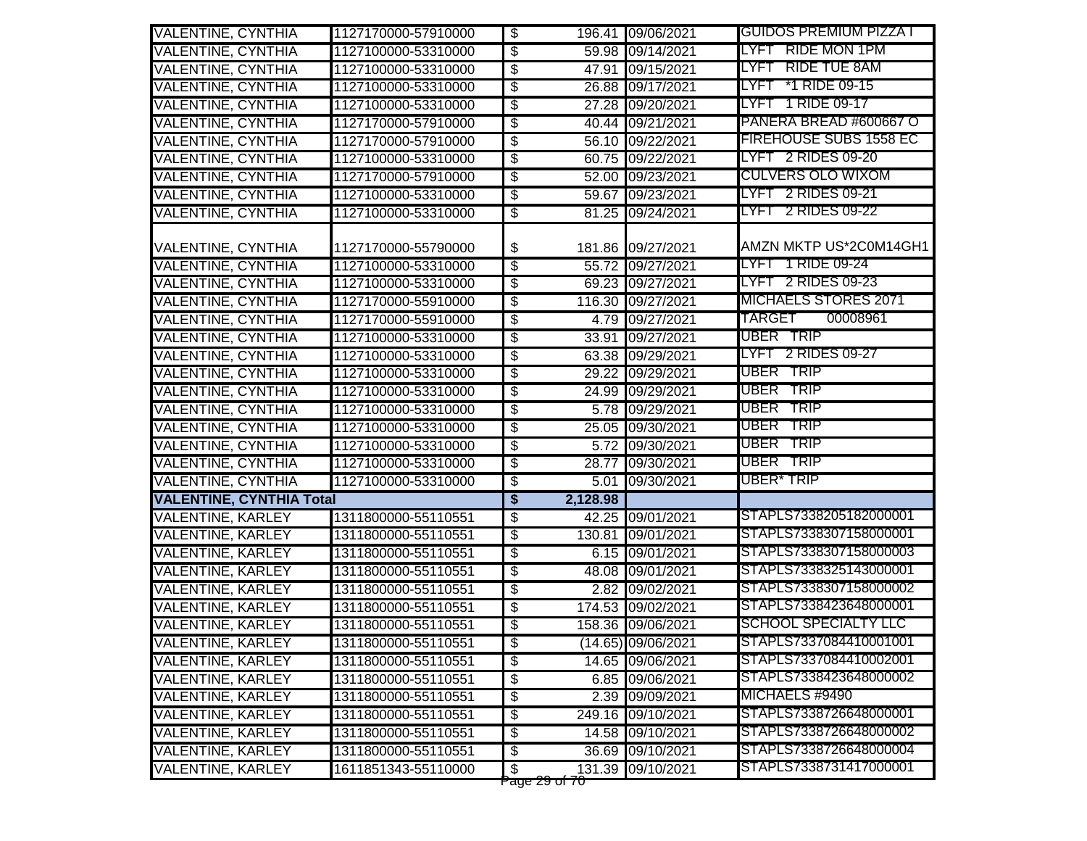| <b>VALENTINE, CYNTHIA</b>       | 1127170000-57910000 | \$                                               |       | 196.41 09/06/2021  | GUIDOS PREMIUM PIZZA I        |
|---------------------------------|---------------------|--------------------------------------------------|-------|--------------------|-------------------------------|
| <b>VALENTINE, CYNTHIA</b>       | 1127100000-53310000 | $\overline{\mathbf{3}}$                          |       | 59.98 09/14/2021   | LYFT RIDE MON 1PM             |
| <b>VALENTINE, CYNTHIA</b>       | 1127100000-53310000 | \$                                               |       | 47.91 09/15/2021   | LYFT RIDE TUE 8AM             |
| <b>VALENTINE, CYNTHIA</b>       | 1127100000-53310000 | $\overline{\$}$                                  |       | 26.88 09/17/2021   | LYFT *1 RIDE 09-15            |
| <b>VALENTINE, CYNTHIA</b>       | 1127100000-53310000 | $\overline{\$}$                                  |       | 27.28 09/20/2021   | LYFT 1 RIDE 09-17             |
| <b>VALENTINE, CYNTHIA</b>       | 1127170000-57910000 | $\overline{\mathcal{S}}$                         |       | 40.44 09/21/2021   | PANERA BREAD #600667 O        |
| <b>VALENTINE, CYNTHIA</b>       | 1127170000-57910000 | $\overline{\mathcal{E}}$                         |       | 56.10 09/22/2021   | <b>FIREHOUSE SUBS 1558 EC</b> |
| <b>VALENTINE, CYNTHIA</b>       | 1127100000-53310000 | $\overline{\$}$                                  |       | 60.75 09/22/2021   | LYFT 2 RIDES 09-20            |
| <b>VALENTINE, CYNTHIA</b>       | 1127170000-57910000 | s)                                               |       | 52.00 09/23/2021   | <b>CULVERS OLO WIXOM</b>      |
| <b>VALENTINE, CYNTHIA</b>       | 1127100000-53310000 | $\overline{\$}$                                  |       | 59.67 09/23/2021   | LYFT 2 RIDES 09-21            |
| <b>VALENTINE, CYNTHIA</b>       | 1127100000-53310000 | $\overline{\$}$                                  |       | 81.25 09/24/2021   | LYFT 2 RIDES 09-22            |
|                                 |                     |                                                  |       |                    |                               |
| <b>VALENTINE, CYNTHIA</b>       | 1127170000-55790000 | \$<br>181.86                                     |       | 09/27/2021         | AMZN MKTP US*2C0M14GH1        |
| <b>VALENTINE, CYNTHIA</b>       | 1127100000-53310000 | $\overline{\$}$                                  |       | 55.72 09/27/2021   | LYFT 1 RIDE 09-24             |
| <b>VALENTINE, CYNTHIA</b>       | 1127100000-53310000 | $\overline{\mathcal{F}}$                         |       | 69.23 09/27/2021   | LYFT 2 RIDES 09-23            |
| <b>VALENTINE, CYNTHIA</b>       | 1127170000-55910000 | $\overline{\mathcal{E}}$                         |       | 116.30 09/27/2021  | <b>MICHAELS STORES 2071</b>   |
| <b>VALENTINE, CYNTHIA</b>       | 1127170000-55910000 | $\overline{\mathcal{E}}$                         |       | 4.79 09/27/2021    | TARGET<br>00008961            |
| <b>VALENTINE, CYNTHIA</b>       | 1127100000-53310000 | $\overline{\$}$                                  |       | 33.91 09/27/2021   | UBER TRIP                     |
| <b>VALENTINE, CYNTHIA</b>       | 1127100000-53310000 | $\overline{\$}$                                  |       | 63.38 09/29/2021   | LYFT 2 RIDES 09-27            |
| <b>VALENTINE, CYNTHIA</b>       | 1127100000-53310000 | \$                                               | 29.22 | 09/29/2021         | UBER TRIP                     |
| <b>VALENTINE, CYNTHIA</b>       | 1127100000-53310000 | $\overline{\$}$                                  |       | 24.99 09/29/2021   | UBER TRIP                     |
| <b>VALENTINE, CYNTHIA</b>       | 1127100000-53310000 | $\overline{\$}$                                  |       | 5.78 09/29/2021    | UBER TRIP                     |
| <b>VALENTINE, CYNTHIA</b>       | 1127100000-53310000 | $\overline{\mathcal{E}}$                         |       | 25.05 09/30/2021   | UBER TRIP                     |
| <b>VALENTINE, CYNTHIA</b>       | 1127100000-53310000 | $\overline{\mathcal{S}}$                         |       | 5.72 09/30/2021    | UBER TRIP                     |
| <b>VALENTINE, CYNTHIA</b>       | 1127100000-53310000 | $\overline{\mathcal{E}}$                         |       | 28.77 09/30/2021   | UBER TRIP                     |
| <b>VALENTINE, CYNTHIA</b>       | 1127100000-53310000 | $\overline{\mathcal{S}}$                         |       | 5.01 09/30/2021    | UBER* TRIP                    |
| <b>VALENTINE, CYNTHIA Total</b> |                     | $\overline{\boldsymbol{\mathsf{s}}}$<br>2,128.98 |       |                    |                               |
| <b>VALENTINE, KARLEY</b>        | 1311800000-55110551 | $\overline{\$}$                                  |       | 42.25 09/01/2021   | STAPLS7338205182000001        |
| <b>VALENTINE, KARLEY</b>        | 1311800000-55110551 | $\overline{\$}$<br>130.81                        |       | 09/01/2021         | STAPLS7338307158000001        |
| <b>VALENTINE, KARLEY</b>        | 1311800000-55110551 | $\overline{\mathbf{e}}$                          |       | 6.15 09/01/2021    | STAPLS7338307158000003        |
| <b>VALENTINE, KARLEY</b>        | 1311800000-55110551 | \$                                               | 48.08 | 09/01/2021         | STAPLS7338325143000001        |
| <b>VALENTINE, KARLEY</b>        | 1311800000-55110551 | \$                                               |       | 2.82 09/02/2021    | STAPLS7338307158000002        |
| <b>VALENTINE, KARLEY</b>        | 1311800000-55110551 | $\overline{\$}$                                  |       | 174.53 09/02/2021  | STAPLS7338423648000001        |
| <b>VALENTINE, KARLEY</b>        | 1311800000-55110551 | $\boldsymbol{\mathsf{S}}$                        |       | 158.36 09/06/2021  | <b>SCHOOL SPECIALTY LLC</b>   |
| <b>VALENTINE, KARLEY</b>        | 1311800000-55110551 | $\boldsymbol{\mathsf{\$}}$                       |       | (14.65) 09/06/2021 | STAPLS7337084410001001        |
| <b>VALENTINE, KARLEY</b>        | 1311800000-55110551 | $\overline{\mathbf{e}}$                          |       | 14.65 09/06/2021   | STAPLS7337084410002001        |
| <b>VALENTINE, KARLEY</b>        | 1311800000-55110551 | \$                                               |       | 6.85 09/06/2021    | STAPLS7338423648000002        |
| <b>VALENTINE, KARLEY</b>        | 1311800000-55110551 | \$                                               |       | 2.39 09/09/2021    | MICHAELS #9490                |
| <b>VALENTINE, KARLEY</b>        | 1311800000-55110551 | \$                                               |       | 249.16 09/10/2021  | STAPLS7338726648000001        |
| <b>VALENTINE, KARLEY</b>        | 1311800000-55110551 | \$                                               |       | 14.58 09/10/2021   | STAPLS7338726648000002        |
| <b>VALENTINE, KARLEY</b>        | 1311800000-55110551 | \$                                               |       | 36.69 09/10/2021   | STAPLS7338726648000004        |
| <b>VALENTINE, KARLEY</b>        | 1611851343-55110000 | ക<br>raye zo urru                                |       | 131.39 09/10/2021  | STAPLS7338731417000001        |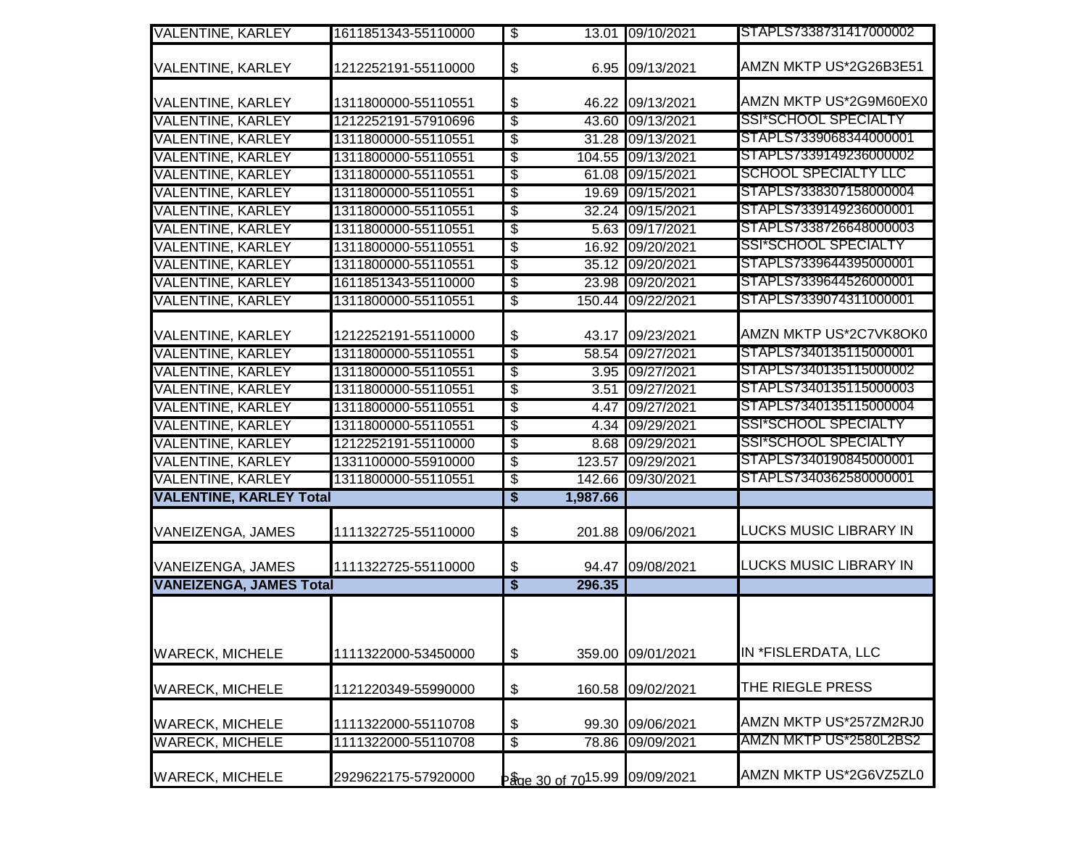| <b>VALENTINE, KARLEY</b>       | 1611851343-55110000 | $\overline{\mathcal{S}}$             |                               | 13.01 09/10/2021  | STAPLS7338731417000002        |
|--------------------------------|---------------------|--------------------------------------|-------------------------------|-------------------|-------------------------------|
|                                |                     |                                      |                               |                   | AMZN MKTP US*2G26B3E51        |
| <b>VALENTINE, KARLEY</b>       | 1212252191-55110000 | \$                                   |                               | 6.95 09/13/2021   |                               |
| VALENTINE, KARLEY              | 1311800000-55110551 | \$                                   |                               | 46.22 09/13/2021  | AMZN MKTP US*2G9M60EX0        |
| <b>VALENTINE, KARLEY</b>       | 1212252191-57910696 | \$                                   |                               | 43.60 09/13/2021  | <b>SSI*SCHOOL SPECIALTY</b>   |
| <b>VALENTINE, KARLEY</b>       | 1311800000-55110551 | \$                                   |                               | 31.28 09/13/2021  | STAPLS7339068344000001        |
| <b>VALENTINE, KARLEY</b>       | 1311800000-55110551 | \$                                   |                               | 104.55 09/13/2021 | STAPLS7339149236000002        |
| <b>VALENTINE, KARLEY</b>       | 1311800000-55110551 | $\overline{\$}$                      |                               | 61.08 09/15/2021  | <b>SCHOOL SPECIALTY LLC</b>   |
| <b>VALENTINE, KARLEY</b>       | 1311800000-55110551 | \$                                   | 19.69                         | 09/15/2021        | STAPLS7338307158000004        |
| <b>VALENTINE, KARLEY</b>       | 1311800000-55110551 | \$                                   |                               | 32.24 09/15/2021  | STAPLS7339149236000001        |
| <b>VALENTINE, KARLEY</b>       | 1311800000-55110551 | $\overline{\$}$                      |                               | 5.63 09/17/2021   | STAPLS7338726648000003        |
| <b>VALENTINE, KARLEY</b>       | 1311800000-55110551 | $\overline{\$}$                      |                               | 16.92 09/20/2021  | SSI*SCHOOL SPECIALTY          |
| <b>VALENTINE, KARLEY</b>       | 1311800000-55110551 | $\overline{\$}$                      |                               | 35.12 09/20/2021  | STAPLS7339644395000001        |
| <b>VALENTINE, KARLEY</b>       | 1611851343-55110000 | \$                                   |                               | 23.98 09/20/2021  | STAPLS7339644526000001        |
| <b>VALENTINE, KARLEY</b>       | 1311800000-55110551 | $\overline{\$}$                      |                               | 150.44 09/22/2021 | STAPLS7339074311000001        |
|                                |                     |                                      |                               |                   |                               |
| <b>VALENTINE, KARLEY</b>       | 1212252191-55110000 | \$                                   |                               | 43.17 09/23/2021  | AMZN MKTP US*2C7VK8OK0        |
| <b>VALENTINE, KARLEY</b>       | 1311800000-55110551 | $\overline{\$}$                      | 58.54                         | 09/27/2021        | STAPLS7340135115000001        |
| <b>VALENTINE, KARLEY</b>       | 1311800000-55110551 | $\overline{\$}$                      | 3.95                          | 09/27/2021        | STAPLS7340135115000002        |
| <b>VALENTINE, KARLEY</b>       | 1311800000-55110551 | $\overline{\$}$                      | 3.51                          | 09/27/2021        | STAPLS7340135115000003        |
| <b>VALENTINE, KARLEY</b>       | 1311800000-55110551 | \$                                   | 4.47                          | 09/27/2021        | STAPLS7340135115000004        |
| <b>VALENTINE, KARLEY</b>       | 1311800000-55110551 | $\overline{\$}$                      |                               | 4.34 09/29/2021   | SSI*SCHOOL SPECIALTY          |
| <b>VALENTINE, KARLEY</b>       | 1212252191-55110000 | $\overline{\$}$                      | 8.68                          | 09/29/2021        | <b>SSI*SCHOOL SPECIALTY</b>   |
| <b>VALENTINE, KARLEY</b>       | 1331100000-55910000 | \$                                   |                               | 123.57 09/29/2021 | STAPLS7340190845000001        |
| <b>VALENTINE, KARLEY</b>       | 1311800000-55110551 | \$                                   |                               | 142.66 09/30/2021 | STAPLS7340362580000001        |
| <b>VALENTINE, KARLEY Total</b> |                     | \$                                   | 1,987.66                      |                   |                               |
|                                |                     |                                      |                               |                   | <b>LUCKS MUSIC LIBRARY IN</b> |
| VANEIZENGA, JAMES              | 1111322725-55110000 | \$                                   |                               | 201.88 09/06/2021 |                               |
| VANEIZENGA, JAMES              | 1111322725-55110000 | \$                                   |                               | 94.47 09/08/2021  | <b>LUCKS MUSIC LIBRARY IN</b> |
| <b>VANEIZENGA, JAMES Total</b> |                     | $\overline{\boldsymbol{\mathsf{s}}}$ | 296.35                        |                   |                               |
|                                |                     |                                      |                               |                   |                               |
|                                |                     |                                      |                               |                   |                               |
|                                |                     |                                      |                               |                   |                               |
| <b>WARECK, MICHELE</b>         | 1111322000-53450000 | \$                                   |                               | 359.00 09/01/2021 | IN *FISLERDATA, LLC           |
| <b>WARECK, MICHELE</b>         | 1121220349-55990000 | \$                                   |                               | 160.58 09/02/2021 | THE RIEGLE PRESS              |
|                                |                     |                                      |                               |                   |                               |
| <b>WARECK, MICHELE</b>         | 1111322000-55110708 | \$                                   | 99.30                         | 09/06/2021        | AMZN MKTP US*257ZM2RJ0        |
| <b>WARECK, MICHELE</b>         | 1111322000-55110708 | $\overline{\mathcal{E}}$             | 78.86                         | 09/09/2021        | AMZN MKTP US*2580L2BS2        |
| <b>WARECK, MICHELE</b>         | 2929622175-57920000 |                                      | Page 30 of 7015.99 09/09/2021 |                   | AMZN MKTP US*2G6VZ5ZL0        |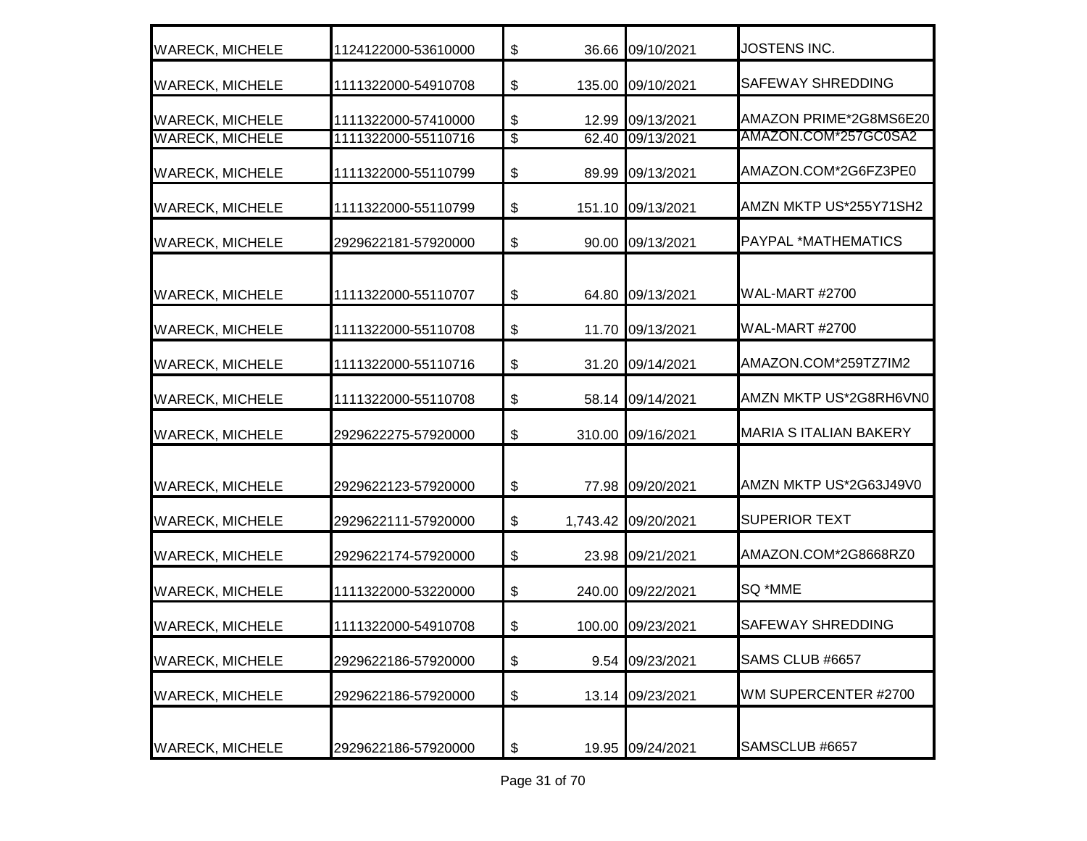| <b>WARECK, MICHELE</b>                           | 1124122000-53610000                        | \$                                        | 36.66 09/10/2021                     | JOSTENS INC.                                   |
|--------------------------------------------------|--------------------------------------------|-------------------------------------------|--------------------------------------|------------------------------------------------|
| <b>WARECK, MICHELE</b>                           | 1111322000-54910708                        | $\, \, \raisebox{12pt}{$\scriptstyle \$}$ | 135.00 09/10/2021                    | <b>SAFEWAY SHREDDING</b>                       |
| <b>WARECK, MICHELE</b><br><b>WARECK, MICHELE</b> | 1111322000-57410000<br>1111322000-55110716 | \$<br>$\sqrt[6]{\frac{2}{5}}$             | 12.99 09/13/2021<br>62.40 09/13/2021 | AMAZON PRIME*2G8MS6E20<br>AMAZON.COM*257GC0SA2 |
| <b>WARECK, MICHELE</b>                           | 1111322000-55110799                        | \$                                        | 89.99 09/13/2021                     | AMAZON.COM*2G6FZ3PE0                           |
| <b>WARECK, MICHELE</b>                           | 1111322000-55110799                        | \$                                        | 151.10 09/13/2021                    | AMZN MKTP US*255Y71SH2                         |
| <b>WARECK, MICHELE</b>                           | 2929622181-57920000                        | \$                                        | 90.00 09/13/2021                     | PAYPAL *MATHEMATICS                            |
| <b>WARECK, MICHELE</b>                           | 1111322000-55110707                        | $\boldsymbol{\mathsf{\$}}$                | 64.80 09/13/2021                     | <b>WAL-MART #2700</b>                          |
| <b>WARECK, MICHELE</b>                           | 1111322000-55110708                        | \$                                        | 11.70 09/13/2021                     | <b>WAL-MART #2700</b>                          |
| <b>WARECK, MICHELE</b>                           | 1111322000-55110716                        | \$                                        | 31.20 09/14/2021                     | AMAZON.COM*259TZ7IM2                           |
| <b>WARECK, MICHELE</b>                           | 1111322000-55110708                        | \$                                        | 58.14 09/14/2021                     | AMZN MKTP US*2G8RH6VN0                         |
| <b>WARECK, MICHELE</b>                           | 2929622275-57920000                        | $\, \, \raisebox{12pt}{$\scriptstyle \$}$ | 310.00 09/16/2021                    | <b>MARIA S ITALIAN BAKERY</b>                  |
| <b>WARECK, MICHELE</b>                           | 2929622123-57920000                        | \$                                        | 77.98 09/20/2021                     | AMZN MKTP US*2G63J49V0                         |
| <b>WARECK, MICHELE</b>                           | 2929622111-57920000                        | \$                                        | 1,743.42 09/20/2021                  | <b>SUPERIOR TEXT</b>                           |
| <b>WARECK, MICHELE</b>                           | 2929622174-57920000                        | \$                                        | 23.98 09/21/2021                     | AMAZON.COM*2G8668RZ0                           |
| <b>WARECK, MICHELE</b>                           | 1111322000-53220000                        | \$                                        | 240.00 09/22/2021                    | SQ *MME                                        |
| <b>WARECK, MICHELE</b>                           | 1111322000-54910708                        | \$                                        | 100.00 09/23/2021                    | <b>SAFEWAY SHREDDING</b>                       |
| <b>WARECK, MICHELE</b>                           | 2929622186-57920000                        | \$                                        | 9.54 09/23/2021                      | SAMS CLUB #6657                                |
| <b>WARECK, MICHELE</b>                           | 2929622186-57920000                        | \$                                        | 13.14 09/23/2021                     | WM SUPERCENTER #2700                           |
| <b>WARECK, MICHELE</b>                           | 2929622186-57920000                        | \$                                        | 19.95 09/24/2021                     | SAMSCLUB #6657                                 |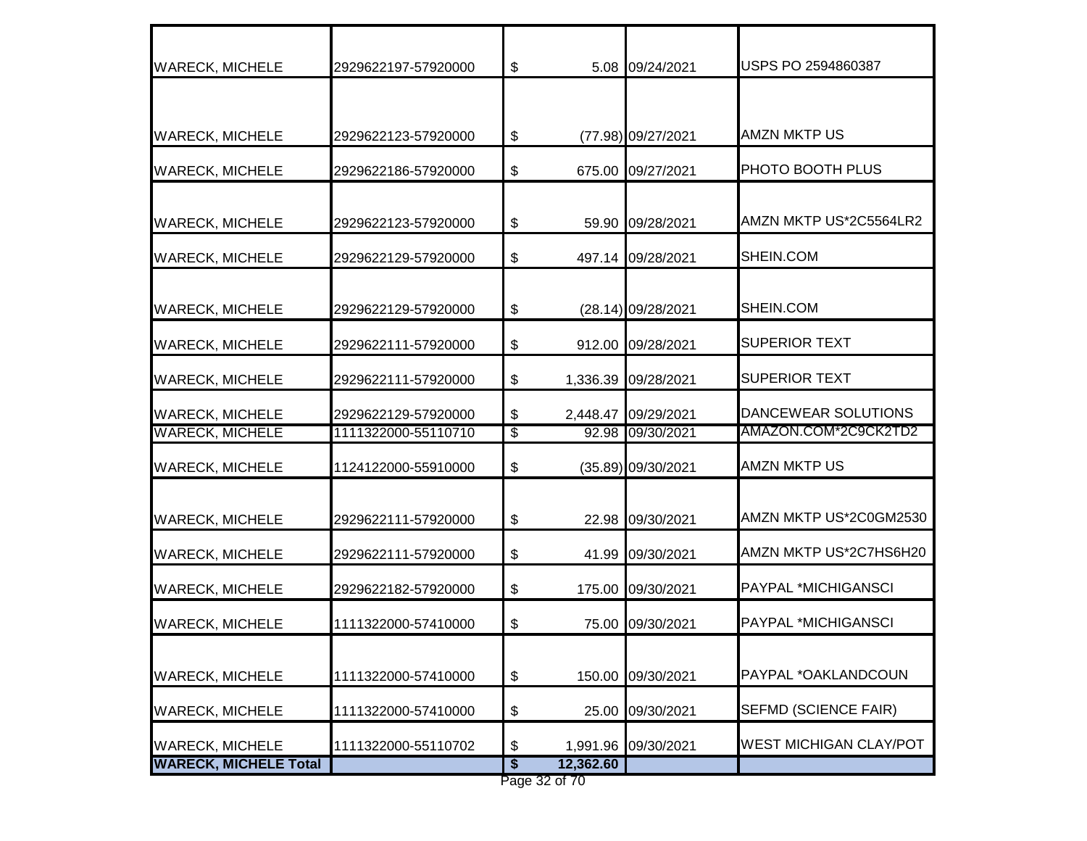| <b>WARECK, MICHELE</b>       | 2929622197-57920000 | \$                                        |               | 5.08 09/24/2021     | USPS PO 2594860387            |
|------------------------------|---------------------|-------------------------------------------|---------------|---------------------|-------------------------------|
|                              |                     |                                           |               |                     |                               |
| <b>WARECK, MICHELE</b>       | 2929622123-57920000 | \$                                        |               | (77.98) 09/27/2021  | <b>AMZN MKTP US</b>           |
| <b>WARECK, MICHELE</b>       | 2929622186-57920000 | \$                                        |               | 675.00 09/27/2021   | PHOTO BOOTH PLUS              |
| <b>WARECK, MICHELE</b>       | 2929622123-57920000 | \$                                        |               | 59.90 09/28/2021    | AMZN MKTP US*2C5564LR2        |
| <b>WARECK, MICHELE</b>       | 2929622129-57920000 | \$                                        |               | 497.14 09/28/2021   | SHEIN.COM                     |
| <b>WARECK, MICHELE</b>       | 2929622129-57920000 | \$                                        |               | (28.14) 09/28/2021  | SHEIN.COM                     |
| <b>WARECK, MICHELE</b>       | 2929622111-57920000 | $\, \, \raisebox{12pt}{$\scriptstyle \$}$ |               | 912.00 09/28/2021   | <b>SUPERIOR TEXT</b>          |
| <b>WARECK, MICHELE</b>       | 2929622111-57920000 | \$                                        |               | 1,336.39 09/28/2021 | <b>SUPERIOR TEXT</b>          |
| <b>WARECK, MICHELE</b>       | 2929622129-57920000 | \$                                        |               | 2,448.47 09/29/2021 | <b>DANCEWEAR SOLUTIONS</b>    |
| <b>WARECK, MICHELE</b>       | 1111322000-55110710 | \$                                        |               | 92.98 09/30/2021    | AMAZON.COM*2C9CK2TD2          |
| <b>WARECK, MICHELE</b>       | 1124122000-55910000 | \$                                        |               | (35.89) 09/30/2021  | <b>AMZN MKTP US</b>           |
| <b>WARECK, MICHELE</b>       | 2929622111-57920000 | $\, \, \raisebox{12pt}{$\scriptstyle \$}$ |               | 22.98 09/30/2021    | AMZN MKTP US*2C0GM2530        |
| <b>WARECK, MICHELE</b>       | 2929622111-57920000 | \$                                        |               | 41.99 09/30/2021    | AMZN MKTP US*2C7HS6H20        |
| <b>WARECK, MICHELE</b>       | 2929622182-57920000 | \$                                        |               | 175.00 09/30/2021   | PAYPAL *MICHIGANSCI           |
| <b>WARECK, MICHELE</b>       | 1111322000-57410000 | \$                                        |               | 75.00 09/30/2021    | PAYPAL *MICHIGANSCI           |
| <b>WARECK, MICHELE</b>       | 1111322000-57410000 | \$                                        |               | 150.00 09/30/2021   | PAYPAL *OAKLANDCOUN           |
| <b>WARECK, MICHELE</b>       | 1111322000-57410000 | \$                                        |               | 25.00 09/30/2021    | <b>SEFMD (SCIENCE FAIR)</b>   |
| <b>WARECK, MICHELE</b>       | 1111322000-55110702 | \$                                        |               | 1,991.96 09/30/2021 | <b>WEST MICHIGAN CLAY/POT</b> |
| <b>WARECK, MICHELE Total</b> |                     | \$                                        | 12,362.60     |                     |                               |
|                              |                     |                                           | Page 32 of 70 |                     |                               |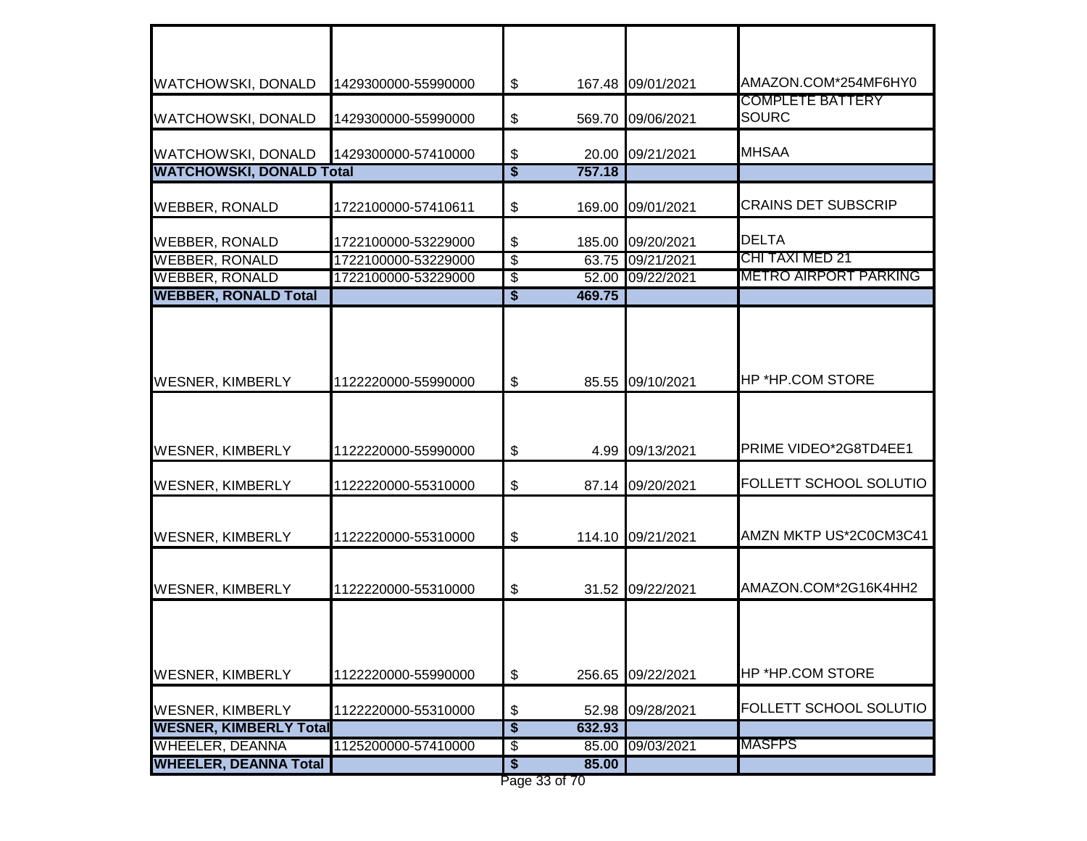| <b>WATCHOWSKI, DONALD</b>                                | 1429300000-55990000 | \$                                         |        | 167.48 09/01/2021 | AMAZON.COM*254MF6HY0                    |
|----------------------------------------------------------|---------------------|--------------------------------------------|--------|-------------------|-----------------------------------------|
| <b>WATCHOWSKI, DONALD</b>                                | 1429300000-55990000 | \$                                         |        | 569.70 09/06/2021 | <b>COMPLETE BATTERY</b><br><b>SOURC</b> |
| <b>WATCHOWSKI, DONALD</b>                                | 1429300000-57410000 | \$                                         |        | 20.00 09/21/2021  | <b>MHSAA</b>                            |
| <b>WATCHOWSKI, DONALD Total</b>                          |                     | $\overline{\boldsymbol{\mathsf{s}}}$       | 757.18 |                   |                                         |
| <b>WEBBER, RONALD</b>                                    | 1722100000-57410611 | \$                                         |        | 169.00 09/01/2021 | <b>CRAINS DET SUBSCRIP</b>              |
| <b>WEBBER, RONALD</b>                                    | 1722100000-53229000 | \$                                         |        | 185.00 09/20/2021 | DELTA                                   |
| <b>WEBBER, RONALD</b>                                    | 1722100000-53229000 | $\overline{\$}$                            |        | 63.75 09/21/2021  | CHI TAXI MED 21                         |
| <b>WEBBER, RONALD</b>                                    | 1722100000-53229000 | $\overline{\mathbf{e}}$                    |        | 52.00 09/22/2021  | <b>METRO AIRPORT PARKING</b>            |
| <b>WEBBER, RONALD Total</b>                              |                     | $\overline{\$}$                            | 469.75 |                   |                                         |
| <b>WESNER, KIMBERLY</b>                                  | 1122220000-55990000 | $\boldsymbol{\mathsf{\$}}$                 |        | 85.55 09/10/2021  | <b>HP *HP.COM STORE</b>                 |
| <b>WESNER, KIMBERLY</b>                                  | 1122220000-55990000 | $\boldsymbol{\mathsf{\$}}$                 |        | 4.99 09/13/2021   | PRIME VIDEO*2G8TD4EE1                   |
| <b>WESNER, KIMBERLY</b>                                  | 1122220000-55310000 | \$                                         |        | 87.14 09/20/2021  | <b>FOLLETT SCHOOL SOLUTIO</b>           |
| <b>WESNER, KIMBERLY</b>                                  | 1122220000-55310000 | \$                                         |        | 114.10 09/21/2021 | AMZN MKTP US*2C0CM3C41                  |
| <b>WESNER, KIMBERLY</b>                                  | 1122220000-55310000 | \$                                         |        | 31.52 09/22/2021  | AMAZON.COM*2G16K4HH2                    |
| <b>WESNER, KIMBERLY</b>                                  | 1122220000-55990000 | \$                                         |        | 256.65 09/22/2021 | <b>HP *HP.COM STORE</b>                 |
|                                                          |                     |                                            |        |                   | <b>FOLLETT SCHOOL SOLUTIO</b>           |
| <b>WESNER, KIMBERLY</b><br><b>WESNER, KIMBERLY Total</b> | 1122220000-55310000 | \$<br>$\overline{\boldsymbol{\mathsf{s}}}$ | 632.93 | 52.98 09/28/2021  |                                         |
| <b>WHEELER, DEANNA</b>                                   | 1125200000-57410000 | \$                                         |        | 85.00 09/03/2021  | MASFPS                                  |
| <b>WHEELER, DEANNA Total</b>                             |                     | \$                                         | 85.00  |                   |                                         |
|                                                          |                     |                                            |        |                   |                                         |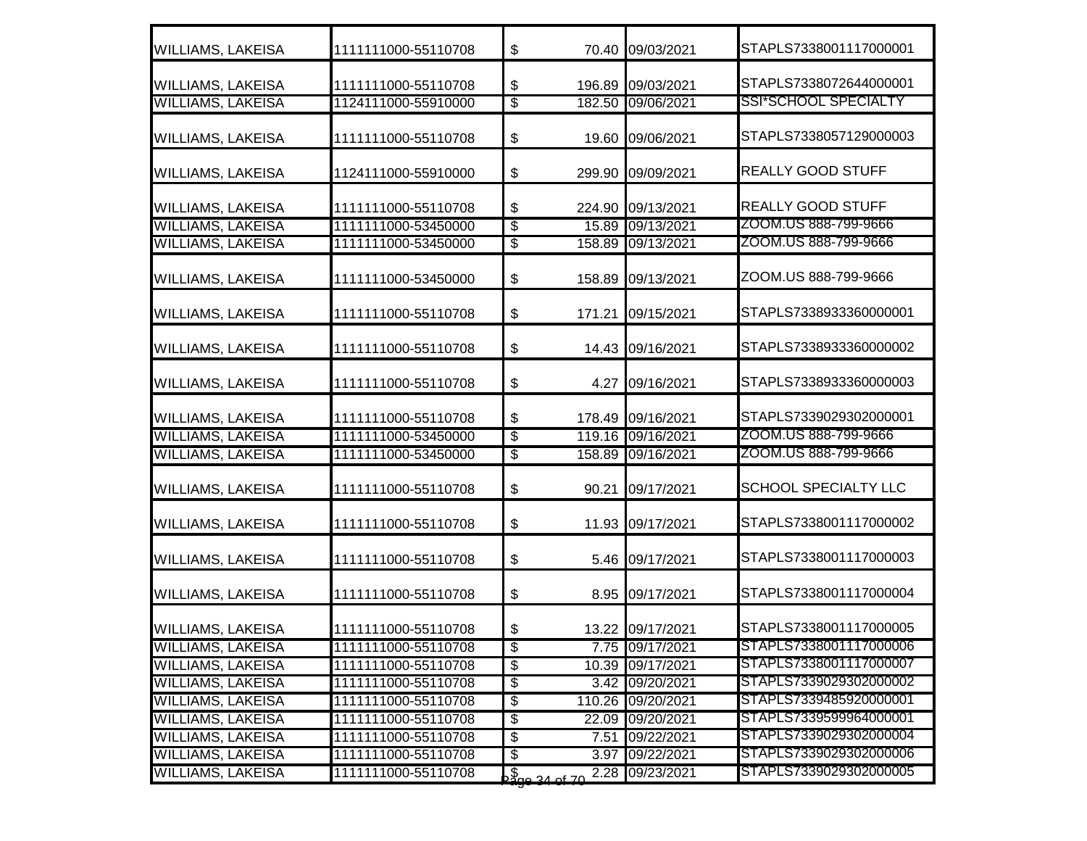| <b>WILLIAMS, LAKEISA</b> | 1111111000-55110708 | \$                       |                           | 70.40 09/03/2021  | STAPLS7338001117000001      |
|--------------------------|---------------------|--------------------------|---------------------------|-------------------|-----------------------------|
| <b>WILLIAMS, LAKEISA</b> | 1111111000-55110708 | \$                       |                           | 196.89 09/03/2021 | STAPLS7338072644000001      |
| <b>WILLIAMS, LAKEISA</b> | 1124111000-55910000 | $\overline{\$}$          |                           | 182.50 09/06/2021 | SSI*SCHOOL SPECIALTY        |
| <b>WILLIAMS, LAKEISA</b> | 1111111000-55110708 | \$                       | 19.60                     | 09/06/2021        | STAPLS7338057129000003      |
| <b>WILLIAMS, LAKEISA</b> | 1124111000-55910000 | \$                       | 299.90                    | 09/09/2021        | <b>REALLY GOOD STUFF</b>    |
| <b>WILLIAMS, LAKEISA</b> | 1111111000-55110708 | \$                       |                           | 224.90 09/13/2021 | <b>REALLY GOOD STUFF</b>    |
| <b>WILLIAMS, LAKEISA</b> | 1111111000-53450000 | \$                       | 15.89                     | 09/13/2021        | ZOOM.US 888-799-9666        |
| <b>WILLIAMS, LAKEISA</b> | 1111111000-53450000 | $\overline{\$}$          |                           | 158.89 09/13/2021 | ZOOM.US 888-799-9666        |
| <b>WILLIAMS, LAKEISA</b> | 1111111000-53450000 | \$                       |                           | 158.89 09/13/2021 | ZOOM.US 888-799-9666        |
| <b>WILLIAMS, LAKEISA</b> | 1111111000-55110708 | \$                       |                           | 171.21 09/15/2021 | STAPLS7338933360000001      |
| <b>WILLIAMS, LAKEISA</b> | 1111111000-55110708 | \$                       |                           | 14.43 09/16/2021  | STAPLS7338933360000002      |
| <b>WILLIAMS, LAKEISA</b> | 1111111000-55110708 | \$                       |                           | 4.27 09/16/2021   | STAPLS7338933360000003      |
| <b>WILLIAMS, LAKEISA</b> | 1111111000-55110708 | \$                       |                           | 178.49 09/16/2021 | STAPLS7339029302000001      |
| <b>WILLIAMS, LAKEISA</b> | 1111111000-53450000 | \$                       |                           | 119.16 09/16/2021 | ZOOM.US 888-799-9666        |
| <b>WILLIAMS, LAKEISA</b> | 1111111000-53450000 | $\overline{\mathcal{E}}$ | 158.89                    | 09/16/2021        | ZOOM.US 888-799-9666        |
| <b>WILLIAMS, LAKEISA</b> | 1111111000-55110708 | \$                       | 90.21                     | 09/17/2021        | <b>SCHOOL SPECIALTY LLC</b> |
| <b>WILLIAMS, LAKEISA</b> | 1111111000-55110708 | \$                       | 11.93                     | 09/17/2021        | STAPLS7338001117000002      |
| <b>WILLIAMS, LAKEISA</b> | 1111111000-55110708 | \$                       |                           | 5.46 09/17/2021   | STAPLS7338001117000003      |
| <b>WILLIAMS, LAKEISA</b> | 1111111000-55110708 | \$                       |                           | 8.95 09/17/2021   | STAPLS7338001117000004      |
| <b>WILLIAMS, LAKEISA</b> | 1111111000-55110708 | \$                       |                           | 13.22 09/17/2021  | STAPLS7338001117000005      |
| <b>WILLIAMS, LAKEISA</b> | 1111111000-55110708 | $\overline{\$}$          |                           | 7.75 09/17/2021   | STAPLS7338001117000006      |
| <b>WILLIAMS, LAKEISA</b> | 1111111000-55110708 | $\overline{\$}$          |                           | 10.39 09/17/2021  | STAPLS7338001117000007      |
| <b>WILLIAMS, LAKEISA</b> | 1111111000-55110708 | \$                       |                           | 3.42 09/20/2021   | STAPLS7339029302000002      |
| <b>WILLIAMS, LAKEISA</b> | 1111111000-55110708 | \$                       |                           | 110.26 09/20/2021 | STAPLS7339485920000001      |
| <b>WILLIAMS, LAKEISA</b> | 1111111000-55110708 | \$                       |                           | 22.09 09/20/2021  | STAPLS7339599964000001      |
| <b>WILLIAMS, LAKEISA</b> | 1111111000-55110708 | \$                       |                           | 7.51 09/22/2021   | STAPLS7339029302000004      |
| <b>WILLIAMS, LAKEISA</b> | 1111111000-55110708 | \$                       |                           | 3.97 09/22/2021   | STAPLS7339029302000006      |
| <b>WILLIAMS, LAKEISA</b> | 1111111000-55110708 |                          | $\frac{1}{2000}$ 34 of 70 | 2.28 09/23/2021   | STAPLS7339029302000005      |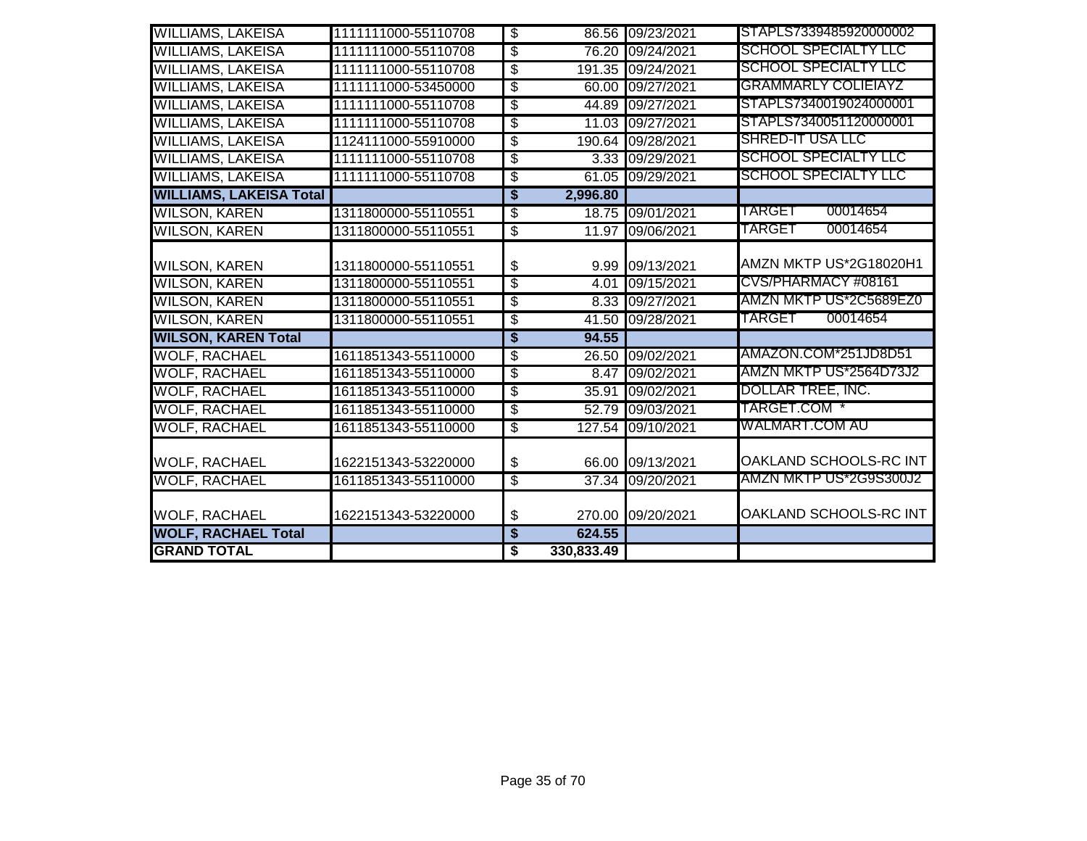| <b>WILLIAMS, LAKEISA</b>       | 1111111000-55110708 | \$                                   |            | 86.56 09/23/2021  | STAPLS7339485920000002      |
|--------------------------------|---------------------|--------------------------------------|------------|-------------------|-----------------------------|
| <b>WILLIAMS, LAKEISA</b>       | 1111111000-55110708 | \$                                   |            | 76.20 09/24/2021  | <b>SCHOOL SPECIALTY LLC</b> |
| <b>WILLIAMS, LAKEISA</b>       | 1111111000-55110708 | $\overline{\mathcal{S}}$             |            | 191.35 09/24/2021 | <b>SCHOOL SPECIALTY LLC</b> |
| <b>WILLIAMS, LAKEISA</b>       | 1111111000-53450000 | \$                                   |            | 60.00 09/27/2021  | <b>GRAMMARLY COLIEIAYZ</b>  |
| <b>WILLIAMS, LAKEISA</b>       | 1111111000-55110708 | $\overline{\mathcal{S}}$             |            | 44.89 09/27/2021  | STAPLS7340019024000001      |
| <b>WILLIAMS, LAKEISA</b>       | 1111111000-55110708 | \$                                   |            | 11.03 09/27/2021  | STAPLS7340051120000001      |
| <b>WILLIAMS, LAKEISA</b>       | 1124111000-55910000 | $\overline{\mathcal{S}}$             |            | 190.64 09/28/2021 | <b>SHRED-IT USA LLC</b>     |
| <b>WILLIAMS, LAKEISA</b>       | 1111111000-55110708 | \$                                   |            | 3.33 09/29/2021   | <b>SCHOOL SPECIALTY LLC</b> |
| <b>WILLIAMS, LAKEISA</b>       | 1111111000-55110708 | $\overline{\$}$                      |            | 61.05 09/29/2021  | <b>SCHOOL SPECIALTY LLC</b> |
| <b>WILLIAMS, LAKEISA Total</b> |                     | $\overline{\boldsymbol{\mathsf{s}}}$ | 2,996.80   |                   |                             |
| <b>WILSON, KAREN</b>           | 1311800000-55110551 | \$                                   | 18.75      | 09/01/2021        | 00014654<br>TARGET          |
| <b>WILSON, KAREN</b>           | 1311800000-55110551 | $\overline{\$}$                      |            | 11.97 09/06/2021  | TARGET<br>00014654          |
|                                |                     |                                      |            |                   |                             |
| <b>WILSON, KAREN</b>           | 1311800000-55110551 | \$                                   |            | 9.99 09/13/2021   | AMZN MKTP US*2G18020H1      |
| <b>WILSON, KAREN</b>           | 1311800000-55110551 | $\overline{\mathcal{S}}$             | 4.01       | 09/15/2021        | CVS/PHARMACY #08161         |
| <b>WILSON, KAREN</b>           | 1311800000-55110551 | \$                                   |            | 8.33 09/27/2021   | AMZN MKTP US*2C5689EZ0      |
| <b>WILSON, KAREN</b>           | 1311800000-55110551 | $\overline{\mathcal{S}}$             |            | 41.50 09/28/2021  | 00014654<br>TARGET          |
| <b>WILSON, KAREN Total</b>     |                     | \$                                   | 94.55      |                   |                             |
| <b>WOLF, RACHAEL</b>           | 1611851343-55110000 | \$                                   | 26.50      | 09/02/2021        | AMAZON.COM*251JD8D51        |
| <b>WOLF, RACHAEL</b>           | 1611851343-55110000 | S                                    |            | 8.47 09/02/2021   | AMZN MKTP US*2564D73J2      |
| <b>WOLF, RACHAEL</b>           | 1611851343-55110000 | \$                                   | 35.91      | 09/02/2021        | DOLLAR TREE, INC.           |
| <b>WOLF, RACHAEL</b>           | 1611851343-55110000 | S                                    |            | 52.79 09/03/2021  | TARGET.COM *                |
| <b>WOLF, RACHAEL</b>           | 1611851343-55110000 | $\overline{\$}$                      |            | 127.54 09/10/2021 | WALMART.COM AU              |
| <b>WOLF, RACHAEL</b>           | 1622151343-53220000 | \$                                   |            | 66.00 09/13/2021  | OAKLAND SCHOOLS-RC INT      |
| <b>WOLF, RACHAEL</b>           | 1611851343-55110000 | $\overline{\mathcal{S}}$             |            | 37.34 09/20/2021  | AMZN MKTP US*2G9S300J2      |
| <b>WOLF, RACHAEL</b>           | 1622151343-53220000 | \$                                   |            | 270.00 09/20/2021 | OAKLAND SCHOOLS-RC INT      |
| <b>WOLF, RACHAEL Total</b>     |                     | \$                                   | 624.55     |                   |                             |
| <b>GRAND TOTAL</b>             |                     | \$                                   | 330,833.49 |                   |                             |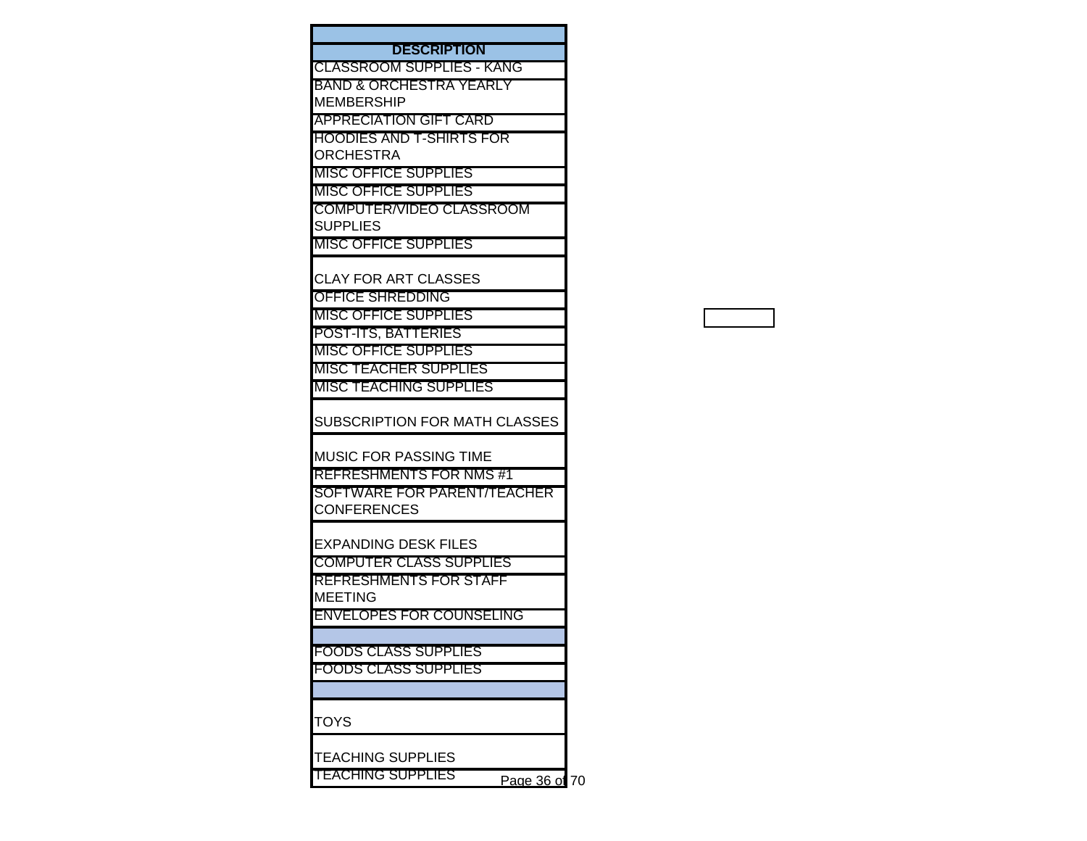| <b>DESCRIPTION</b>                        |  |
|-------------------------------------------|--|
| <b>CLASSROOM SUPPLIES - KANG</b>          |  |
| BAND & ORCHESTRA YEARLY                   |  |
| <b>MEMBERSHIP</b>                         |  |
| <b>APPRECIATION GIFT CARD</b>             |  |
| HOODIES AND T-SHIRTS FOR                  |  |
| <b>ORCHESTRA</b>                          |  |
| <b>MISC OFFICE SUPPLIES</b>               |  |
| <b>MISC OFFICE SUPPLIES</b>               |  |
| <b>COMPUTER/VIDEO CLASSROOM</b>           |  |
| <b>SUPPLIES</b>                           |  |
| <b>MISC OFFICE SUPPLIES</b>               |  |
|                                           |  |
| <b>CLAY FOR ART CLASSES</b>               |  |
| OFFICE SHREDDING                          |  |
| <b>MISC OFFICE SUPPLIES</b>               |  |
| <b>POST-ITS, BATTERIES</b>                |  |
| <b>MISC OFFICE SUPPLIES</b>               |  |
| MISC TEACHER SUPPLIES                     |  |
| <b>MISC TEACHING SUPPLIES</b>             |  |
| SUBSCRIPTION FOR MATH CLASSES             |  |
| <b>MUSIC FOR PASSING TIME</b>             |  |
| <b>REFRESHMENTS FOR NMS#1</b>             |  |
| <b>SOFTWARE FOR PARENT/TEACHER</b>        |  |
| <b>CONFERENCES</b>                        |  |
|                                           |  |
| <b>EXPANDING DESK FILES</b>               |  |
| <b>COMPUTER CLASS SUPPLIES</b>            |  |
| <b>REFRESHMENTS FOR STAFF</b>             |  |
| <b>MEETING</b>                            |  |
| <b>ENVELOPES FOR COUNSELING</b>           |  |
|                                           |  |
| <b>FOODS CLASS SUPPLIES</b>               |  |
| <b>FOODS CLASS SUPPLIES</b>               |  |
|                                           |  |
|                                           |  |
| TOYS                                      |  |
|                                           |  |
| <b>TEACHING SUPPLIES</b>                  |  |
| <b>TEACHING SUPPLIES</b><br>Page 36 of 70 |  |
|                                           |  |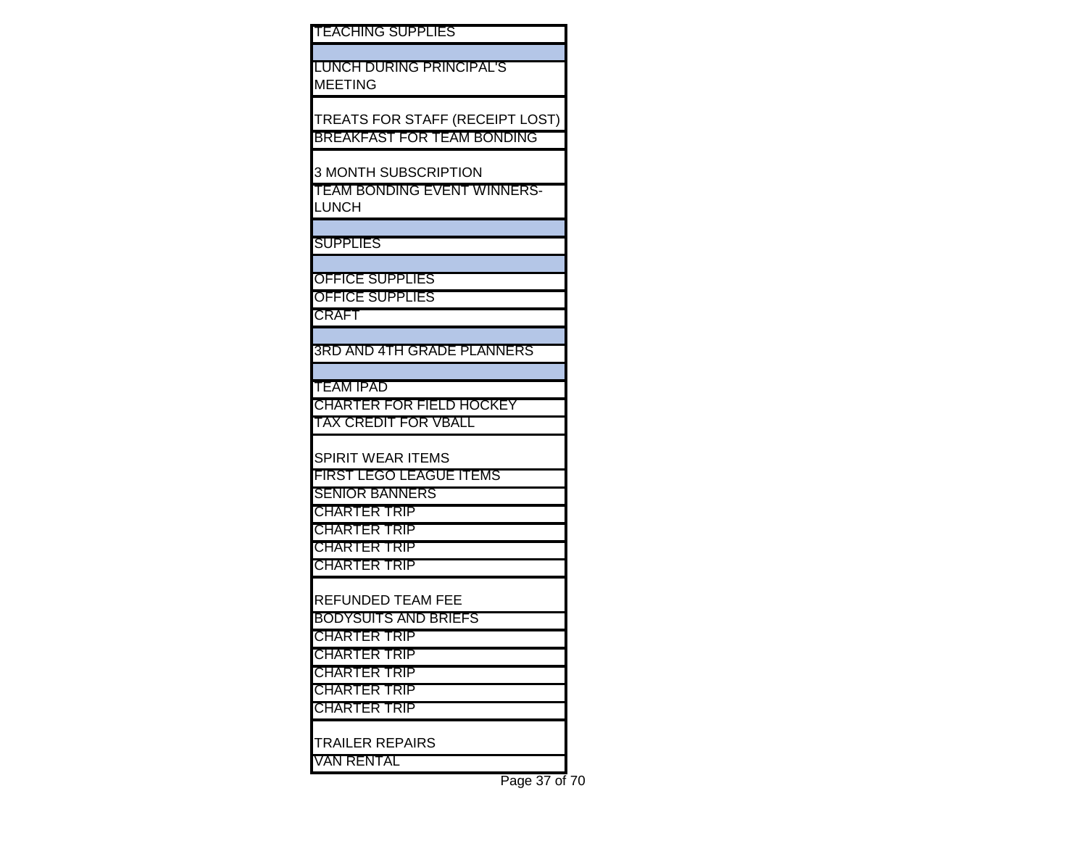LUNCH DURING PRINCIPAL'S MEETING

TREATS FOR STAFF (RECEIPT LOST) BREAKFAST FOR TEAM BONDING

3 MONTH SUBSCRIPTION

TEAM BONDING EVENT WINNERS-**LUNCH** 

**SUPPLIES** 

OFFICE SUPPLIES

OFFICE SUPPLIES

CRAFT

3RD AND 4TH GRADE PLANNERS

TEAM IPAD

CHARTER FOR FIELD HOCKEY TAX CREDIT FOR VBALL

SPIRIT WEAR ITEMS

FIRST LEGO LEAGUE ITEMS

SENIOR BANNERS CHARTER TRIP

CHARTER TRIP

CHARTER TRIP CHARTER TRIP

REFUNDED TEAM FEE

BODYSUITS AND BRIEFS

CHARTER TRIP

CHARTER TRIP

CHARTER TRIP CHARTER TRIP

CHARTER TRIP

TRAILER REPAIRS

VAN RENTAL

Page 37 of 70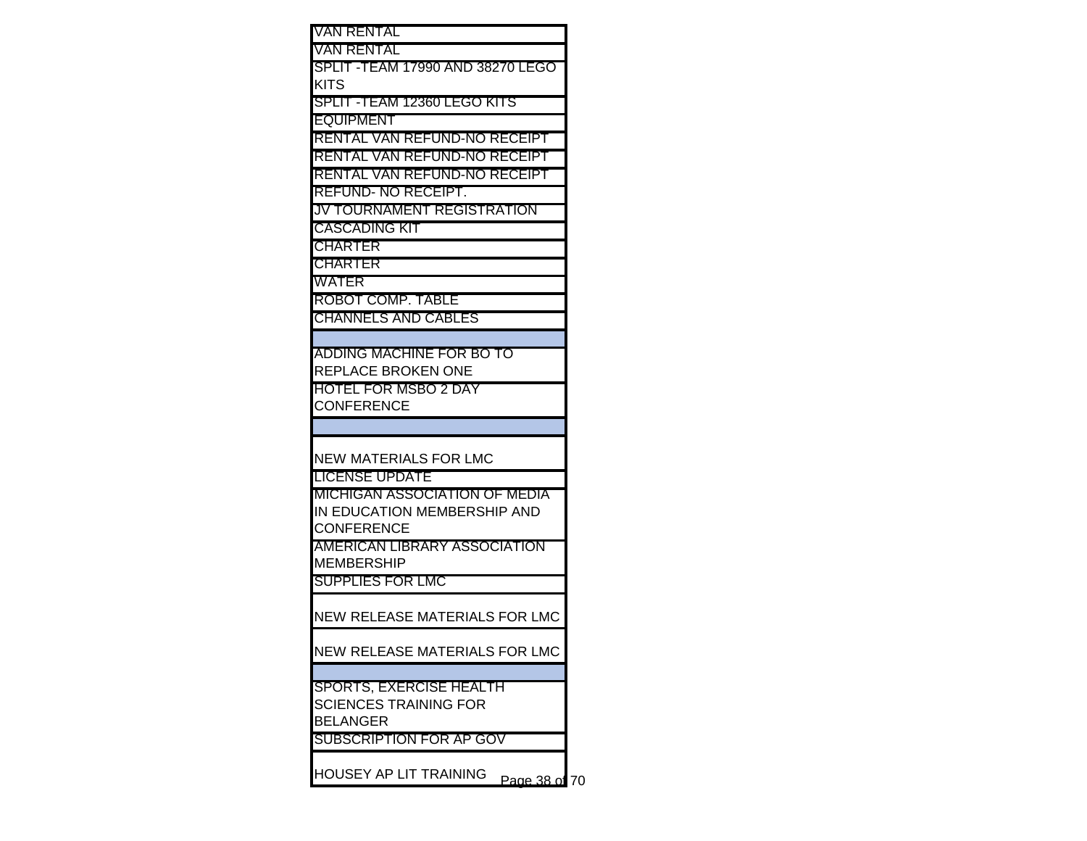| VAN RENTAL                           |    |
|--------------------------------------|----|
| VAN RENTAL                           |    |
| SPLIT -TEAM 17990 AND 38270 LEGO     |    |
| KITS                                 |    |
| SPLIT -TEAM 12360 LEGO KITS          |    |
| EQUIPMENT                            |    |
| RENTAL VAN REFUND-NO RECEIPT         |    |
| RENTAL VAN REFUND-NO RECEIPT         |    |
| RENTAL VAN REFUND-NO RECEIPT         |    |
| REFUND- NO RECEIPT.                  |    |
| JV TOURNAMENT REGISTRATION           |    |
| CASCADING KIT                        |    |
| CHARTER                              |    |
| <b>CHARTER</b>                       |    |
| WATER                                |    |
| ROBOT COMP. TABLE                    |    |
| <b>CHANNELS AND CABLES</b>           |    |
|                                      |    |
| ADDING MACHINE FOR BO TO             |    |
| REPLACE BROKEN ONE                   |    |
| <b>HOTEL FOR MSBO 2 DAY</b>          |    |
| <b>CONFERENCE</b>                    |    |
|                                      |    |
|                                      |    |
| NEW MATERIALS FOR LMC                |    |
| LICENSE UPDATE                       |    |
| MICHIGAN ASSOCIATION OF MEDIA        |    |
| IN EDUCATION MEMBERSHIP AND          |    |
| <b>CONFERENCE</b>                    |    |
| AMERICAN LIBRARY ASSOCIATION         |    |
| <b>MEMBERSHIP</b>                    |    |
| <b>SUPPLIES FOR LMC</b>              |    |
|                                      |    |
| NEW RELEASE MATERIALS FOR LMC        |    |
|                                      |    |
| NEW RELEASE MATERIALS FOR LMC        |    |
|                                      |    |
| SPORTS, EXERCISE HEALTH              |    |
| <b>SCIENCES TRAINING FOR</b>         |    |
| <b>BELANGER</b>                      |    |
| SUBSCRIPTION FOR AP GOV              |    |
|                                      |    |
| HOUSEY AP LIT TRAINING<br>Page 38 of | 70 |
|                                      |    |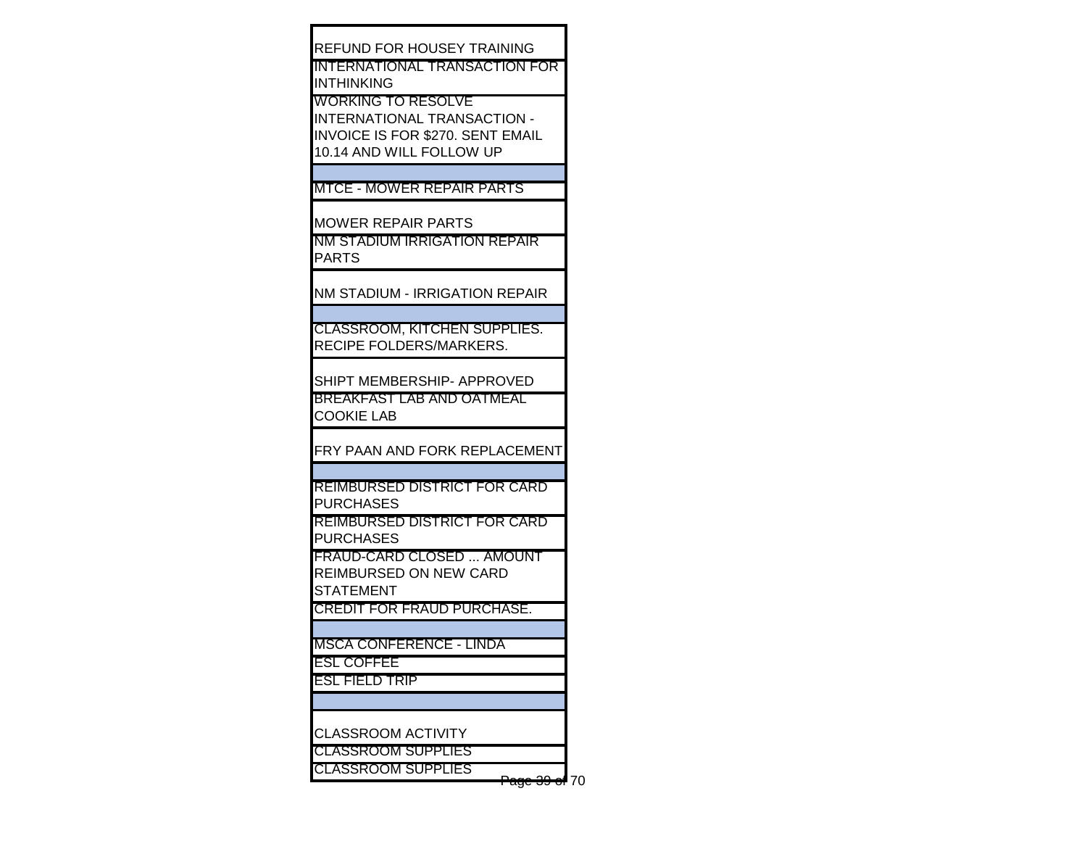REFUND FOR HOUSEY TRAINING INTERNATIONAL TRANSACTION FOR INTHINKING WORKING TO RESOLVE INTERNATIONAL TRANSACTION - INVOICE IS FOR \$270. SENT EMAIL 10.14 AND WILL FOLLOW UP MTCE - MOWER REPAIR PARTS MOWER REPAIR PARTS NM STADIUM IRRIGATION REPAIR PARTS NM STADIUM - IRRIGATION REPAIR CLASSROOM, KITCHEN SUPPLIES. RECIPE FOLDERS/MARKERS. SHIPT MEMBERSHIP- APPROVED BREAKFAST LAB AND OATMEAL COOKIE LAB FRY PAAN AND FORK REPLACEMENT REIMBURSED DISTRICT FOR CARD PURCHASES REIMBURSED DISTRICT FOR CARD PURCHASES FRAUD-CARD CLOSED ... AMOUNT REIMBURSED ON NEW CARD STATEMENT CREDIT FOR FRAUD PURCHASE. MSCA CONFERENCE - LINDA ESL COFFEE ESL FIELD TRIP CLASSROOM ACTIVITY CLASSROOM SUPPLIES CLASSROOM SUPPLIES

Page 39 of 70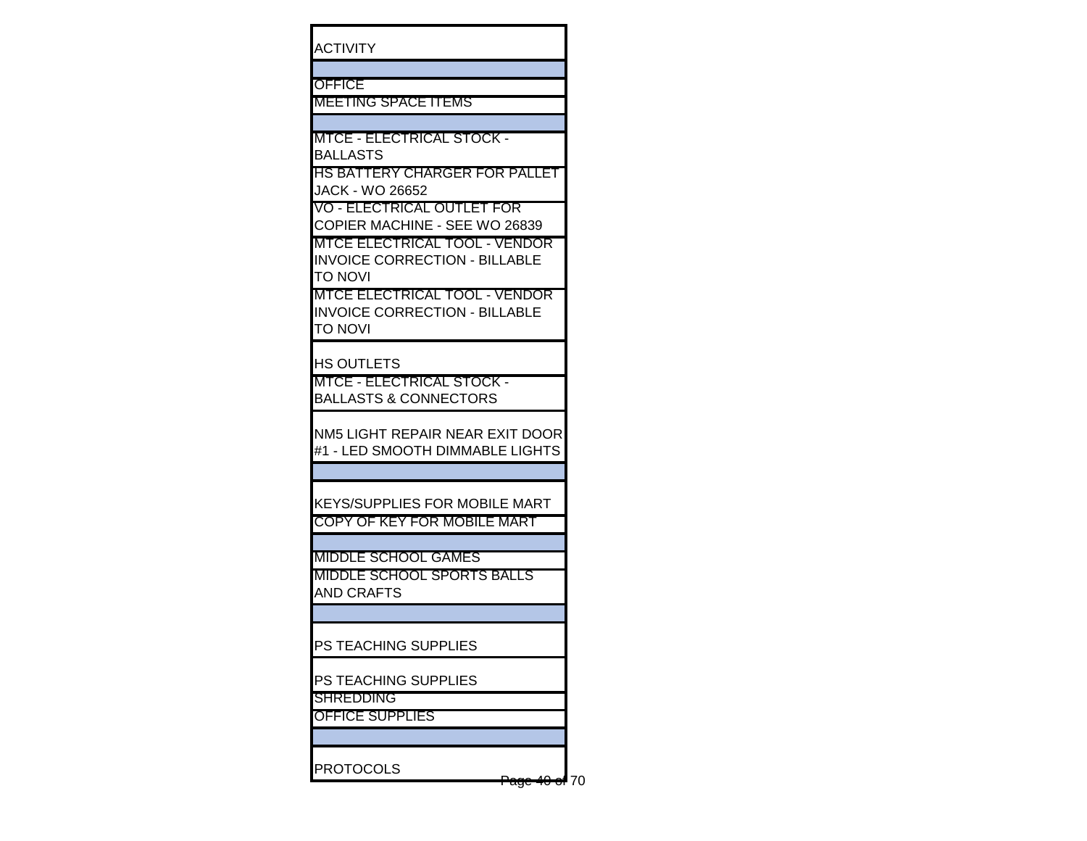| <b>ACTIVITY</b>                    |                                                                              |  |
|------------------------------------|------------------------------------------------------------------------------|--|
| OFFICE                             | <b>MEETING SPACE ITEMS</b>                                                   |  |
|                                    | <b>MTCE - ELECTRICAL STOCK -</b>                                             |  |
| <b>BALLASTS</b><br>JACK - WO 26652 | HS BATTERY CHARGER FOR PALLET                                                |  |
|                                    | <u> VO - ELECTRICAL OUTLET FOR</u><br>COPIER MACHINE - SEE WO 26839          |  |
| TO NOVI                            | <b>MTCE ELECTRICAL TOOL - VENDOR</b><br><b>INVOICE CORRECTION - BILLABLE</b> |  |
| ΤΟ ΝΟVΙ                            | <u> MTCE ELECTRICAL TOOL - VENDOR</u><br>INVOICE CORRECTION - BILLABLE       |  |
| HS OUTLETS                         | MTCE - ELECTRICAL STOCK -<br>BALLASTS & CONNECTORS                           |  |
|                                    | NM5 LIGHT REPAIR NEAR EXIT DOOR<br>#1 - LED SMOOTH DIMMABLE LIGHTS           |  |
|                                    | KEYS/SUPPLIES FOR MOBILE MART<br>COPY OF KEY FOR MOBILE MART                 |  |
|                                    | <b>MIDDLE SCHOOL GAMES</b>                                                   |  |
| AND CRAFTS                         | MIDDLE SCHOOL SPORTS BALLS                                                   |  |
|                                    |                                                                              |  |
|                                    | PS TEACHING SUPPLIES                                                         |  |
| SHREDDING                          | PS TEACHING SUPPLIES                                                         |  |
| <b>OFFICE SUPPLIES</b>             |                                                                              |  |
|                                    |                                                                              |  |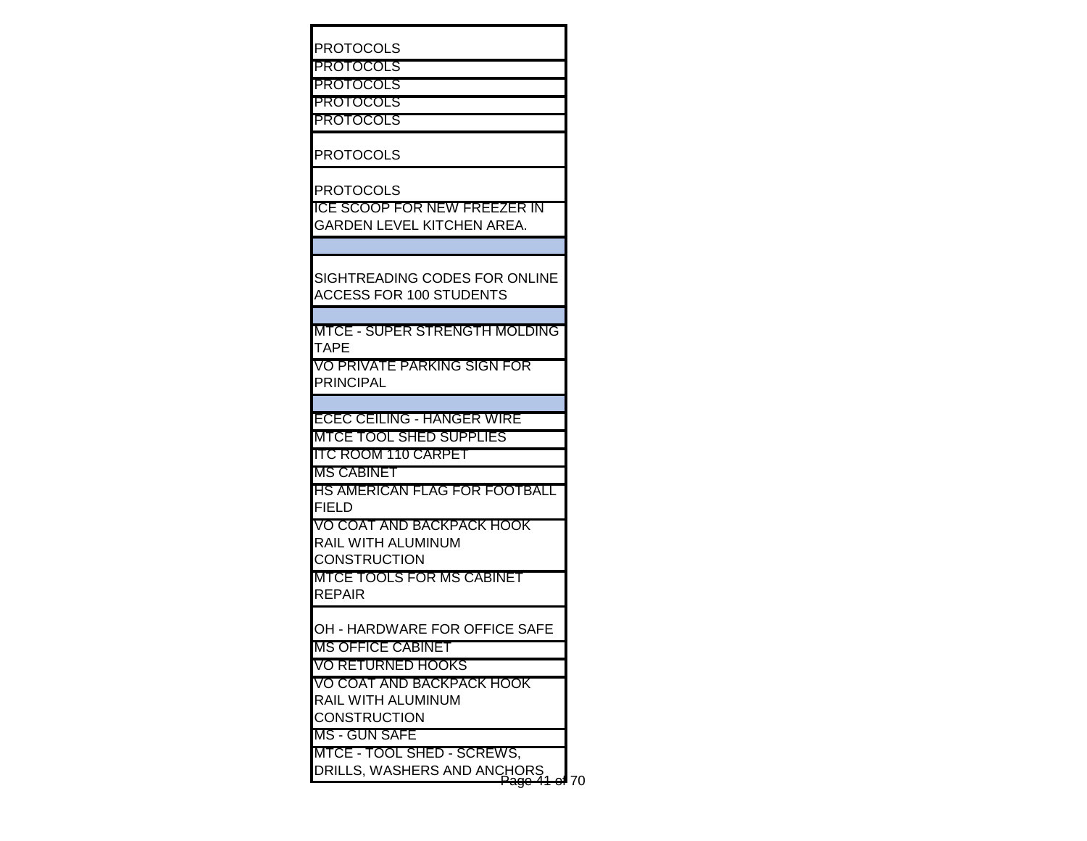| <b>PROTOCOLS</b>                                                |      |
|-----------------------------------------------------------------|------|
| <b>PROTOCOLS</b>                                                |      |
| <b>PROTOCOLS</b>                                                |      |
| PROTOCOLS                                                       |      |
| <b>PROTOCOLS</b>                                                |      |
| <b>PROTOCOLS</b>                                                |      |
| <b>PROTOCOLS</b>                                                |      |
| <b>ICE SCOOP FOR NEW FREEZER IN</b>                             |      |
| GARDEN LEVEL KITCHEN AREA.                                      |      |
|                                                                 |      |
| SIGHTREADING CODES FOR ONLINE<br><b>ACCESS FOR 100 STUDENTS</b> |      |
|                                                                 |      |
| MTCE - SUPER STRENGTH MOLDING                                   |      |
| TAPE                                                            |      |
| VO PRIVATE PARKING SIGN FOR<br><b>PRINCIPAL</b>                 |      |
|                                                                 |      |
| <b>ECEC CEILING - HANGER WIRE</b>                               |      |
| <b>MTCE TOOL SHED SUPPLIES</b>                                  |      |
| <b>ITC ROOM 110 CARPET</b>                                      |      |
| <b>MS CABINET</b>                                               |      |
| HS AMERICAN FLAG FOR FOOTBALL                                   |      |
| <b>FIELD</b>                                                    |      |
| VO COAT AND BACKPACK HOOK                                       |      |
| RAIL WITH ALUMINUM                                              |      |
| <b>CONSTRUCTION</b>                                             |      |
| <b>MTCE TOOLS FOR MS CABINET</b>                                |      |
| <b>REPAIR</b>                                                   |      |
| OH - HARDWARE FOR OFFICE SAFE                                   |      |
| <b>MS OFFICE CABINET</b>                                        |      |
| VO RETURNED HOOKS                                               |      |
| VO COAT AND BACKPACK HOOK                                       |      |
| RAIL WITH ALUMINUM<br><b>CONSTRUCTION</b>                       |      |
| <b>MS - GUN SAFE</b>                                            |      |
| MTCE - TOOL SHED - SCREWS,                                      |      |
| DRILLS, WASHERS AND ANCHORS                                     |      |
| <del>'ago</del>                                                 | e470 |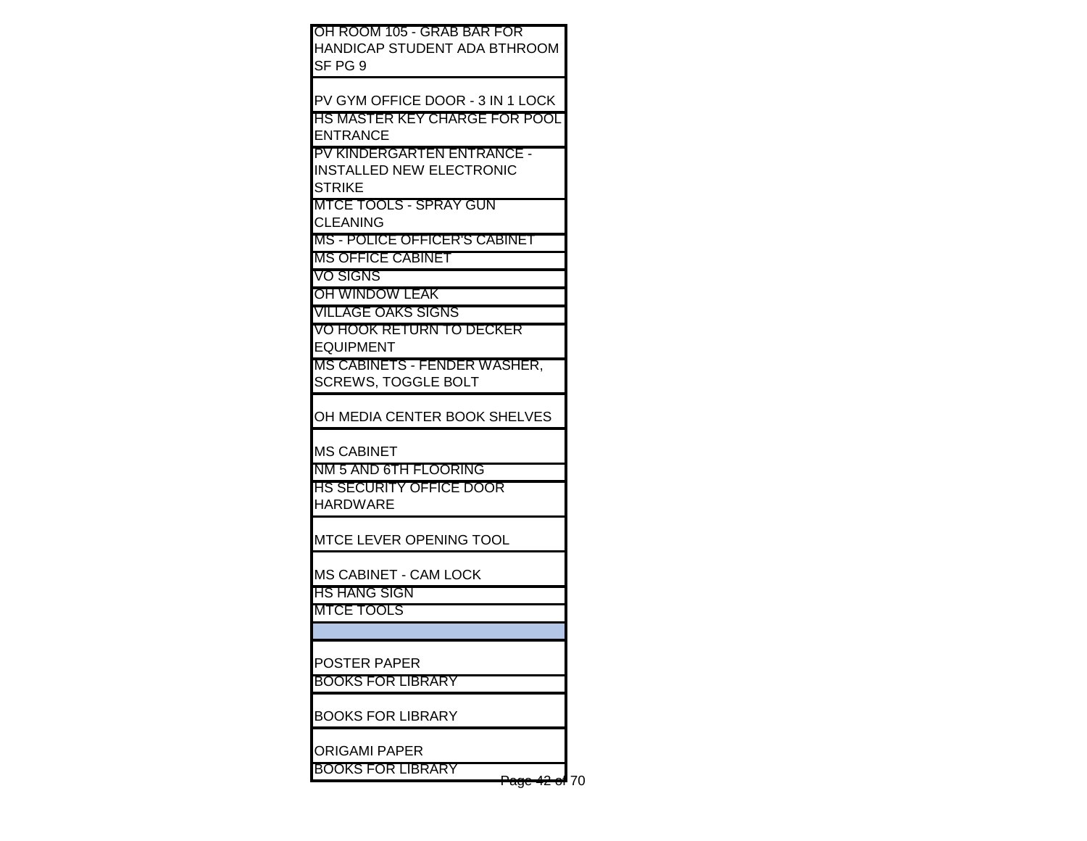| OH ROOM 105 - GRAB BAR FOR           |
|--------------------------------------|
| HANDICAP STUDENT ADA BTHROOM         |
| SF PG 9                              |
|                                      |
|                                      |
| PV GYM OFFICE DOOR - 3 IN 1 LOCK     |
| HS MASTER KEY CHARGE FOR POOL        |
| <b>ENTRANCE</b>                      |
| <b>PV KINDERGARTEN ENTRANCE -</b>    |
| <b>INSTALLED NEW ELECTRONIC</b>      |
| <b>STRIKE</b>                        |
| MTCE TOOLS - SPRAY GUN               |
| <b>CLEANING</b>                      |
| <b>MS - POLICE OFFICER'S CABINET</b> |
| <b>MS OFFICE CABINET</b>             |
| VO SIGNS                             |
|                                      |
| OH WINDOW LEAK                       |
| <b>VILLAGE OAKS SIGNS</b>            |
| VO HOOK RETURN TO DECKER             |
| <b>EQUIPMENT</b>                     |
| MS CABINETS - FENDER WASHER,         |
| <b>SCREWS, TOGGLE BOLT</b>           |
|                                      |
| OH MEDIA CENTER BOOK SHELVES         |
|                                      |
| <b>MS CABINET</b>                    |
| NM 5 AND 6TH FLOORING                |
| <u>HS SECURITY OFFICE DOOR</u>       |
| HARDWARE                             |
|                                      |
|                                      |
| MTCE LEVER OPENING TOOL              |
|                                      |
| MS CABINET - CAM LOCK                |
| HS HANG SIGN                         |
| MTCE TOOLS                           |
|                                      |
|                                      |
| <b>POSTER PAPER</b>                  |
| <b>BOOKS FOR LIBRARY</b>             |
|                                      |
| <b>BOOKS FOR LIBRARY</b>             |
|                                      |
| <b>ORIGAMI PAPER</b>                 |
| <b>BOOKS FOR LIBRARY</b>             |
| 70                                   |
|                                      |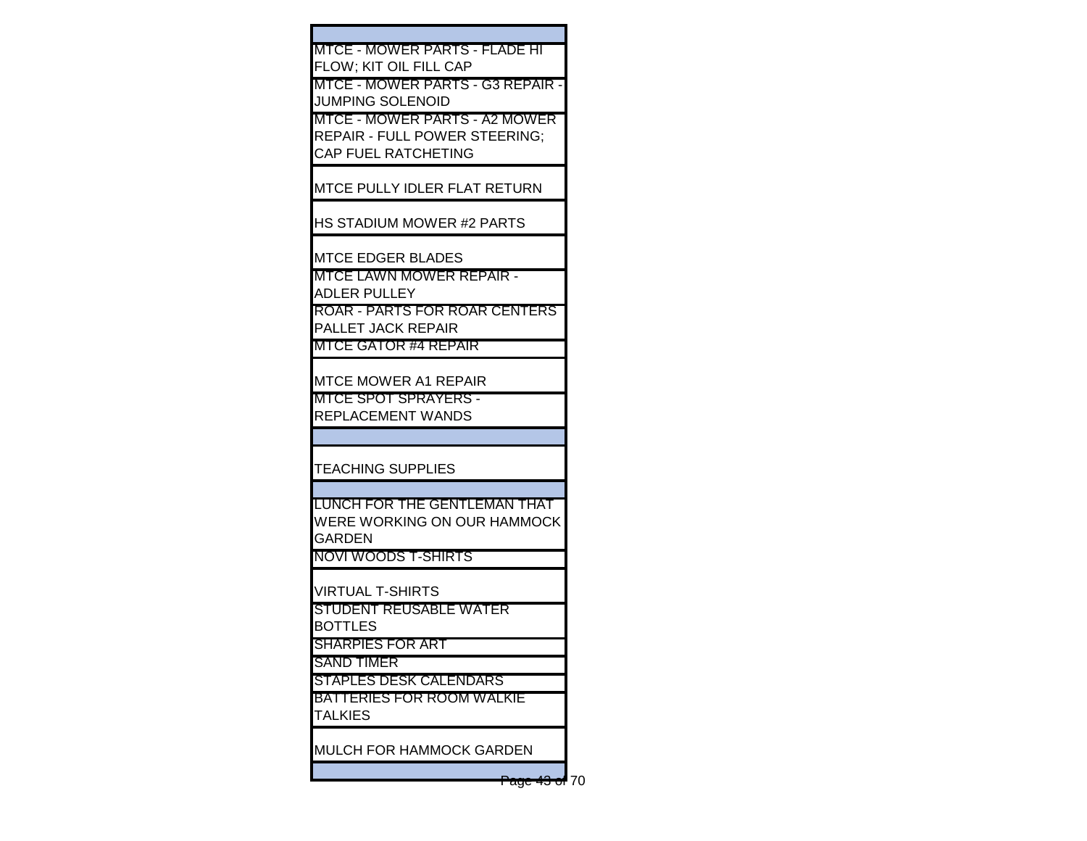| MTCE - MOWER PARTS - FLADE HI    |
|----------------------------------|
| IFLOW: KIT OIL FILL CAP          |
| MTCE - MOWER PARTS - G3 REPAIR - |

JUMPING SOLENOID

MTCE - MOWER PARTS - A2 MOWER REPAIR - FULL POWER STEERING; CAP FUEL RATCHETING

MTCE PULLY IDLER FLAT RETURN

HS STADIUM MOWER #2 PARTS

MTCE EDGER BLADES

MTCE LAWN MOWER REPAIR - ADLER PULLEY

ROAR - PARTS FOR ROAR CENTERS PALLET JACK REPAIR

MTCE GATOR #4 REPAIR

MTCE MOWER A1 REPAIR

MTCE SPOT SPRAYERS - REPLACEMENT WANDS

TEACHING SUPPLIES

LUNCH FOR THE GENTLEMAN THAT WERE WORKING ON OUR HAMMOCK GARDEN

NOVI WOODS T-SHIRTS

VIRTUAL T-SHIRTS

STUDENT REUSABLE WATER **BOTTLES** 

SHARPIES FOR ART

SAND TIMER STAPLES DESK CALENDARS

BATTERIES FOR ROOM WALKIE **TALKIES** 

MULCH FOR HAMMOCK GARDEN

Page 43 of 70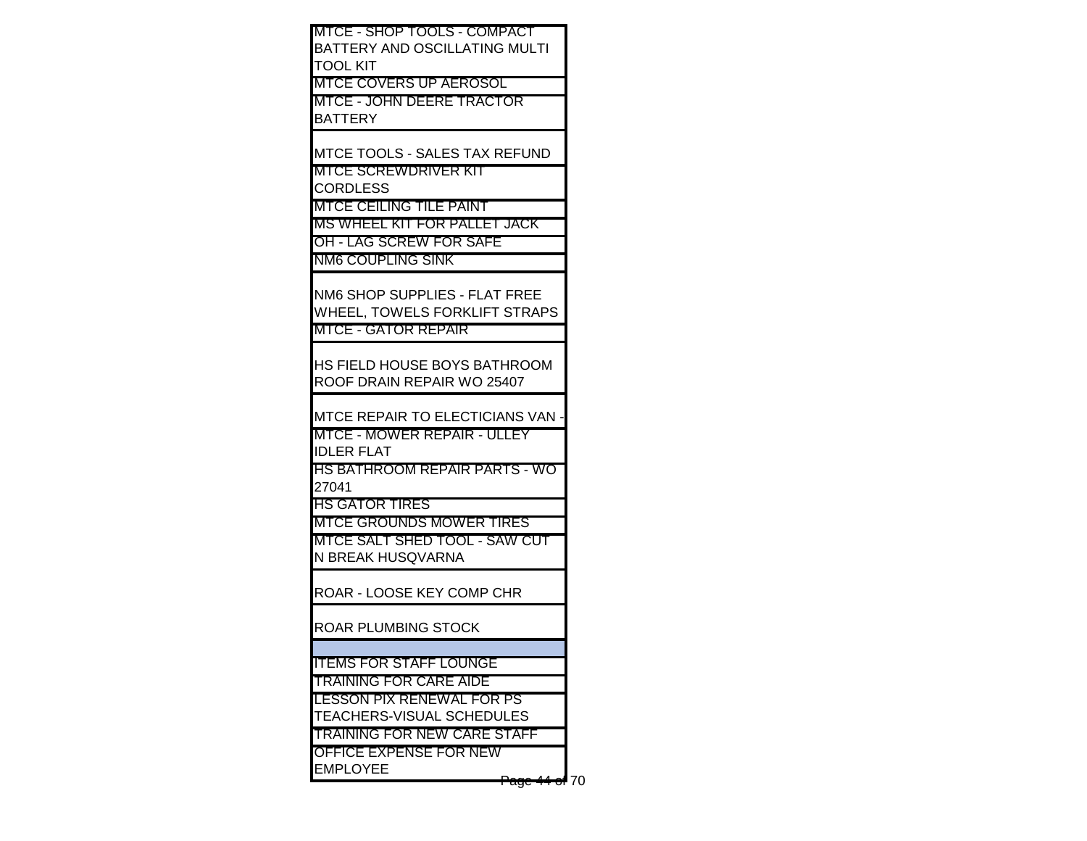| <b>MTCE - SHOP TOOLS - COMPACT</b>                             |  |
|----------------------------------------------------------------|--|
| <b>BATTERY AND OSCILLATING MULTI</b>                           |  |
| <b>TOOL KIT</b>                                                |  |
| MTCE COVERS UP AEROSOL                                         |  |
| IMTCE - JOHN DEERE TRACTOR                                     |  |
| <b>BATTERY</b>                                                 |  |
| <b>MTCE TOOLS - SALES TAX REFUND</b>                           |  |
| <b>MTCE SCREWDRIVER KIT</b>                                    |  |
| <b>CORDLESS</b>                                                |  |
| MTCE CEILING TILE PAINT                                        |  |
| <b>IMS WHEEL KIT FOR PALLET JACK</b>                           |  |
| <b>OH - LAG SCREW FOR SAFE</b>                                 |  |
| <b>INM6 COUPLING SINK</b>                                      |  |
|                                                                |  |
| NM6 SHOP SUPPLIES - FLAT FREE                                  |  |
| WHEEL, TOWELS FORKLIFT STRAPS                                  |  |
| <b>MTCE - GATOR REPAIR</b>                                     |  |
|                                                                |  |
| IHS FIELD HOUSE BOYS BATHROOM                                  |  |
| ROOF DRAIN REPAIR WO 25407                                     |  |
| <b>MTCE REPAIR TO ELECTICIANS VAN</b>                          |  |
| <b>MTCE - MOWER REPAIR - ULLEY</b>                             |  |
| <b>IDLER FLAT</b>                                              |  |
| HS BATHROOM REPAIR PARTS - WO                                  |  |
| 27041                                                          |  |
| IHS GATOR TIRES                                                |  |
| <b>IMTCE GROUNDS MOWER TIRES</b>                               |  |
| MTCE SALT SHED TOOL - SAW CUT                                  |  |
| N BREAK HUSQVARNA                                              |  |
| ROAR - LOOSE KEY COMP CHR                                      |  |
|                                                                |  |
| ROAR PLUMBING STOCK                                            |  |
|                                                                |  |
| <b>ITEMS FOR STAFF LOUNGE</b><br><b>TRAINING FOR CARE AIDE</b> |  |
| <b>LESSON PIX RENEWAL FOR PS</b>                               |  |
| <b>TEACHERS-VISUAL SCHEDULES</b>                               |  |
| <b>TRAINING FOR NEW CARE STAFF</b>                             |  |
| <b>OFFICE EXPENSE FOR NEW</b>                                  |  |
| <b>EMPLOYEE</b>                                                |  |
| <del>Page 44 of</del> 70                                       |  |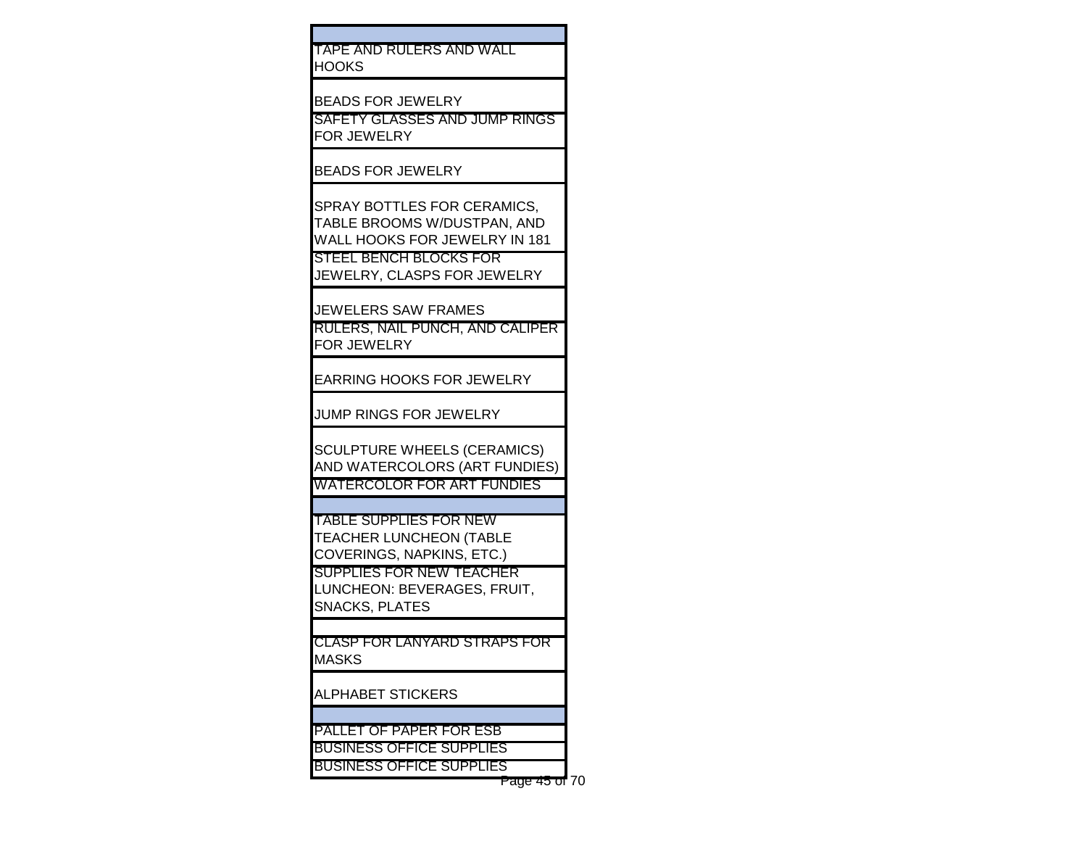| TAPE AND RULERS AND WALL |  |
|--------------------------|--|
| HOOKS.                   |  |
|                          |  |

BEADS FOR JEWELRY

SAFETY GLASSES AND JUMP RINGS FOR JEWELRY

BEADS FOR JEWELRY

SPRAY BOTTLES FOR CERAMICS, TABLE BROOMS W/DUSTPAN, AND WALL HOOKS FOR JEWELRY IN 181 STEEL BENCH BLOCKS FOR JEWELRY, CLASPS FOR JEWELRY

JEWELERS SAW FRAMES

RULERS, NAIL PUNCH, AND CALIPER FOR JEWELRY

EARRING HOOKS FOR JEWELRY

JUMP RINGS FOR JEWELRY

SCULPTURE WHEELS (CERAMICS) AND WATERCOLORS (ART FUNDIES) WATERCOLOR FOR ART FUNDIES

TABLE SUPPLIES FOR NEW TEACHER LUNCHEON (TABLE COVERINGS, NAPKINS, ETC.)

SUPPLIES FOR NEW TEACHER LUNCHEON: BEVERAGES, FRUIT, SNACKS, PLATES

CLASP FOR LANYARD STRAPS FOR **MASKS** 

ALPHABET STICKERS

PALLET OF PAPER FOR ESB

BUSINESS OFFICE SUPPLIES

BUSINESS OFFICE SUPPLIES Page 45 of 70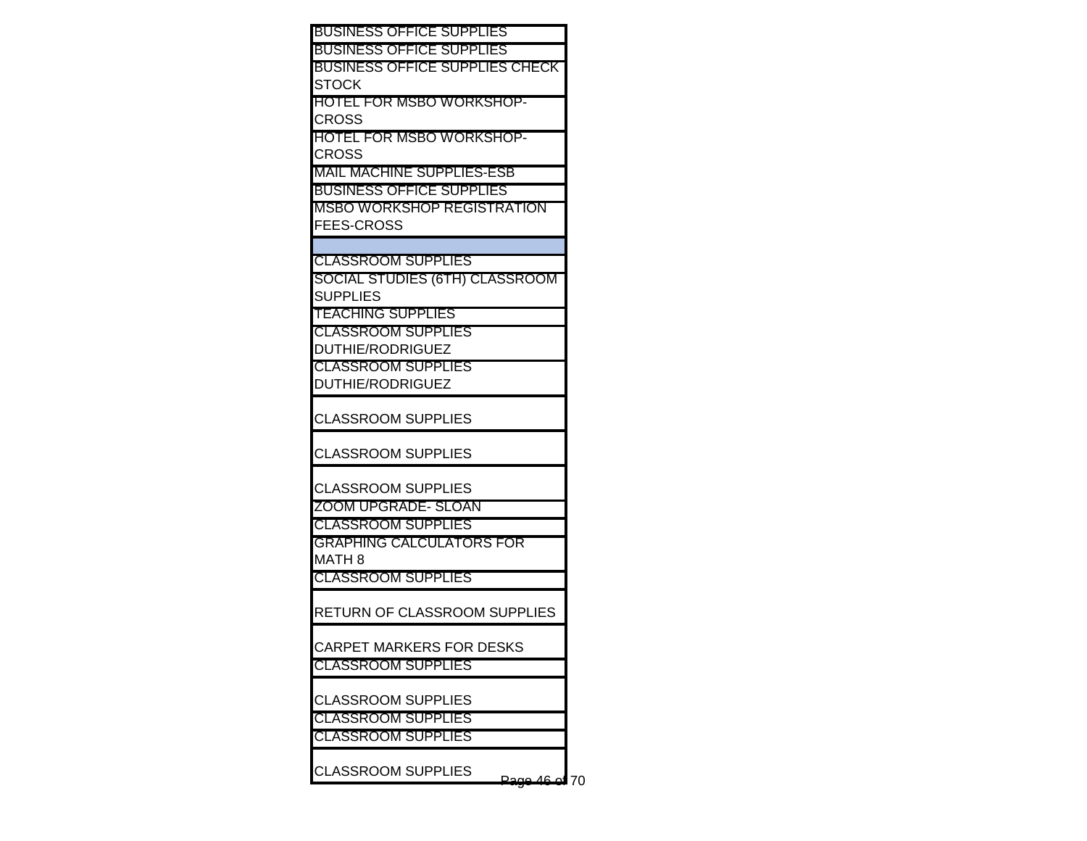| <b>BUSINESS OFFICE SUPPLIES</b>       |    |
|---------------------------------------|----|
| <b>BUSINESS OFFICE SUPPLIES</b>       |    |
| <b>BUSINESS OFFICE SUPPLIES CHECK</b> |    |
| <b>STOCK</b>                          |    |
| <b>HOTEL FOR MSBO WORKSHOP-</b>       |    |
| CROSS                                 |    |
| <b>HOTEL FOR MSBO WORKSHOP-</b>       |    |
| <b>CROSS</b>                          |    |
| <b>MAIL MACHINE SUPPLIES-ESB</b>      |    |
| <b>BUSINESS OFFICE SUPPLIES</b>       |    |
| <b>MSBO WORKSHOP REGISTRATION</b>     |    |
| <b>FEES-CROSS</b>                     |    |
| <b>CLASSROOM SUPPLIES</b>             |    |
| SOCIAL STUDIES (6TH) CLASSROOM        |    |
| <b>SUPPLIES</b>                       |    |
| <b>TEACHING SUPPLIES</b>              |    |
| <b>CLASSROOM SUPPLIES</b>             |    |
| <b>DUTHIE/RODRIGUEZ</b>               |    |
| <b>CLASSROOM SUPPLIES</b>             |    |
| DUTHIE/RODRIGUEZ                      |    |
|                                       |    |
| <b>CLASSROOM SUPPLIES</b>             |    |
| <b>CLASSROOM SUPPLIES</b>             |    |
|                                       |    |
| <b>CLASSROOM SUPPLIES</b>             |    |
| <b>ZOOM UPGRADE- SLOAN</b>            |    |
| <b>CLASSROOM SUPPLIES</b>             |    |
| <b>GRAPHING CALCULATORS FOR</b>       |    |
| MATH 8                                |    |
| <b>CLASSROOM SUPPLIES</b>             |    |
|                                       |    |
| RETURN OF CLASSROOM SUPPLIES          |    |
| <b>CARPET MARKERS FOR DESKS</b>       |    |
| <b>CLASSROOM SUPPLIES</b>             |    |
|                                       |    |
| <b>CLASSROOM SUPPLIES</b>             |    |
| <b>CLASSROOM SUPPLIES</b>             |    |
| <b>CLASSROOM SUPPLIES</b>             |    |
|                                       |    |
| <b>CLASSROOM SUPPLIES</b>             | 70 |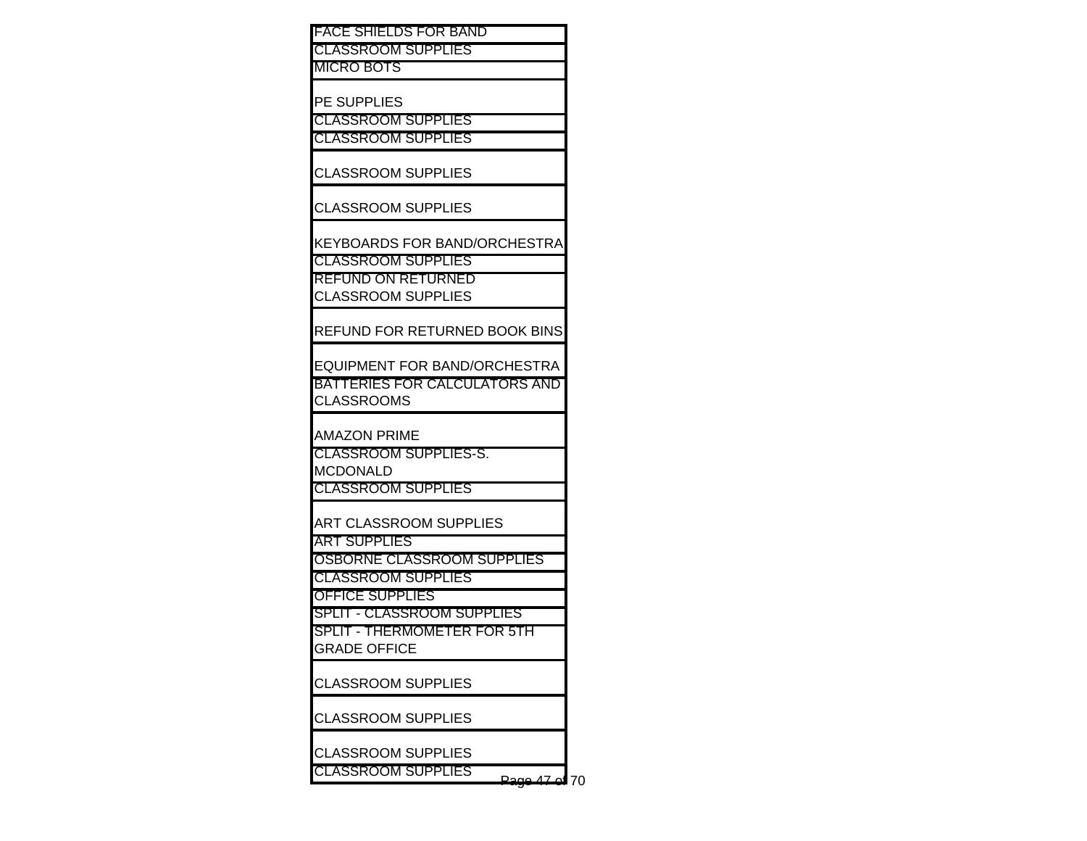FACE SHIELDS FOR BAND CLASSROOM SUPPLIES MICRO BOTS PE SUPPLIES CLASSROOM SUPPLIES CLASSROOM SUPPLIES CLASSROOM SUPPLIES CLASSROOM SUPPLIES KEYBOARDS FOR BAND/ORCHESTRA CLASSROOM SUPPLIES REFUND ON RETURNED CLASSROOM SUPPLIES REFUND FOR RETURNED BOOK BINS EQUIPMENT FOR BAND/ORCHESTRA BATTERIES FOR CALCULATORS AND CLASSROOMS AMAZON PRIME CLASSROOM SUPPLIES-S. **MCDONALD** CLASSROOM SUPPLIES ART CLASSROOM SUPPLIES ART SUPPLIES OSBORNE CLASSROOM SUPPLIES CLASSROOM SUPPLIES OFFICE SUPPLIES SPLIT - CLASSROOM SUPPLIES SPLIT - THERMOMETER FOR 5TH GRADE OFFICE CLASSROOM SUPPLIES CLASSROOM SUPPLIES CLASSROOM SUPPLIES

CLASSROOM SUPPLIES Page 47 of 70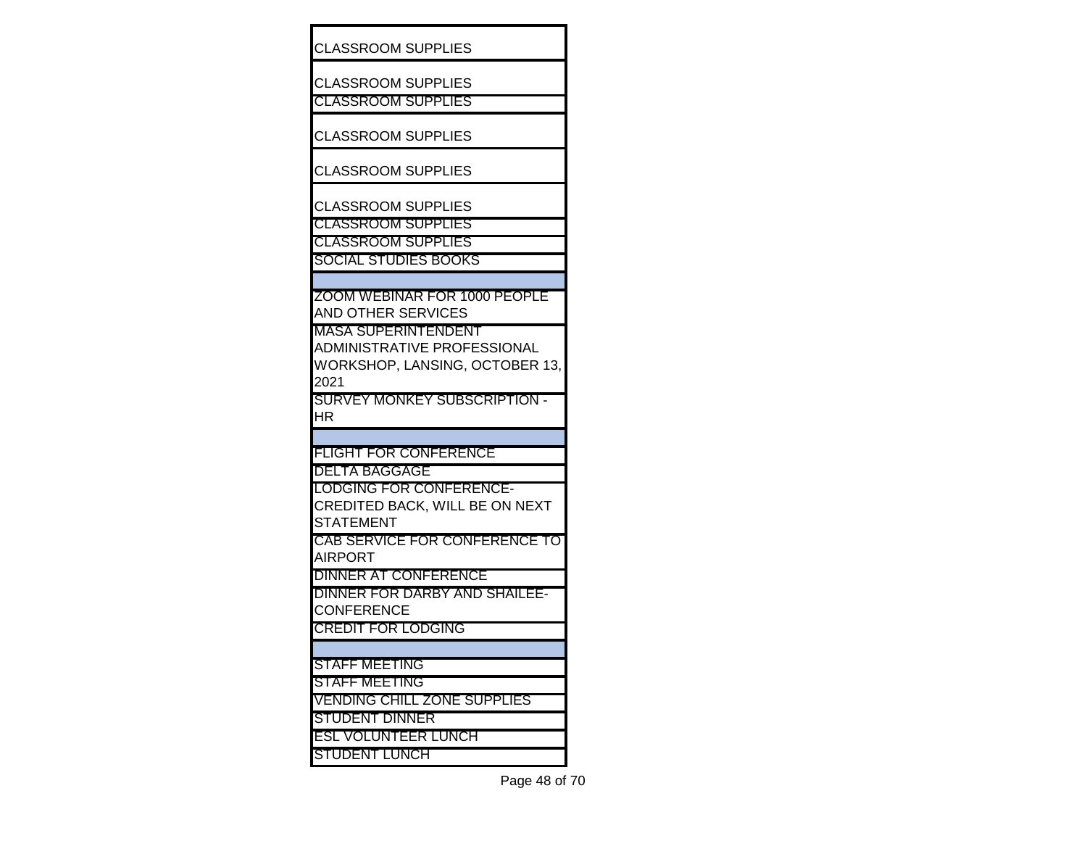| <b>CLASSROOM SUPPLIES</b>                                        |  |
|------------------------------------------------------------------|--|
| CLASSROOM SUPPLIES                                               |  |
| <b>CLASSROOM SUPPLIES</b>                                        |  |
| <b>CLASSROOM SUPPLIES</b>                                        |  |
| <b>CLASSROOM SUPPLIES</b>                                        |  |
| ICLASSROOM SUPPLIES                                              |  |
| <b>CLASSROOM SUPPLIES</b>                                        |  |
| <b>CLASSROOM SUPPLIES</b>                                        |  |
| SOCIAL STUDIES BOOKS                                             |  |
|                                                                  |  |
| ZOOM WEBINAR FOR 1000 PEOPLE<br>IAND OTHER SERVICES              |  |
| <b>MASA SUPERINTENDENT</b><br><b>ADMINISTRATIVE PROFESSIONAL</b> |  |
| WORKSHOP, LANSING, OCTOBER 13,<br>2021                           |  |
| SURVEY MONKEY SUBSCRIPTION -<br>HR                               |  |
|                                                                  |  |
| <b>FLIGHT FOR CONFERENCE</b>                                     |  |
| <b>DELTA BAGGAGE</b>                                             |  |
| <b>LODGING FOR CONFERENCE-</b>                                   |  |
| <b>CREDITED BACK, WILL BE ON NEXT</b><br><b>STATEMENT</b>        |  |
| <b>CAB SERVICE FOR CONFERENCE TO</b>                             |  |
| AIRPORT                                                          |  |
| DINNER AT CONFERENCE                                             |  |
| DINNER FOR DARBY AND SHAILEE-                                    |  |
| CONFERENCE                                                       |  |
| <b>CREDIT FOR LODGING</b>                                        |  |
|                                                                  |  |
| <b>STAFF MEETING</b>                                             |  |
| <b>STAFF MEETING</b>                                             |  |
| <b>VENDING CHILL ZONE SUPPLIES</b>                               |  |
| <b>STUDENT DINNER</b>                                            |  |
| <b>ESL VOLUNTEER LUNCH</b>                                       |  |
| <b>STUDENT LUNCH</b>                                             |  |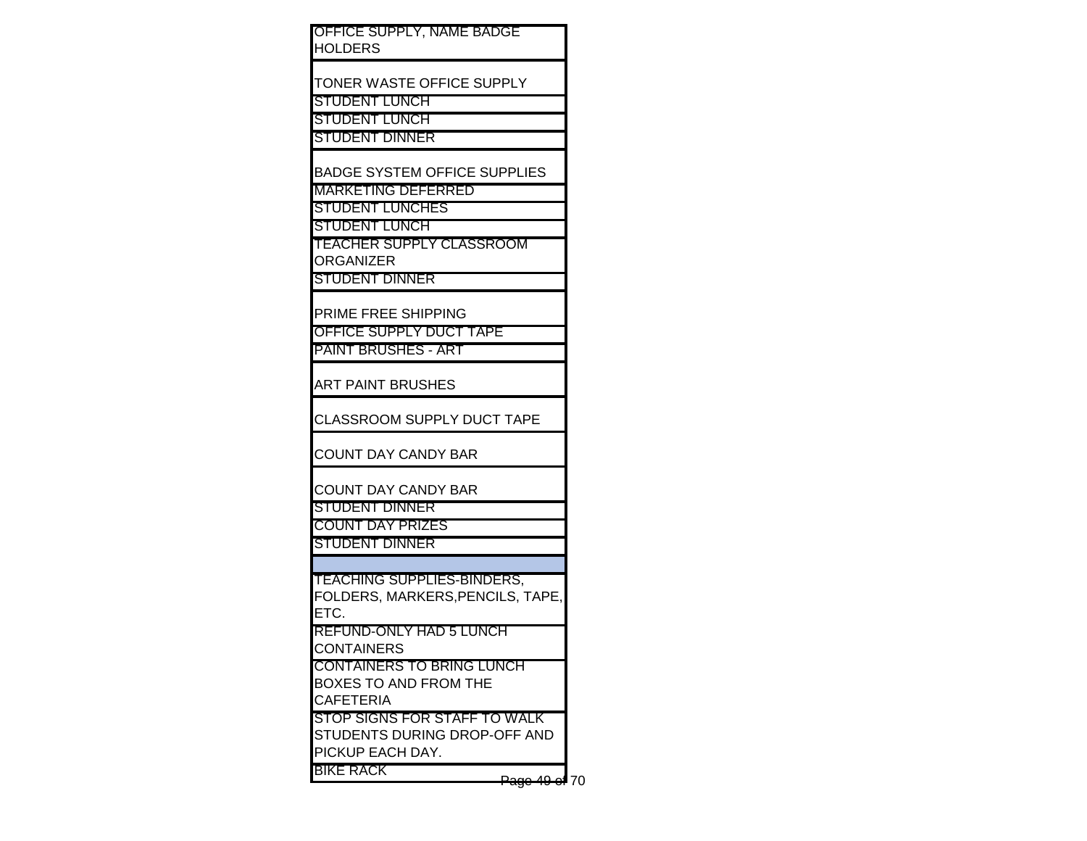| OFFICE SUPPLY, NAME BADGE<br>HOLDERS                                             |  |
|----------------------------------------------------------------------------------|--|
| TONER WASTE OFFICE SUPPLY<br>STUDENT LUNCH                                       |  |
| STUDENT LUNCH<br>STUDENT DINNER                                                  |  |
| <b>BADGE SYSTEM OFFICE SUPPLIES</b><br><b>MARKETING DEFERRED</b>                 |  |
| <b>STUDENT LUNCHES</b><br>STUDENT LUNCH                                          |  |
| TEACHER SUPPLY CLASSROOM<br>ORGANIZER<br>STUDENT DINNER                          |  |
| PRIME FREE SHIPPING<br>OFFICE SUPPLY DUCT TAPE                                   |  |
| PAINT BRUSHES - ART                                                              |  |
| ART PAINT BRUSHES<br>CLASSROOM SUPPLY DUCT TAPE                                  |  |
| <b>COUNT DAY CANDY BAR</b>                                                       |  |
| <b>COUNT DAY CANDY BAR</b><br>STUDENT DINNER                                     |  |
| <b>COUNT DAY PRIZES</b><br>STUDENT DINNER                                        |  |
| TEACHING SUPPLIES-BINDERS,<br>FOLDERS, MARKERS, PENCILS, TAPE,                   |  |
| ETC.<br>REFUND-ONLY HAD 5 LUNCH<br><b>CONTAINERS</b>                             |  |
| CONTAINERS TO BRING LUNCH<br><b>BOXES TO AND FROM THE</b><br><b>CAFETERIA</b>    |  |
| STOP SIGNS FOR STAFF TO WALK<br>STUDENTS DURING DROP-OFF AND<br>PICKUP EACH DAY. |  |
| BIKE RACK<br>49e/70                                                              |  |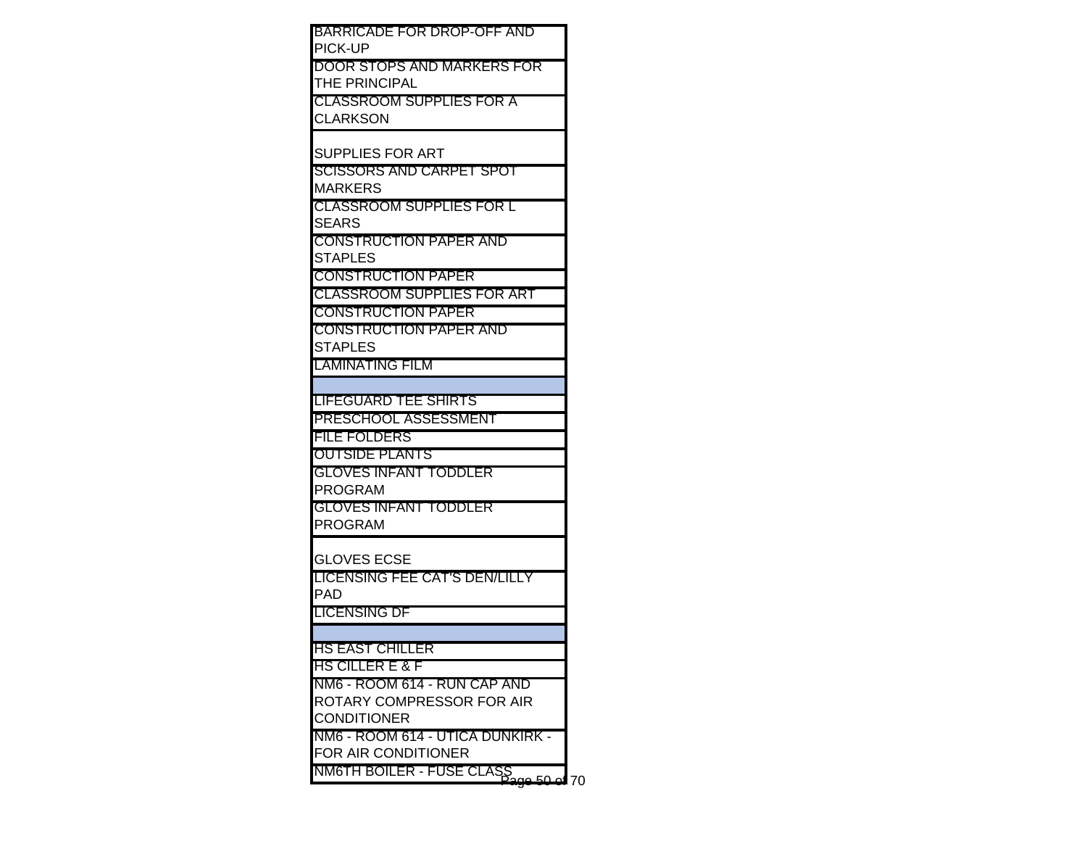| BARRICADE FOR DROP-OFF AND               |    |
|------------------------------------------|----|
| PICK-UP                                  |    |
| DOOR STOPS AND MARKERS FOR               |    |
| THE PRINCIPAL                            |    |
| CLASSROOM SUPPLIES FOR A                 |    |
| CLARKSON                                 |    |
|                                          |    |
| SUPPLIES FOR ART                         |    |
| SCISSORS AND CARPET SPOT                 |    |
| MARKERS                                  |    |
| CLASSROOM SUPPLIES FOR L                 |    |
| SEARS                                    |    |
| <b>CONSTRUCTION PAPER AND</b>            |    |
| STAPLES<br><b>CONSTRUCTION PAPER</b>     |    |
| <b>CLASSROOM SUPPLIES FOR ART</b>        |    |
| <b>CONSTRUCTION PAPER</b>                |    |
|                                          |    |
| CONSTRUCTION PAPER AND<br><b>STAPLES</b> |    |
| LAMINATING FILM                          |    |
|                                          |    |
| LIFEGUARD TEE SHIRTS                     |    |
| PRESCHOOL ASSESSMENT                     |    |
| <b>FILE FOLDERS</b>                      |    |
| <b>OUTSIDE PLANTS</b>                    |    |
| <b>GLOVES INFANT TODDLER</b>             |    |
| PROGRAM                                  |    |
| <b>GLOVES INFANT TODDLER</b>             |    |
| PROGRAM                                  |    |
|                                          |    |
| GLOVES ECSE                              |    |
| LICENSING FEE CAT'S DEN/LILLY            |    |
| PAD                                      |    |
| LICENSING DF                             |    |
|                                          |    |
| HS EAST CHILLER                          |    |
| HS CILLER E & F                          |    |
| NM6 - ROOM 614 - RUN CAP AND             |    |
| ROTARY COMPRESSOR FOR AIR                |    |
| <b>CONDITIONER</b>                       |    |
| NM6 - ROOM 614 - UTICA DUNKIRK -         |    |
| FOR AIR CONDITIONER                      |    |
| NM6TH BOILER - FUSE CLASS<br>ഫ 50 ഫ      | 70 |
|                                          |    |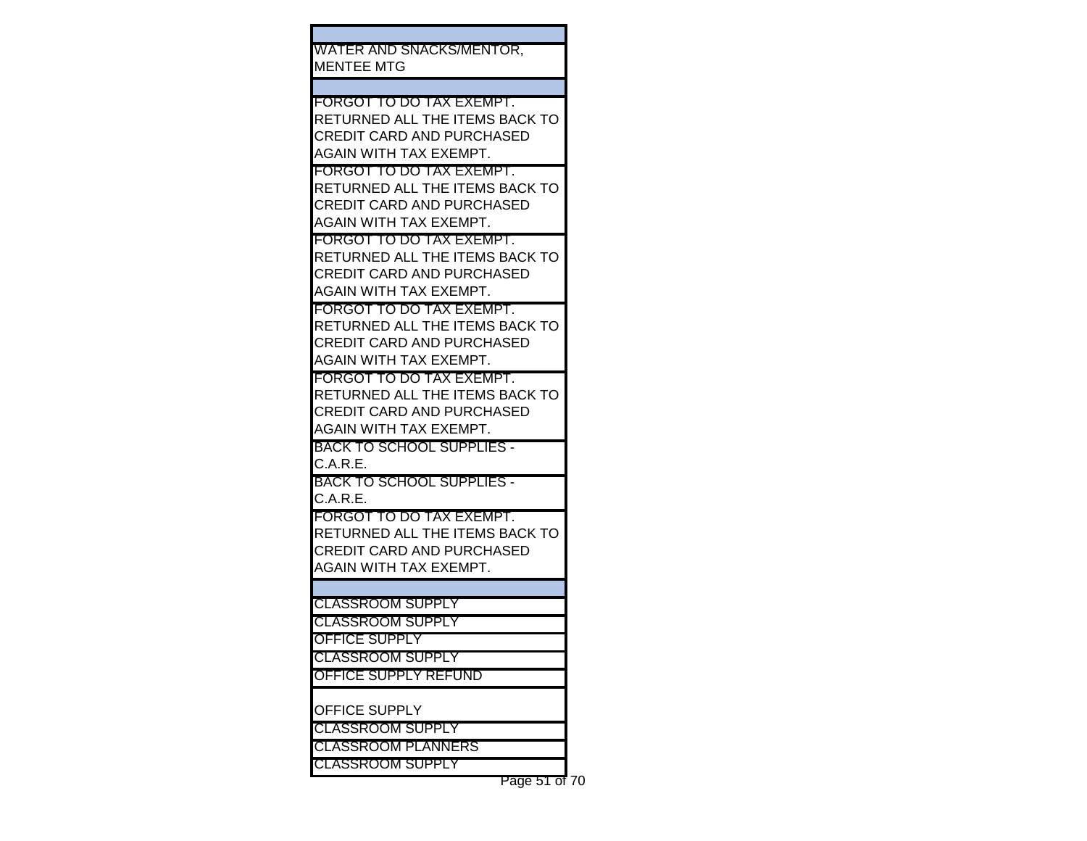WATER AND SNACKS/MENTOR, MENTEE MTG

FORGOT TO DO TAX EXEMPT. RETURNED ALL THE ITEMS BACK TO CREDIT CARD AND PURCHASED AGAIN WITH TAX EXEMPT.

FORGOT TO DO TAX EXEMPT. RETURNED ALL THE ITEMS BACK TO CREDIT CARD AND PURCHASED AGAIN WITH TAX EXEMPT.

FORGOT TO DO TAX EXEMPT. RETURNED ALL THE ITEMS BACK TO CREDIT CARD AND PURCHASED AGAIN WITH TAX EXEMPT.

FORGOT TO DO TAX EXEMPT. RETURNED ALL THE ITEMS BACK TO CREDIT CARD AND PURCHASED AGAIN WITH TAX EXEMPT.

FORGOT TO DO TAX EXEMPT. RETURNED ALL THE ITEMS BACK TO CREDIT CARD AND PURCHASED AGAIN WITH TAX EXEMPT.

BACK TO SCHOOL SUPPLIES - C.A.R.E.

BACK TO SCHOOL SUPPLIES - C.A.R.E.

FORGOT TO DO TAX EXEMPT. RETURNED ALL THE ITEMS BACK TO CREDIT CARD AND PURCHASED AGAIN WITH TAX EXEMPT.

CLASSROOM SUPPLY

CLASSROOM SUPPLY

OFFICE SUPPLY

CLASSROOM SUPPLY

OFFICE SUPPLY REFUND

OFFICE SUPPLY

CLASSROOM SUPPLY

CLASSROOM PLANNERS

CLASSROOM SUPPLY

Page 51 of 70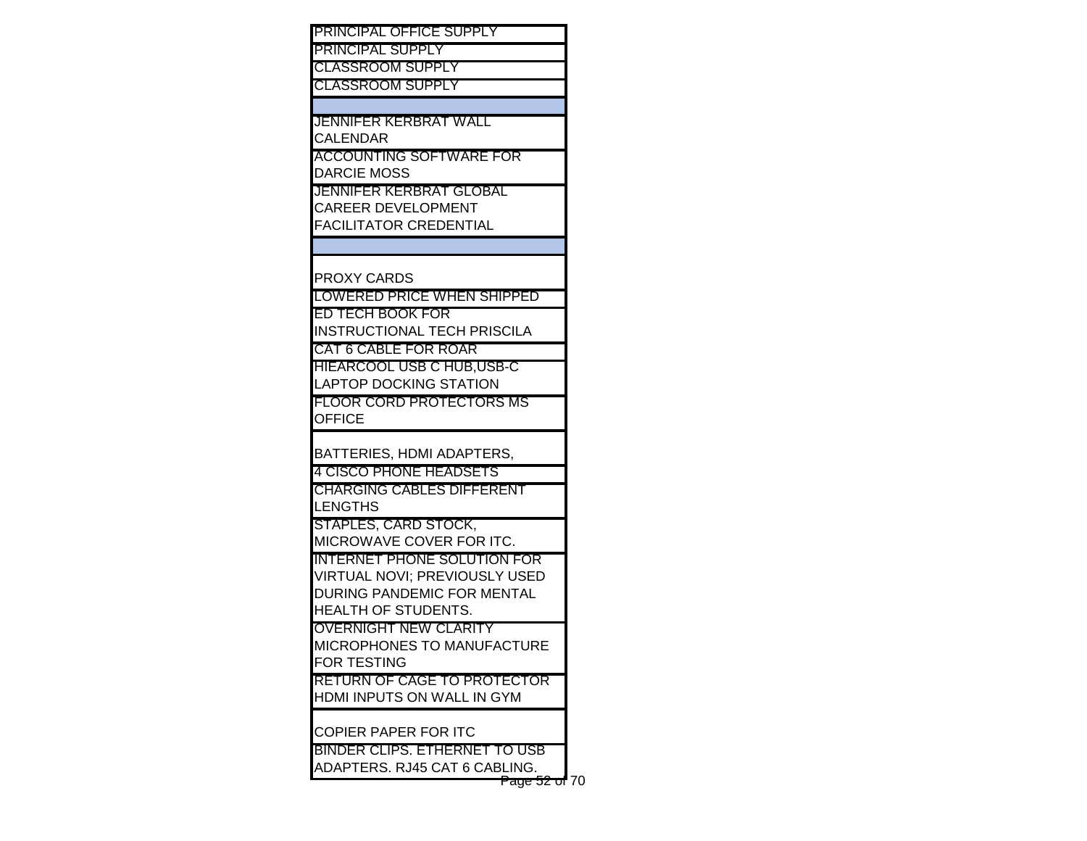PRINCIPAL OFFICE SUPPLY PRINCIPAL SUPPLY CLASSROOM SUPPLY CLASSROOM SUPPLY JENNIFER KERBRAT WALL **CALENDAR** ACCOUNTING SOFTWARE FOR DARCIE MOSS JENNIFER KERBRAT GLOBAL CAREER DEVELOPMENT FACILITATOR CREDENTIAL PROXY CARDS LOWERED PRICE WHEN SHIPPED ED TECH BOOK FOR INSTRUCTIONAL TECH PRISCILA CAT 6 CABLE FOR ROAR HIEARCOOL USB C HUB,USB-C LAPTOP DOCKING STATION FLOOR CORD PROTECTORS MS **OFFICE** BATTERIES, HDMI ADAPTERS, 4 CISCO PHONE HEADSETS CHARGING CABLES DIFFERENT LENGTHS STAPLES, CARD STOCK, MICROWAVE COVER FOR ITC. INTERNET PHONE SOLUTION FOR VIRTUAL NOVI; PREVIOUSLY USED DURING PANDEMIC FOR MENTAL HEALTH OF STUDENTS. OVERNIGHT NEW CLARITY MICROPHONES TO MANUFACTURE FOR TESTING RETURN OF CAGE TO PROTECTOR HDMI INPUTS ON WALL IN GYM COPIER PAPER FOR ITC BINDER CLIPS. ETHERNET TO USB ADAPTERS. RJ45 CAT 6 CABLING.

Page 52 of 70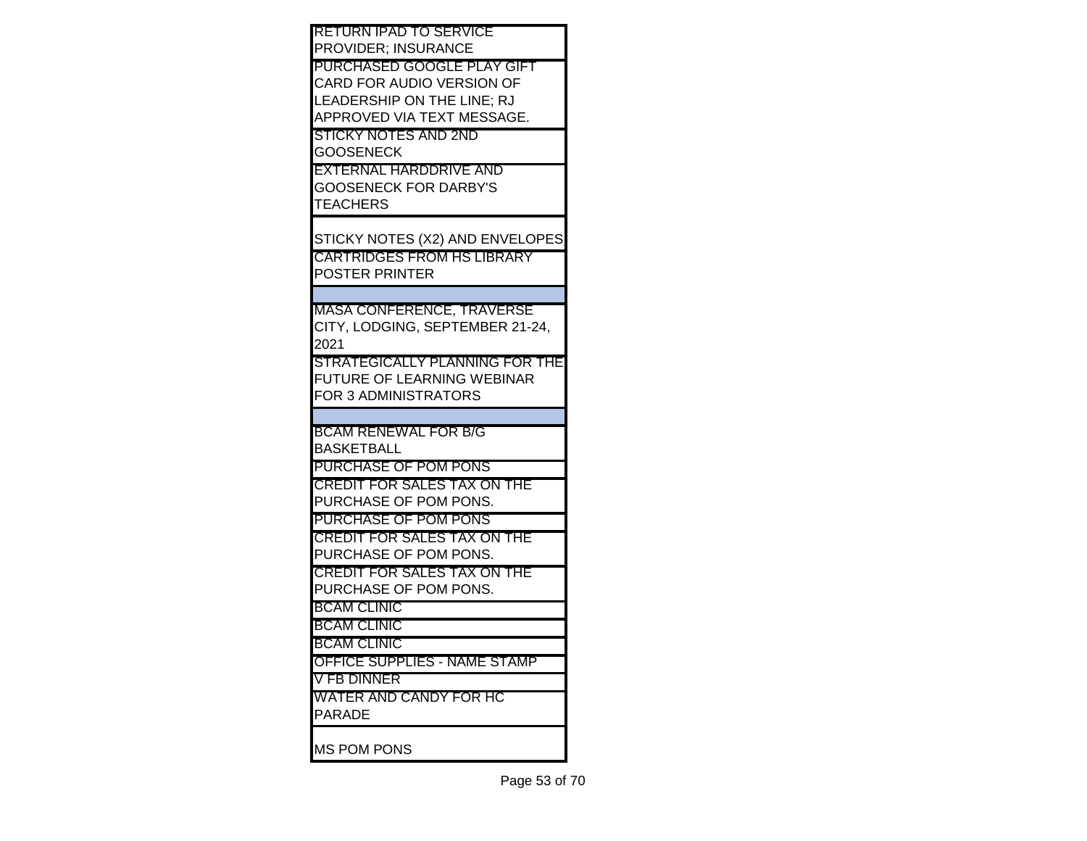| <b>RETURN IPAD TO SERVICE</b>                     |
|---------------------------------------------------|
| <b>PROVIDER; INSURANCE</b>                        |
| <b>PURCHASED GOOGLE PLAY GIFT</b>                 |
| CARD FOR AUDIO VERSION OF                         |
| LEADERSHIP ON THE LINE; RJ                        |
| APPROVED VIA TEXT MESSAGE.                        |
| ISTICKY NOTES AND 2ND                             |
| <b>GOOSENECK</b><br><b>EXTERNAL HARDDRIVE AND</b> |
| <b>GOOSENECK FOR DARBY'S</b>                      |
| <b>TEACHERS</b>                                   |
|                                                   |
| STICKY NOTES (X2) AND ENVELOPES                   |
| <b>CARTRIDGES FROM HS LIBRARY</b>                 |
| <b>POSTER PRINTER</b>                             |
|                                                   |
| <b>MASA CONFERENCE, TRAVERSE</b>                  |
| CITY, LODGING, SEPTEMBER 21-24,                   |
| 2021                                              |
| STRATEGICALLY PLANNING FOR THE                    |
| FUTURE OF LEARNING WEBINAR                        |
| <b>FOR 3 ADMINISTRATORS</b>                       |
|                                                   |
| BCAM RENEWAL FOR B/G                              |
| <b>BASKETBALL</b>                                 |
| PURCHASE OF POM PONS                              |
| <b>CREDIT FOR SALES TAX ON THE</b>                |
| PURCHASE OF POM PONS.                             |
| <b>PURCHASE OF POM PONS</b>                       |
| <b>CREDIT FOR SALES TAX ON THE</b>                |
| PURCHASE OF POM PONS.                             |
| <b>CREDIT FOR SALES TAX ON THE</b>                |
| PURCHASE OF POM PONS.                             |
| <b>BCAM CLINIC</b>                                |
| <b>BCAM CLINIC</b>                                |
| <b>BCAM CLINIC</b>                                |
| <b>OFFICE SUPPLIES - NAME STAMP</b>               |
| <b>V FB DINNER</b>                                |
| WATER AND CANDY FOR HC                            |
| <b>PARADE</b>                                     |
|                                                   |
| <b>MS POM PONS</b>                                |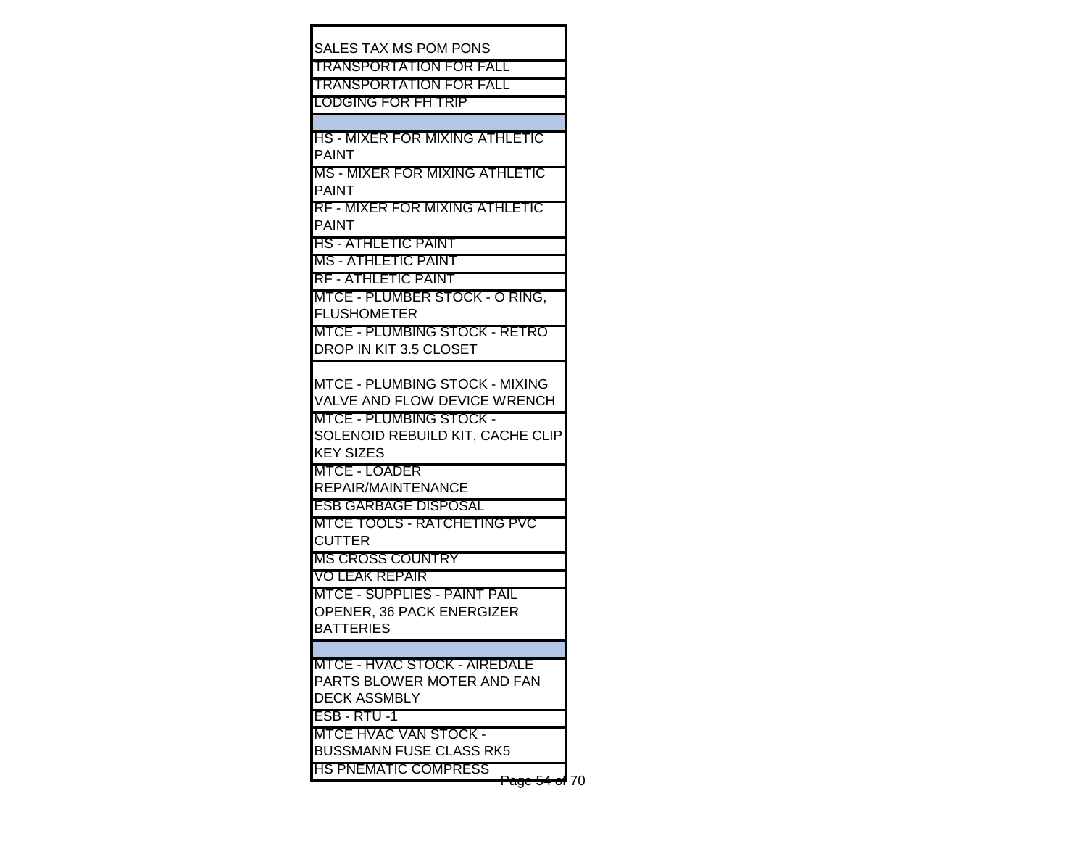| <b>SALES TAX MS POM PONS</b>                                       |  |
|--------------------------------------------------------------------|--|
| <b>TRANSPORTATION FOR FALL</b>                                     |  |
| <b>TRANSPORTATION FOR FALL</b>                                     |  |
| <b>LODGING FOR FH TRIP</b>                                         |  |
|                                                                    |  |
| <u> IHS - MIXER FOR MIXING ATHLETIC</u>                            |  |
| IPAINT                                                             |  |
| IMS - MIXER FOR MIXING ATHLETIC                                    |  |
| <b>PAINT</b>                                                       |  |
| <u> IRF - MIXER FOR MIXING ATHLETIC</u>                            |  |
| <b>PAINT</b>                                                       |  |
| <u> HS - ATHLETIC PAINT</u>                                        |  |
| MS - ATHLETIC PAINT                                                |  |
| <b>RF - ATHLETIC PAINT</b>                                         |  |
| MTCE - PLUMBER STOCK - O RING,                                     |  |
| <b>FLUSHOMETER</b>                                                 |  |
| <b>IMTCE - PLUMBING STOCK - RETRO</b>                              |  |
| DROP IN KIT 3.5 CLOSET                                             |  |
|                                                                    |  |
| IMTCE - PLUMBING STOCK - MIXING                                    |  |
| VALVE AND FLOW DEVICE WRENCH                                       |  |
| <b>IMTCE - PLUMBING STOCK -</b>                                    |  |
| SOLENOID REBUILD KIT, CACHE CLIP                                   |  |
| <b>KEY SIZES</b>                                                   |  |
| IMTCE - LOADER                                                     |  |
| <b>REPAIR/MAINTENANCE</b>                                          |  |
| <u>IESB GARBAGE DISPOSAL</u><br><b>MTCE TOOLS - RATCHETING PVC</b> |  |
| CUTTER                                                             |  |
| <b>MS CROSS COUNTRY</b>                                            |  |
| VO LEAK REPAIR                                                     |  |
| MTCE - SUPPLIES - PAINT PAIL                                       |  |
| <b>OPENER, 36 PACK ENERGIZER</b>                                   |  |
| BATTERIES                                                          |  |
|                                                                    |  |
| <b>MTCE - HVAC STOCK - AIREDALE</b>                                |  |
| PARTS BLOWER MOTER AND FAN                                         |  |
| <b>DECK ASSMBLY</b>                                                |  |
| ESB-RTU-1                                                          |  |
| <b>IMTCE HVAC VAN STOCK -</b>                                      |  |
| <b>BUSSMANN FUSE CLASS RK5</b>                                     |  |
| <b>HS PNEMATIC COMPRESS</b>                                        |  |
| Page 54 of 70                                                      |  |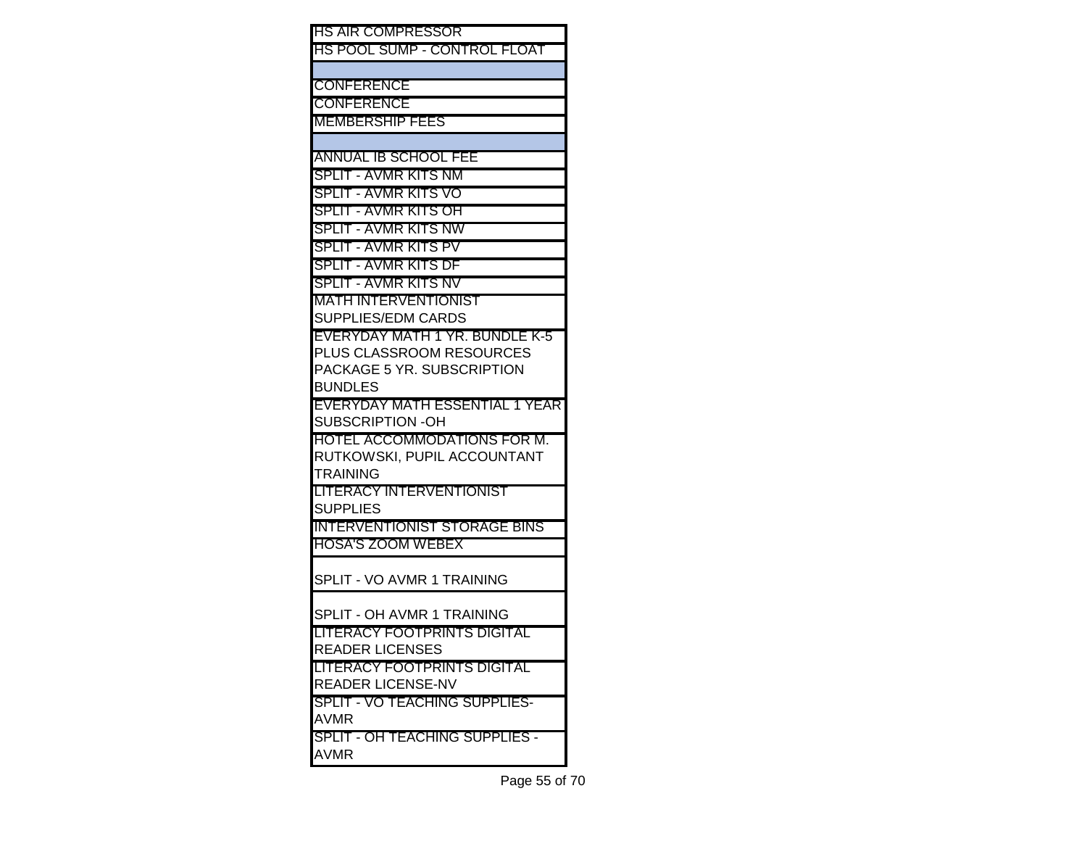| HS AIR COMPRESSOR                                  |
|----------------------------------------------------|
| HS POOL SUMP - CONTROL FLOAT                       |
| CONFERENCE                                         |
| CONFERENCE                                         |
| MEMBERSHIP FEES                                    |
|                                                    |
| ANNUAL IB SCHOOL FEE                               |
| SPLIT - AVMR KITS NM                               |
| SPLIT - AVMR KITS VO                               |
| SPLIT - AVMR KITS OH                               |
| SPLIT - AVMR KITS NW                               |
| SPLIT - AVMR KITS PV                               |
| SPLIT - AVMR KITS DF                               |
| SPLIT - AVMR KITS NV                               |
| MATH INTERVENTIONIST                               |
| SUPPLIES/EDM CARDS                                 |
| EVERYDAY MATH 1 YR. BUNDLE K-5                     |
| PLUS CLASSROOM RESOURCES                           |
| PACKAGE 5 YR. SUBSCRIPTION                         |
| <b>BUNDLES</b>                                     |
| EVERYDAY MATH ESSENTIAL 1 YEAR<br>SUBSCRIPTION -OH |
| HOTEL ACCOMMODATIONS FOR M.                        |
| RUTKOWSKI, PUPIL ACCOUNTANT                        |
| TRAINING                                           |
| LITERACY INTERVENTIONIST                           |
| SUPPLIES                                           |
| INTERVENTIONIST STORAGE BINS                       |
| <b>HOSA'S ZOOM WEBEX</b>                           |
| SPLIT - VO AVMR 1 TRAINING                         |
|                                                    |
| SPLIT - OH AVMR 1 TRAINING                         |
| LITERACY FOOTPRINTS DIGITAL                        |
| <b>READER LICENSES</b>                             |
| LITERACY FOOTPRINTS DIGITAL                        |
| READER LICENSE-NV                                  |
| SPLIT - VO TEACHING SUPPLIES-                      |
| <b>AVMR</b><br>SPLIT - OH TEACHING SUPPLIES -      |
|                                                    |
| AVMR                                               |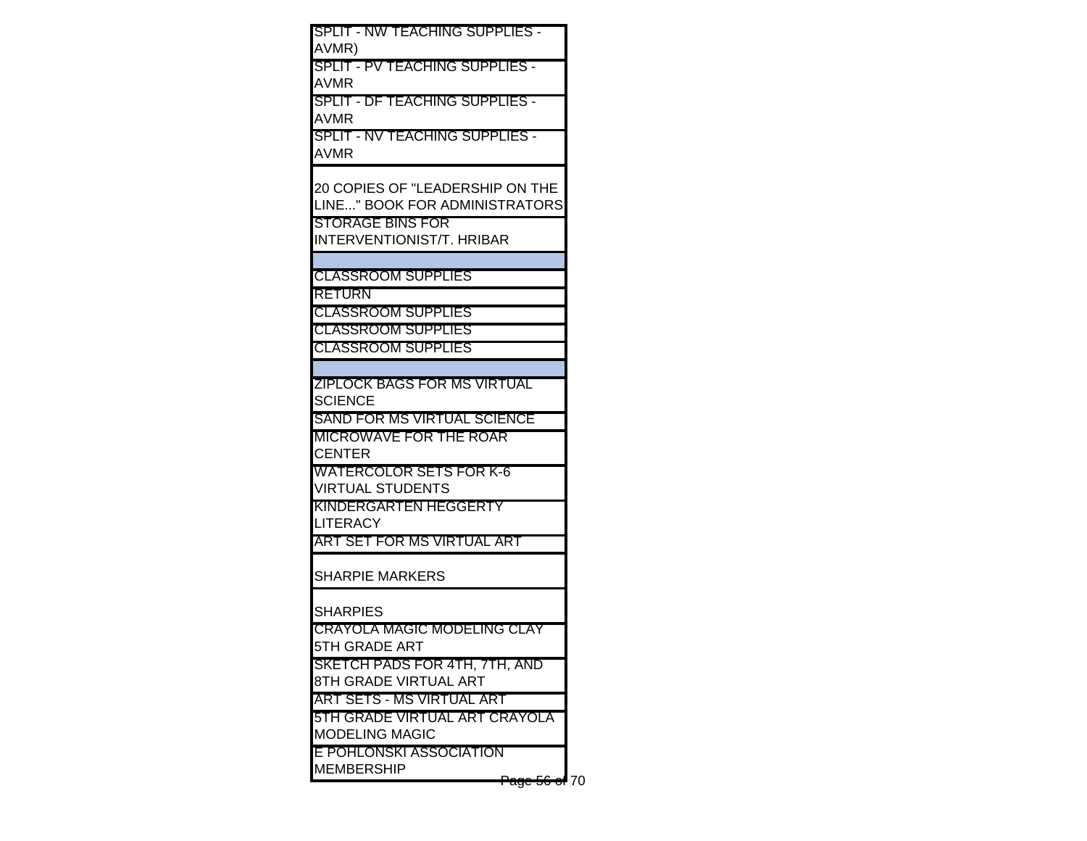| SPLIT - NW TEACHING SUPPLIES -<br>AVMR)                                      |  |
|------------------------------------------------------------------------------|--|
| SPLIT - PV TEACHING SUPPLIES -<br>AVMR                                       |  |
| SPLIT - DF TEACHING SUPPLIES -<br>AVMR                                       |  |
| SPLIT - NV TEACHING SUPPLIES -<br>AVMR                                       |  |
| 20 COPIES OF "LEADERSHIP ON THE<br>LINE" BOOK FOR ADMINISTRATORS             |  |
| STORAGE BINS FOR<br>INTERVENTIONIST/T. HRIBAR                                |  |
| <b>CLASSROOM SUPPLIES</b>                                                    |  |
| RETURN<br><b>CLASSROOM SUPPLIES</b>                                          |  |
| <b>CLASSROOM SUPPLIES</b><br><b>CLASSROOM SUPPLIES</b>                       |  |
| ZIPLOCK BAGS FOR MS VIRTUAL<br><b>SCIENCE</b>                                |  |
| SAND FOR MS VIRTUAL SCIENCE                                                  |  |
| MICROWAVE FOR THE ROAR<br>CENTER                                             |  |
| WATERCOLOR SETS FOR K-6<br><b>VIRTUAL STUDENTS</b>                           |  |
| KINDERGARTEN HEGGERTY<br>LITERACY                                            |  |
| ART SET FOR MS VIRTUAL ART                                                   |  |
| SHARPIE MARKERS                                                              |  |
| SHARPIES<br>CRAYOLA MAGIC MODELING CLAY                                      |  |
| 5TH GRADE ART                                                                |  |
| SKETCH PADS FOR 4TH, 7TH, AND<br>8TH GRADE VIRTUAL ART                       |  |
| ART SETS - MS VIRTUAL ART<br>5TH GRADE VIRTUAL ART CRAYOLA<br>MODELING MAGIC |  |
| E POHLONSKI ASSOCIATION<br>MEMBERSHIP                                        |  |
| <del>age 56 of</del> 70                                                      |  |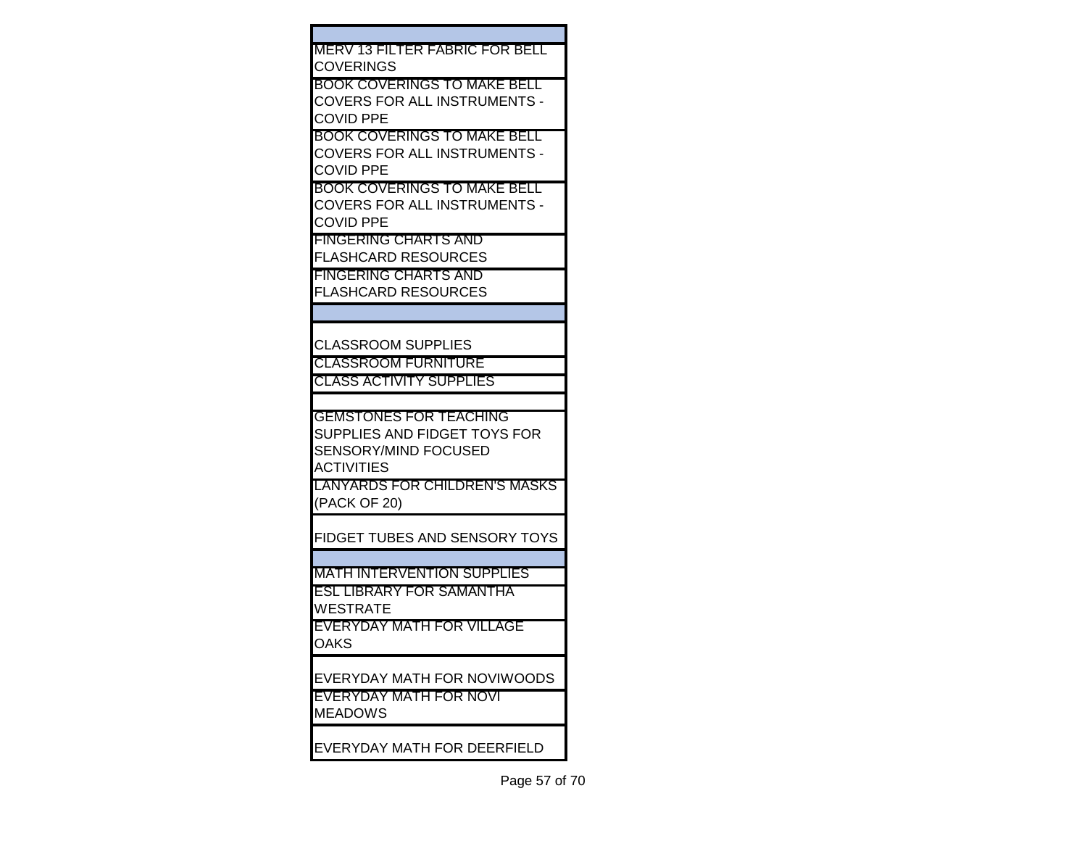| MERV 13 FILTER FABRIC FOR BELL    |
|-----------------------------------|
| COVERINGS                         |
| BOOK COVERINGS TO MAKE BELL       |
| COVERS FOR ALL INSTRUMENTS -      |
| COVID PPE                         |
| BOOK COVERINGS TO MAKE BELL       |
| COVERS FOR ALL INSTRUMENTS -      |
| COVID PPE                         |
| BOOK COVERINGS TO MAKE BELL       |
| COVERS FOR ALL INSTRUMENTS -      |
|                                   |
| COVID PPE                         |
| FINGERING CHARTS AND              |
| <b>FLASHCARD RESOURCES</b>        |
| FINGERING CHARTS AND              |
| FLASHCARD RESOURCES               |
|                                   |
|                                   |
| CLASSROOM SUPPLIES                |
| <b>CLASSROOM FURNITURE</b>        |
| <b>CLASS ACTIVITY SUPPLIES</b>    |
|                                   |
| <b>GEMSTONES FOR TEACHING</b>     |
| SUPPLIES AND FIDGET TOYS FOR      |
|                                   |
| SENSORY/MIND FOCUSED              |
| ACTIVITIES                        |
| LANYARDS FOR CHILDREN'S MASKS     |
| (PACK OF 20)                      |
|                                   |
| FIDGET TUBES AND SENSORY TOYS     |
|                                   |
| <b>MATH INTERVENTION SUPPLIES</b> |
| ESL LIBRARY FOR SAMANTHA          |
| WESTRATE                          |
| EVERYDAY MATH FOR VILLAGE         |
| OAKS                              |
|                                   |
| EVERYDAY MATH FOR NOVIWOODS       |
| EVERYDAY MATH FOR NOVI            |
|                                   |
| <b>MEADOWS</b>                    |
|                                   |
| EVERYDAY MATH FOR DEERFIELD       |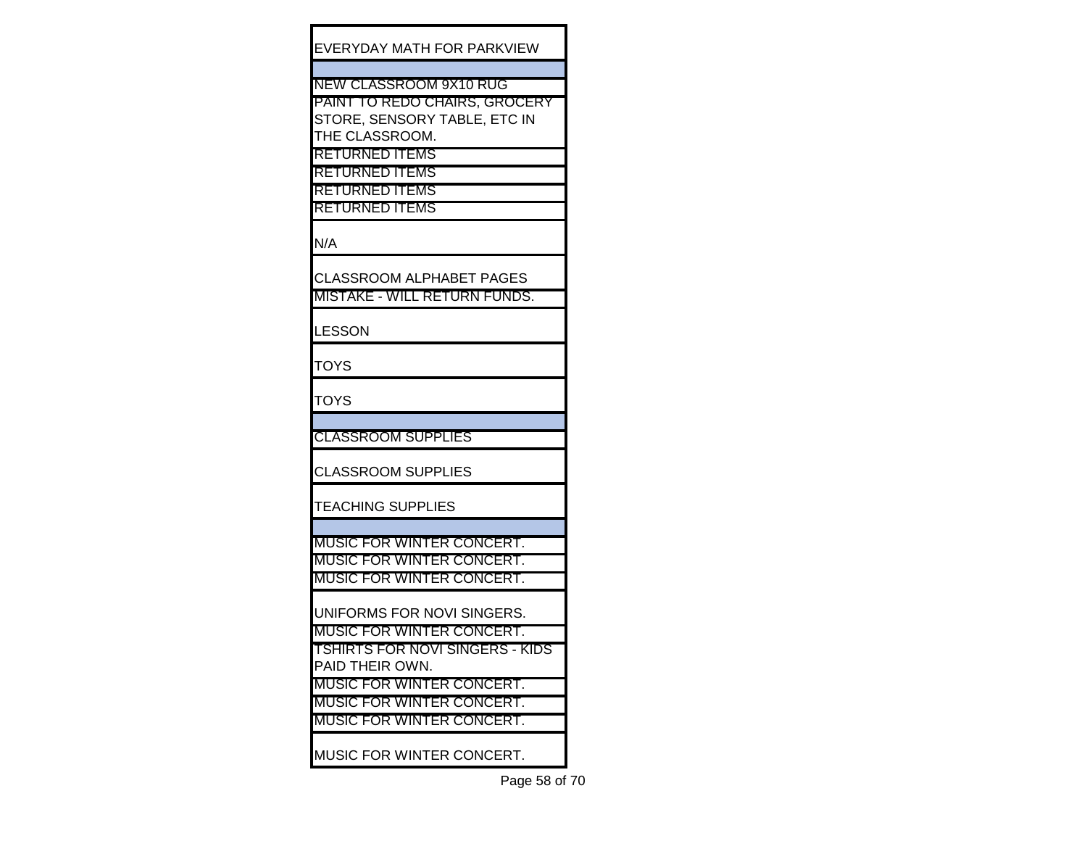EVERYDAY MATH FOR PARKVIEW

NEW CLASSROOM 9X10 RUG

PAINT TO REDO CHAIRS, GROCERY STORE, SENSORY TABLE, ETC IN THE CLASSROOM.

RETURNED ITEMS RETURNED ITEMS

RETURNED ITEMS

RETURNED ITEMS

N/A

CLASSROOM ALPHABET PAGES MISTAKE - WILL RETURN FUNDS.

**LESSON** 

**TOYS** 

**TOYS** 

CLASSROOM SUPPLIES

CLASSROOM SUPPLIES

TEACHING SUPPLIES

MUSIC FOR WINTER CONCERT. MUSIC FOR WINTER CONCERT. MUSIC FOR WINTER CONCERT.

UNIFORMS FOR NOVI SINGERS.

MUSIC FOR WINTER CONCERT. TSHIRTS FOR NOVI SINGERS - KIDS

PAID THEIR OWN.

MUSIC FOR WINTER CONCERT.

MUSIC FOR WINTER CONCERT.

MUSIC FOR WINTER CONCERT.

MUSIC FOR WINTER CONCERT.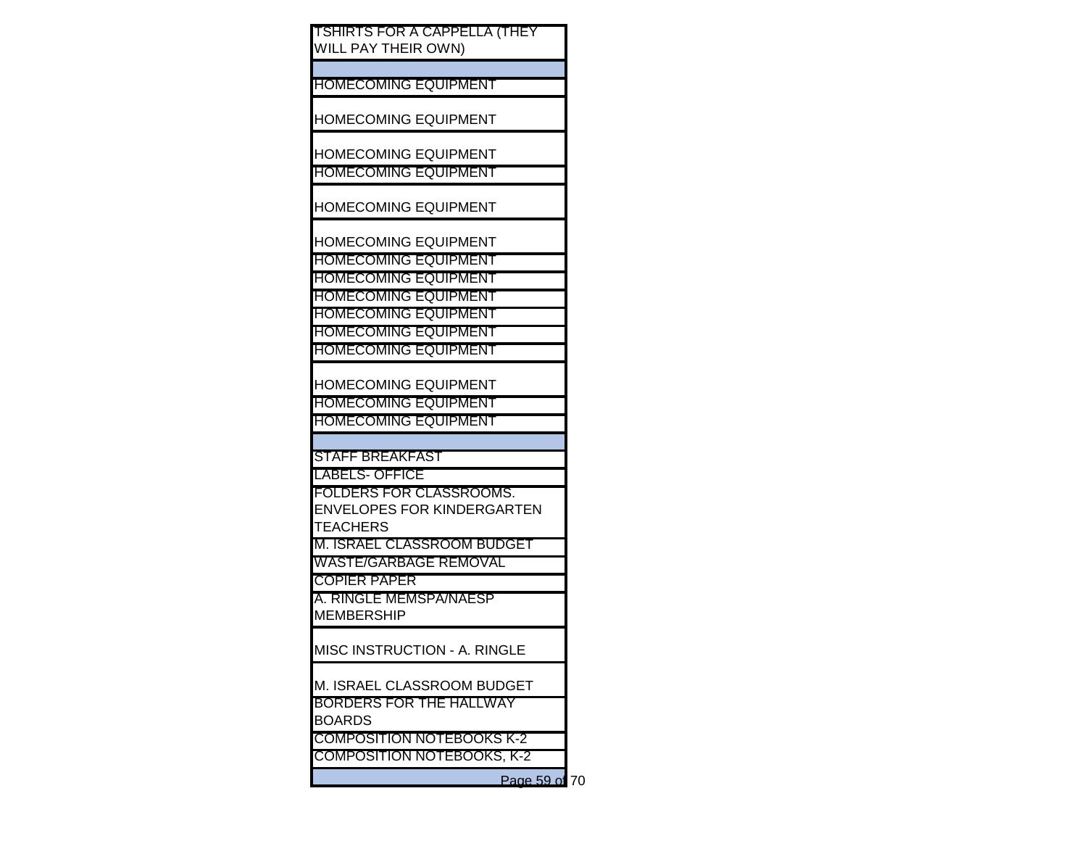| <b>TSHIRTS FOR A CAPPELLA (THEY)</b><br>WILL PAY THEIR OWN) |
|-------------------------------------------------------------|
|                                                             |
| <b>HOMECOMING EQUIPMENT</b>                                 |
| <b>HOMECOMING EQUIPMENT</b>                                 |
| <b>HOMECOMING EQUIPMENT</b><br><b>HOMECOMING EQUIPMENT</b>  |
|                                                             |
| <b>HOMECOMING EQUIPMENT</b>                                 |
| <b>HOMECOMING EQUIPMENT</b>                                 |
| <b>HOMECOMING EQUIPMENT</b>                                 |
| <b>HOMECOMING EQUIPMENT</b>                                 |
| <b>HOMECOMING EQUIPMENT</b><br><b>HOMECOMING EQUIPMENT</b>  |
| <b>HOMECOMING EQUIPMENT</b>                                 |
| <b>HOMECOMING EQUIPMENT</b>                                 |
|                                                             |
| <b>HOMECOMING EQUIPMENT</b>                                 |
| <b>HOMECOMING EQUIPMENT</b>                                 |
| <b>HOMECOMING EQUIPMENT</b>                                 |
| <b>STAFF BREAKFAST</b>                                      |
| <b>LABELS- OFFICE</b>                                       |
| FOLDERS FOR CLASSROOMS.                                     |
| <b>ENVELOPES FOR KINDERGARTEN</b>                           |
| <b>TEACHERS</b>                                             |
| M. ISRAEL CLASSROOM BUDGET                                  |
| <b>WASTE/GARBAGE REMOVAL</b>                                |
| <b>COPIER PAPER</b>                                         |
| A. RINGLE MEMSPA/NAESP                                      |
| <b>MEMBERSHIP</b>                                           |
| <b>MISC INSTRUCTION - A. RINGLE</b>                         |
| M. ISRAEL CLASSROOM BUDGET                                  |
| <b>BORDERS FOR THE HALLWAY</b>                              |
| <b>BOARDS</b>                                               |
| <b>COMPOSITION NOTEBOOKS K-2</b>                            |
| <b>COMPOSITION NOTEBOOKS, K-2</b>                           |
|                                                             |

Page 59 of 70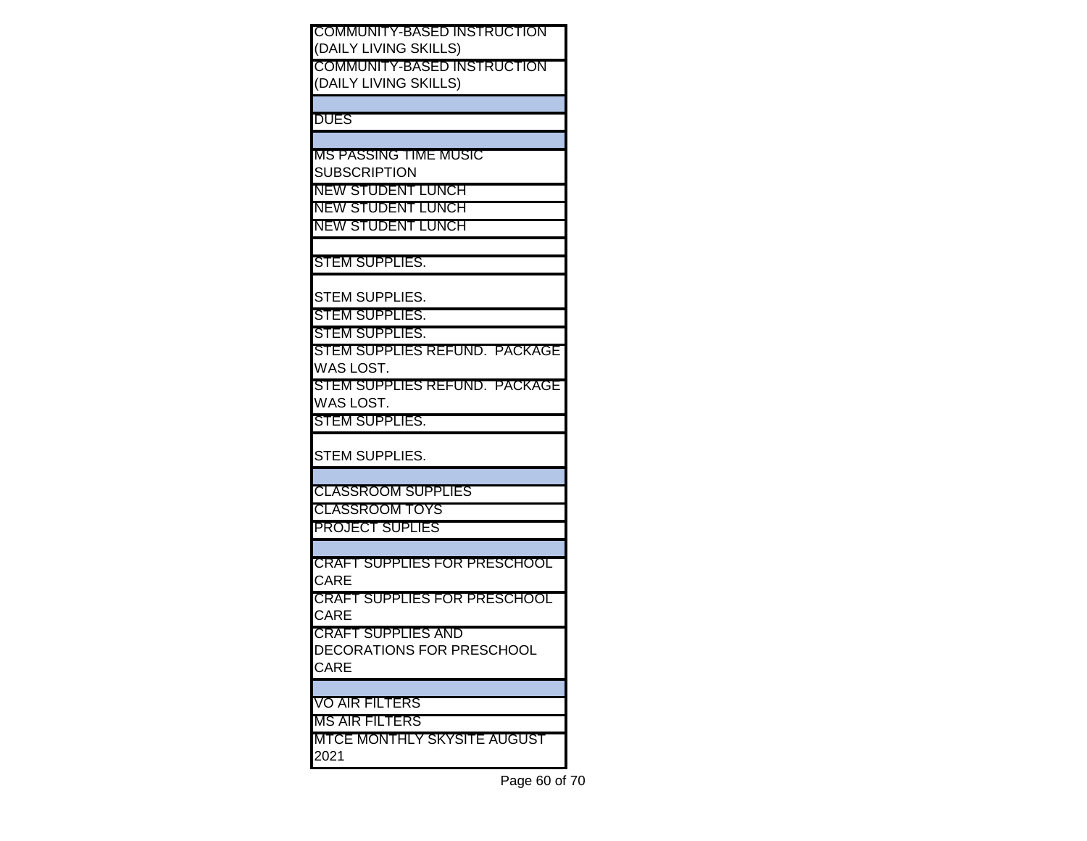| <b>COMMUNITY-BASED INSTRUCTION</b>  |
|-------------------------------------|
| (DAILY LIVING SKILLS)               |
| <b>COMMUNITY-BASED INSTRUCTION</b>  |
| (DAILY LIVING SKILLS)               |
|                                     |
|                                     |
| <b>DUES</b>                         |
|                                     |
| IMS PASSING TIME MUSIC              |
| <b>SUBSCRIPTION</b>                 |
| INEW STUDENT LUNCH                  |
| NEW STUDENT LUNCH                   |
| <b>INEW STUDENT LUNCH</b>           |
|                                     |
|                                     |
| <b>ISTEM SUPPLIES.</b>              |
|                                     |
| <b>STEM SUPPLIES.</b>               |
| <b>STEM SUPPLIES.</b>               |
| <b>ISTEM SUPPLIES.</b>              |
|                                     |
| STEM SUPPLIES REFUND. PACKAGE       |
| WAS LOST.                           |
| STEM SUPPLIES REFUND. PACKAGE       |
| WAS LOST.                           |
| <b>STEM SUPPLIES.</b>               |
|                                     |
| <b>STEM SUPPLIES.</b>               |
|                                     |
|                                     |
| <b>CLASSROOM SUPPLIES</b>           |
| <b>CLASSROOM TOYS</b>               |
| <b>PROJECT SUPLIES</b>              |
|                                     |
| <b>CRAFT SUPPLIES FOR PRESCHOOL</b> |
| CARE                                |
| <b>CRAFT SUPPLIES FOR PRESCHOOL</b> |
|                                     |
| CARE                                |
| CRAFT SUPPLIES AND                  |
| <b>DECORATIONS FOR PRESCHOOL</b>    |
| CARE                                |
|                                     |
| VO AIR FILTERS                      |
| <b>MS AIR FILTERS</b>               |
|                                     |
| <b>MTCE MONTHLY SKYSITE AUGUST</b>  |
| 2021                                |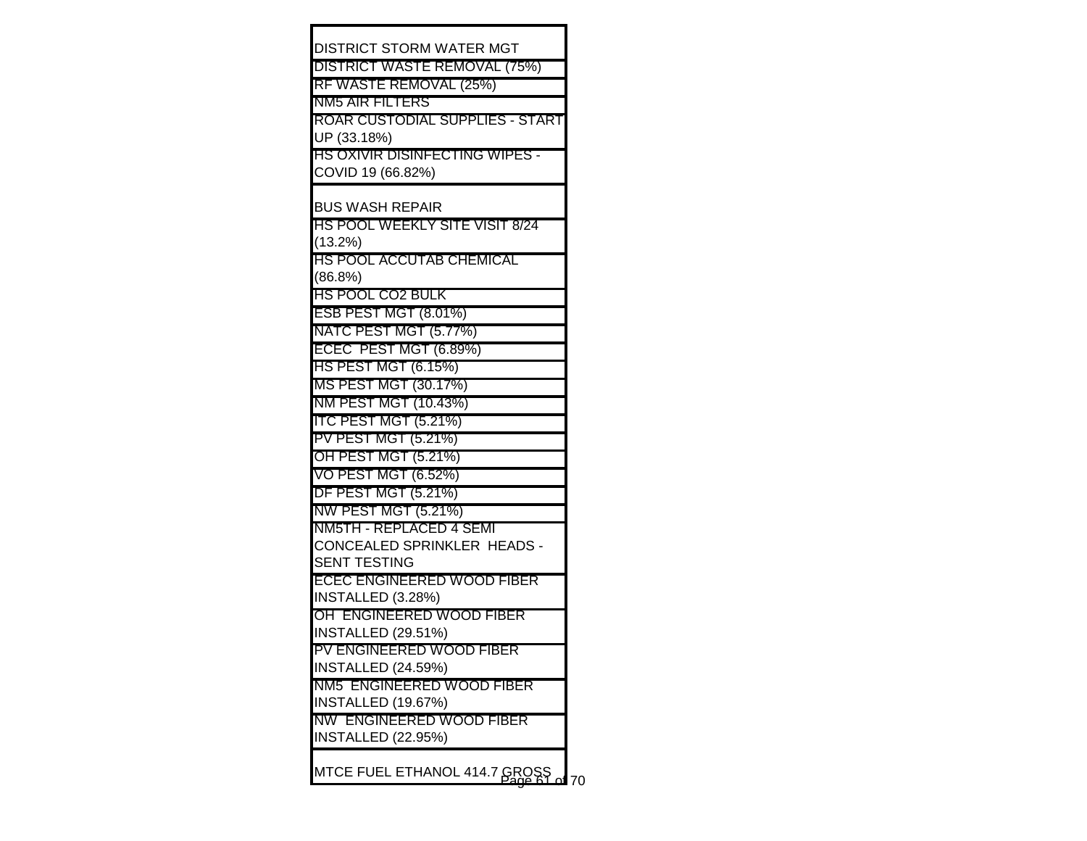| DISTRICT STORM WATER MGT                       |
|------------------------------------------------|
| DISTRICT WASTE REMOVAL (75%)                   |
| RF WASTE REMOVAL (25%)                         |
| NM5 AIR FILTERS                                |
| ROAR CUSTODIAL SUPPLIES - START                |
| UP (33.18%)                                    |
| HS OXIVIR DISINFECTING WIPES -                 |
| COVID 19 (66.82%)                              |
|                                                |
| <b>BUS WASH REPAIR</b>                         |
| HS POOL WEEKLY SITE VISIT 8/24                 |
| (13.2%)                                        |
| HS POOL ACCUTAB CHEMICAL                       |
| (86.8%)                                        |
| HS POOL CO2 BULK                               |
| ESB PEST MGT (8.01%)                           |
| NATC PEST MGT (5.77%)                          |
| ECEC PEST MGT (6.89%)                          |
| HS PEST MGT (6.15%)                            |
| MS PEST MGT (30.17%)                           |
| NM PEST MGT (10.43%)                           |
| ITC PEST MGT (5.21%)                           |
| PV PEST MGT (5.21%)                            |
| OH PEST MGT (5.21%)                            |
| VO PEST MGT (6.52%)                            |
| <b>DF PEST MGT (5.21%)</b>                     |
| NW PEST MGT (5.21%)<br>NM5TH - REPLACED 4 SEMI |
| CONCEALED SPRINKLER HEADS -                    |
| <b>SENT TESTING</b>                            |
| ECEC ENGINEERED WOOD FIBER                     |
| INSTALLED (3.28%)                              |
| OH ENGINEERED WOOD FIBER                       |
| INSTALLED (29.51%)                             |
| PV ENGINEERED WOOD FIBER                       |
| INSTALLED (24.59%)                             |
| NM5 ENGINEERED WOOD FIBER                      |
| INSTALLED (19.67%)                             |
| NW ENGINEERED WOOD FIBER                       |
| INSTALLED (22.95%)                             |
|                                                |
| MTCE FUEL ETHANOL 414.7 GRO                    |
|                                                |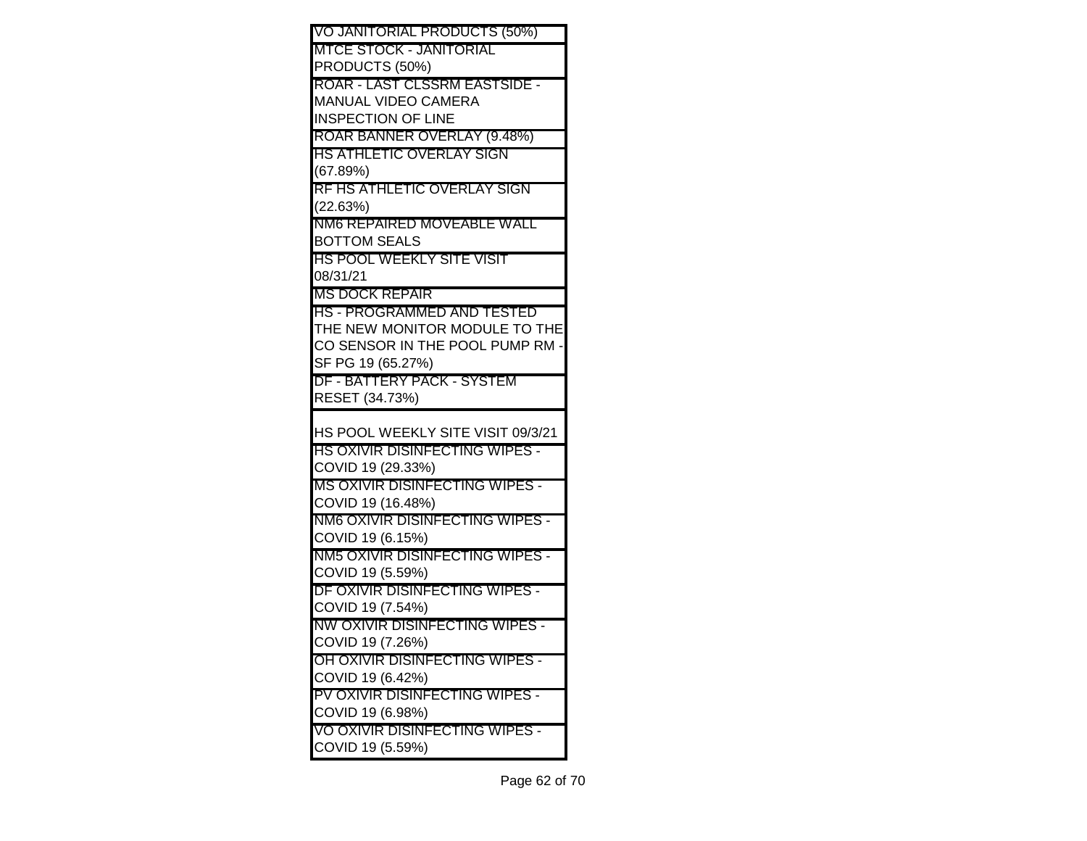| VO JANITORIAL PRODUCTS (50%)                       |
|----------------------------------------------------|
| MTCE STOCK - JANITORIAL                            |
| PRODUCTS (50%)                                     |
| ROAR - LAST CLSSRM EASTSIDE -                      |
| MANUAL VIDEO CAMERA                                |
| <b>INSPECTION OF LINE</b>                          |
| ROAR BANNER OVERLAY (9.48%)                        |
| HS ATHLETIC OVERLAY SIGN                           |
| (67.89%)<br>RF HS ATHLETIC OVERLAY SIGN            |
| (22.63%)                                           |
| NM6 REPAIRED MOVEABLE WALL                         |
| <b>BOTTOM SEALS</b>                                |
| HS POOL WEEKLY SITE VISIT                          |
| 08/31/21                                           |
| MS DOCK REPAIR                                     |
| HS - PROGRAMMED AND TESTED                         |
| THE NEW MONITOR MODULE TO THE                      |
| CO SENSOR IN THE POOL PUMP RM -                    |
| SF PG 19 (65.27%)                                  |
| DF - BATTERY PACK - SYSTEM                         |
| RESET (34.73%)                                     |
|                                                    |
|                                                    |
| HS POOL WEEKLY SITE VISIT 09/3/21                  |
| HS OXIVIR DISINFECTING WIPES -                     |
| COVID 19 (29.33%)                                  |
| MS OXIVIR DISINFECTING WIPES -                     |
| COVID 19 (16.48%)                                  |
| NM6 OXIVIR DISINFECTING WIPES -                    |
| COVID 19 (6.15%)                                   |
| NM5 OXIVIR DISINFECTING WIPES -                    |
| COVID 19 (5.59%)                                   |
| DF OXIVIR DISINFECTING WIPES -                     |
| COVID 19 (7.54%)                                   |
| NW OXIVIR DISINFECTING WIPES -                     |
| COVID 19 (7.26%)<br>OH OXIVIR DISINFECTING WIPES - |
|                                                    |
| COVID 19 (6.42%)<br>PV OXIVIR DISINFECTING WIPES - |
| COVID 19 (6.98%)                                   |
| VO OXIVIR DISINFECTING WIPES -                     |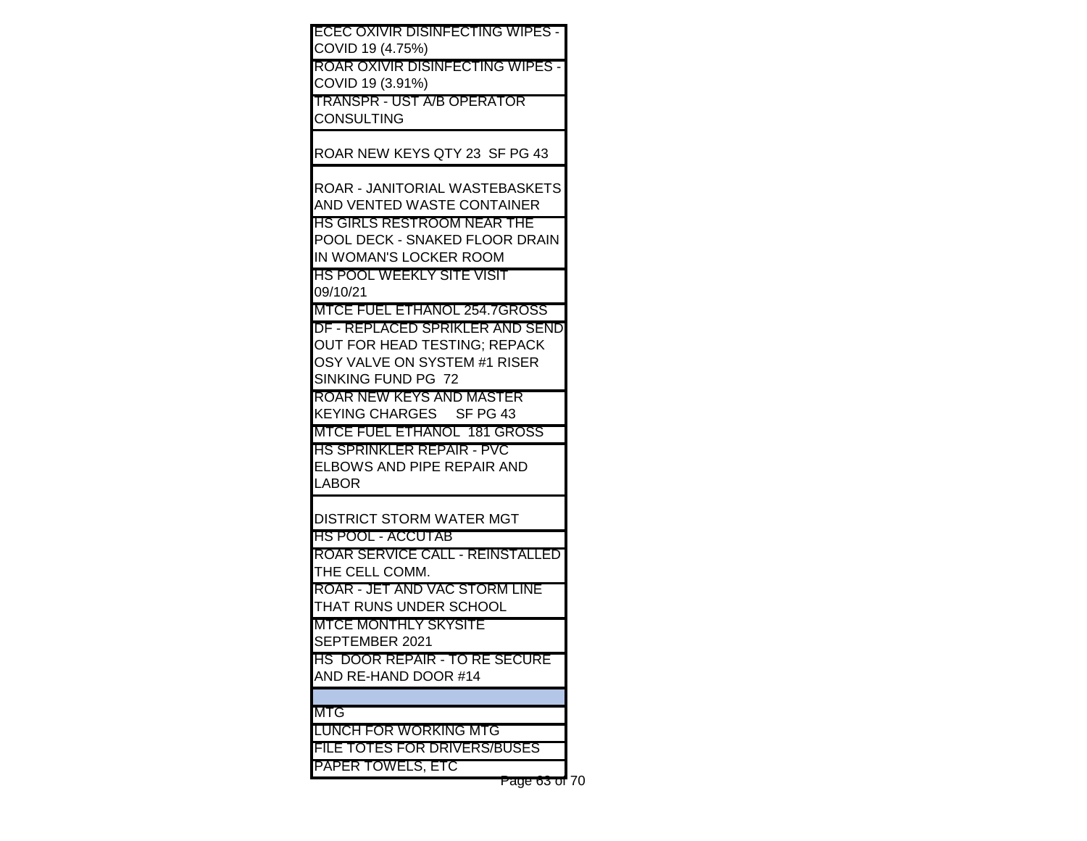| ECEC OXIVIR DISINFECTING WIPES -                       |  |
|--------------------------------------------------------|--|
| COVID 19 (4.75%)                                       |  |
| ROAR OXIVIR DISINFECTING WIPES -                       |  |
| COVID 19 (3.91%)                                       |  |
| TRANSPR - UST A/B OPERATOR                             |  |
| <b>CONSULTING</b>                                      |  |
|                                                        |  |
| ROAR NEW KEYS QTY 23 SF PG 43                          |  |
|                                                        |  |
| ROAR - JANITORIAL WASTEBASKETS                         |  |
| AND VENTED WASTE CONTAINER                             |  |
| HS GIRLS RESTROOM NEAR THE                             |  |
| POOL DECK - SNAKED FLOOR DRAIN                         |  |
| IN WOMAN'S LOCKER ROOM                                 |  |
| HS POOL WEEKLY SITE VISIT                              |  |
| 09/10/21                                               |  |
| MTCE FUEL ETHANOL 254.7GROSS                           |  |
| DF - REPLACED SPRIKLER AND SEND                        |  |
| OUT FOR HEAD TESTING; REPACK                           |  |
| OSY VALVE ON SYSTEM #1 RISER                           |  |
| SINKING FUND PG 72                                     |  |
| ROAR NEW KEYS AND MASTER                               |  |
| KEYING CHARGES SF PG 43<br>MTCE FUEL ETHANOL 181 GROSS |  |
| HS SPRINKLER REPAIR - PVC                              |  |
| ELBOWS AND PIPE REPAIR AND                             |  |
| LABOR                                                  |  |
|                                                        |  |
| DISTRICT STORM WATER MGT                               |  |
| HS POOL - ACCUTAB                                      |  |
| ROAR SERVICE CALL - REINSTALLED                        |  |
| THE CELL COMM.                                         |  |
| ROAR - JET AND VAC STORM LINE                          |  |
| THAT RUNS UNDER SCHOOL                                 |  |
| MTCE MONTHLY SKYSITE                                   |  |
| SEPTEMBER 2021                                         |  |
| HS DOOR REPAIR - TO RE SECURE                          |  |
| AND RE-HAND DOOR #14                                   |  |
|                                                        |  |
| MTG                                                    |  |
| LUNCH FOR WORKING MTG                                  |  |
| FILE TOTES FOR DRIVERS/BUSES                           |  |
| PAPER TOWELS, ETC                                      |  |
| Page 63 of 70                                          |  |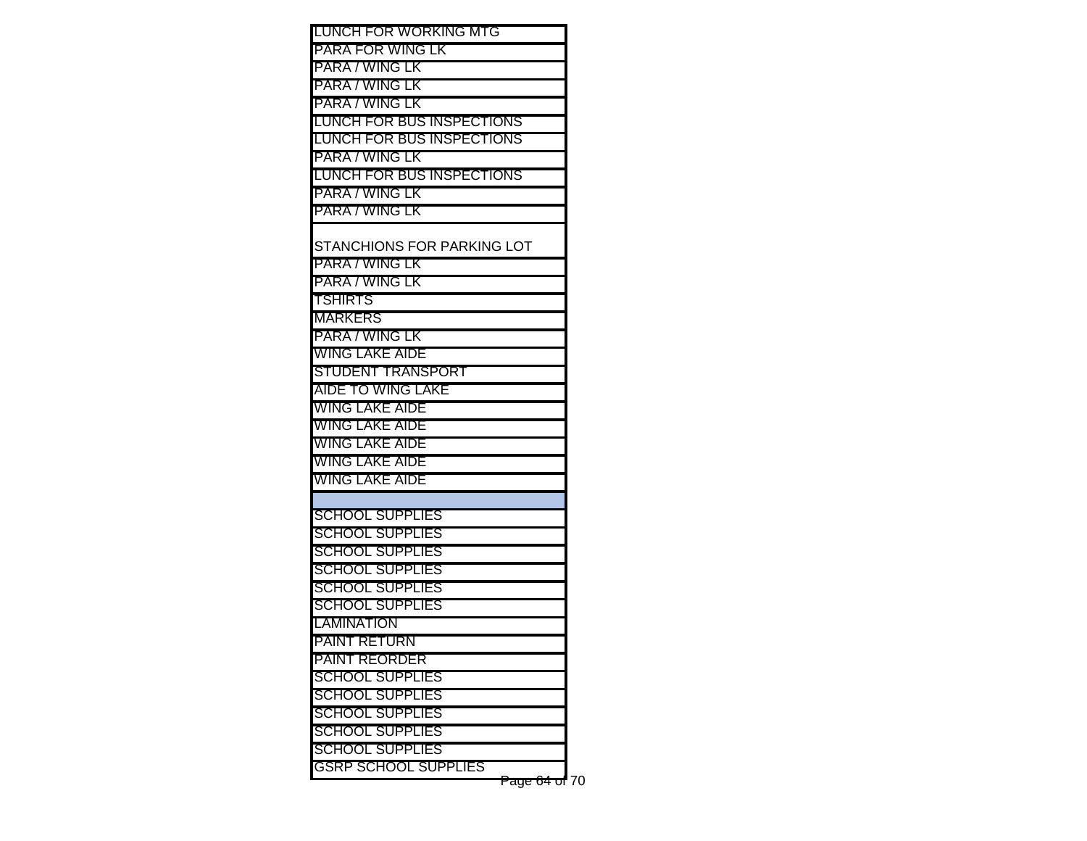| LUNCH FOR WORKING MTG            |  |
|----------------------------------|--|
| PARA FOR WING LK                 |  |
| PARA / WING LK                   |  |
| PARA / WING LK                   |  |
| PARA / WING LK                   |  |
| <b>LUNCH FOR BUS INSPECTIONS</b> |  |
| <b>LUNCH FOR BUS INSPECTIONS</b> |  |
| PARA / WING LK                   |  |
| <b>LUNCH FOR BUS INSPECTIONS</b> |  |
| PARA / WING LK                   |  |
| PARA / WING LK                   |  |
|                                  |  |
| STANCHIONS FOR PARKING LOT       |  |
| PARA / WING LK                   |  |
| PARA / WING LK                   |  |
| <b>TSHIRTS</b>                   |  |
| <b>MARKERS</b>                   |  |
| PARA / WING LK                   |  |
| WING LAKE AIDE                   |  |
| STUDENT TRANSPORT                |  |
| AIDE TO WING LAKE                |  |
| WING LAKE AIDE                   |  |
| WING LAKE AIDE                   |  |
| WING LAKE AIDE                   |  |
| WING LAKE AIDE                   |  |
| WING LAKE AIDE                   |  |
|                                  |  |
| <b>SCHOOL SUPPLIES</b>           |  |
| <b>SCHOOL SUPPLIES</b>           |  |
| <b>SCHOOL SUPPLIES</b>           |  |
| <b>SCHOOL SUPPLIES</b>           |  |
| <b>SCHOOL SUPPLIES</b>           |  |
| <b>SCHOOL SUPPLIES</b>           |  |
| <b>LAMINATION</b>                |  |
| PAINT RETURN                     |  |
| <b>PAINT REORDER</b>             |  |
| <b>SCHOOL SUPPLIES</b>           |  |
| <b>SCHOOL SUPPLIES</b>           |  |
| <b>SCHOOL SUPPLIES</b>           |  |
| <b>SCHOOL SUPPLIES</b>           |  |
| <b>SCHOOL SUPPLIES</b>           |  |
| <b>GSRP SCHOOL SUPPLIES</b>      |  |

Page 64 of 70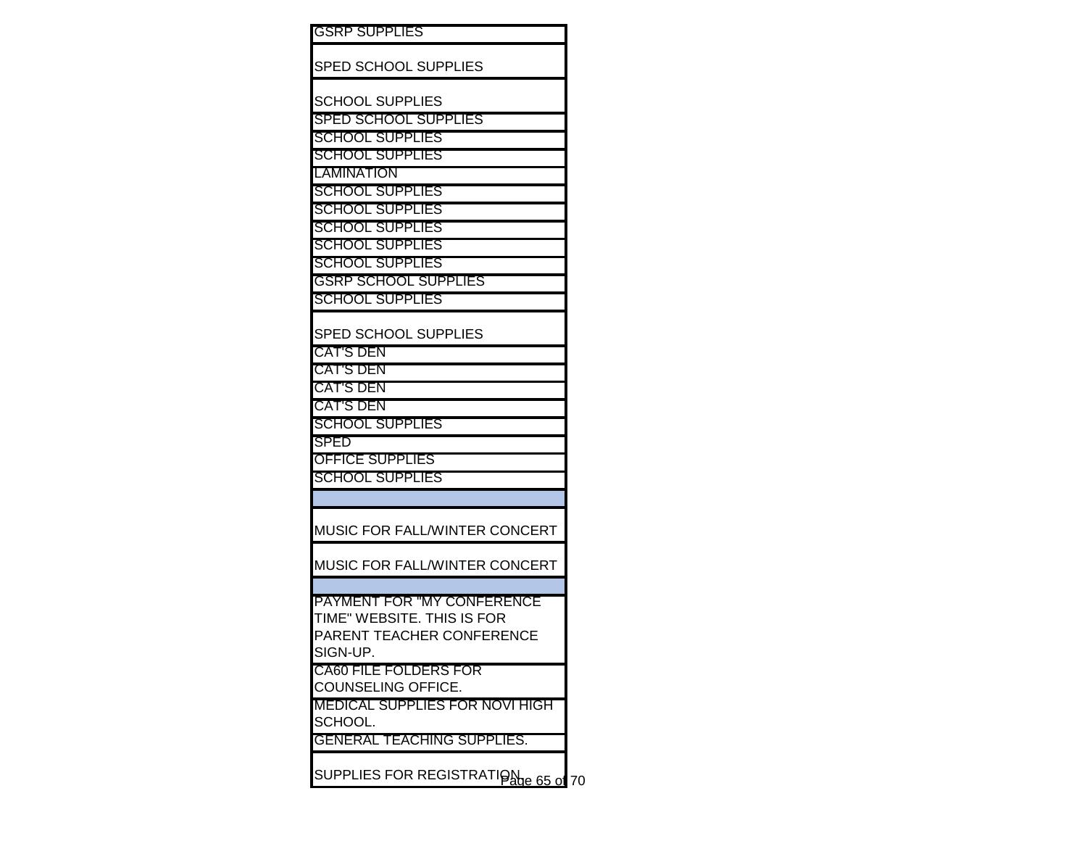| <b>GSRP SUPPLIES</b>                  |  |
|---------------------------------------|--|
| <b>SPED SCHOOL SUPPLIES</b>           |  |
|                                       |  |
| <b>SCHOOL SUPPLIES</b>                |  |
| <b>SPED SCHOOL SUPPLIES</b>           |  |
| <b>SCHOOL SUPPLIES</b>                |  |
| <b>SCHOOL SUPPLIES</b>                |  |
| <b>LAMINATION</b>                     |  |
| <b>SCHOOL SUPPLIES</b>                |  |
| <b>SCHOOL SUPPLIES</b>                |  |
| <b>SCHOOL SUPPLIES</b>                |  |
| <b>SCHOOL SUPPLIES</b>                |  |
| <b>SCHOOL SUPPLIES</b>                |  |
| <b>GSRP SCHOOL SUPPLIES</b>           |  |
| <b>SCHOOL SUPPLIES</b>                |  |
|                                       |  |
| SPED SCHOOL SUPPLIES                  |  |
| <b>CAT'S DEN</b>                      |  |
| <b>CAT'S DEN</b>                      |  |
| <b>CAT'S DEN</b>                      |  |
| <b>CAT'S DEN</b>                      |  |
| <b>SCHOOL SUPPLIES</b>                |  |
| <b>SPED</b>                           |  |
| <b>OFFICE SUPPLIES</b>                |  |
| <b>SCHOOL SUPPLIES</b>                |  |
|                                       |  |
| MUSIC FOR FALL/WINTER CONCERT         |  |
|                                       |  |
| MUSIC FOR FALL/WINTER CONCERT         |  |
|                                       |  |
| <b>PAYMENT FOR "MY CONFERENCE</b>     |  |
| TIME" WEBSITE. THIS IS FOR            |  |
| PARENT TEACHER CONFERENCE             |  |
| SIGN-UP.                              |  |
| <b>CA60 FILE FOLDERS FOR</b>          |  |
| COUNSELING OFFICE.                    |  |
| <b>MEDICAL SUPPLIES FOR NOVI HIGH</b> |  |
| SCHOOL.                               |  |
| <b>GENERAL TEACHING SUPPLIES.</b>     |  |
|                                       |  |
| SUPPLIES FOR REGISTRATIONe 65 of 70   |  |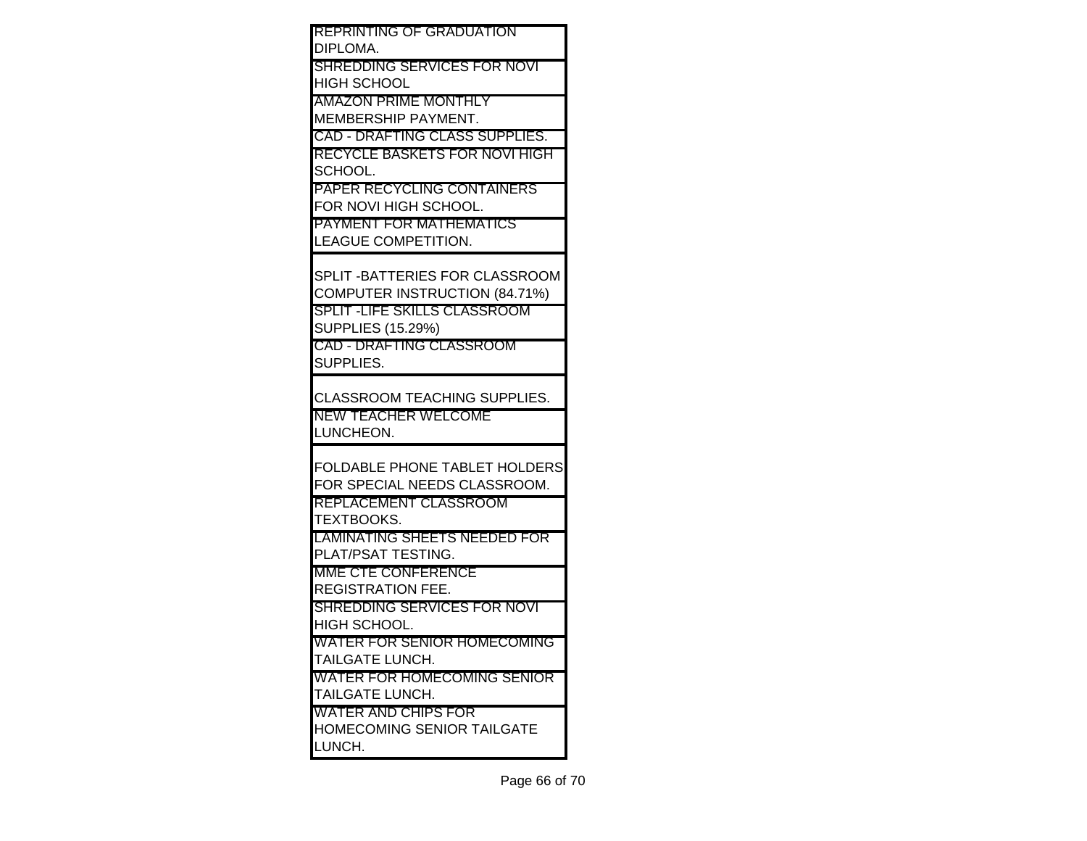| <b>REPRINTING OF GRADUATION</b>                               |  |
|---------------------------------------------------------------|--|
| <b>DIPLOMA.</b>                                               |  |
| SHREDDING SERVICES FOR NOVI                                   |  |
| IHIGH SCHOOL                                                  |  |
| <b>AMAZON PRIME MONTHLY</b>                                   |  |
| <b>IMEMBERSHIP PAYMENT.</b>                                   |  |
| <b>CAD - DRAFTING CLASS SUPPLIES.</b>                         |  |
| <b>RECYCLE BASKETS FOR NOVI HIGH</b>                          |  |
| SCHOOL.                                                       |  |
| <b>PAPER RECYCLING CONTAINERS</b>                             |  |
| FOR NOVI HIGH SCHOOL.                                         |  |
| <b>IPAYMENT FOR MATHEMATICS</b>                               |  |
| <b>LEAGUE COMPETITION.</b>                                    |  |
|                                                               |  |
| SPLIT - BATTERIES FOR CLASSROOM                               |  |
| COMPUTER INSTRUCTION (84.71%)                                 |  |
| <b>SPLIT -LIFE SKILLS CLASSROOM</b>                           |  |
| <b>SUPPLIES (15.29%)</b>                                      |  |
| <b>CAD - DRAFTING CLASSROOM</b>                               |  |
| <b>SUPPLIES.</b>                                              |  |
|                                                               |  |
| <b>CLASSROOM TEACHING SUPPLIES.</b>                           |  |
| <b>NEW TEACHER WELCOME</b>                                    |  |
| LUNCHEON.                                                     |  |
|                                                               |  |
| <b>FOLDABLE PHONE TABLET HOLDERS</b>                          |  |
| FOR SPECIAL NEEDS CLASSROOM.<br><b>IREPLACEMENT CLASSROOM</b> |  |
| TEXTBOOKS.                                                    |  |
| <b>LAMINATING SHEETS NEEDED FOR</b>                           |  |
| PLAT/PSAT TESTING.                                            |  |
| <b>MME CTE CONFERENCE</b>                                     |  |
| <b>REGISTRATION FEE.</b>                                      |  |
| SHREDDING SERVICES FOR NOVI                                   |  |
| <b>HIGH SCHOOL.</b>                                           |  |
| WATER FOR SENIOR HOMECOMING                                   |  |
| <b>TAILGATE LUNCH.</b>                                        |  |
| <b>WATER FOR HOMECOMING SENIOR</b>                            |  |
| <b>TAILGATE LUNCH.</b>                                        |  |
| <b>WATER AND CHIPS FOR</b>                                    |  |
| HOMECOMING SENIOR TAILGATE                                    |  |
| LUNCH.                                                        |  |
|                                                               |  |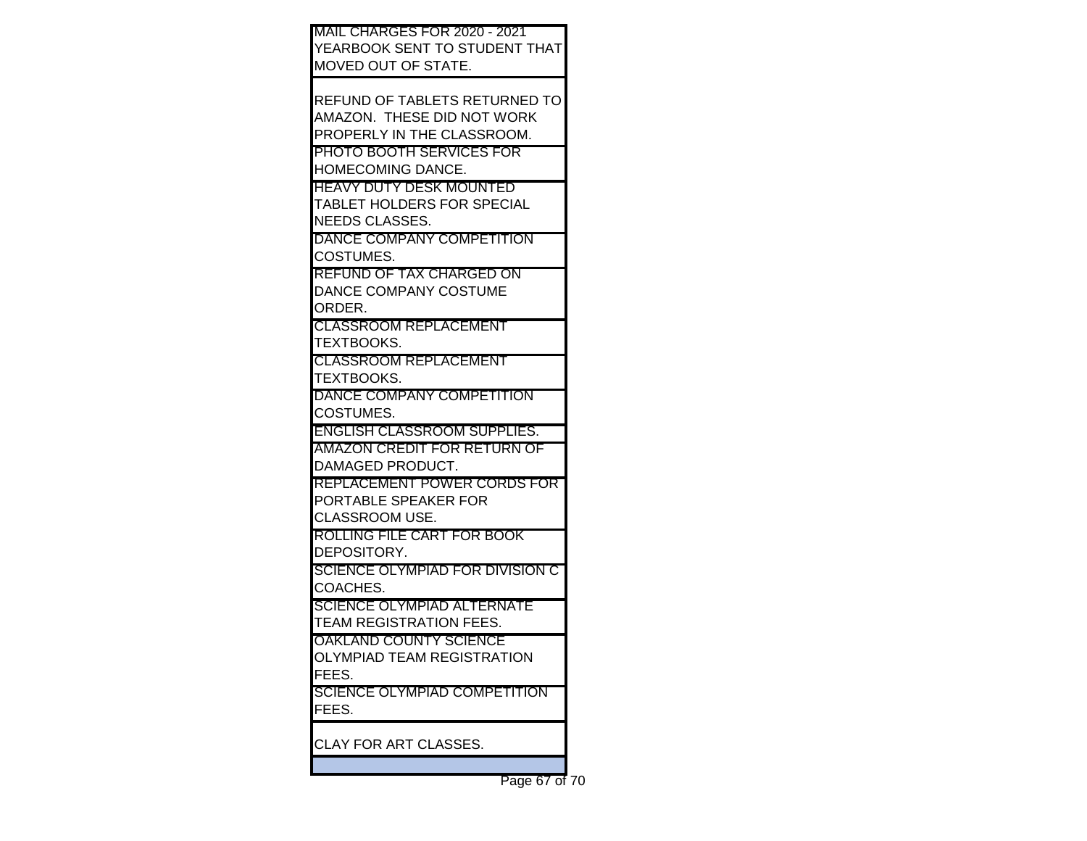| <b>MAIL CHARGES FOR 2020 - 2021</b> |  |
|-------------------------------------|--|
| YEARBOOK SENT TO STUDENT THAT       |  |
| MOVED OUT OF STATE.                 |  |
|                                     |  |
| REFUND OF TABLETS RETURNED TO       |  |
| AMAZON. THESE DID NOT WORK          |  |
| PROPERLY IN THE CLASSROOM.          |  |
| <b>PHOTO BOOTH SERVICES FOR</b>     |  |
| <b>IHOMECOMING DANCE.</b>           |  |
| <b>HEAVY DUTY DESK MOUNTED</b>      |  |
| <b>TABLET HOLDERS FOR SPECIAL</b>   |  |
| NEEDS CLASSES.                      |  |
| DANCE COMPANY COMPETITION           |  |
| COSTUMES.                           |  |
| IREFUND OF TAX CHARGED ON           |  |
| DANCE COMPANY COSTUME               |  |
| ORDER.                              |  |
| <b>CLASSROOM REPLACEMENT</b>        |  |
| TEXTBOOKS.                          |  |
| <b>CLASSROOM REPLACEMENT</b>        |  |
| TEXTBOOKS.                          |  |
| DANCE COMPANY COMPETITION           |  |
| COSTUMES.                           |  |
| <b>ENGLISH CLASSROOM SUPPLIES.</b>  |  |
| <b>AMAZON CREDIT FOR RETURN OF</b>  |  |
| IDAMAGED PRODUCT.                   |  |
| REPLACEMENT POWER CORDS FOR         |  |
| PORTABLE SPEAKER FOR                |  |
| CLASSROOM USE.                      |  |
| ROLLING FILE CART FOR BOOK          |  |
| IDEPOSITORY.                        |  |
| SCIENCE OLYMPIAD FOR DIVISION C     |  |
| COACHES.                            |  |
| <b>SCIENCE OLYMPIAD ALTERNATE</b>   |  |
| <b>TEAM REGISTRATION FEES.</b>      |  |
| <b>OAKLAND COUNTY SCIENCE</b>       |  |
| OLYMPIAD TEAM REGISTRATION          |  |
| FEES.                               |  |
| SCIENCE OLYMPIAD COMPETITION        |  |
| FEES.                               |  |
|                                     |  |
| CLAY FOR ART CLASSES.               |  |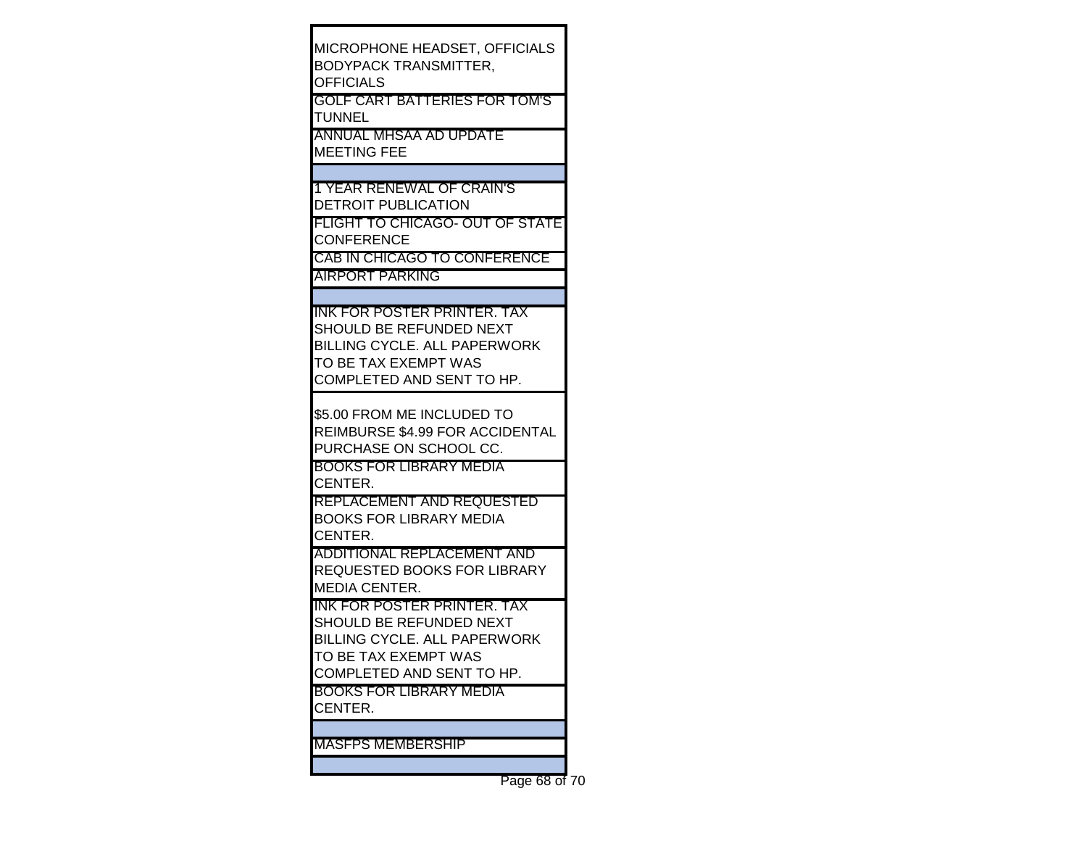| MICROPHONE HEADSET, OFFICIALS<br>BODYPACK TRANSMITTER,<br>OFFICIALS<br>GOLF CART BATTERIES FOR TOM'S<br>TUNNEL<br>ANNUAL MHSAA AD UPDATE<br>MEETING FEE                                      |  |
|----------------------------------------------------------------------------------------------------------------------------------------------------------------------------------------------|--|
| <b>1 YEAR RENEWAL OF CRAIN'S</b><br>DETROIT PUBLICATION<br>FLIGHT TO CHICAGO- OUT OF STATE<br><b>CONFERENCE</b><br>CAB IN CHICAGO TO CONFERENCE<br>AIRPORT PARKING                           |  |
| INK FOR POSTER PRINTER. TAX<br>SHOULD BE REFUNDED NEXT<br>BILLING CYCLE. ALL PAPERWORK<br>TO BE TAX EXEMPT WAS<br>COMPLETED AND SENT TO HP.                                                  |  |
| \$5.00 FROM ME INCLUDED TO<br>REIMBURSE \$4.99 FOR ACCIDENTAL<br>PURCHASE ON SCHOOL CC.<br>BOOKS FOR LIBRARY MEDIA<br>CENTER.<br>REPLACEMENT AND REQUESTED<br><b>BOOKS FOR LIBRARY MEDIA</b> |  |
| CENTER.<br>ADDITIONAL REPLACEMENT AND<br>REQUESTED BOOKS FOR LIBRARY<br>MEDIA CENTER.<br>INK FOR POSTER PRINTER. TAX                                                                         |  |
| SHOULD BE REFUNDED NEXT<br>BILLING CYCLE. ALL PAPERWORK<br>TO BE TAX EXEMPT WAS<br>COMPLETED AND SENT TO HP.<br>BOOKS FOR LIBRARY MEDIA<br>CENTER.                                           |  |
| MASFPS MEMBERSHIP                                                                                                                                                                            |  |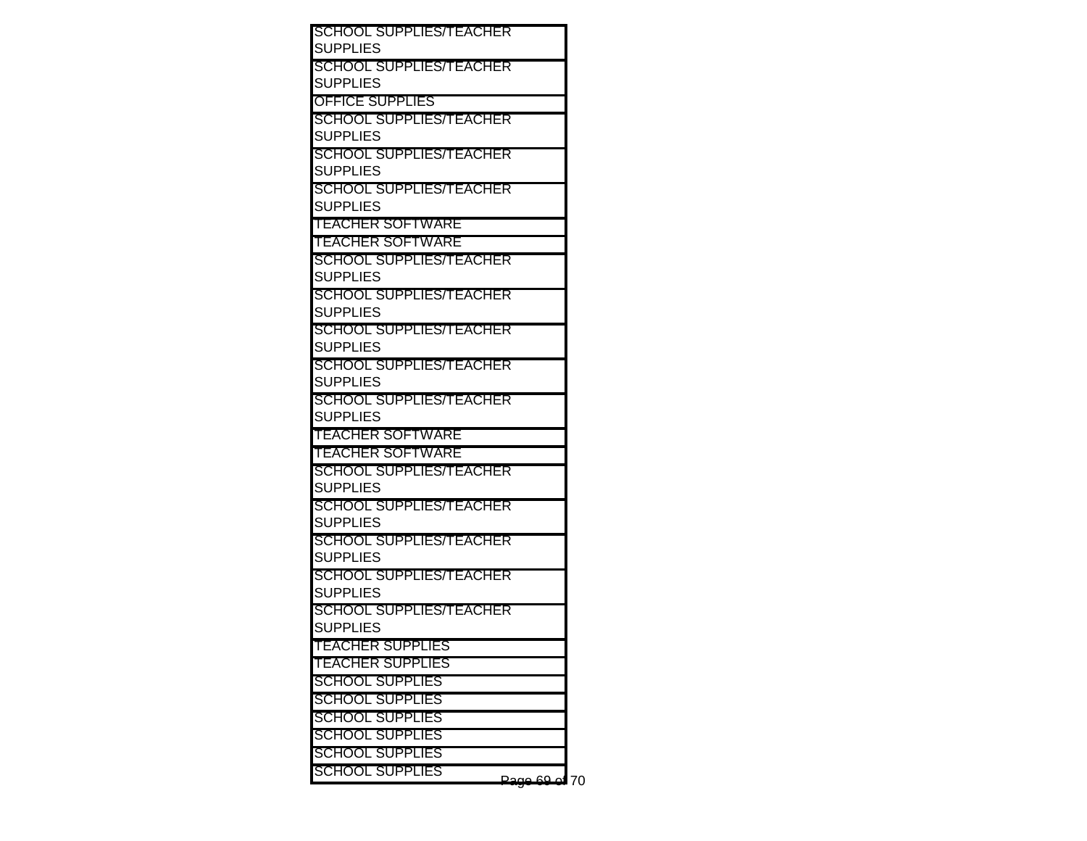| SCHOOL SUPPLIES/TEACHER                           |    |
|---------------------------------------------------|----|
| SUPPLIES                                          |    |
| SCHOOL SUPPLIES/TEACHER                           |    |
| <b>SUPPLIES</b>                                   |    |
| OFFICE SUPPLIES                                   |    |
| SCHOOL SUPPLIES/TEACHER                           |    |
| <b>SUPPLIES</b>                                   |    |
| SCHOOL SUPPLIES/TEACHER                           |    |
| SUPPLIES                                          |    |
| <b>SCHOOL SUPPLIES/TEACHER</b>                    |    |
| <b>SUPPLIES</b>                                   |    |
| <b>TEACHER SOFTWARE</b>                           |    |
| <b>TEACHER SOFTWARE</b>                           |    |
| SCHOOL SUPPLIES/TEACHER                           |    |
| <b>SUPPLIES</b>                                   |    |
| SCHOOL SUPPLIES/TEACHER                           |    |
| SUPPLIES                                          |    |
| SCHOOL SUPPLIES/TEACHER<br><b>SUPPLIES</b>        |    |
|                                                   |    |
| <b>SCHOOL SUPPLIES/TEACHER</b><br><b>SUPPLIES</b> |    |
| <b>SCHOOL SUPPLIES/TEACHER</b>                    |    |
| <b>SUPPLIES</b>                                   |    |
| <b>TEACHER SOFTWARE</b>                           |    |
| <b>TEACHER SOFTWARE</b>                           |    |
| SCHOOL SUPPLIES/TEACHER                           |    |
| <b>SUPPLIES</b>                                   |    |
| SCHOOL SUPPLIES/TEACHER                           |    |
| <b>SUPPLIES</b>                                   |    |
| <b>SCHOOL SUPPLIES/TEACHER</b>                    |    |
| <b>SUPPLIES</b>                                   |    |
| SCHOOL SUPPLIES/TEACHER                           |    |
| <b>SUPPLIES</b>                                   |    |
| <b>SCHOOL SUPPLIES/TEACHER</b>                    |    |
| <b>SUPPLIES</b>                                   |    |
| <u>TEACHER SUPPLIES</u>                           |    |
| <b>TEACHER SUPPLIES</b>                           |    |
| SCHOOL SUPPLIES                                   |    |
| SCHOOL SUPPLIES                                   |    |
| <b>SCHOOL SUPPLIES</b>                            |    |
| <b>SCHOOL SUPPLIES</b>                            |    |
| SCHOOL SUPPLIES                                   |    |
| <b>SCHOOL SUPPLIES</b>                            |    |
|                                                   | 70 |